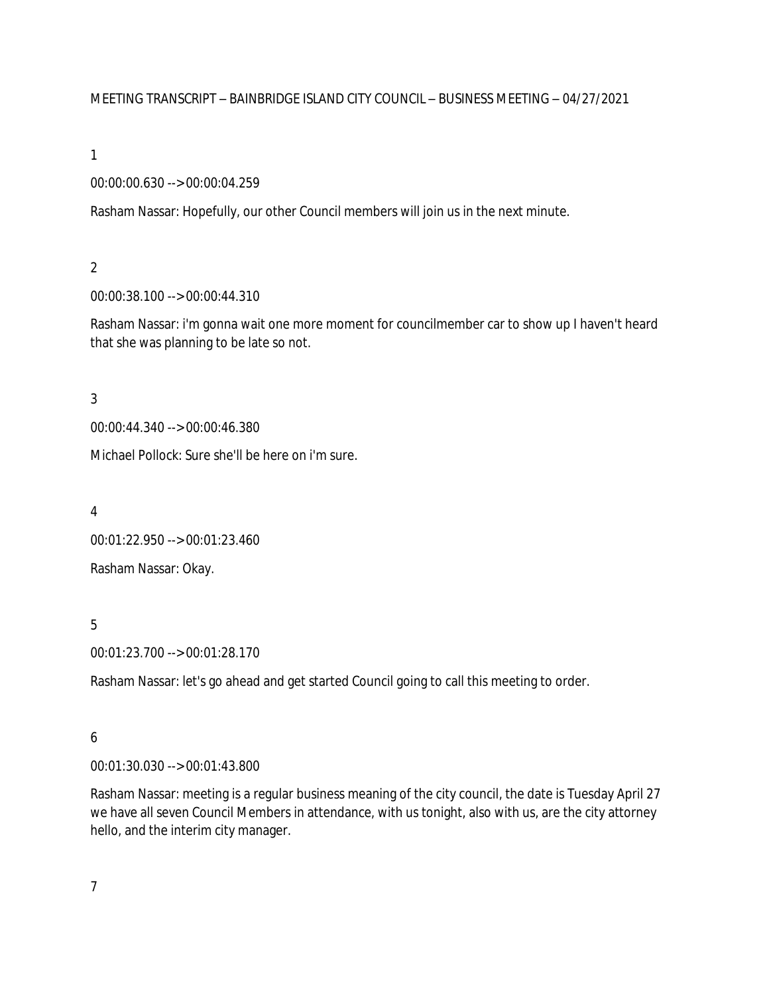MEETING TRANSCRIPT – BAINBRIDGE ISLAND CITY COUNCIL – BUSINESS MEETING – 04/27/2021

1

### 00:00:00.630 --> 00:00:04.259

Rasham Nassar: Hopefully, our other Council members will join us in the next minute.

### 2

00:00:38.100 --> 00:00:44.310

Rasham Nassar: i'm gonna wait one more moment for councilmember car to show up I haven't heard that she was planning to be late so not.

### 3

00:00:44.340 --> 00:00:46.380

Michael Pollock: Sure she'll be here on i'm sure.

4

00:01:22.950 --> 00:01:23.460

Rasham Nassar: Okay.

## 5

00:01:23.700 --> 00:01:28.170

Rasham Nassar: let's go ahead and get started Council going to call this meeting to order.

## 6

00:01:30.030 --> 00:01:43.800

Rasham Nassar: meeting is a regular business meaning of the city council, the date is Tuesday April 27 we have all seven Council Members in attendance, with us tonight, also with us, are the city attorney hello, and the interim city manager.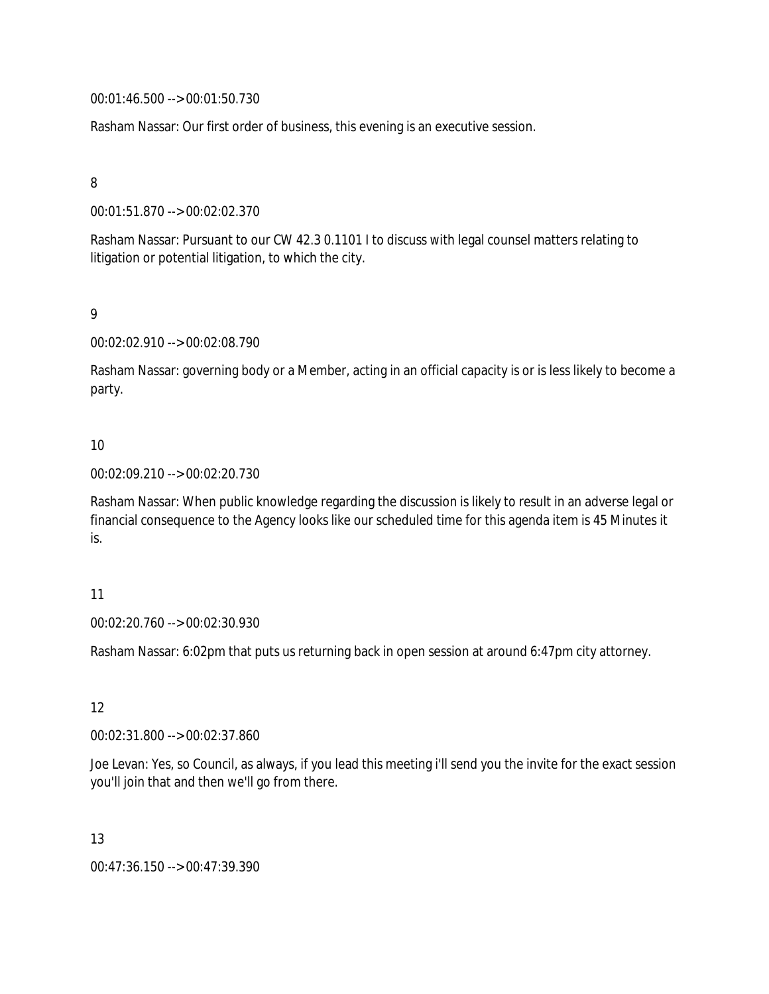00:01:46.500 --> 00:01:50.730

Rasham Nassar: Our first order of business, this evening is an executive session.

### 8

00:01:51.870 --> 00:02:02.370

Rasham Nassar: Pursuant to our CW 42.3 0.1101 I to discuss with legal counsel matters relating to litigation or potential litigation, to which the city.

9

00:02:02.910 --> 00:02:08.790

Rasham Nassar: governing body or a Member, acting in an official capacity is or is less likely to become a party.

### 10

00:02:09.210 --> 00:02:20.730

Rasham Nassar: When public knowledge regarding the discussion is likely to result in an adverse legal or financial consequence to the Agency looks like our scheduled time for this agenda item is 45 Minutes it is.

#### 11

00:02:20.760 --> 00:02:30.930

Rasham Nassar: 6:02pm that puts us returning back in open session at around 6:47pm city attorney.

12

00:02:31.800 --> 00:02:37.860

Joe Levan: Yes, so Council, as always, if you lead this meeting i'll send you the invite for the exact session you'll join that and then we'll go from there.

13

00:47:36.150 --> 00:47:39.390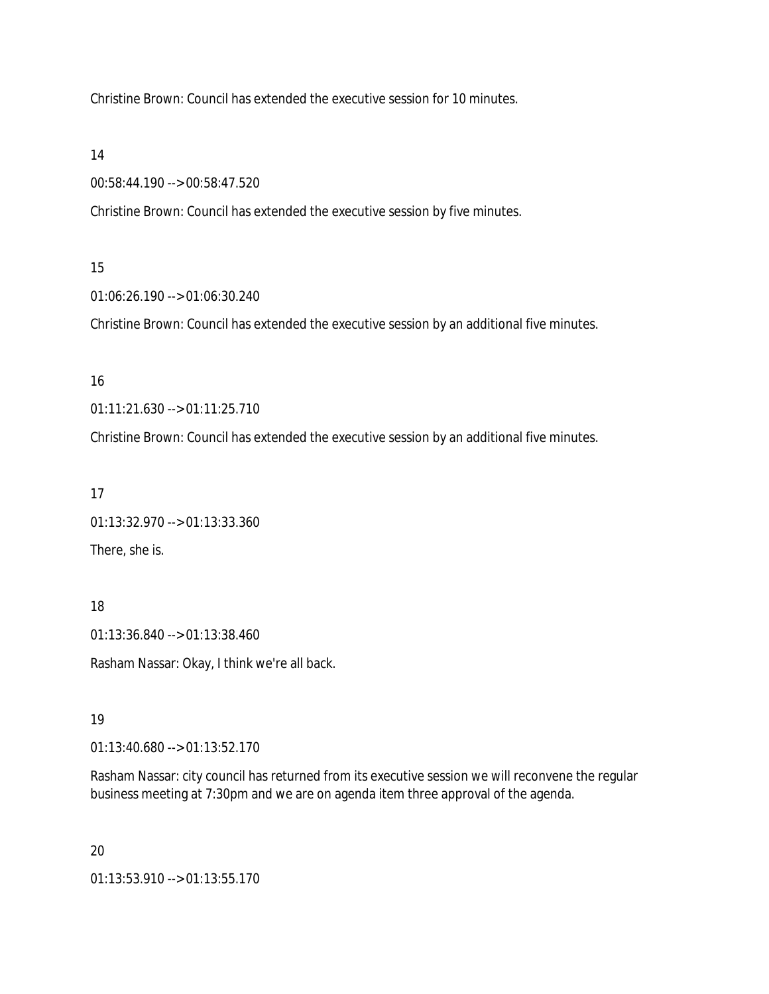Christine Brown: Council has extended the executive session for 10 minutes.

14

00:58:44.190 --> 00:58:47.520

Christine Brown: Council has extended the executive session by five minutes.

## 15

01:06:26.190 --> 01:06:30.240

Christine Brown: Council has extended the executive session by an additional five minutes.

## 16

01:11:21.630 --> 01:11:25.710

Christine Brown: Council has extended the executive session by an additional five minutes.

## 17

01:13:32.970 --> 01:13:33.360 There, she is.

## 18

01:13:36.840 --> 01:13:38.460

Rasham Nassar: Okay, I think we're all back.

## 19

01:13:40.680 --> 01:13:52.170

Rasham Nassar: city council has returned from its executive session we will reconvene the regular business meeting at 7:30pm and we are on agenda item three approval of the agenda.

## 20

01:13:53.910 --> 01:13:55.170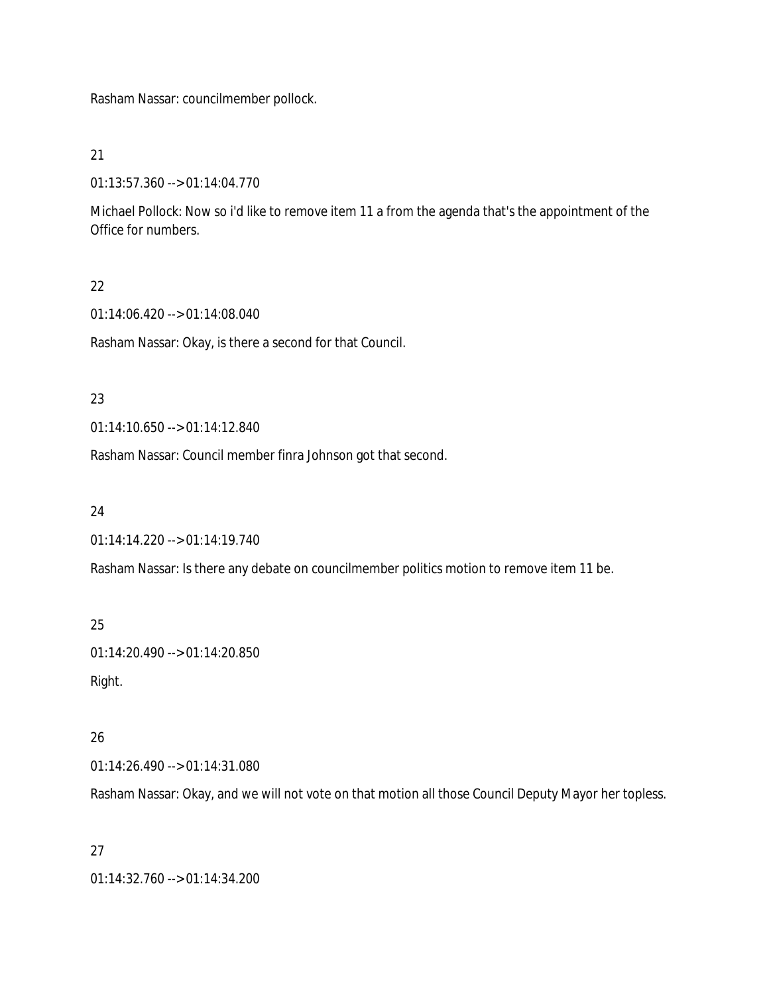Rasham Nassar: councilmember pollock.

21

01:13:57.360 --> 01:14:04.770

Michael Pollock: Now so i'd like to remove item 11 a from the agenda that's the appointment of the Office for numbers.

## 22

01:14:06.420 --> 01:14:08.040

Rasham Nassar: Okay, is there a second for that Council.

## 23

01:14:10.650 --> 01:14:12.840

Rasham Nassar: Council member finra Johnson got that second.

## 24

01:14:14.220 --> 01:14:19.740

Rasham Nassar: Is there any debate on councilmember politics motion to remove item 11 be.

## 25

01:14:20.490 --> 01:14:20.850 Right.

## 26

01:14:26.490 --> 01:14:31.080

Rasham Nassar: Okay, and we will not vote on that motion all those Council Deputy Mayor her topless.

## 27

01:14:32.760 --> 01:14:34.200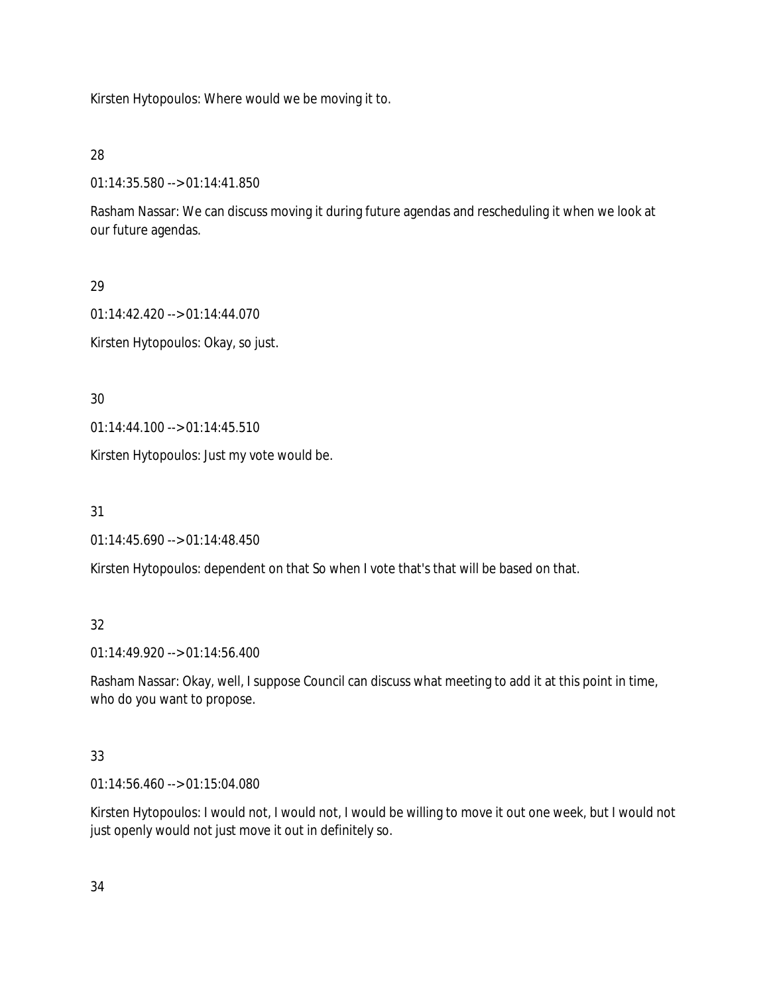Kirsten Hytopoulos: Where would we be moving it to.

28

01:14:35.580 --> 01:14:41.850

Rasham Nassar: We can discuss moving it during future agendas and rescheduling it when we look at our future agendas.

29

01:14:42.420 --> 01:14:44.070

Kirsten Hytopoulos: Okay, so just.

30

01:14:44.100 --> 01:14:45.510

Kirsten Hytopoulos: Just my vote would be.

31

01:14:45.690 --> 01:14:48.450

Kirsten Hytopoulos: dependent on that So when I vote that's that will be based on that.

32

01:14:49.920 --> 01:14:56.400

Rasham Nassar: Okay, well, I suppose Council can discuss what meeting to add it at this point in time, who do you want to propose.

# 33

01:14:56.460 --> 01:15:04.080

Kirsten Hytopoulos: I would not, I would not, I would be willing to move it out one week, but I would not just openly would not just move it out in definitely so.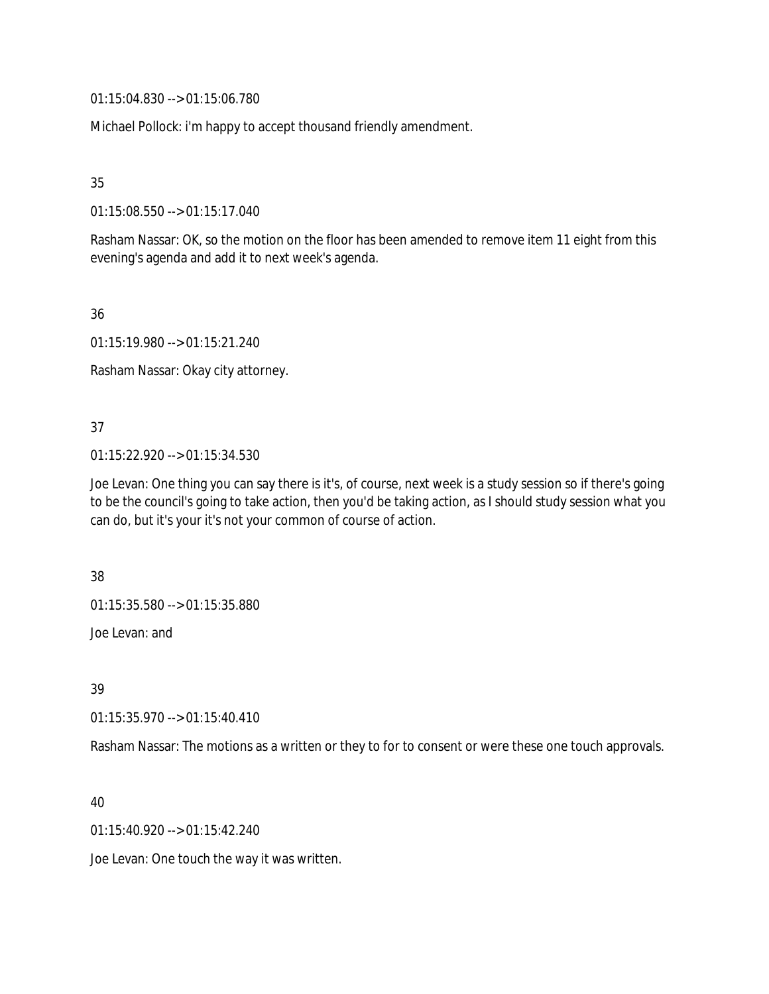01:15:04.830 --> 01:15:06.780

Michael Pollock: i'm happy to accept thousand friendly amendment.

35

01:15:08.550 --> 01:15:17.040

Rasham Nassar: OK, so the motion on the floor has been amended to remove item 11 eight from this evening's agenda and add it to next week's agenda.

36

01:15:19.980 --> 01:15:21.240

Rasham Nassar: Okay city attorney.

37

01:15:22.920 --> 01:15:34.530

Joe Levan: One thing you can say there is it's, of course, next week is a study session so if there's going to be the council's going to take action, then you'd be taking action, as I should study session what you can do, but it's your it's not your common of course of action.

38

01:15:35.580 --> 01:15:35.880

Joe Levan: and

39

01:15:35.970 --> 01:15:40.410

Rasham Nassar: The motions as a written or they to for to consent or were these one touch approvals.

40

01:15:40.920 --> 01:15:42.240

Joe Levan: One touch the way it was written.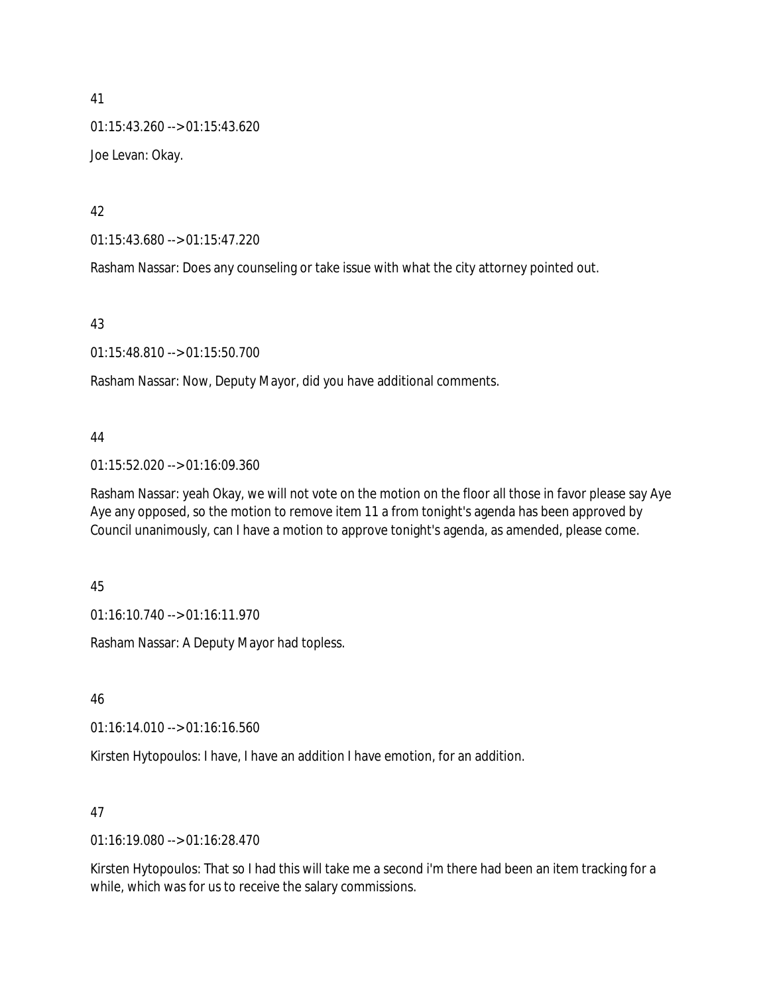41  $01:15:43.260 \rightarrow 01:15:43.620$ Joe Levan: Okay.

42

01:15:43.680 --> 01:15:47.220

Rasham Nassar: Does any counseling or take issue with what the city attorney pointed out.

43

01:15:48.810 --> 01:15:50.700

Rasham Nassar: Now, Deputy Mayor, did you have additional comments.

#### 44

01:15:52.020 --> 01:16:09.360

Rasham Nassar: yeah Okay, we will not vote on the motion on the floor all those in favor please say Aye Aye any opposed, so the motion to remove item 11 a from tonight's agenda has been approved by Council unanimously, can I have a motion to approve tonight's agenda, as amended, please come.

45

01:16:10.740 --> 01:16:11.970

Rasham Nassar: A Deputy Mayor had topless.

46

01:16:14.010 --> 01:16:16.560

Kirsten Hytopoulos: I have, I have an addition I have emotion, for an addition.

#### 47

01:16:19.080 --> 01:16:28.470

Kirsten Hytopoulos: That so I had this will take me a second i'm there had been an item tracking for a while, which was for us to receive the salary commissions.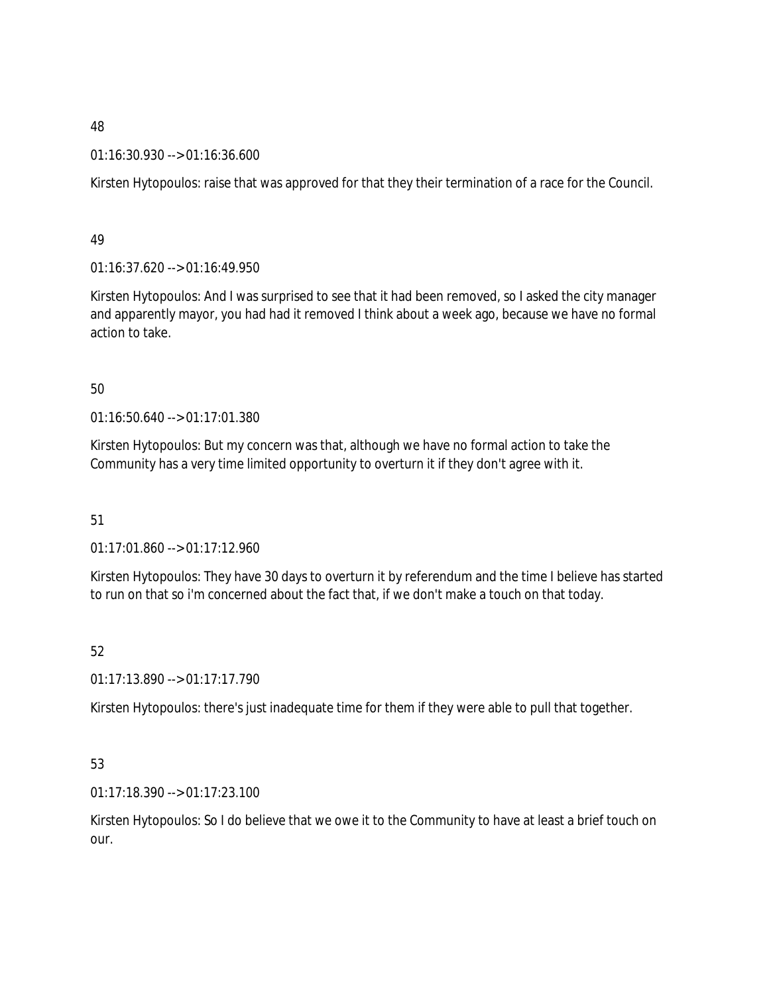01:16:30.930 --> 01:16:36.600

Kirsten Hytopoulos: raise that was approved for that they their termination of a race for the Council.

49

01:16:37.620 --> 01:16:49.950

Kirsten Hytopoulos: And I was surprised to see that it had been removed, so I asked the city manager and apparently mayor, you had had it removed I think about a week ago, because we have no formal action to take.

## 50

01:16:50.640 --> 01:17:01.380

Kirsten Hytopoulos: But my concern was that, although we have no formal action to take the Community has a very time limited opportunity to overturn it if they don't agree with it.

51

01:17:01.860 --> 01:17:12.960

Kirsten Hytopoulos: They have 30 days to overturn it by referendum and the time I believe has started to run on that so i'm concerned about the fact that, if we don't make a touch on that today.

52

01:17:13.890 --> 01:17:17.790

Kirsten Hytopoulos: there's just inadequate time for them if they were able to pull that together.

# 53

01:17:18.390 --> 01:17:23.100

Kirsten Hytopoulos: So I do believe that we owe it to the Community to have at least a brief touch on our.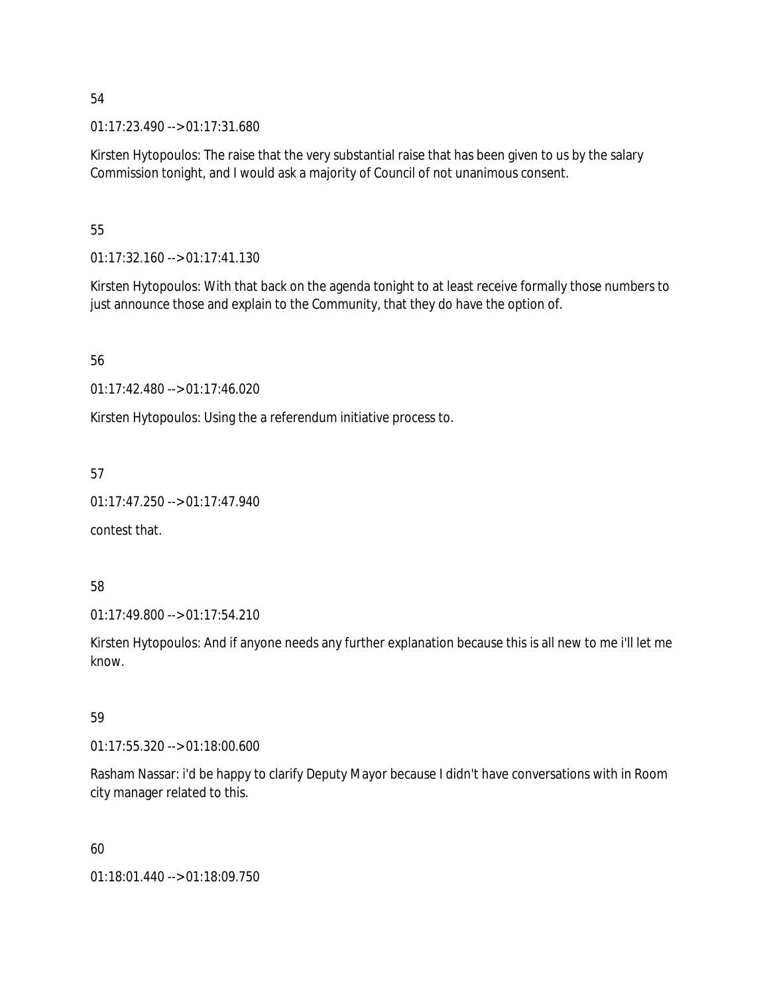01:17:23.490 --> 01:17:31.680

Kirsten Hytopoulos: The raise that the very substantial raise that has been given to us by the salary Commission tonight, and I would ask a majority of Council of not unanimous consent.

### 55

01:17:32.160 --> 01:17:41.130

Kirsten Hytopoulos: With that back on the agenda tonight to at least receive formally those numbers to just announce those and explain to the Community, that they do have the option of.

56

01:17:42.480 --> 01:17:46.020

Kirsten Hytopoulos: Using the a referendum initiative process to.

57

```
01:17:47.250 --> 01:17:47.940
```
contest that.

58

01:17:49.800 --> 01:17:54.210

Kirsten Hytopoulos: And if anyone needs any further explanation because this is all new to me i'll let me know.

#### 59

01:17:55.320 --> 01:18:00.600

Rasham Nassar: i'd be happy to clarify Deputy Mayor because I didn't have conversations with in Room city manager related to this.

60

01:18:01.440 --> 01:18:09.750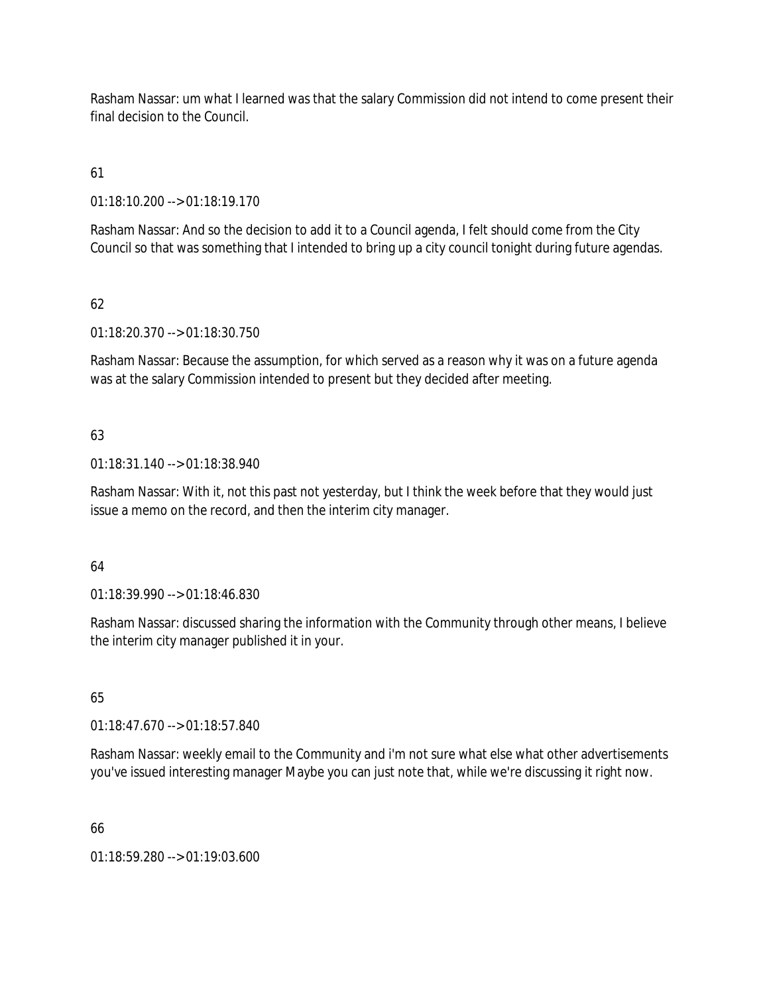Rasham Nassar: um what I learned was that the salary Commission did not intend to come present their final decision to the Council.

61

01:18:10.200 --> 01:18:19.170

Rasham Nassar: And so the decision to add it to a Council agenda, I felt should come from the City Council so that was something that I intended to bring up a city council tonight during future agendas.

# 62

01:18:20.370 --> 01:18:30.750

Rasham Nassar: Because the assumption, for which served as a reason why it was on a future agenda was at the salary Commission intended to present but they decided after meeting.

## 63

01:18:31.140 --> 01:18:38.940

Rasham Nassar: With it, not this past not yesterday, but I think the week before that they would just issue a memo on the record, and then the interim city manager.

## 64

01:18:39.990 --> 01:18:46.830

Rasham Nassar: discussed sharing the information with the Community through other means, I believe the interim city manager published it in your.

# 65

01:18:47.670 --> 01:18:57.840

Rasham Nassar: weekly email to the Community and i'm not sure what else what other advertisements you've issued interesting manager Maybe you can just note that, while we're discussing it right now.

66

01:18:59.280 --> 01:19:03.600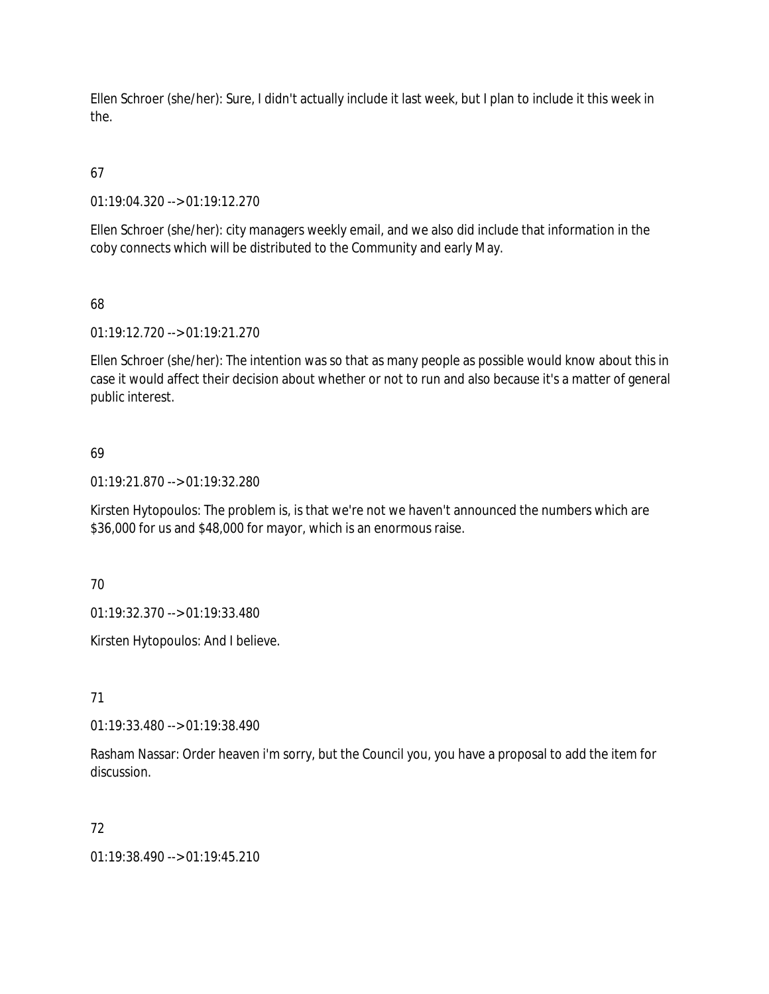Ellen Schroer (she/her): Sure, I didn't actually include it last week, but I plan to include it this week in the.

# 67

01:19:04.320 --> 01:19:12.270

Ellen Schroer (she/her): city managers weekly email, and we also did include that information in the coby connects which will be distributed to the Community and early May.

## 68

01:19:12.720 --> 01:19:21.270

Ellen Schroer (she/her): The intention was so that as many people as possible would know about this in case it would affect their decision about whether or not to run and also because it's a matter of general public interest.

## 69

01:19:21.870 --> 01:19:32.280

Kirsten Hytopoulos: The problem is, is that we're not we haven't announced the numbers which are \$36,000 for us and \$48,000 for mayor, which is an enormous raise.

70

01:19:32.370 --> 01:19:33.480

Kirsten Hytopoulos: And I believe.

71

01:19:33.480 --> 01:19:38.490

Rasham Nassar: Order heaven i'm sorry, but the Council you, you have a proposal to add the item for discussion.

## 72

01:19:38.490 --> 01:19:45.210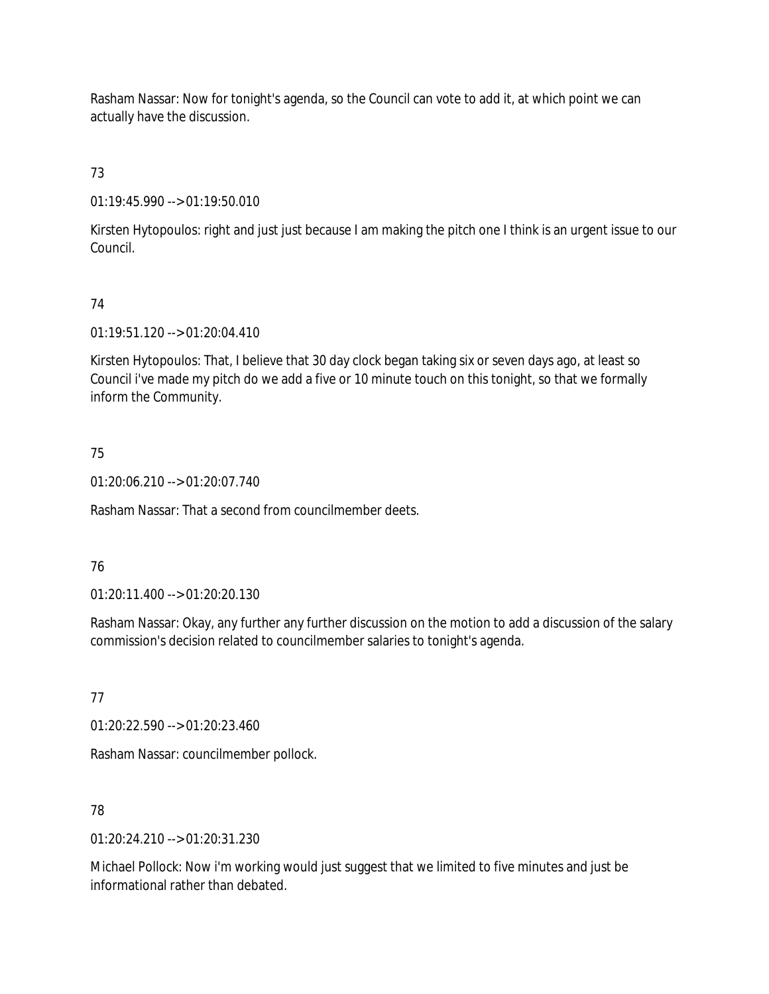Rasham Nassar: Now for tonight's agenda, so the Council can vote to add it, at which point we can actually have the discussion.

# 73

01:19:45.990 --> 01:19:50.010

Kirsten Hytopoulos: right and just just because I am making the pitch one I think is an urgent issue to our Council.

# 74

01:19:51.120 --> 01:20:04.410

Kirsten Hytopoulos: That, I believe that 30 day clock began taking six or seven days ago, at least so Council i've made my pitch do we add a five or 10 minute touch on this tonight, so that we formally inform the Community.

# 75

01:20:06.210 --> 01:20:07.740

Rasham Nassar: That a second from councilmember deets.

# 76

01:20:11.400 --> 01:20:20.130

Rasham Nassar: Okay, any further any further discussion on the motion to add a discussion of the salary commission's decision related to councilmember salaries to tonight's agenda.

# 77

01:20:22.590 --> 01:20:23.460

Rasham Nassar: councilmember pollock.

# 78

01:20:24.210 --> 01:20:31.230

Michael Pollock: Now i'm working would just suggest that we limited to five minutes and just be informational rather than debated.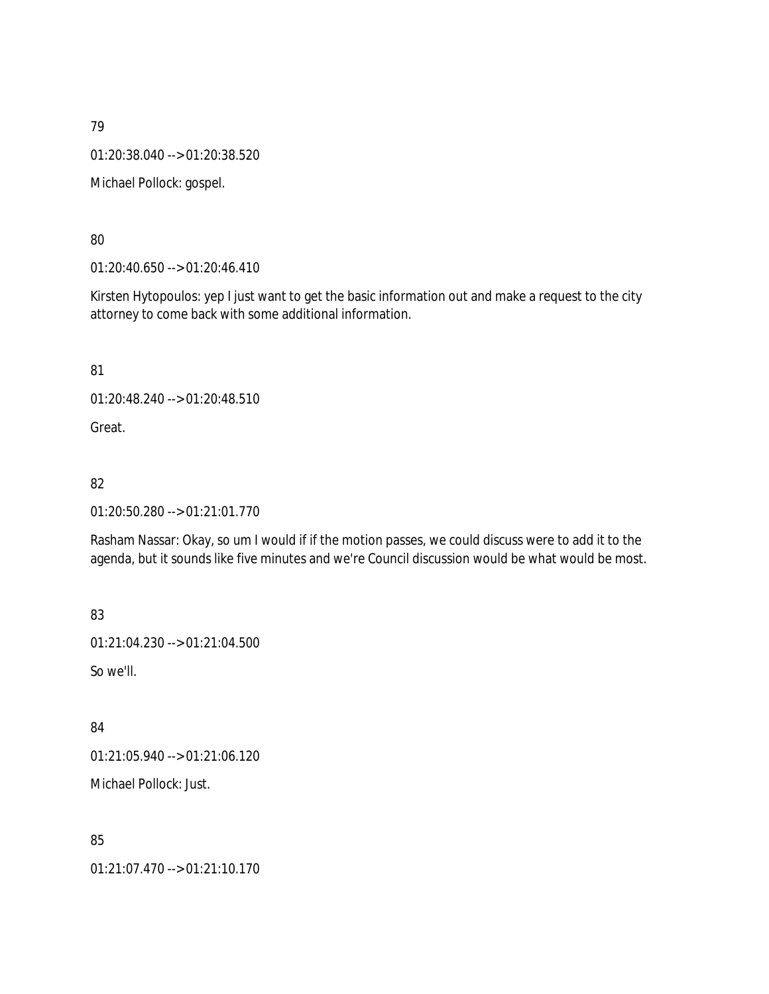01:20:38.040 --> 01:20:38.520

Michael Pollock: gospel.

80

01:20:40.650 --> 01:20:46.410

Kirsten Hytopoulos: yep I just want to get the basic information out and make a request to the city attorney to come back with some additional information.

81

01:20:48.240 --> 01:20:48.510

Great.

82

01:20:50.280 --> 01:21:01.770

Rasham Nassar: Okay, so um I would if if the motion passes, we could discuss were to add it to the agenda, but it sounds like five minutes and we're Council discussion would be what would be most.

83

01:21:04.230 --> 01:21:04.500

So we'll.

84

01:21:05.940 --> 01:21:06.120

Michael Pollock: Just.

85

01:21:07.470 --> 01:21:10.170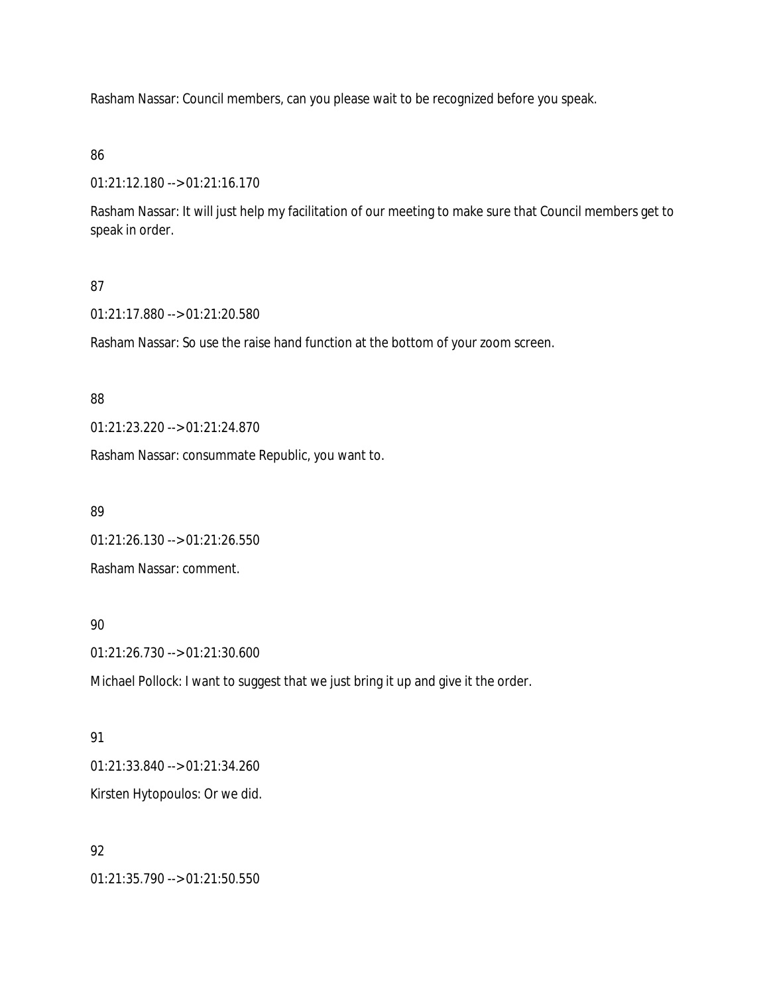Rasham Nassar: Council members, can you please wait to be recognized before you speak.

### 86

01:21:12.180 --> 01:21:16.170

Rasham Nassar: It will just help my facilitation of our meeting to make sure that Council members get to speak in order.

## 87

01:21:17.880 --> 01:21:20.580

Rasham Nassar: So use the raise hand function at the bottom of your zoom screen.

### 88

01:21:23.220 --> 01:21:24.870

Rasham Nassar: consummate Republic, you want to.

#### 89

01:21:26.130 --> 01:21:26.550

Rasham Nassar: comment.

# 90

01:21:26.730 --> 01:21:30.600

Michael Pollock: I want to suggest that we just bring it up and give it the order.

## 91

01:21:33.840 --> 01:21:34.260 Kirsten Hytopoulos: Or we did.

## 92

01:21:35.790 --> 01:21:50.550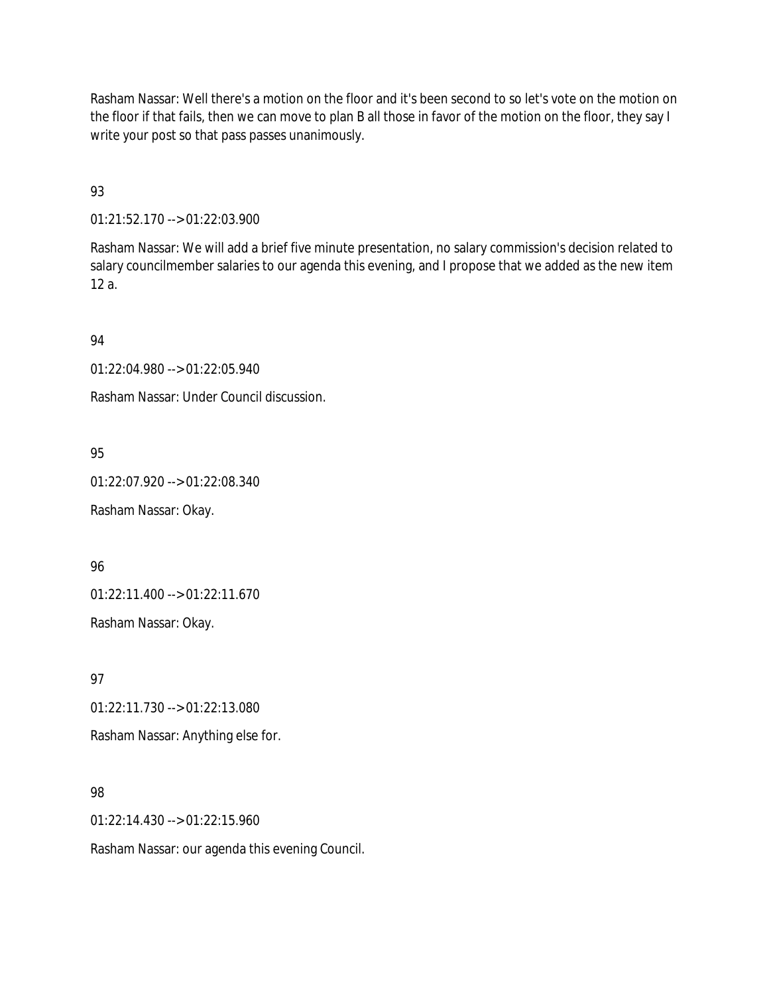Rasham Nassar: Well there's a motion on the floor and it's been second to so let's vote on the motion on the floor if that fails, then we can move to plan B all those in favor of the motion on the floor, they say I write your post so that pass passes unanimously.

93

01:21:52.170 --> 01:22:03.900

Rasham Nassar: We will add a brief five minute presentation, no salary commission's decision related to salary councilmember salaries to our agenda this evening, and I propose that we added as the new item 12 a.

## 94

01:22:04.980 --> 01:22:05.940

Rasham Nassar: Under Council discussion.

# 95

01:22:07.920 --> 01:22:08.340

Rasham Nassar: Okay.

## 96

01:22:11.400 --> 01:22:11.670

Rasham Nassar: Okay.

97

01:22:11.730 --> 01:22:13.080

Rasham Nassar: Anything else for.

# 98

01:22:14.430 --> 01:22:15.960

Rasham Nassar: our agenda this evening Council.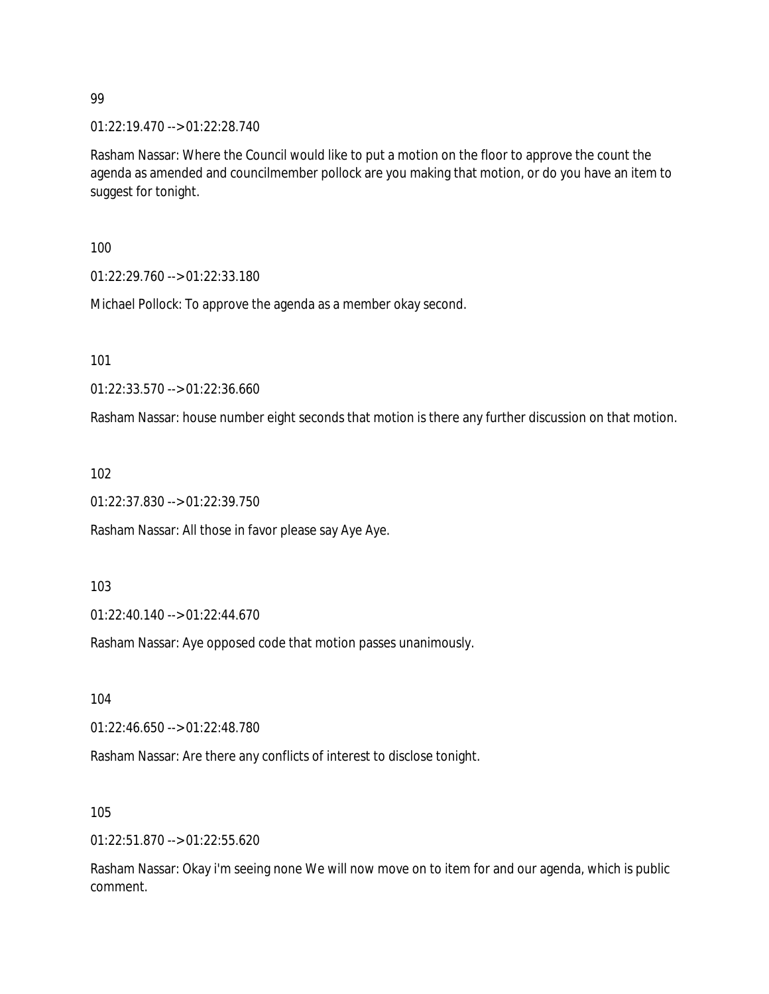01:22:19.470 --> 01:22:28.740

Rasham Nassar: Where the Council would like to put a motion on the floor to approve the count the agenda as amended and councilmember pollock are you making that motion, or do you have an item to suggest for tonight.

100

01:22:29.760 --> 01:22:33.180

Michael Pollock: To approve the agenda as a member okay second.

101

01:22:33.570 --> 01:22:36.660

Rasham Nassar: house number eight seconds that motion is there any further discussion on that motion.

102

01:22:37.830 --> 01:22:39.750

Rasham Nassar: All those in favor please say Aye Aye.

103

01:22:40.140 --> 01:22:44.670

Rasham Nassar: Aye opposed code that motion passes unanimously.

104

01:22:46.650 --> 01:22:48.780

Rasham Nassar: Are there any conflicts of interest to disclose tonight.

105

01:22:51.870 --> 01:22:55.620

Rasham Nassar: Okay i'm seeing none We will now move on to item for and our agenda, which is public comment.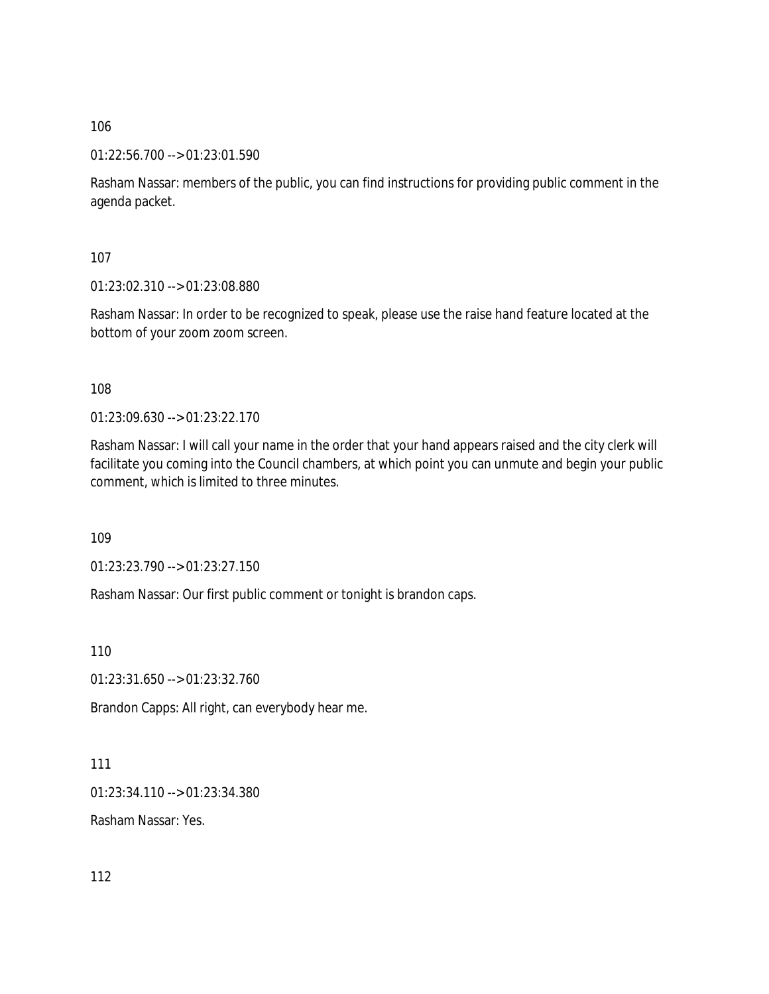01:22:56.700 --> 01:23:01.590

Rasham Nassar: members of the public, you can find instructions for providing public comment in the agenda packet.

107

01:23:02.310 --> 01:23:08.880

Rasham Nassar: In order to be recognized to speak, please use the raise hand feature located at the bottom of your zoom zoom screen.

108

01:23:09.630 --> 01:23:22.170

Rasham Nassar: I will call your name in the order that your hand appears raised and the city clerk will facilitate you coming into the Council chambers, at which point you can unmute and begin your public comment, which is limited to three minutes.

109

01:23:23.790 --> 01:23:27.150

Rasham Nassar: Our first public comment or tonight is brandon caps.

110

01:23:31.650 --> 01:23:32.760

Brandon Capps: All right, can everybody hear me.

111

01:23:34.110 --> 01:23:34.380

Rasham Nassar: Yes.

112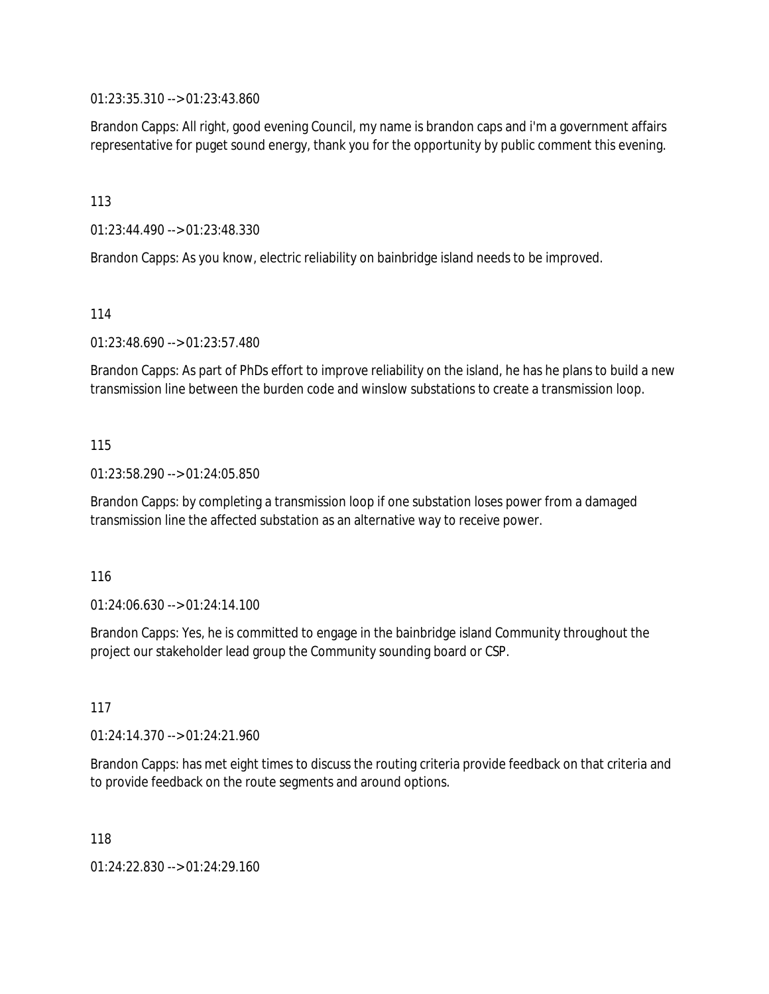01:23:35.310 --> 01:23:43.860

Brandon Capps: All right, good evening Council, my name is brandon caps and i'm a government affairs representative for puget sound energy, thank you for the opportunity by public comment this evening.

113

01:23:44.490 --> 01:23:48.330

Brandon Capps: As you know, electric reliability on bainbridge island needs to be improved.

114

01:23:48.690 --> 01:23:57.480

Brandon Capps: As part of PhDs effort to improve reliability on the island, he has he plans to build a new transmission line between the burden code and winslow substations to create a transmission loop.

#### 115

01:23:58.290 --> 01:24:05.850

Brandon Capps: by completing a transmission loop if one substation loses power from a damaged transmission line the affected substation as an alternative way to receive power.

#### 116

01:24:06.630 --> 01:24:14.100

Brandon Capps: Yes, he is committed to engage in the bainbridge island Community throughout the project our stakeholder lead group the Community sounding board or CSP.

117

01:24:14.370 --> 01:24:21.960

Brandon Capps: has met eight times to discuss the routing criteria provide feedback on that criteria and to provide feedback on the route segments and around options.

118

01:24:22.830 --> 01:24:29.160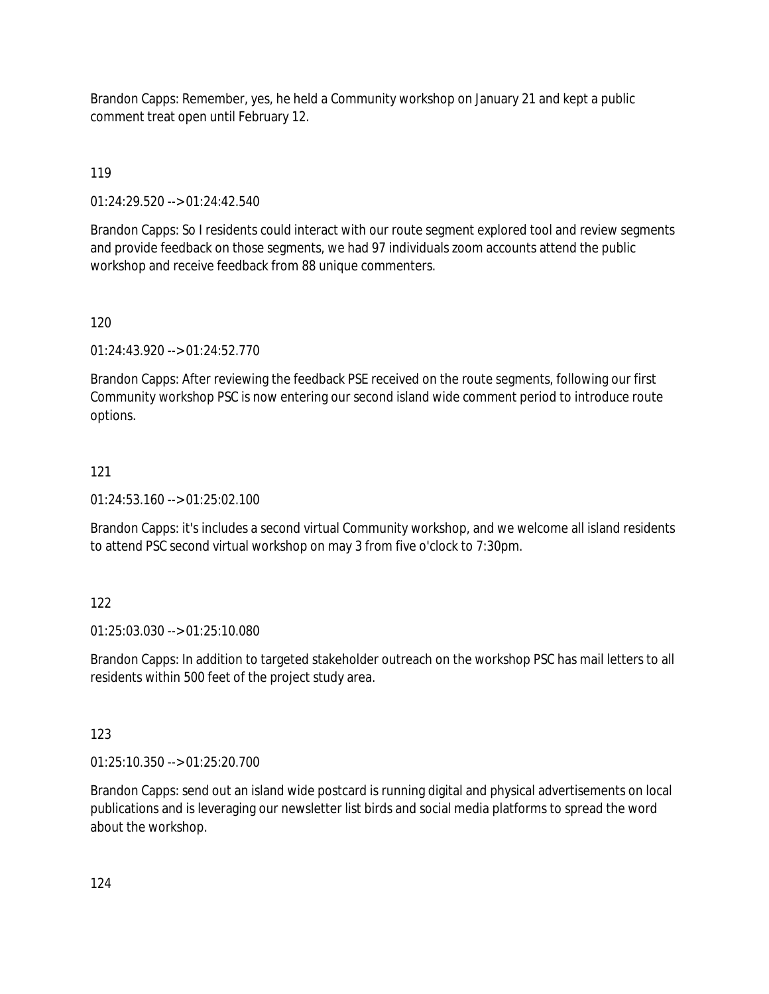Brandon Capps: Remember, yes, he held a Community workshop on January 21 and kept a public comment treat open until February 12.

119

01:24:29.520 --> 01:24:42.540

Brandon Capps: So I residents could interact with our route segment explored tool and review segments and provide feedback on those segments, we had 97 individuals zoom accounts attend the public workshop and receive feedback from 88 unique commenters.

120

01:24:43.920 --> 01:24:52.770

Brandon Capps: After reviewing the feedback PSE received on the route segments, following our first Community workshop PSC is now entering our second island wide comment period to introduce route options.

## 121

01:24:53.160 --> 01:25:02.100

Brandon Capps: it's includes a second virtual Community workshop, and we welcome all island residents to attend PSC second virtual workshop on may 3 from five o'clock to 7:30pm.

# 122

01:25:03.030 --> 01:25:10.080

Brandon Capps: In addition to targeted stakeholder outreach on the workshop PSC has mail letters to all residents within 500 feet of the project study area.

## 123

01:25:10.350 --> 01:25:20.700

Brandon Capps: send out an island wide postcard is running digital and physical advertisements on local publications and is leveraging our newsletter list birds and social media platforms to spread the word about the workshop.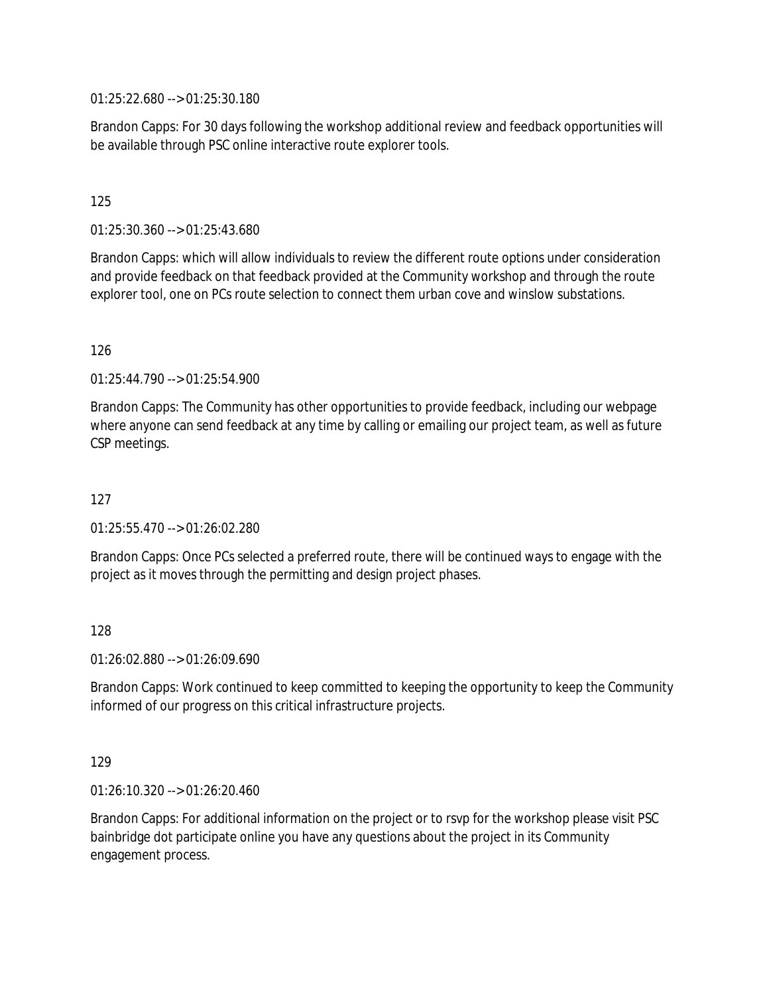01:25:22.680 --> 01:25:30.180

Brandon Capps: For 30 days following the workshop additional review and feedback opportunities will be available through PSC online interactive route explorer tools.

### 125

01:25:30.360 --> 01:25:43.680

Brandon Capps: which will allow individuals to review the different route options under consideration and provide feedback on that feedback provided at the Community workshop and through the route explorer tool, one on PCs route selection to connect them urban cove and winslow substations.

#### 126

01:25:44.790 --> 01:25:54.900

Brandon Capps: The Community has other opportunities to provide feedback, including our webpage where anyone can send feedback at any time by calling or emailing our project team, as well as future CSP meetings.

### 127

01:25:55.470 --> 01:26:02.280

Brandon Capps: Once PCs selected a preferred route, there will be continued ways to engage with the project as it moves through the permitting and design project phases.

#### 128

01:26:02.880 --> 01:26:09.690

Brandon Capps: Work continued to keep committed to keeping the opportunity to keep the Community informed of our progress on this critical infrastructure projects.

#### 129

01:26:10.320 --> 01:26:20.460

Brandon Capps: For additional information on the project or to rsvp for the workshop please visit PSC bainbridge dot participate online you have any questions about the project in its Community engagement process.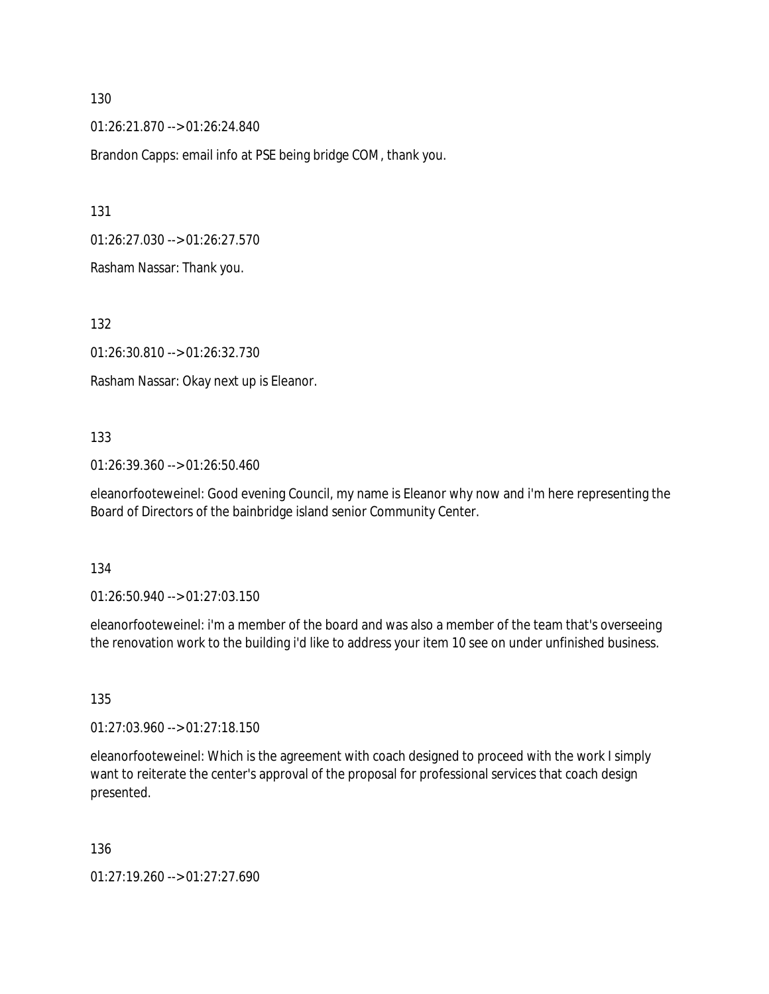01:26:21.870 --> 01:26:24.840

Brandon Capps: email info at PSE being bridge COM, thank you.

131

01:26:27.030 --> 01:26:27.570

Rasham Nassar: Thank you.

132

01:26:30.810 --> 01:26:32.730

Rasham Nassar: Okay next up is Eleanor.

#### 133

01:26:39.360 --> 01:26:50.460

eleanorfooteweinel: Good evening Council, my name is Eleanor why now and i'm here representing the Board of Directors of the bainbridge island senior Community Center.

#### 134

01:26:50.940 --> 01:27:03.150

eleanorfooteweinel: i'm a member of the board and was also a member of the team that's overseeing the renovation work to the building i'd like to address your item 10 see on under unfinished business.

135

01:27:03.960 --> 01:27:18.150

eleanorfooteweinel: Which is the agreement with coach designed to proceed with the work I simply want to reiterate the center's approval of the proposal for professional services that coach design presented.

136

01:27:19.260 --> 01:27:27.690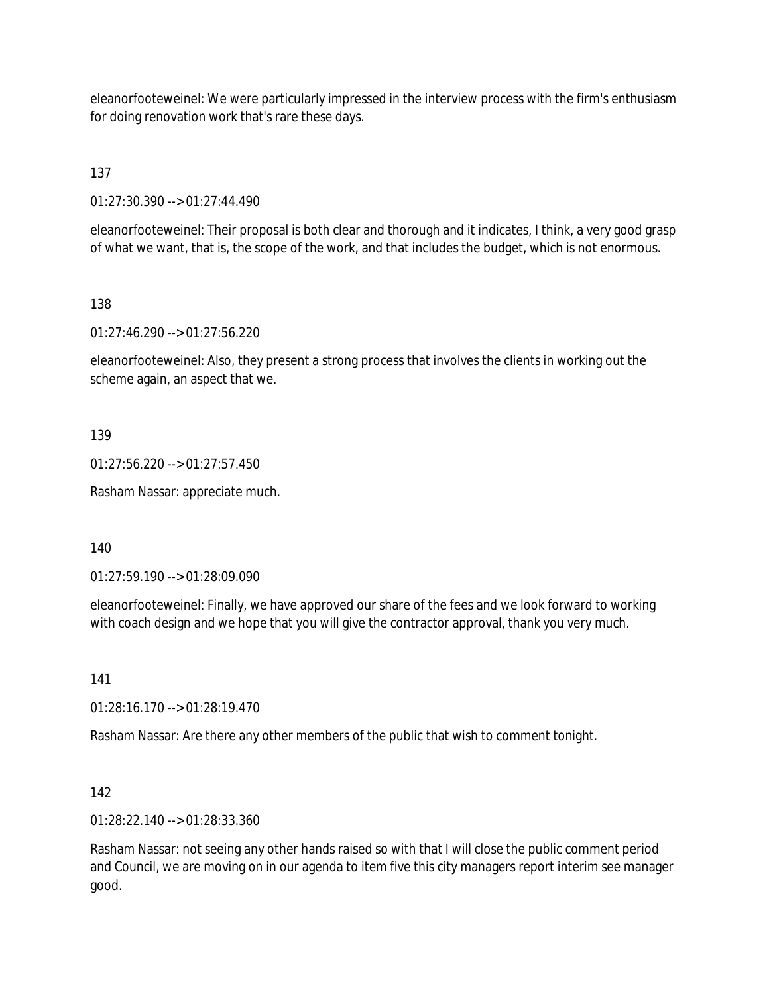eleanorfooteweinel: We were particularly impressed in the interview process with the firm's enthusiasm for doing renovation work that's rare these days.

137

01:27:30.390 --> 01:27:44.490

eleanorfooteweinel: Their proposal is both clear and thorough and it indicates, I think, a very good grasp of what we want, that is, the scope of the work, and that includes the budget, which is not enormous.

138

01:27:46.290 --> 01:27:56.220

eleanorfooteweinel: Also, they present a strong process that involves the clients in working out the scheme again, an aspect that we.

139

01:27:56.220 --> 01:27:57.450

Rasham Nassar: appreciate much.

140

01:27:59.190 --> 01:28:09.090

eleanorfooteweinel: Finally, we have approved our share of the fees and we look forward to working with coach design and we hope that you will give the contractor approval, thank you very much.

141

01:28:16.170 --> 01:28:19.470

Rasham Nassar: Are there any other members of the public that wish to comment tonight.

142

01:28:22.140 --> 01:28:33.360

Rasham Nassar: not seeing any other hands raised so with that I will close the public comment period and Council, we are moving on in our agenda to item five this city managers report interim see manager good.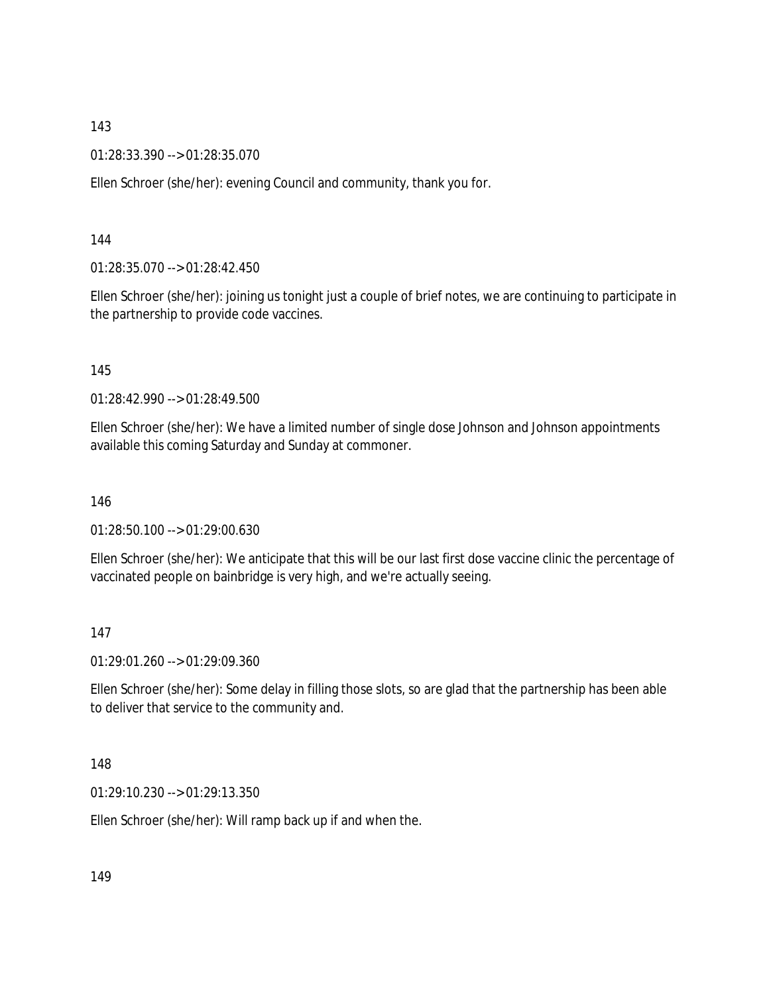01:28:33.390 --> 01:28:35.070

Ellen Schroer (she/her): evening Council and community, thank you for.

144

01:28:35.070 --> 01:28:42.450

Ellen Schroer (she/her): joining us tonight just a couple of brief notes, we are continuing to participate in the partnership to provide code vaccines.

145

01:28:42.990 --> 01:28:49.500

Ellen Schroer (she/her): We have a limited number of single dose Johnson and Johnson appointments available this coming Saturday and Sunday at commoner.

146

01:28:50.100 --> 01:29:00.630

Ellen Schroer (she/her): We anticipate that this will be our last first dose vaccine clinic the percentage of vaccinated people on bainbridge is very high, and we're actually seeing.

147

01:29:01.260 --> 01:29:09.360

Ellen Schroer (she/her): Some delay in filling those slots, so are glad that the partnership has been able to deliver that service to the community and.

148

01:29:10.230 --> 01:29:13.350

Ellen Schroer (she/her): Will ramp back up if and when the.

149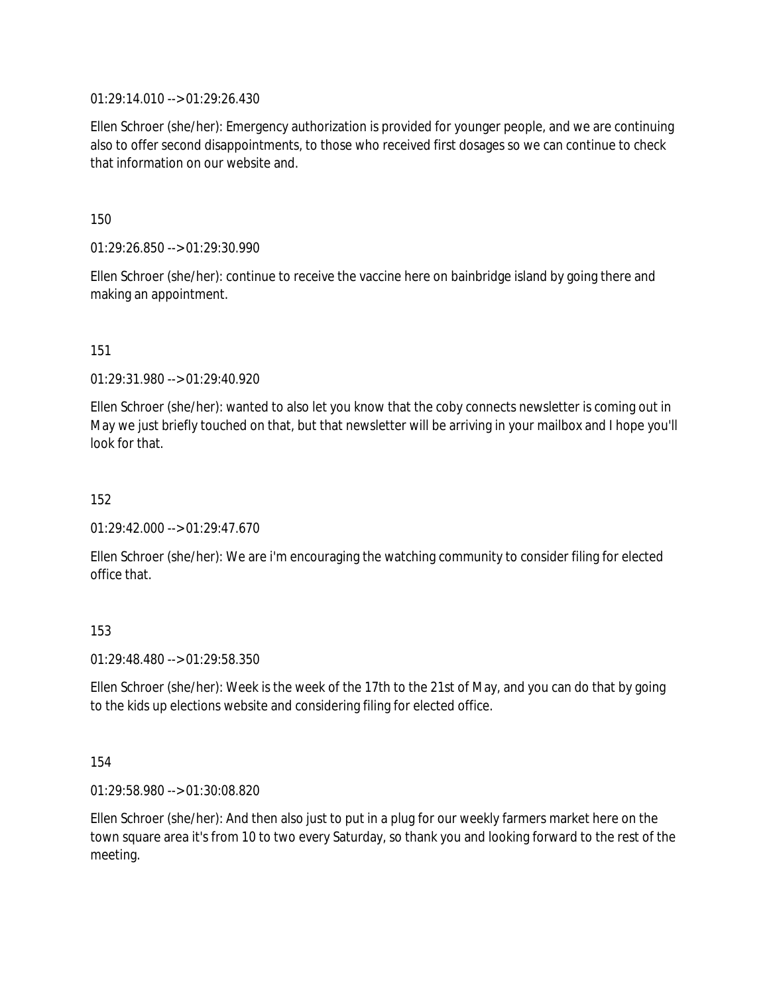01:29:14.010 --> 01:29:26.430

Ellen Schroer (she/her): Emergency authorization is provided for younger people, and we are continuing also to offer second disappointments, to those who received first dosages so we can continue to check that information on our website and.

150

01:29:26.850 --> 01:29:30.990

Ellen Schroer (she/her): continue to receive the vaccine here on bainbridge island by going there and making an appointment.

151

01:29:31.980 --> 01:29:40.920

Ellen Schroer (she/her): wanted to also let you know that the coby connects newsletter is coming out in May we just briefly touched on that, but that newsletter will be arriving in your mailbox and I hope you'll look for that.

152

01:29:42.000 --> 01:29:47.670

Ellen Schroer (she/her): We are i'm encouraging the watching community to consider filing for elected office that.

153

01:29:48.480 --> 01:29:58.350

Ellen Schroer (she/her): Week is the week of the 17th to the 21st of May, and you can do that by going to the kids up elections website and considering filing for elected office.

154

01:29:58.980 --> 01:30:08.820

Ellen Schroer (she/her): And then also just to put in a plug for our weekly farmers market here on the town square area it's from 10 to two every Saturday, so thank you and looking forward to the rest of the meeting.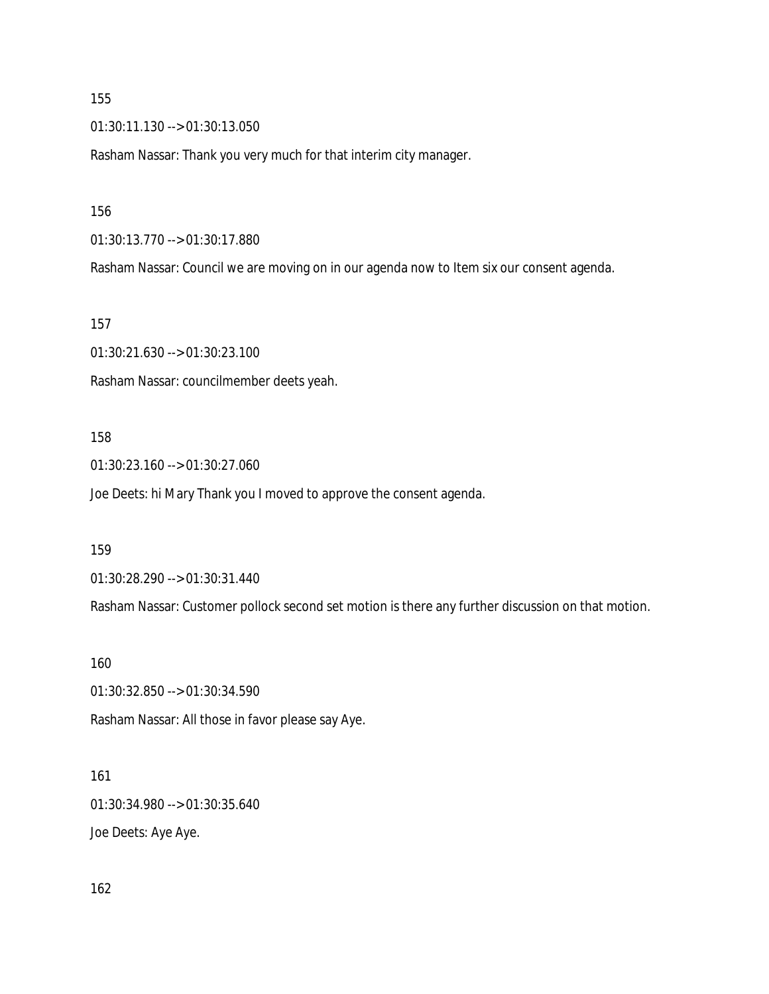01:30:11.130 --> 01:30:13.050

Rasham Nassar: Thank you very much for that interim city manager.

156

01:30:13.770 --> 01:30:17.880

Rasham Nassar: Council we are moving on in our agenda now to Item six our consent agenda.

157

01:30:21.630 --> 01:30:23.100 Rasham Nassar: councilmember deets yeah.

#### 158

01:30:23.160 --> 01:30:27.060

Joe Deets: hi Mary Thank you I moved to approve the consent agenda.

159

01:30:28.290 --> 01:30:31.440

Rasham Nassar: Customer pollock second set motion is there any further discussion on that motion.

160

01:30:32.850 --> 01:30:34.590

Rasham Nassar: All those in favor please say Aye.

#### 161

01:30:34.980 --> 01:30:35.640

Joe Deets: Aye Aye.

162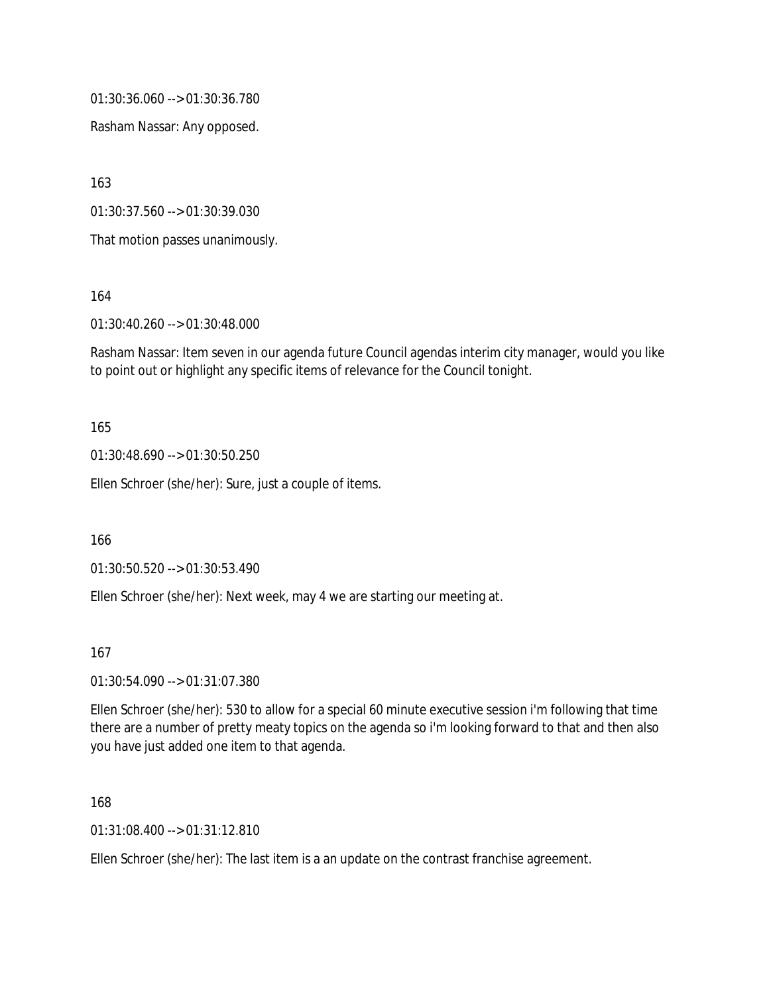01:30:36.060 --> 01:30:36.780

Rasham Nassar: Any opposed.

163

01:30:37.560 --> 01:30:39.030

That motion passes unanimously.

164

01:30:40.260 --> 01:30:48.000

Rasham Nassar: Item seven in our agenda future Council agendas interim city manager, would you like to point out or highlight any specific items of relevance for the Council tonight.

#### 165

01:30:48.690 --> 01:30:50.250

Ellen Schroer (she/her): Sure, just a couple of items.

166

01:30:50.520 --> 01:30:53.490

Ellen Schroer (she/her): Next week, may 4 we are starting our meeting at.

#### 167

#### 01:30:54.090 --> 01:31:07.380

Ellen Schroer (she/her): 530 to allow for a special 60 minute executive session i'm following that time there are a number of pretty meaty topics on the agenda so i'm looking forward to that and then also you have just added one item to that agenda.

#### 168

01:31:08.400 --> 01:31:12.810

Ellen Schroer (she/her): The last item is a an update on the contrast franchise agreement.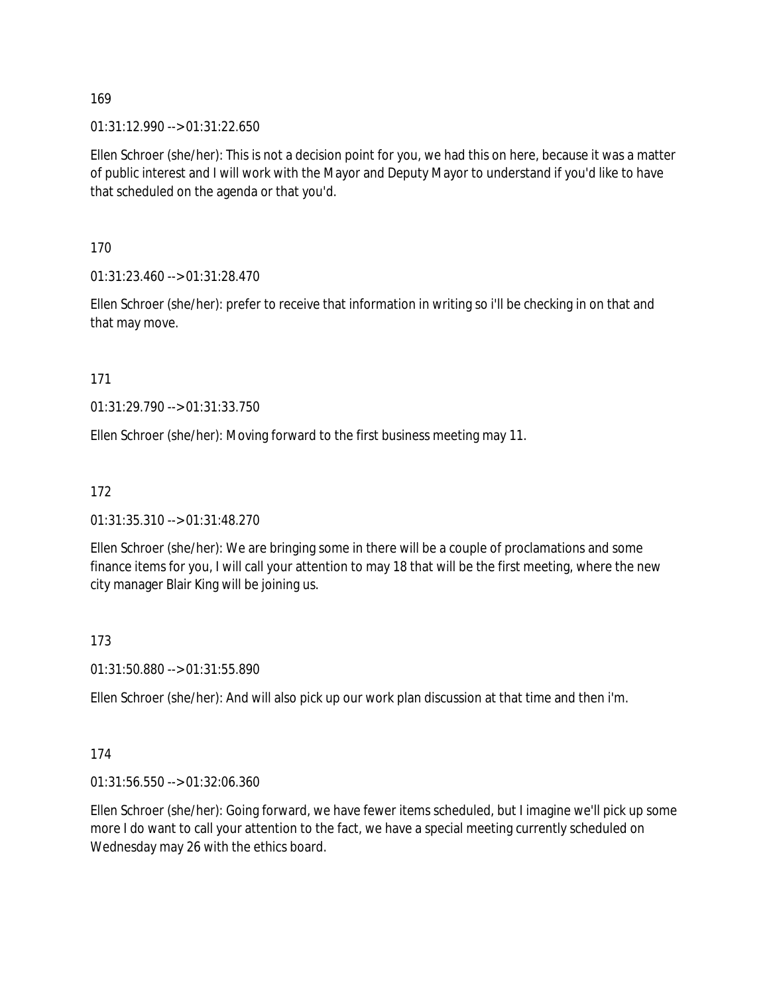01:31:12.990 --> 01:31:22.650

Ellen Schroer (she/her): This is not a decision point for you, we had this on here, because it was a matter of public interest and I will work with the Mayor and Deputy Mayor to understand if you'd like to have that scheduled on the agenda or that you'd.

170

01:31:23.460 --> 01:31:28.470

Ellen Schroer (she/her): prefer to receive that information in writing so i'll be checking in on that and that may move.

171

01:31:29.790 --> 01:31:33.750

Ellen Schroer (she/her): Moving forward to the first business meeting may 11.

172

01:31:35.310 --> 01:31:48.270

Ellen Schroer (she/her): We are bringing some in there will be a couple of proclamations and some finance items for you, I will call your attention to may 18 that will be the first meeting, where the new city manager Blair King will be joining us.

173

01:31:50.880 --> 01:31:55.890

Ellen Schroer (she/her): And will also pick up our work plan discussion at that time and then i'm.

174

01:31:56.550 --> 01:32:06.360

Ellen Schroer (she/her): Going forward, we have fewer items scheduled, but I imagine we'll pick up some more I do want to call your attention to the fact, we have a special meeting currently scheduled on Wednesday may 26 with the ethics board.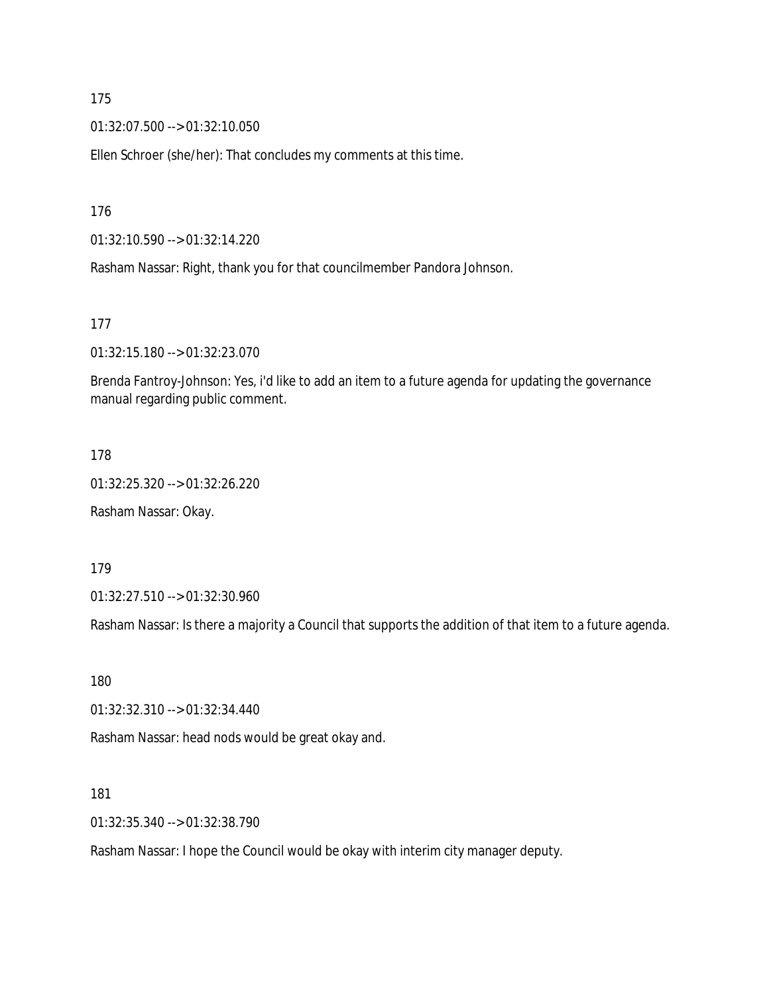01:32:07.500 --> 01:32:10.050

Ellen Schroer (she/her): That concludes my comments at this time.

176

01:32:10.590 --> 01:32:14.220

Rasham Nassar: Right, thank you for that councilmember Pandora Johnson.

177

01:32:15.180 --> 01:32:23.070

Brenda Fantroy-Johnson: Yes, i'd like to add an item to a future agenda for updating the governance manual regarding public comment.

178

01:32:25.320 --> 01:32:26.220 Rasham Nassar: Okay.

179

01:32:27.510 --> 01:32:30.960

Rasham Nassar: Is there a majority a Council that supports the addition of that item to a future agenda.

180

01:32:32.310 --> 01:32:34.440

Rasham Nassar: head nods would be great okay and.

181

01:32:35.340 --> 01:32:38.790

Rasham Nassar: I hope the Council would be okay with interim city manager deputy.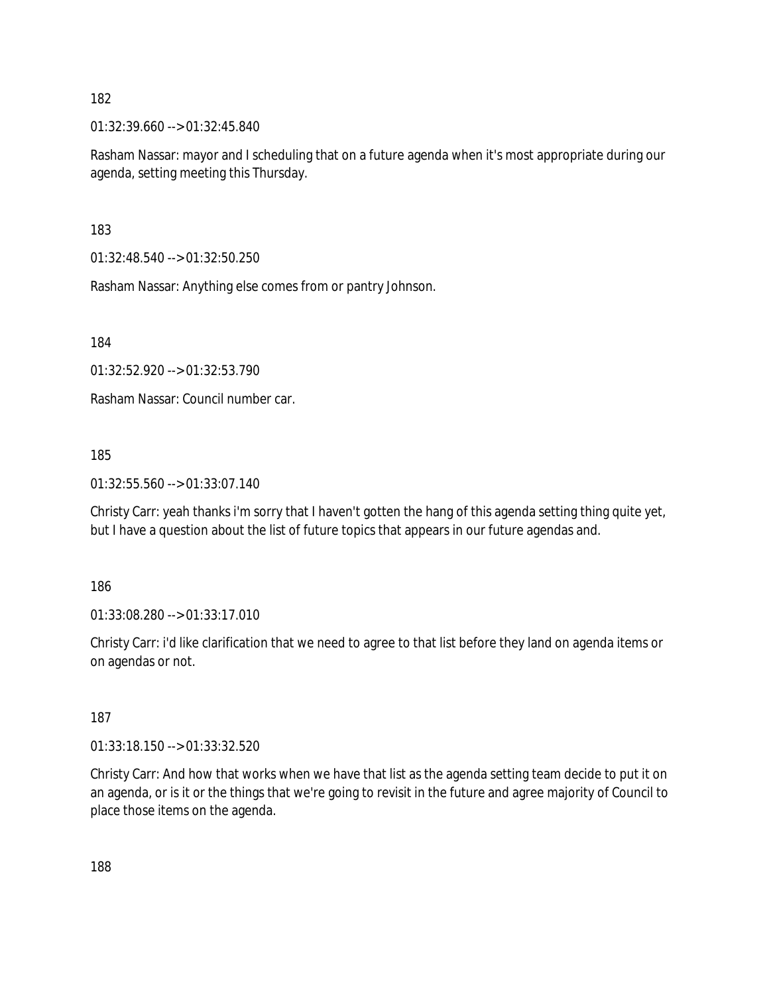01:32:39.660 --> 01:32:45.840

Rasham Nassar: mayor and I scheduling that on a future agenda when it's most appropriate during our agenda, setting meeting this Thursday.

183

01:32:48.540 --> 01:32:50.250

Rasham Nassar: Anything else comes from or pantry Johnson.

184

01:32:52.920 --> 01:32:53.790

Rasham Nassar: Council number car.

185

01:32:55.560 --> 01:33:07.140

Christy Carr: yeah thanks i'm sorry that I haven't gotten the hang of this agenda setting thing quite yet, but I have a question about the list of future topics that appears in our future agendas and.

186

01:33:08.280 --> 01:33:17.010

Christy Carr: i'd like clarification that we need to agree to that list before they land on agenda items or on agendas or not.

187

01:33:18.150 --> 01:33:32.520

Christy Carr: And how that works when we have that list as the agenda setting team decide to put it on an agenda, or is it or the things that we're going to revisit in the future and agree majority of Council to place those items on the agenda.

188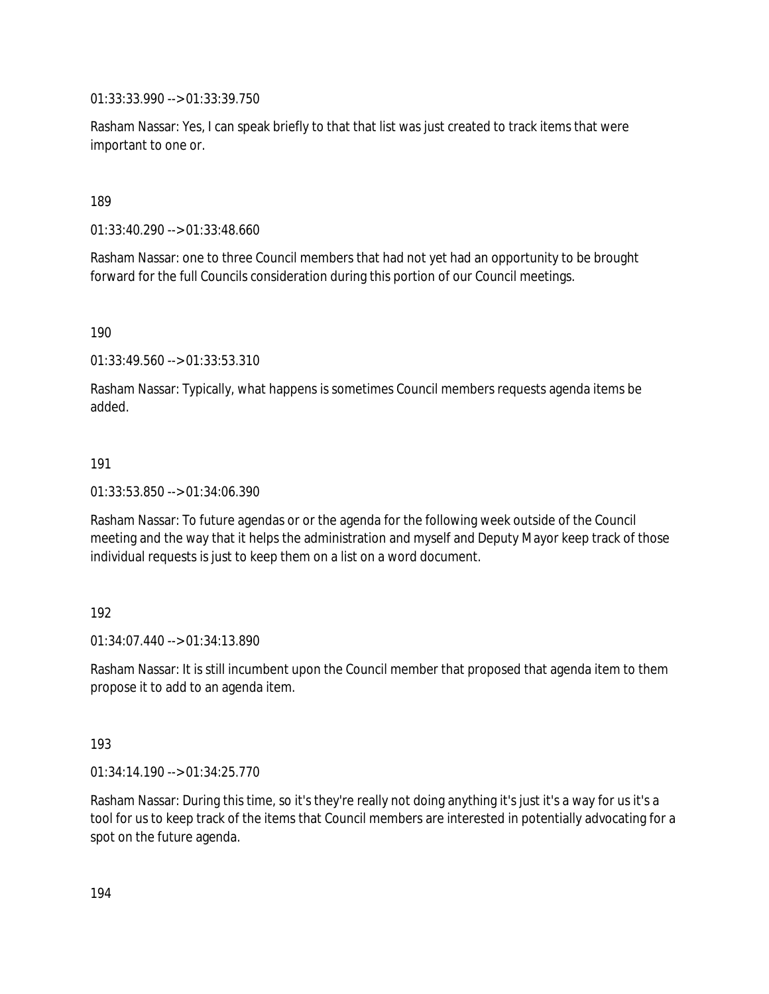01:33:33.990 --> 01:33:39.750

Rasham Nassar: Yes, I can speak briefly to that that list was just created to track items that were important to one or.

189

01:33:40.290 --> 01:33:48.660

Rasham Nassar: one to three Council members that had not yet had an opportunity to be brought forward for the full Councils consideration during this portion of our Council meetings.

190

01:33:49.560 --> 01:33:53.310

Rasham Nassar: Typically, what happens is sometimes Council members requests agenda items be added.

#### 191

01:33:53.850 --> 01:34:06.390

Rasham Nassar: To future agendas or or the agenda for the following week outside of the Council meeting and the way that it helps the administration and myself and Deputy Mayor keep track of those individual requests is just to keep them on a list on a word document.

#### 192

 $01:34:07.440 \rightarrow 01:34:13.890$ 

Rasham Nassar: It is still incumbent upon the Council member that proposed that agenda item to them propose it to add to an agenda item.

#### 193

01:34:14.190 --> 01:34:25.770

Rasham Nassar: During this time, so it's they're really not doing anything it's just it's a way for us it's a tool for us to keep track of the items that Council members are interested in potentially advocating for a spot on the future agenda.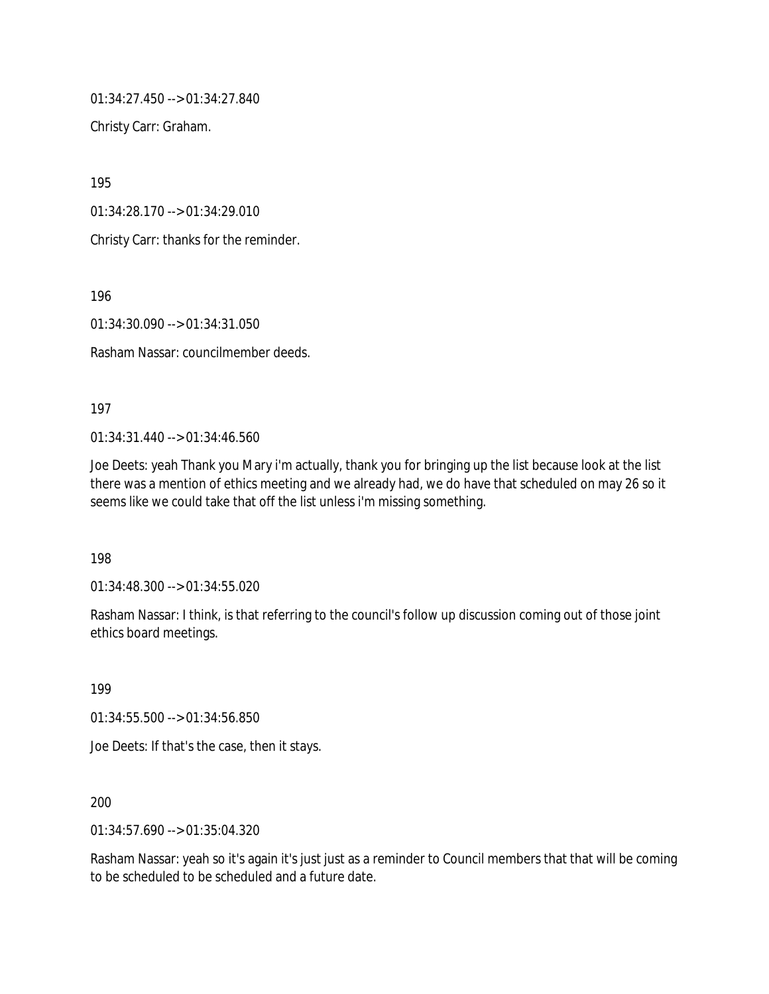01:34:27.450 --> 01:34:27.840

Christy Carr: Graham.

195

01:34:28.170 --> 01:34:29.010

Christy Carr: thanks for the reminder.

196

01:34:30.090 --> 01:34:31.050

Rasham Nassar: councilmember deeds.

197

 $01:34:31.440 \rightarrow 01:34:46.560$ 

Joe Deets: yeah Thank you Mary i'm actually, thank you for bringing up the list because look at the list there was a mention of ethics meeting and we already had, we do have that scheduled on may 26 so it seems like we could take that off the list unless i'm missing something.

198

01:34:48.300 --> 01:34:55.020

Rasham Nassar: I think, is that referring to the council's follow up discussion coming out of those joint ethics board meetings.

199

01:34:55.500 --> 01:34:56.850

Joe Deets: If that's the case, then it stays.

200

01:34:57.690 --> 01:35:04.320

Rasham Nassar: yeah so it's again it's just just as a reminder to Council members that that will be coming to be scheduled to be scheduled and a future date.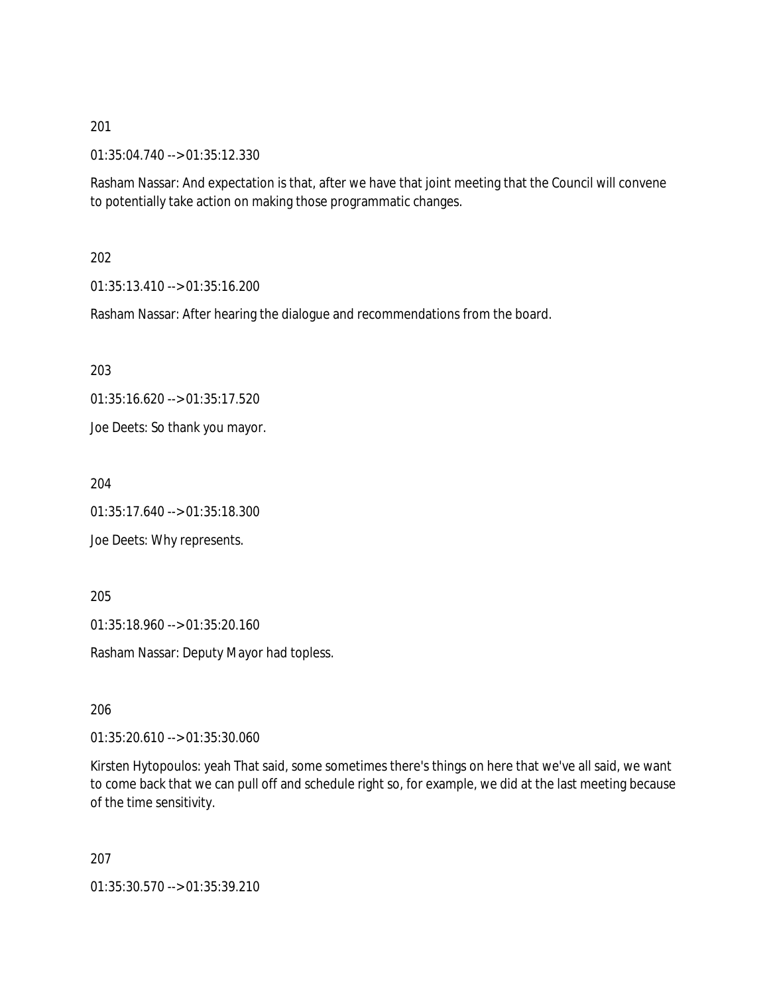01:35:04.740 --> 01:35:12.330

Rasham Nassar: And expectation is that, after we have that joint meeting that the Council will convene to potentially take action on making those programmatic changes.

#### 202

01:35:13.410 --> 01:35:16.200

Rasham Nassar: After hearing the dialogue and recommendations from the board.

203

01:35:16.620 --> 01:35:17.520

Joe Deets: So thank you mayor.

204

01:35:17.640 --> 01:35:18.300

Joe Deets: Why represents.

205

01:35:18.960 --> 01:35:20.160

Rasham Nassar: Deputy Mayor had topless.

206

01:35:20.610 --> 01:35:30.060

Kirsten Hytopoulos: yeah That said, some sometimes there's things on here that we've all said, we want to come back that we can pull off and schedule right so, for example, we did at the last meeting because of the time sensitivity.

207

01:35:30.570 --> 01:35:39.210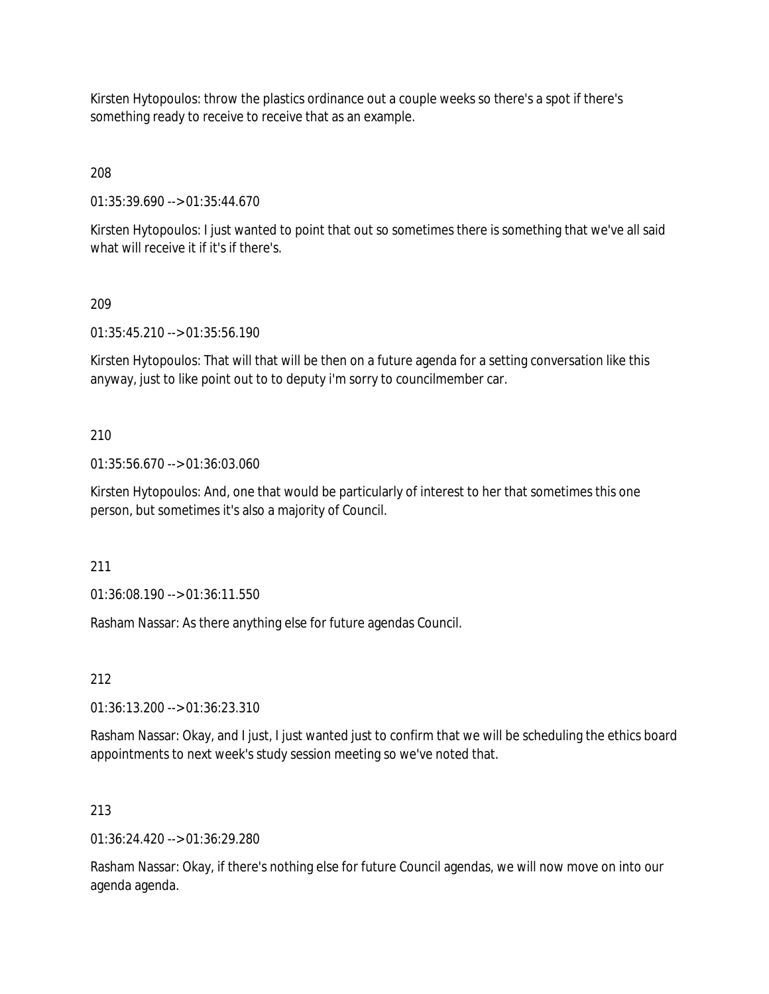Kirsten Hytopoulos: throw the plastics ordinance out a couple weeks so there's a spot if there's something ready to receive to receive that as an example.

208

01:35:39.690 --> 01:35:44.670

Kirsten Hytopoulos: I just wanted to point that out so sometimes there is something that we've all said what will receive it if it's if there's.

209

01:35:45.210 --> 01:35:56.190

Kirsten Hytopoulos: That will that will be then on a future agenda for a setting conversation like this anyway, just to like point out to to deputy i'm sorry to councilmember car.

210

01:35:56.670 --> 01:36:03.060

Kirsten Hytopoulos: And, one that would be particularly of interest to her that sometimes this one person, but sometimes it's also a majority of Council.

211

01:36:08.190 --> 01:36:11.550

Rasham Nassar: As there anything else for future agendas Council.

212

01:36:13.200 --> 01:36:23.310

Rasham Nassar: Okay, and I just, I just wanted just to confirm that we will be scheduling the ethics board appointments to next week's study session meeting so we've noted that.

## 213

01:36:24.420 --> 01:36:29.280

Rasham Nassar: Okay, if there's nothing else for future Council agendas, we will now move on into our agenda agenda.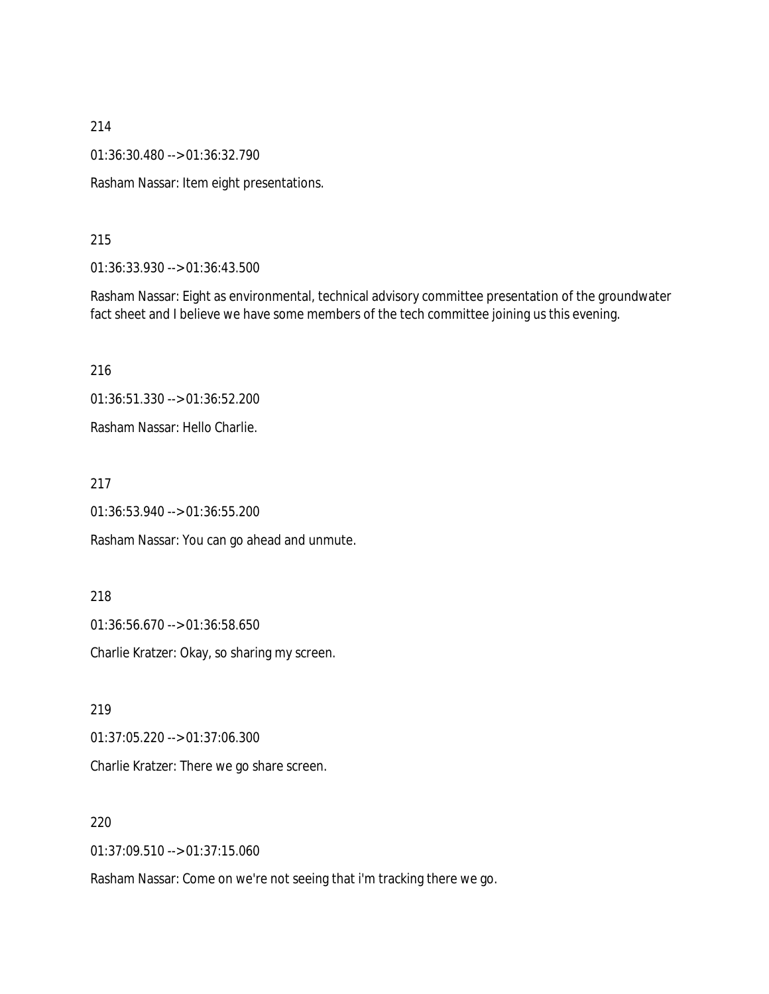01:36:30.480 --> 01:36:32.790

Rasham Nassar: Item eight presentations.

#### 215

01:36:33.930 --> 01:36:43.500

Rasham Nassar: Eight as environmental, technical advisory committee presentation of the groundwater fact sheet and I believe we have some members of the tech committee joining us this evening.

216

01:36:51.330 --> 01:36:52.200

Rasham Nassar: Hello Charlie.

217

01:36:53.940 --> 01:36:55.200

Rasham Nassar: You can go ahead and unmute.

#### 218

01:36:56.670 --> 01:36:58.650

Charlie Kratzer: Okay, so sharing my screen.

219

01:37:05.220 --> 01:37:06.300

Charlie Kratzer: There we go share screen.

### 220

01:37:09.510 --> 01:37:15.060

Rasham Nassar: Come on we're not seeing that i'm tracking there we go.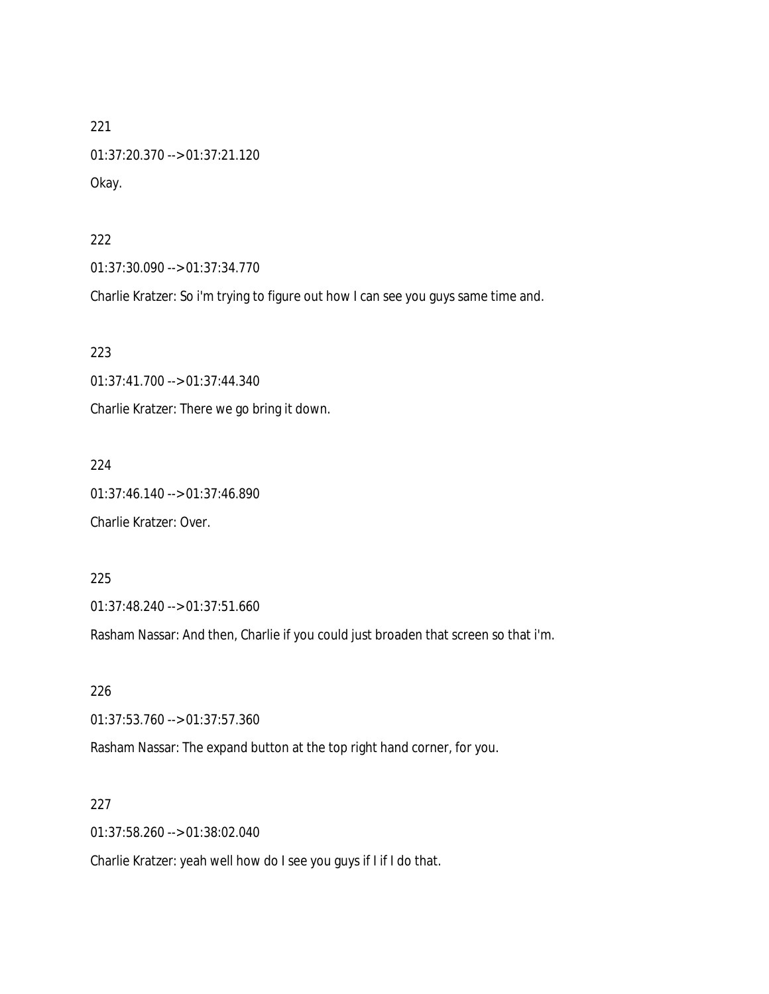221 01:37:20.370 --> 01:37:21.120 Okay.

### 222

01:37:30.090 --> 01:37:34.770

Charlie Kratzer: So i'm trying to figure out how I can see you guys same time and.

223

01:37:41.700 --> 01:37:44.340

Charlie Kratzer: There we go bring it down.

224

01:37:46.140 --> 01:37:46.890

Charlie Kratzer: Over.

225

01:37:48.240 --> 01:37:51.660

Rasham Nassar: And then, Charlie if you could just broaden that screen so that i'm.

226

01:37:53.760 --> 01:37:57.360

Rasham Nassar: The expand button at the top right hand corner, for you.

227

01:37:58.260 --> 01:38:02.040

Charlie Kratzer: yeah well how do I see you guys if I if I do that.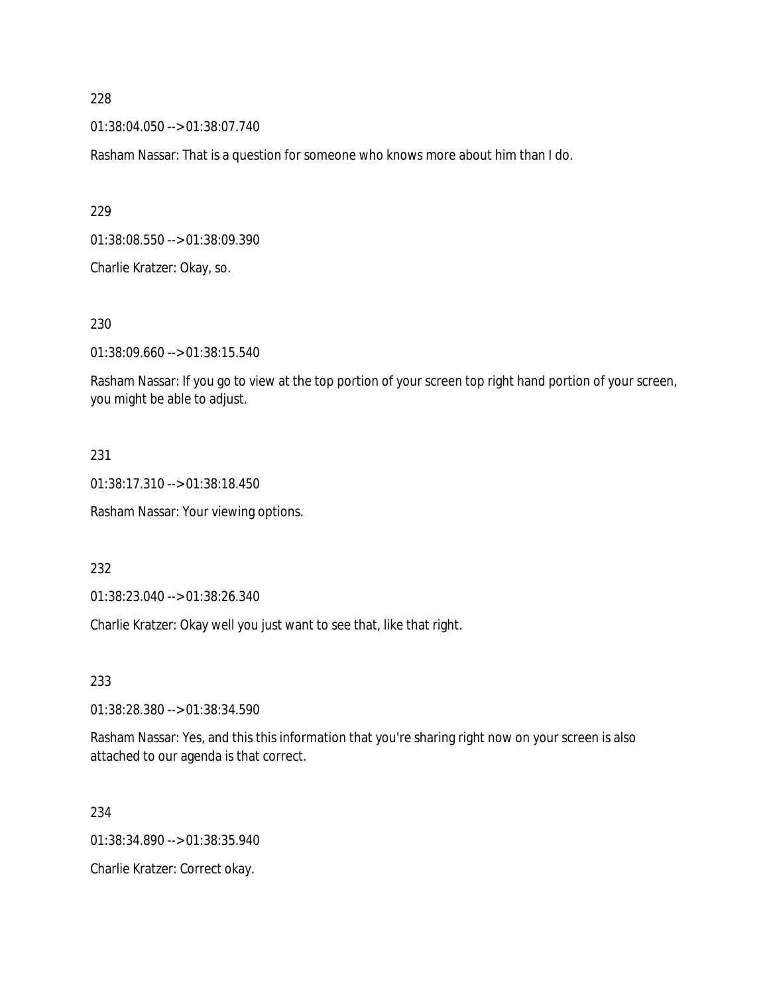01:38:04.050 --> 01:38:07.740

Rasham Nassar: That is a question for someone who knows more about him than I do.

229

01:38:08.550 --> 01:38:09.390

Charlie Kratzer: Okay, so.

230

01:38:09.660 --> 01:38:15.540

Rasham Nassar: If you go to view at the top portion of your screen top right hand portion of your screen, you might be able to adjust.

### 231

01:38:17.310 --> 01:38:18.450

Rasham Nassar: Your viewing options.

232

01:38:23.040 --> 01:38:26.340

Charlie Kratzer: Okay well you just want to see that, like that right.

233

01:38:28.380 --> 01:38:34.590

Rasham Nassar: Yes, and this this information that you're sharing right now on your screen is also attached to our agenda is that correct.

234

01:38:34.890 --> 01:38:35.940

Charlie Kratzer: Correct okay.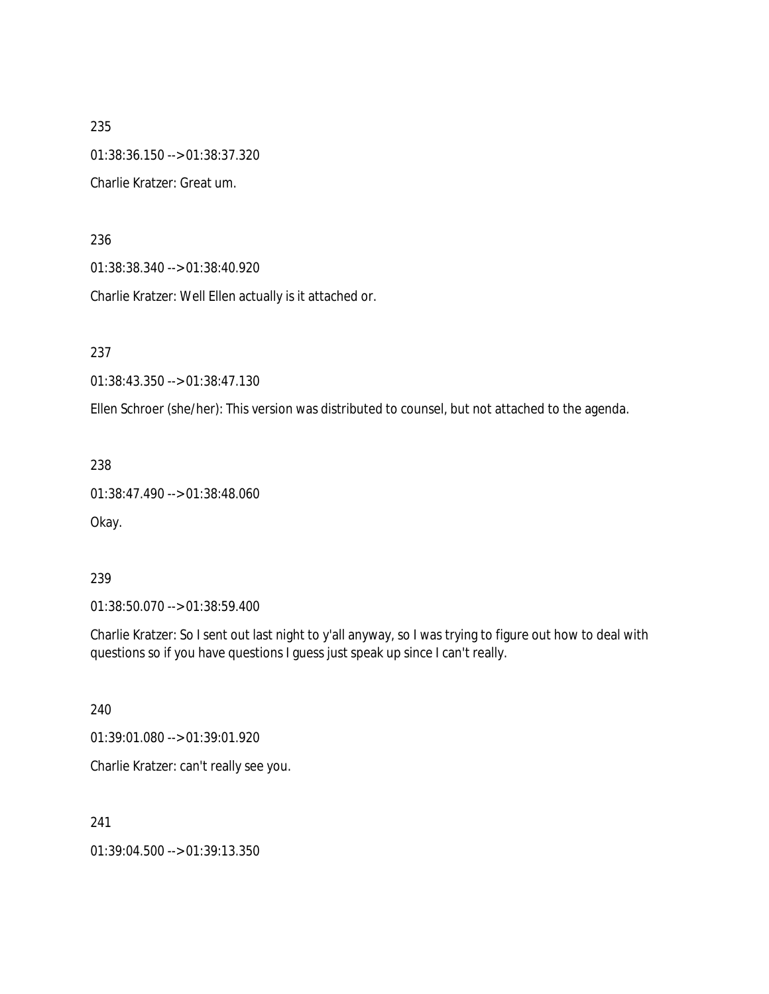235 01:38:36.150 --> 01:38:37.320 Charlie Kratzer: Great um.

236

01:38:38.340 --> 01:38:40.920

Charlie Kratzer: Well Ellen actually is it attached or.

237

01:38:43.350 --> 01:38:47.130

Ellen Schroer (she/her): This version was distributed to counsel, but not attached to the agenda.

238

```
01:38:47.490 --> 01:38:48.060
```
Okay.

239

01:38:50.070 --> 01:38:59.400

Charlie Kratzer: So I sent out last night to y'all anyway, so I was trying to figure out how to deal with questions so if you have questions I guess just speak up since I can't really.

240

01:39:01.080 --> 01:39:01.920

Charlie Kratzer: can't really see you.

241

01:39:04.500 --> 01:39:13.350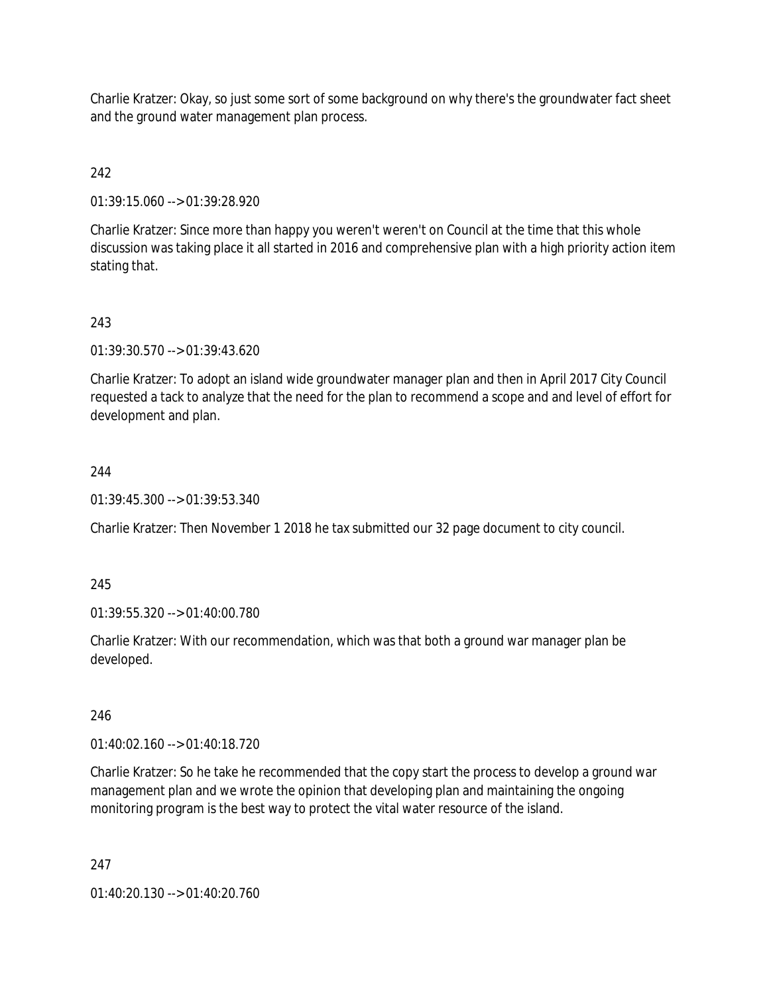Charlie Kratzer: Okay, so just some sort of some background on why there's the groundwater fact sheet and the ground water management plan process.

# 242

01:39:15.060 --> 01:39:28.920

Charlie Kratzer: Since more than happy you weren't weren't on Council at the time that this whole discussion was taking place it all started in 2016 and comprehensive plan with a high priority action item stating that.

## 243

01:39:30.570 --> 01:39:43.620

Charlie Kratzer: To adopt an island wide groundwater manager plan and then in April 2017 City Council requested a tack to analyze that the need for the plan to recommend a scope and and level of effort for development and plan.

## 244

01:39:45.300 --> 01:39:53.340

Charlie Kratzer: Then November 1 2018 he tax submitted our 32 page document to city council.

### 245

01:39:55.320 --> 01:40:00.780

Charlie Kratzer: With our recommendation, which was that both a ground war manager plan be developed.

### 246

01:40:02.160 --> 01:40:18.720

Charlie Kratzer: So he take he recommended that the copy start the process to develop a ground war management plan and we wrote the opinion that developing plan and maintaining the ongoing monitoring program is the best way to protect the vital water resource of the island.

### 247

01:40:20.130 --> 01:40:20.760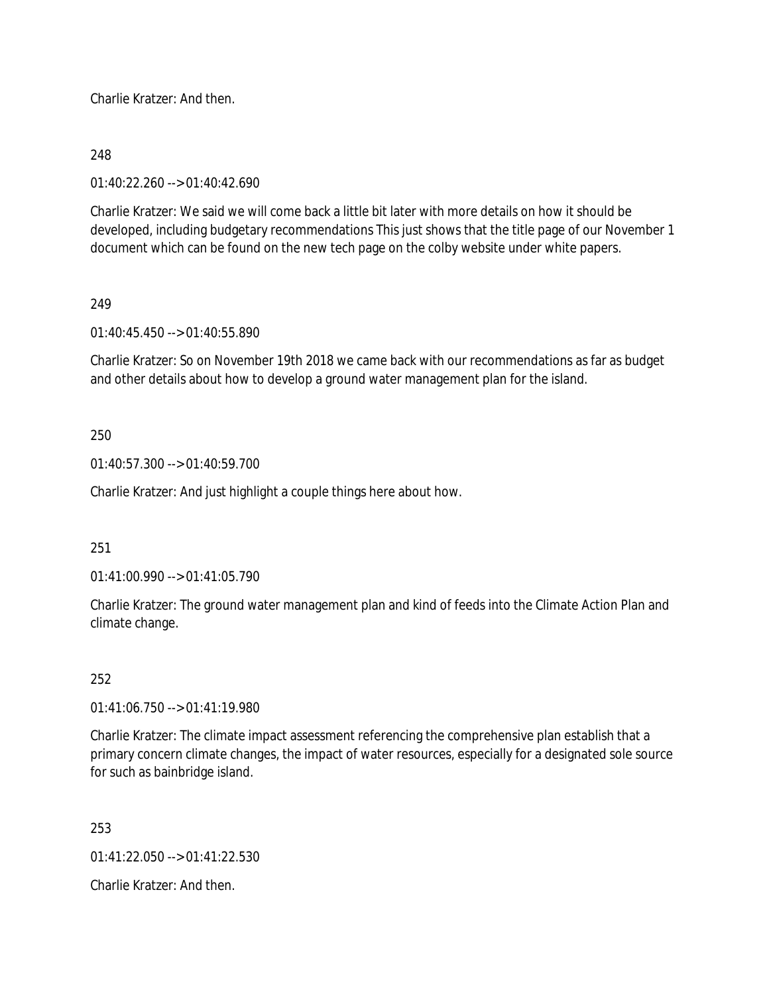Charlie Kratzer: And then.

## 248

01:40:22.260 --> 01:40:42.690

Charlie Kratzer: We said we will come back a little bit later with more details on how it should be developed, including budgetary recommendations This just shows that the title page of our November 1 document which can be found on the new tech page on the colby website under white papers.

## 249

01:40:45.450 --> 01:40:55.890

Charlie Kratzer: So on November 19th 2018 we came back with our recommendations as far as budget and other details about how to develop a ground water management plan for the island.

## 250

01:40:57.300 --> 01:40:59.700

Charlie Kratzer: And just highlight a couple things here about how.

### 251

01:41:00.990 --> 01:41:05.790

Charlie Kratzer: The ground water management plan and kind of feeds into the Climate Action Plan and climate change.

## 252

01:41:06.750 --> 01:41:19.980

Charlie Kratzer: The climate impact assessment referencing the comprehensive plan establish that a primary concern climate changes, the impact of water resources, especially for a designated sole source for such as bainbridge island.

253

01:41:22.050 --> 01:41:22.530

Charlie Kratzer: And then.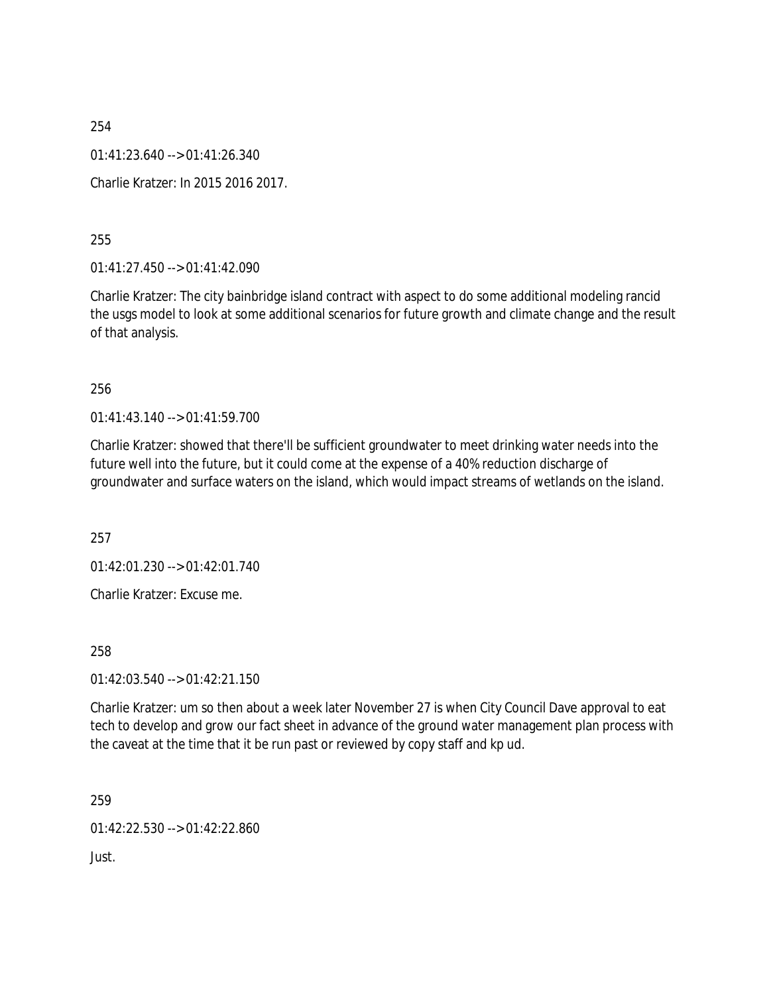254 01:41:23.640 --> 01:41:26.340 Charlie Kratzer: In 2015 2016 2017.

255

01:41:27.450 --> 01:41:42.090

Charlie Kratzer: The city bainbridge island contract with aspect to do some additional modeling rancid the usgs model to look at some additional scenarios for future growth and climate change and the result of that analysis.

256

 $01:41:43.140 \rightarrow 01:41:59.700$ 

Charlie Kratzer: showed that there'll be sufficient groundwater to meet drinking water needs into the future well into the future, but it could come at the expense of a 40% reduction discharge of groundwater and surface waters on the island, which would impact streams of wetlands on the island.

257

01:42:01.230 --> 01:42:01.740

Charlie Kratzer: Excuse me.

258

 $01:42:03.540 \rightarrow 01:42:21.150$ 

Charlie Kratzer: um so then about a week later November 27 is when City Council Dave approval to eat tech to develop and grow our fact sheet in advance of the ground water management plan process with the caveat at the time that it be run past or reviewed by copy staff and kp ud.

259

01:42:22.530 --> 01:42:22.860

Just.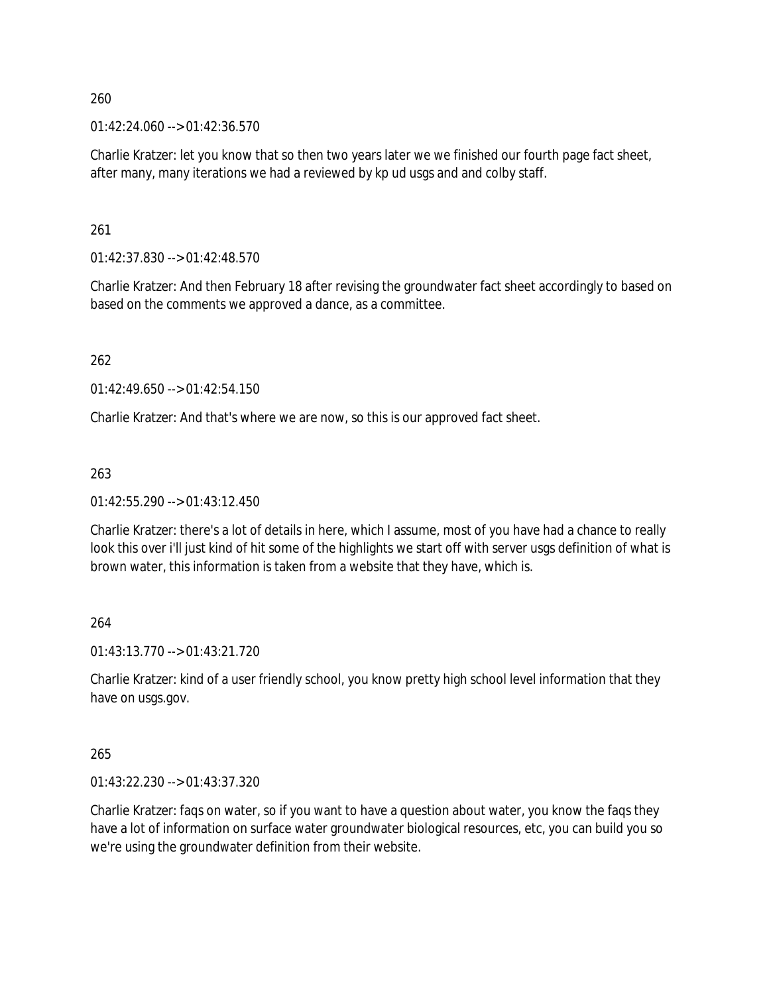$01:42:24.060 \rightarrow 01:42:36.570$ 

Charlie Kratzer: let you know that so then two years later we we finished our fourth page fact sheet, after many, many iterations we had a reviewed by kp ud usgs and and colby staff.

261

01:42:37.830 --> 01:42:48.570

Charlie Kratzer: And then February 18 after revising the groundwater fact sheet accordingly to based on based on the comments we approved a dance, as a committee.

262

01:42:49.650 --> 01:42:54.150

Charlie Kratzer: And that's where we are now, so this is our approved fact sheet.

263

01:42:55.290 --> 01:43:12.450

Charlie Kratzer: there's a lot of details in here, which I assume, most of you have had a chance to really look this over i'll just kind of hit some of the highlights we start off with server usgs definition of what is brown water, this information is taken from a website that they have, which is.

264

01:43:13.770 --> 01:43:21.720

Charlie Kratzer: kind of a user friendly school, you know pretty high school level information that they have on usgs.gov.

265

01:43:22.230 --> 01:43:37.320

Charlie Kratzer: faqs on water, so if you want to have a question about water, you know the faqs they have a lot of information on surface water groundwater biological resources, etc, you can build you so we're using the groundwater definition from their website.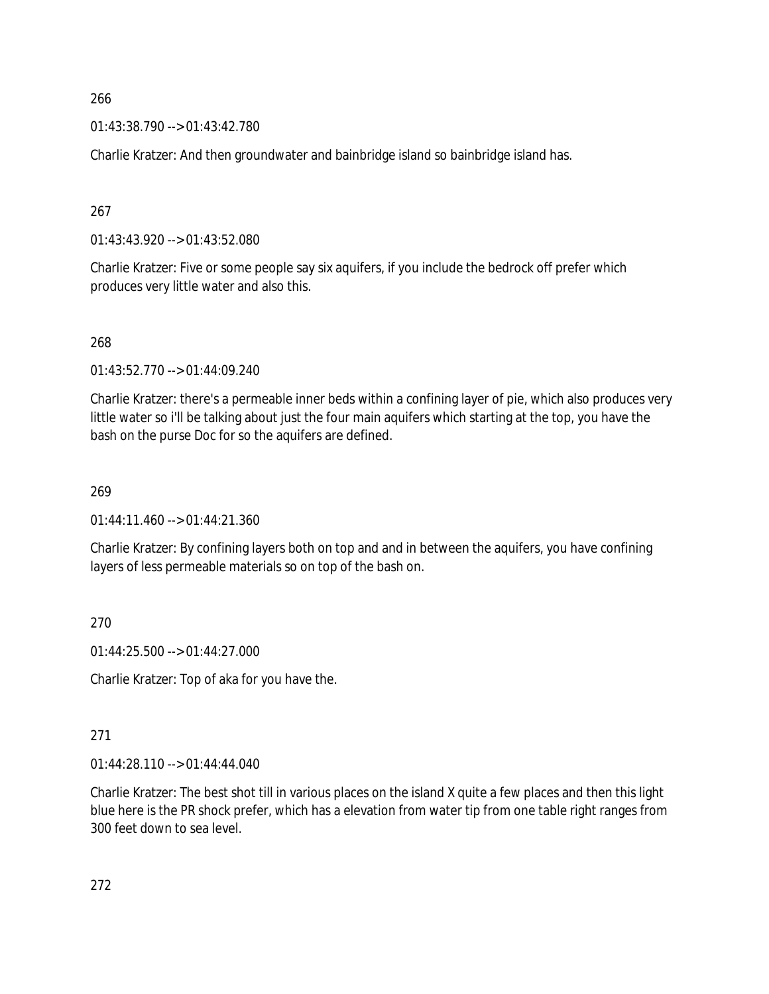01:43:38.790 --> 01:43:42.780

Charlie Kratzer: And then groundwater and bainbridge island so bainbridge island has.

267

01:43:43.920 --> 01:43:52.080

Charlie Kratzer: Five or some people say six aquifers, if you include the bedrock off prefer which produces very little water and also this.

268

01:43:52.770 --> 01:44:09.240

Charlie Kratzer: there's a permeable inner beds within a confining layer of pie, which also produces very little water so i'll be talking about just the four main aquifers which starting at the top, you have the bash on the purse Doc for so the aquifers are defined.

269

 $01:44:11.460 \rightarrow 01:44:21.360$ 

Charlie Kratzer: By confining layers both on top and and in between the aquifers, you have confining layers of less permeable materials so on top of the bash on.

270

01:44:25.500 --> 01:44:27.000

Charlie Kratzer: Top of aka for you have the.

271

01:44:28.110 --> 01:44:44.040

Charlie Kratzer: The best shot till in various places on the island X quite a few places and then this light blue here is the PR shock prefer, which has a elevation from water tip from one table right ranges from 300 feet down to sea level.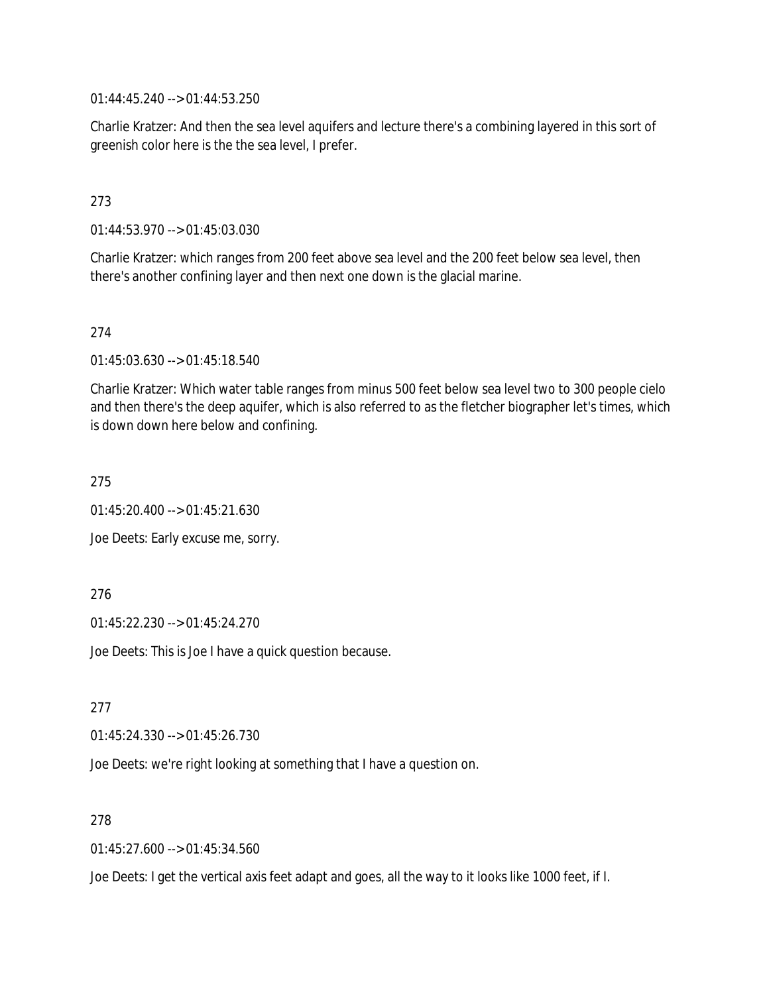01:44:45.240 --> 01:44:53.250

Charlie Kratzer: And then the sea level aquifers and lecture there's a combining layered in this sort of greenish color here is the the sea level, I prefer.

## 273

01:44:53.970 --> 01:45:03.030

Charlie Kratzer: which ranges from 200 feet above sea level and the 200 feet below sea level, then there's another confining layer and then next one down is the glacial marine.

#### 274

01:45:03.630 --> 01:45:18.540

Charlie Kratzer: Which water table ranges from minus 500 feet below sea level two to 300 people cielo and then there's the deep aquifer, which is also referred to as the fletcher biographer let's times, which is down down here below and confining.

275

01:45:20.400 --> 01:45:21.630

Joe Deets: Early excuse me, sorry.

#### 276

01:45:22.230 --> 01:45:24.270

Joe Deets: This is Joe I have a quick question because.

277

01:45:24.330 --> 01:45:26.730

Joe Deets: we're right looking at something that I have a question on.

#### 278

01:45:27.600 --> 01:45:34.560

Joe Deets: I get the vertical axis feet adapt and goes, all the way to it looks like 1000 feet, if I.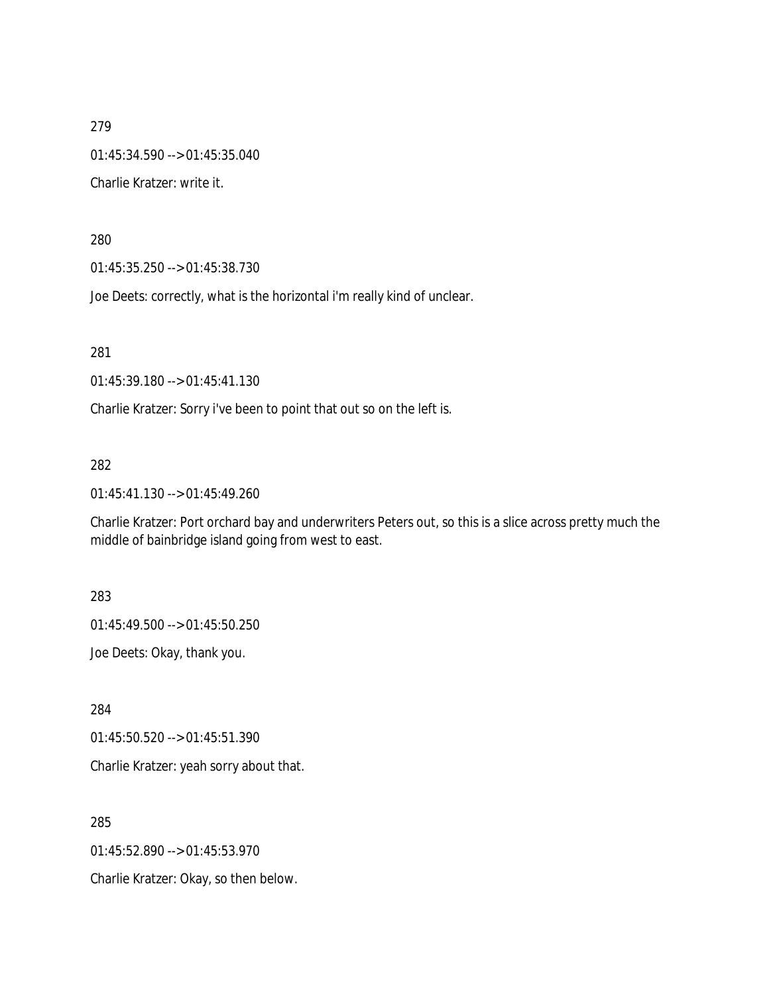279 01:45:34.590 --> 01:45:35.040 Charlie Kratzer: write it.

280

01:45:35.250 --> 01:45:38.730

Joe Deets: correctly, what is the horizontal i'm really kind of unclear.

281

01:45:39.180 --> 01:45:41.130

Charlie Kratzer: Sorry i've been to point that out so on the left is.

282

01:45:41.130 --> 01:45:49.260

Charlie Kratzer: Port orchard bay and underwriters Peters out, so this is a slice across pretty much the middle of bainbridge island going from west to east.

283

01:45:49.500 --> 01:45:50.250

Joe Deets: Okay, thank you.

284

01:45:50.520 --> 01:45:51.390

Charlie Kratzer: yeah sorry about that.

285

01:45:52.890 --> 01:45:53.970

Charlie Kratzer: Okay, so then below.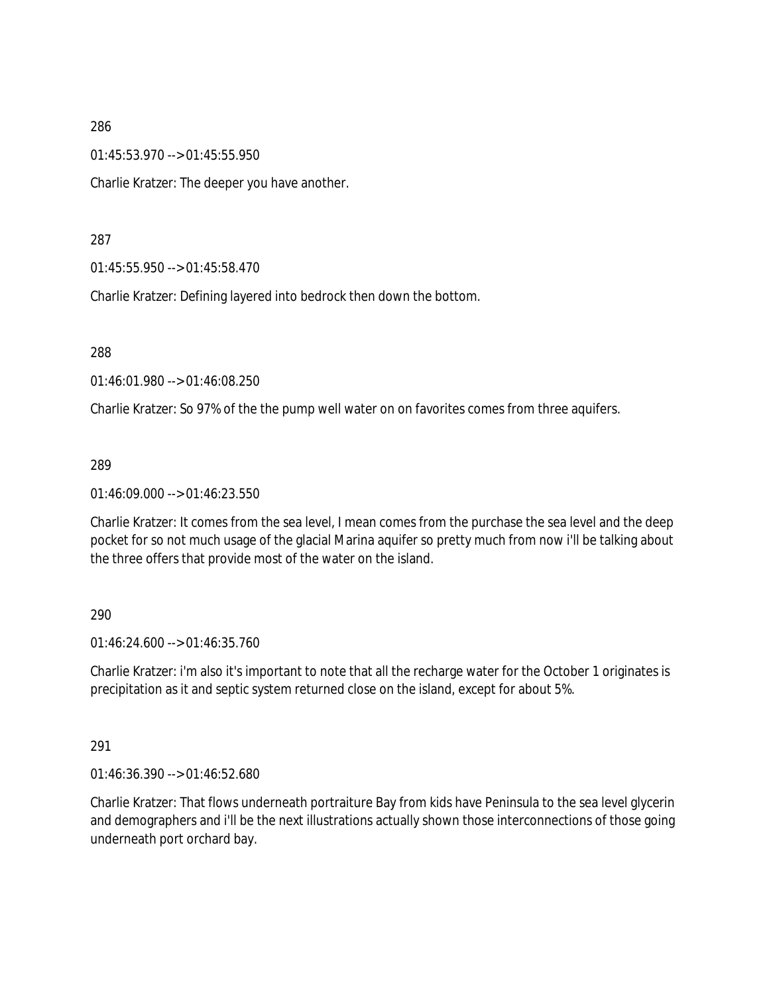01:45:53.970 --> 01:45:55.950

Charlie Kratzer: The deeper you have another.

#### 287

01:45:55.950 --> 01:45:58.470

Charlie Kratzer: Defining layered into bedrock then down the bottom.

288

01:46:01.980 --> 01:46:08.250

Charlie Kratzer: So 97% of the the pump well water on on favorites comes from three aquifers.

#### 289

01:46:09.000 --> 01:46:23.550

Charlie Kratzer: It comes from the sea level, I mean comes from the purchase the sea level and the deep pocket for so not much usage of the glacial Marina aquifer so pretty much from now i'll be talking about the three offers that provide most of the water on the island.

### 290

01:46:24.600 --> 01:46:35.760

Charlie Kratzer: i'm also it's important to note that all the recharge water for the October 1 originates is precipitation as it and septic system returned close on the island, except for about 5%.

### 291

01:46:36.390 --> 01:46:52.680

Charlie Kratzer: That flows underneath portraiture Bay from kids have Peninsula to the sea level glycerin and demographers and i'll be the next illustrations actually shown those interconnections of those going underneath port orchard bay.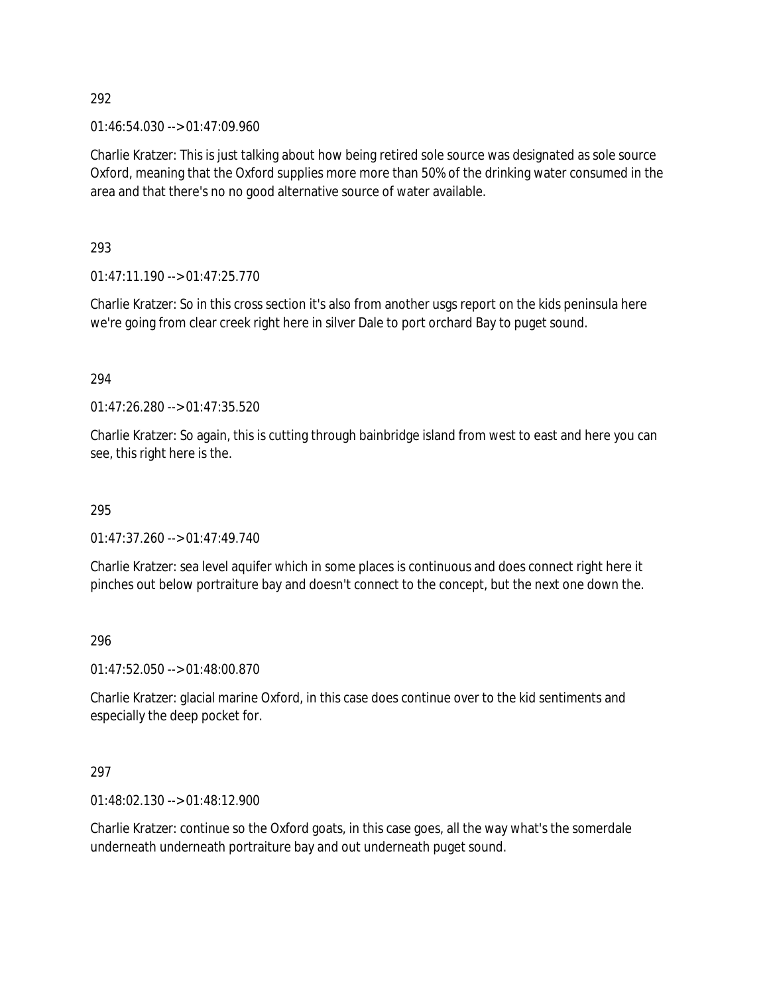01:46:54.030 --> 01:47:09.960

Charlie Kratzer: This is just talking about how being retired sole source was designated as sole source Oxford, meaning that the Oxford supplies more more than 50% of the drinking water consumed in the area and that there's no no good alternative source of water available.

293

01:47:11.190 --> 01:47:25.770

Charlie Kratzer: So in this cross section it's also from another usgs report on the kids peninsula here we're going from clear creek right here in silver Dale to port orchard Bay to puget sound.

294

01:47:26.280 --> 01:47:35.520

Charlie Kratzer: So again, this is cutting through bainbridge island from west to east and here you can see, this right here is the.

295

01:47:37.260 --> 01:47:49.740

Charlie Kratzer: sea level aquifer which in some places is continuous and does connect right here it pinches out below portraiture bay and doesn't connect to the concept, but the next one down the.

296

01:47:52.050 --> 01:48:00.870

Charlie Kratzer: glacial marine Oxford, in this case does continue over to the kid sentiments and especially the deep pocket for.

297

01:48:02.130 --> 01:48:12.900

Charlie Kratzer: continue so the Oxford goats, in this case goes, all the way what's the somerdale underneath underneath portraiture bay and out underneath puget sound.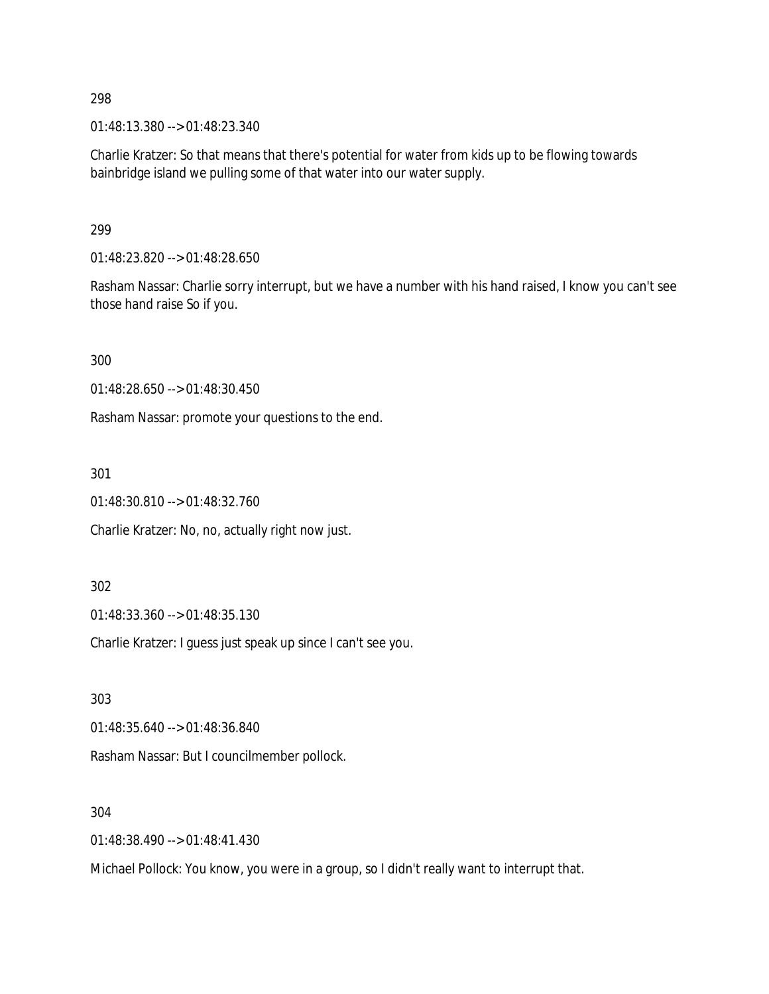01:48:13.380 --> 01:48:23.340

Charlie Kratzer: So that means that there's potential for water from kids up to be flowing towards bainbridge island we pulling some of that water into our water supply.

299

01:48:23.820 --> 01:48:28.650

Rasham Nassar: Charlie sorry interrupt, but we have a number with his hand raised, I know you can't see those hand raise So if you.

300

01:48:28.650 --> 01:48:30.450

Rasham Nassar: promote your questions to the end.

301

01:48:30.810 --> 01:48:32.760

Charlie Kratzer: No, no, actually right now just.

302

01:48:33.360 --> 01:48:35.130

Charlie Kratzer: I guess just speak up since I can't see you.

303

01:48:35.640 --> 01:48:36.840

Rasham Nassar: But I councilmember pollock.

304

01:48:38.490 --> 01:48:41.430

Michael Pollock: You know, you were in a group, so I didn't really want to interrupt that.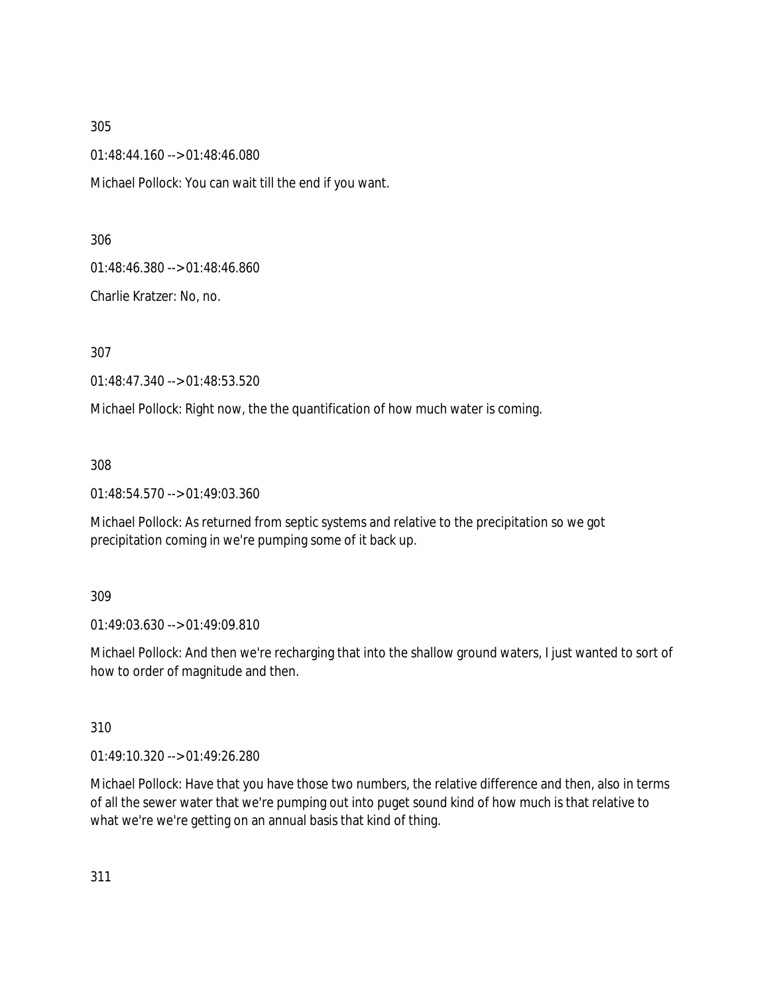01:48:44.160 --> 01:48:46.080

Michael Pollock: You can wait till the end if you want.

306

01:48:46.380 --> 01:48:46.860

Charlie Kratzer: No, no.

307

01:48:47.340 --> 01:48:53.520

Michael Pollock: Right now, the the quantification of how much water is coming.

308

01:48:54.570 --> 01:49:03.360

Michael Pollock: As returned from septic systems and relative to the precipitation so we got precipitation coming in we're pumping some of it back up.

309

01:49:03.630 --> 01:49:09.810

Michael Pollock: And then we're recharging that into the shallow ground waters, I just wanted to sort of how to order of magnitude and then.

310

01:49:10.320 --> 01:49:26.280

Michael Pollock: Have that you have those two numbers, the relative difference and then, also in terms of all the sewer water that we're pumping out into puget sound kind of how much is that relative to what we're we're getting on an annual basis that kind of thing.

311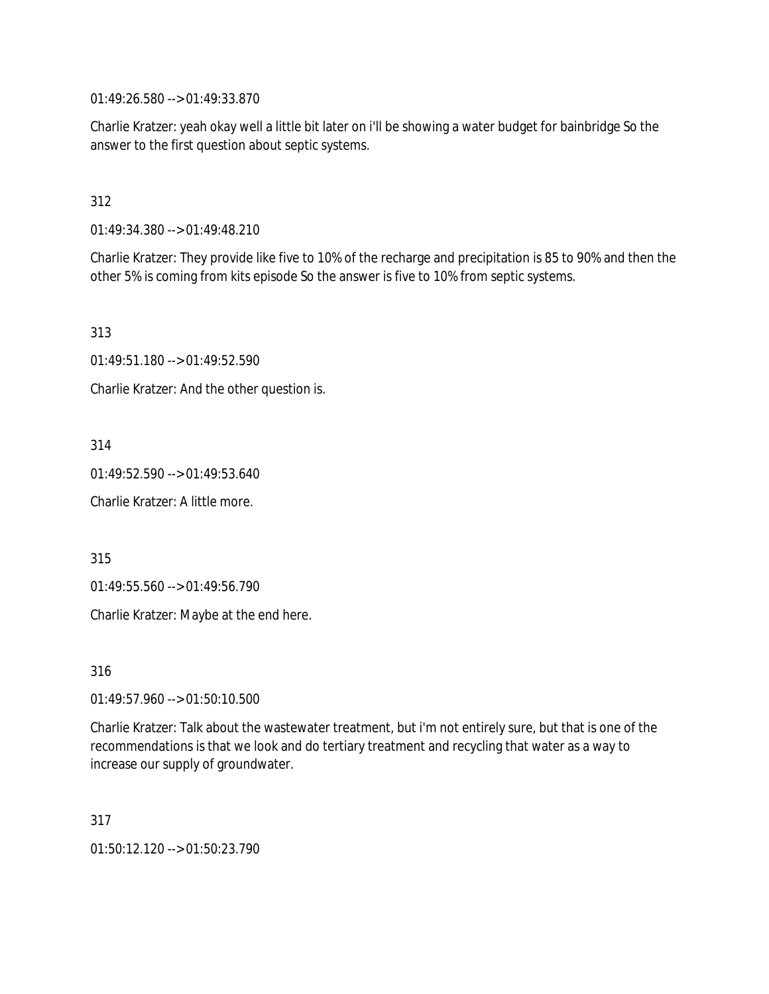01:49:26.580 --> 01:49:33.870

Charlie Kratzer: yeah okay well a little bit later on i'll be showing a water budget for bainbridge So the answer to the first question about septic systems.

312

01:49:34.380 --> 01:49:48.210

Charlie Kratzer: They provide like five to 10% of the recharge and precipitation is 85 to 90% and then the other 5% is coming from kits episode So the answer is five to 10% from septic systems.

313

01:49:51.180 --> 01:49:52.590

Charlie Kratzer: And the other question is.

314

01:49:52.590 --> 01:49:53.640

Charlie Kratzer: A little more.

315

01:49:55.560 --> 01:49:56.790

Charlie Kratzer: Maybe at the end here.

316

01:49:57.960 --> 01:50:10.500

Charlie Kratzer: Talk about the wastewater treatment, but i'm not entirely sure, but that is one of the recommendations is that we look and do tertiary treatment and recycling that water as a way to increase our supply of groundwater.

317

01:50:12.120 --> 01:50:23.790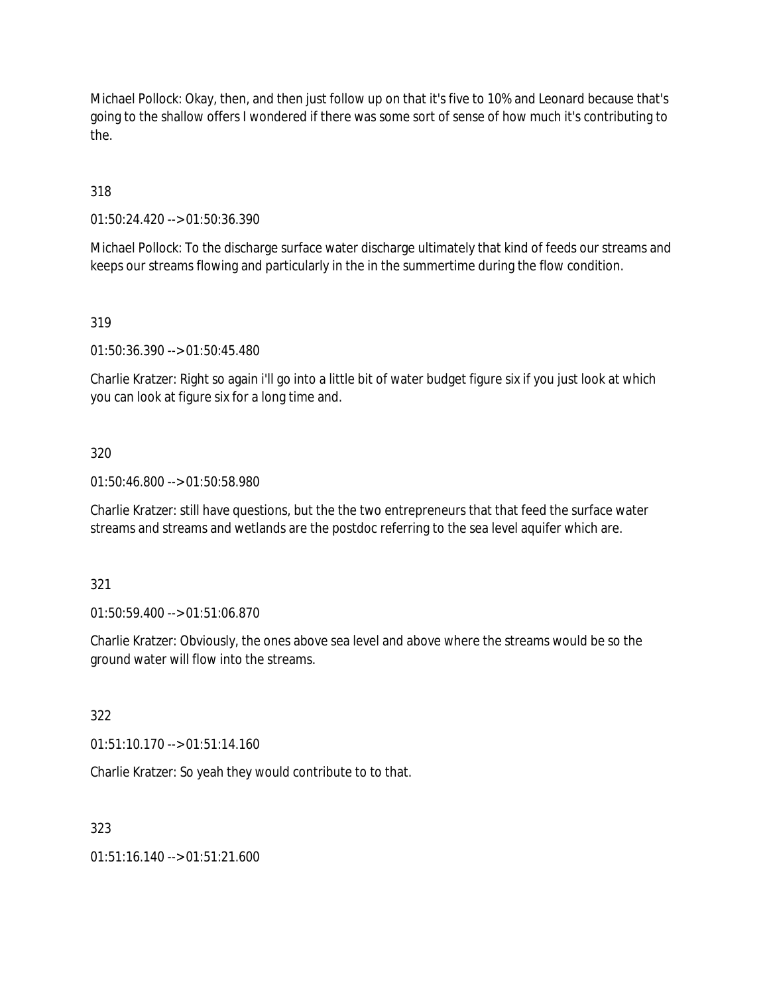Michael Pollock: Okay, then, and then just follow up on that it's five to 10% and Leonard because that's going to the shallow offers I wondered if there was some sort of sense of how much it's contributing to the.

318

01:50:24.420 --> 01:50:36.390

Michael Pollock: To the discharge surface water discharge ultimately that kind of feeds our streams and keeps our streams flowing and particularly in the in the summertime during the flow condition.

319

01:50:36.390 --> 01:50:45.480

Charlie Kratzer: Right so again i'll go into a little bit of water budget figure six if you just look at which you can look at figure six for a long time and.

### 320

01:50:46.800 --> 01:50:58.980

Charlie Kratzer: still have questions, but the the two entrepreneurs that that feed the surface water streams and streams and wetlands are the postdoc referring to the sea level aquifer which are.

### 321

01:50:59.400 --> 01:51:06.870

Charlie Kratzer: Obviously, the ones above sea level and above where the streams would be so the ground water will flow into the streams.

322

01:51:10.170 --> 01:51:14.160

Charlie Kratzer: So yeah they would contribute to to that.

### 323

01:51:16.140 --> 01:51:21.600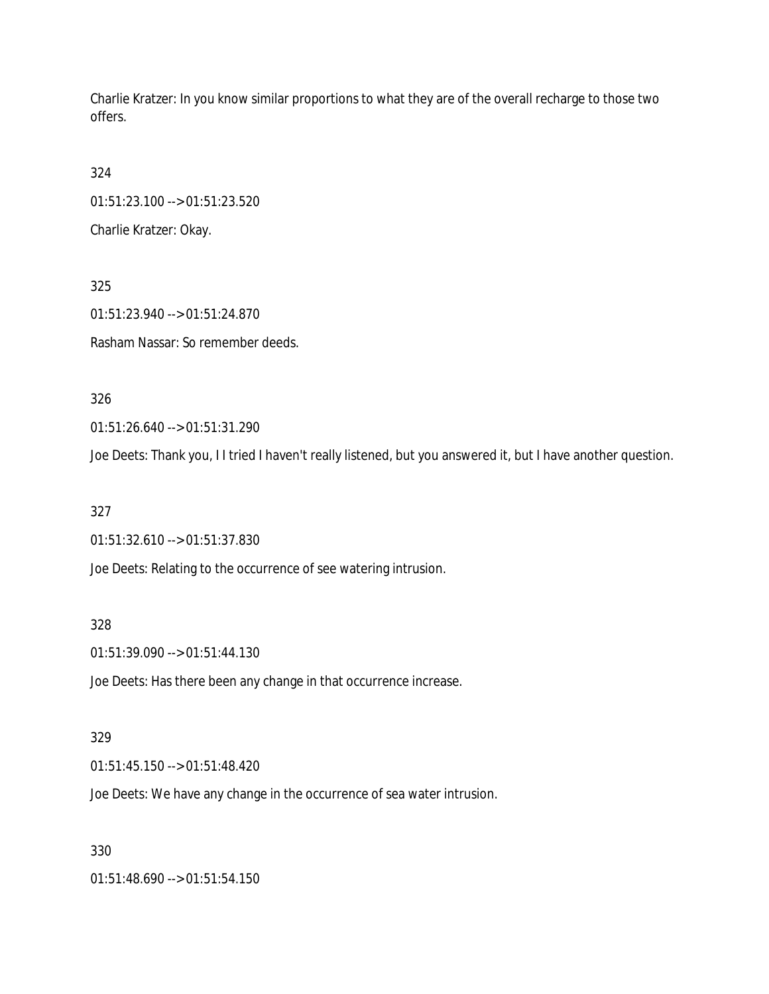Charlie Kratzer: In you know similar proportions to what they are of the overall recharge to those two offers.

324 01:51:23.100 --> 01:51:23.520

Charlie Kratzer: Okay.

325 01:51:23.940 --> 01:51:24.870 Rasham Nassar: So remember deeds.

326

01:51:26.640 --> 01:51:31.290

Joe Deets: Thank you, I I tried I haven't really listened, but you answered it, but I have another question.

327

01:51:32.610 --> 01:51:37.830

Joe Deets: Relating to the occurrence of see watering intrusion.

328

01:51:39.090 --> 01:51:44.130

Joe Deets: Has there been any change in that occurrence increase.

### 329

01:51:45.150 --> 01:51:48.420

Joe Deets: We have any change in the occurrence of sea water intrusion.

330

01:51:48.690 --> 01:51:54.150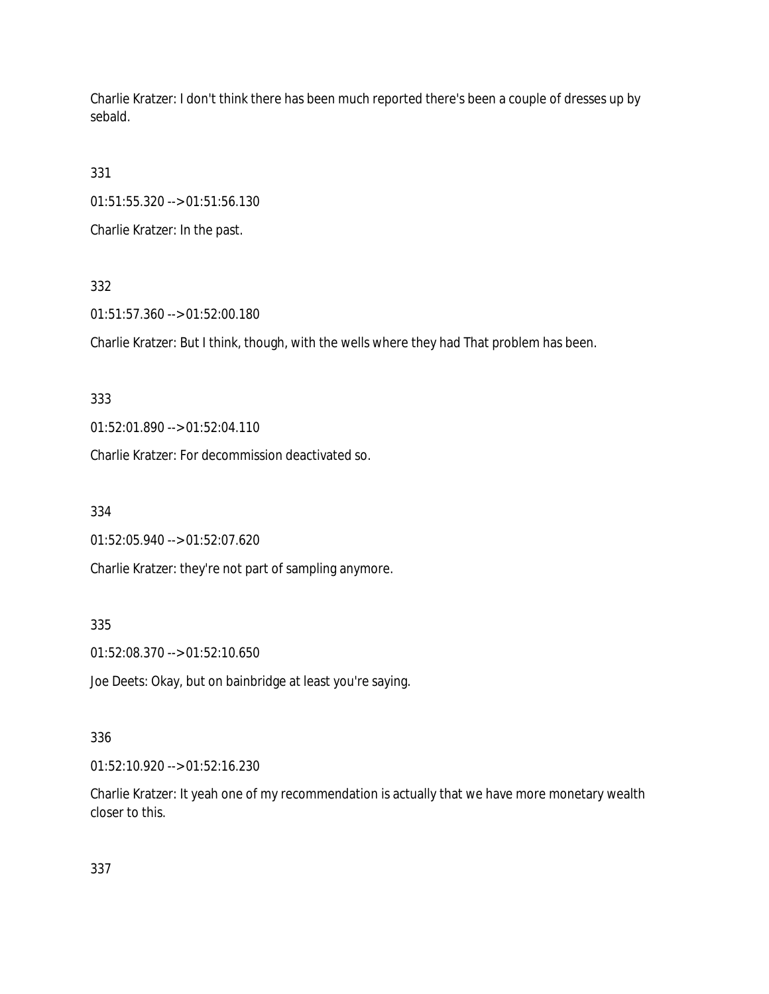Charlie Kratzer: I don't think there has been much reported there's been a couple of dresses up by sebald.

331

01:51:55.320 --> 01:51:56.130

Charlie Kratzer: In the past.

## 332

01:51:57.360 --> 01:52:00.180

Charlie Kratzer: But I think, though, with the wells where they had That problem has been.

333

01:52:01.890 --> 01:52:04.110

Charlie Kratzer: For decommission deactivated so.

334

01:52:05.940 --> 01:52:07.620

Charlie Kratzer: they're not part of sampling anymore.

### 335

01:52:08.370 --> 01:52:10.650

Joe Deets: Okay, but on bainbridge at least you're saying.

### 336

01:52:10.920 --> 01:52:16.230

Charlie Kratzer: It yeah one of my recommendation is actually that we have more monetary wealth closer to this.

337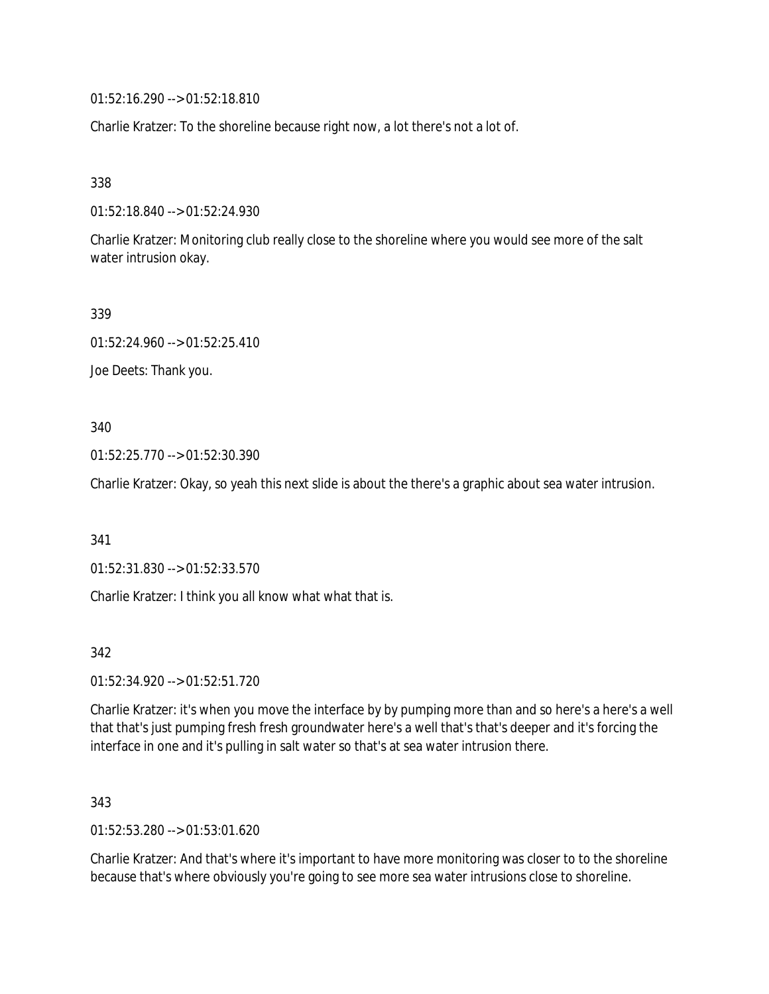01:52:16.290 --> 01:52:18.810

Charlie Kratzer: To the shoreline because right now, a lot there's not a lot of.

338

01:52:18.840 --> 01:52:24.930

Charlie Kratzer: Monitoring club really close to the shoreline where you would see more of the salt water intrusion okay.

339

01:52:24.960 --> 01:52:25.410

Joe Deets: Thank you.

340

01:52:25.770 --> 01:52:30.390

Charlie Kratzer: Okay, so yeah this next slide is about the there's a graphic about sea water intrusion.

341

01:52:31.830 --> 01:52:33.570

Charlie Kratzer: I think you all know what what that is.

342

01:52:34.920 --> 01:52:51.720

Charlie Kratzer: it's when you move the interface by by pumping more than and so here's a here's a well that that's just pumping fresh fresh groundwater here's a well that's that's deeper and it's forcing the interface in one and it's pulling in salt water so that's at sea water intrusion there.

343

01:52:53.280 --> 01:53:01.620

Charlie Kratzer: And that's where it's important to have more monitoring was closer to to the shoreline because that's where obviously you're going to see more sea water intrusions close to shoreline.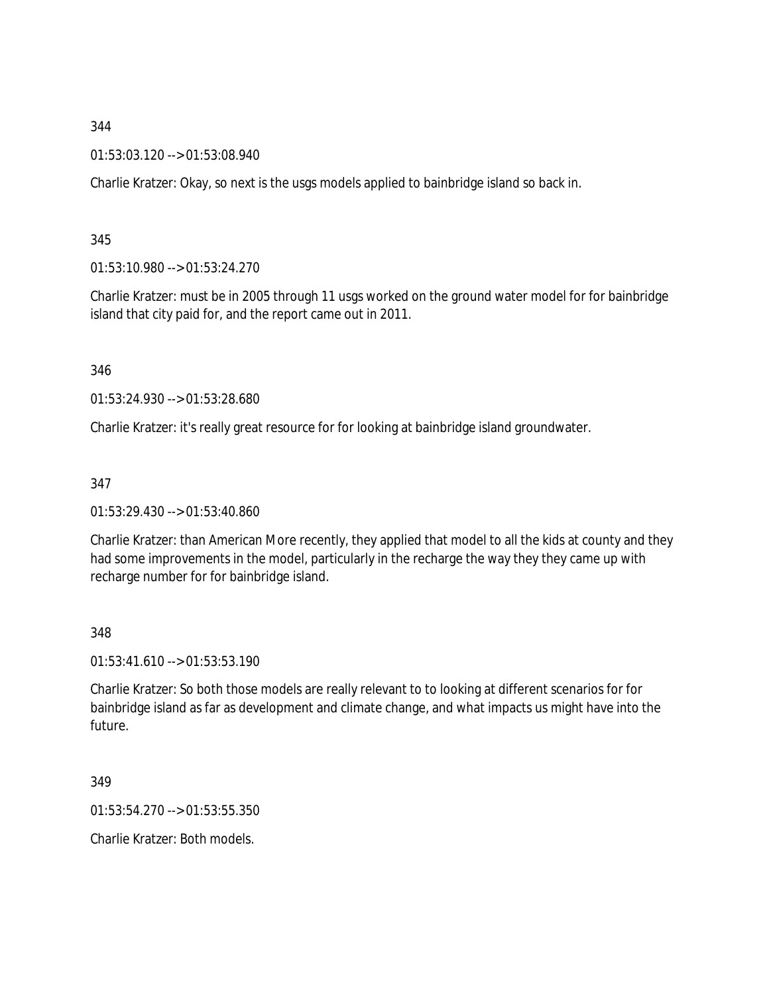01:53:03.120 --> 01:53:08.940

Charlie Kratzer: Okay, so next is the usgs models applied to bainbridge island so back in.

345

01:53:10.980 --> 01:53:24.270

Charlie Kratzer: must be in 2005 through 11 usgs worked on the ground water model for for bainbridge island that city paid for, and the report came out in 2011.

346

01:53:24.930 --> 01:53:28.680

Charlie Kratzer: it's really great resource for for looking at bainbridge island groundwater.

347

01:53:29.430 --> 01:53:40.860

Charlie Kratzer: than American More recently, they applied that model to all the kids at county and they had some improvements in the model, particularly in the recharge the way they they came up with recharge number for for bainbridge island.

348

01:53:41.610 --> 01:53:53.190

Charlie Kratzer: So both those models are really relevant to to looking at different scenarios for for bainbridge island as far as development and climate change, and what impacts us might have into the future.

349

01:53:54.270 --> 01:53:55.350

Charlie Kratzer: Both models.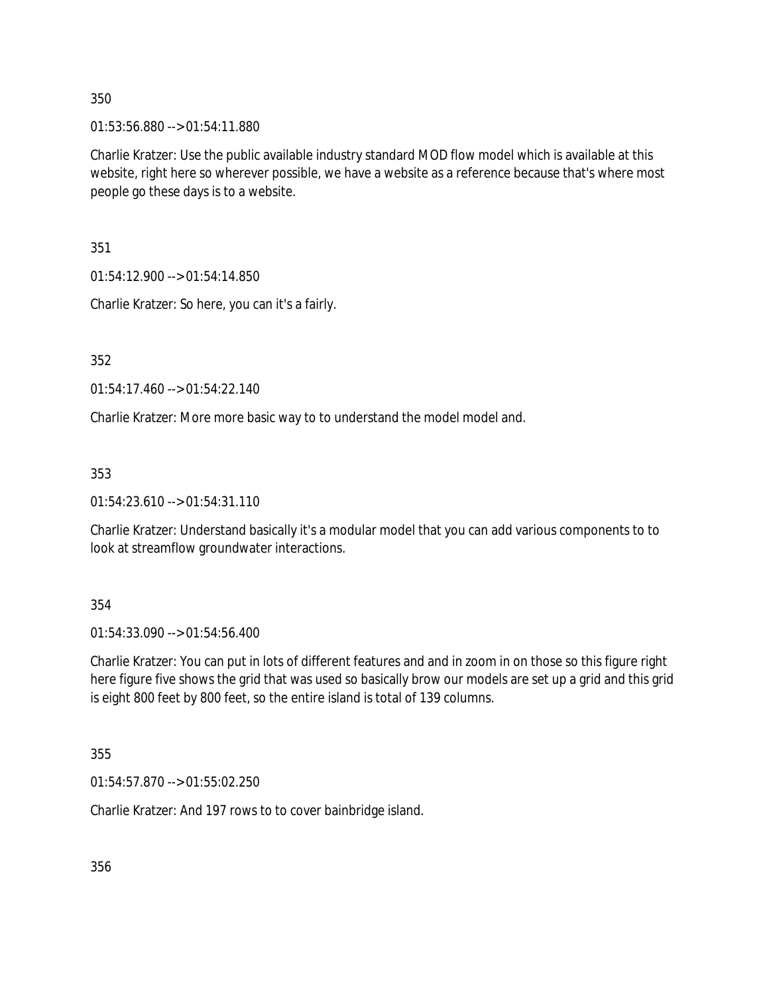01:53:56.880 --> 01:54:11.880

Charlie Kratzer: Use the public available industry standard MOD flow model which is available at this website, right here so wherever possible, we have a website as a reference because that's where most people go these days is to a website.

351

01:54:12.900 --> 01:54:14.850

Charlie Kratzer: So here, you can it's a fairly.

352

01:54:17.460 --> 01:54:22.140

Charlie Kratzer: More more basic way to to understand the model model and.

353

01:54:23.610 --> 01:54:31.110

Charlie Kratzer: Understand basically it's a modular model that you can add various components to to look at streamflow groundwater interactions.

354

01:54:33.090 --> 01:54:56.400

Charlie Kratzer: You can put in lots of different features and and in zoom in on those so this figure right here figure five shows the grid that was used so basically brow our models are set up a grid and this grid is eight 800 feet by 800 feet, so the entire island is total of 139 columns.

355

01:54:57.870 --> 01:55:02.250

Charlie Kratzer: And 197 rows to to cover bainbridge island.

356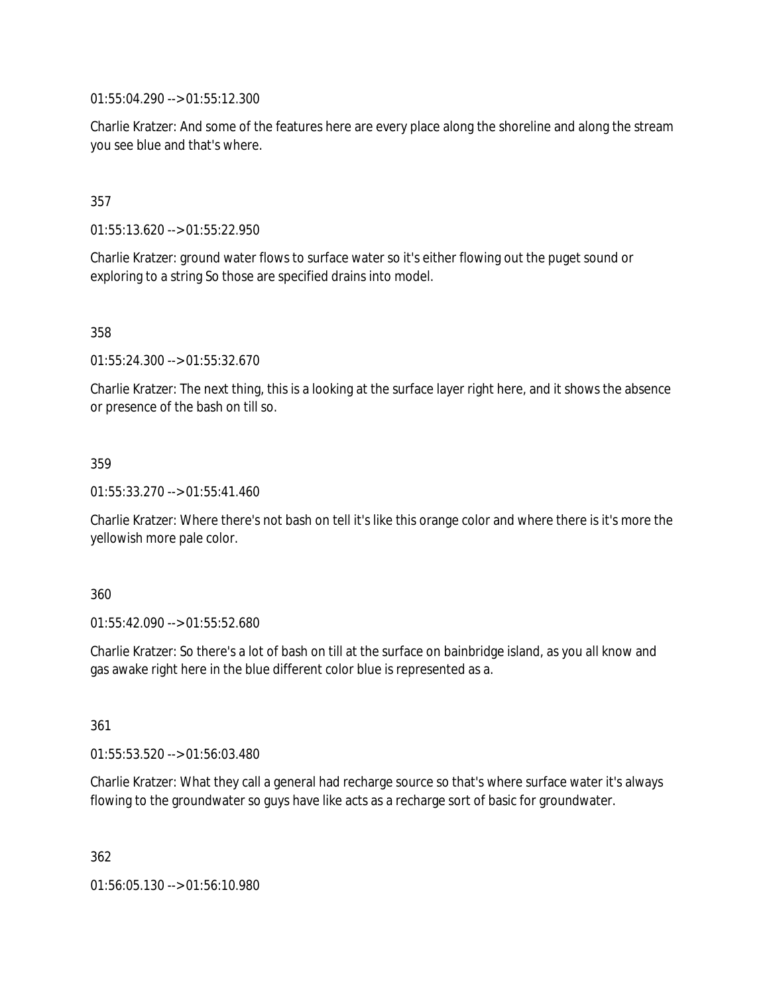01:55:04.290 --> 01:55:12.300

Charlie Kratzer: And some of the features here are every place along the shoreline and along the stream you see blue and that's where.

## 357

01:55:13.620 --> 01:55:22.950

Charlie Kratzer: ground water flows to surface water so it's either flowing out the puget sound or exploring to a string So those are specified drains into model.

358

01:55:24.300 --> 01:55:32.670

Charlie Kratzer: The next thing, this is a looking at the surface layer right here, and it shows the absence or presence of the bash on till so.

## 359

01:55:33.270 --> 01:55:41.460

Charlie Kratzer: Where there's not bash on tell it's like this orange color and where there is it's more the yellowish more pale color.

### 360

01:55:42.090 --> 01:55:52.680

Charlie Kratzer: So there's a lot of bash on till at the surface on bainbridge island, as you all know and gas awake right here in the blue different color blue is represented as a.

361

01:55:53.520 --> 01:56:03.480

Charlie Kratzer: What they call a general had recharge source so that's where surface water it's always flowing to the groundwater so guys have like acts as a recharge sort of basic for groundwater.

362

01:56:05.130 --> 01:56:10.980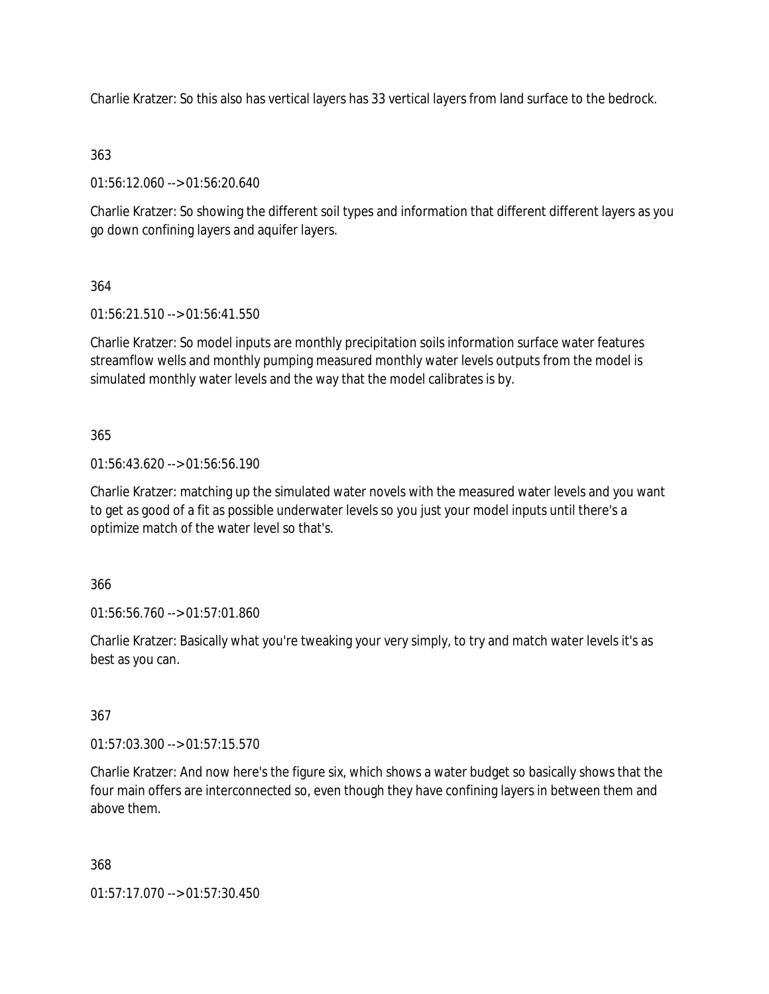Charlie Kratzer: So this also has vertical layers has 33 vertical layers from land surface to the bedrock.

# 363

01:56:12.060 --> 01:56:20.640

Charlie Kratzer: So showing the different soil types and information that different different layers as you go down confining layers and aquifer layers.

# 364

01:56:21.510 --> 01:56:41.550

Charlie Kratzer: So model inputs are monthly precipitation soils information surface water features streamflow wells and monthly pumping measured monthly water levels outputs from the model is simulated monthly water levels and the way that the model calibrates is by.

## 365

01:56:43.620 --> 01:56:56.190

Charlie Kratzer: matching up the simulated water novels with the measured water levels and you want to get as good of a fit as possible underwater levels so you just your model inputs until there's a optimize match of the water level so that's.

## 366

01:56:56.760 --> 01:57:01.860

Charlie Kratzer: Basically what you're tweaking your very simply, to try and match water levels it's as best as you can.

## 367

01:57:03.300 --> 01:57:15.570

Charlie Kratzer: And now here's the figure six, which shows a water budget so basically shows that the four main offers are interconnected so, even though they have confining layers in between them and above them.

### 368

01:57:17.070 --> 01:57:30.450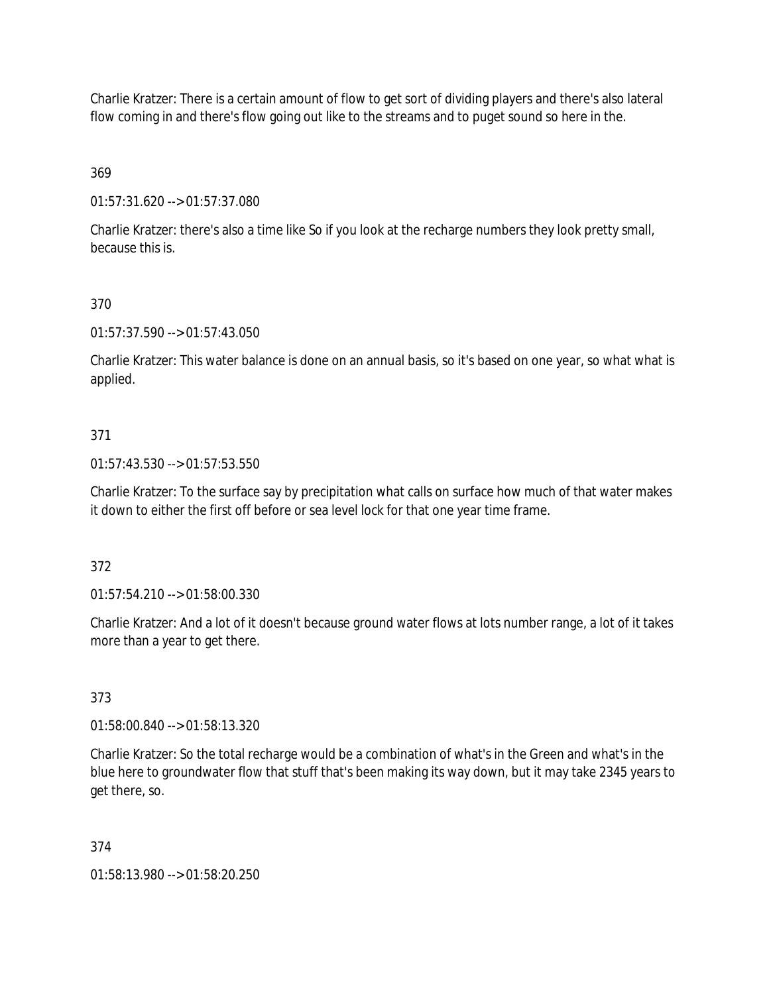Charlie Kratzer: There is a certain amount of flow to get sort of dividing players and there's also lateral flow coming in and there's flow going out like to the streams and to puget sound so here in the.

369

01:57:31.620 --> 01:57:37.080

Charlie Kratzer: there's also a time like So if you look at the recharge numbers they look pretty small, because this is.

## 370

01:57:37.590 --> 01:57:43.050

Charlie Kratzer: This water balance is done on an annual basis, so it's based on one year, so what what is applied.

## 371

01:57:43.530 --> 01:57:53.550

Charlie Kratzer: To the surface say by precipitation what calls on surface how much of that water makes it down to either the first off before or sea level lock for that one year time frame.

### 372

01:57:54.210 --> 01:58:00.330

Charlie Kratzer: And a lot of it doesn't because ground water flows at lots number range, a lot of it takes more than a year to get there.

### 373

01:58:00.840 --> 01:58:13.320

Charlie Kratzer: So the total recharge would be a combination of what's in the Green and what's in the blue here to groundwater flow that stuff that's been making its way down, but it may take 2345 years to get there, so.

### 374

01:58:13.980 --> 01:58:20.250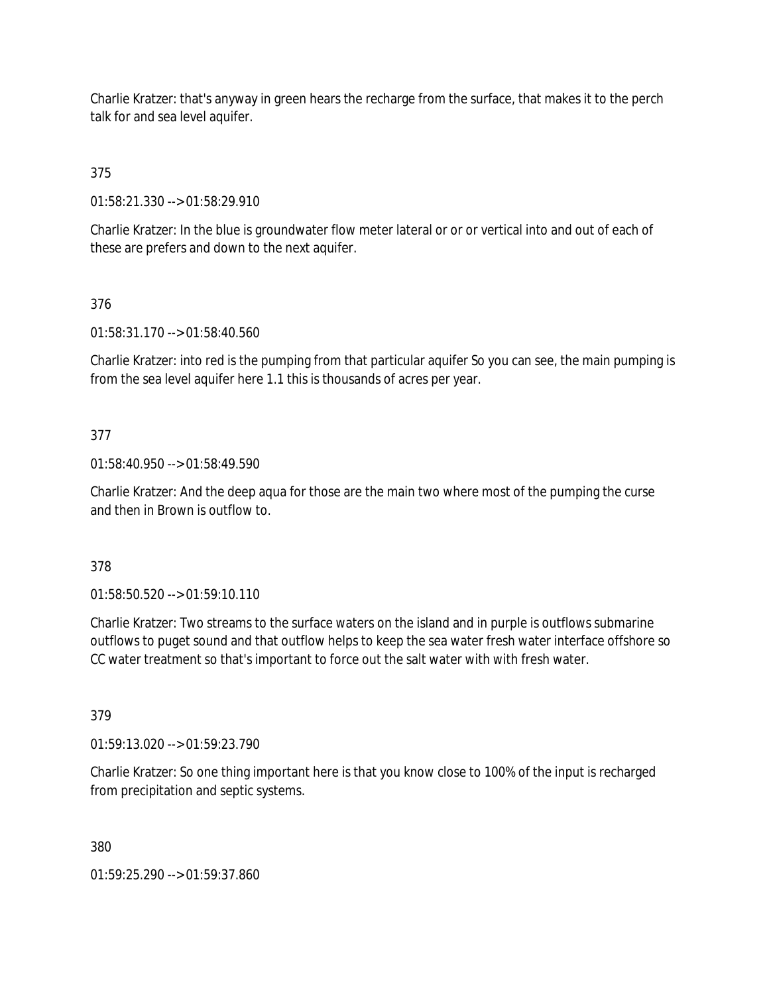Charlie Kratzer: that's anyway in green hears the recharge from the surface, that makes it to the perch talk for and sea level aquifer.

375

01:58:21.330 --> 01:58:29.910

Charlie Kratzer: In the blue is groundwater flow meter lateral or or or vertical into and out of each of these are prefers and down to the next aquifer.

376

01:58:31.170 --> 01:58:40.560

Charlie Kratzer: into red is the pumping from that particular aquifer So you can see, the main pumping is from the sea level aquifer here 1.1 this is thousands of acres per year.

### 377

01:58:40.950 --> 01:58:49.590

Charlie Kratzer: And the deep aqua for those are the main two where most of the pumping the curse and then in Brown is outflow to.

378

01:58:50.520 --> 01:59:10.110

Charlie Kratzer: Two streams to the surface waters on the island and in purple is outflows submarine outflows to puget sound and that outflow helps to keep the sea water fresh water interface offshore so CC water treatment so that's important to force out the salt water with with fresh water.

379

01:59:13.020 --> 01:59:23.790

Charlie Kratzer: So one thing important here is that you know close to 100% of the input is recharged from precipitation and septic systems.

380

01:59:25.290 --> 01:59:37.860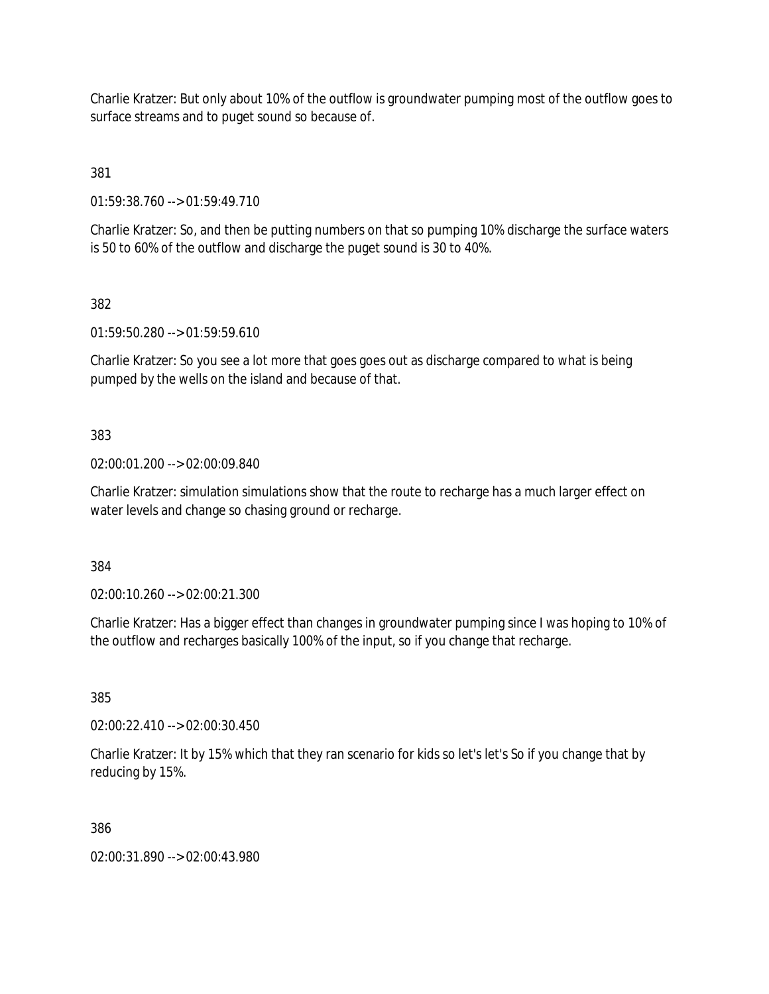Charlie Kratzer: But only about 10% of the outflow is groundwater pumping most of the outflow goes to surface streams and to puget sound so because of.

381

01:59:38.760 --> 01:59:49.710

Charlie Kratzer: So, and then be putting numbers on that so pumping 10% discharge the surface waters is 50 to 60% of the outflow and discharge the puget sound is 30 to 40%.

382

01:59:50.280 --> 01:59:59.610

Charlie Kratzer: So you see a lot more that goes goes out as discharge compared to what is being pumped by the wells on the island and because of that.

## 383

02:00:01.200 --> 02:00:09.840

Charlie Kratzer: simulation simulations show that the route to recharge has a much larger effect on water levels and change so chasing ground or recharge.

384

02:00:10.260 --> 02:00:21.300

Charlie Kratzer: Has a bigger effect than changes in groundwater pumping since I was hoping to 10% of the outflow and recharges basically 100% of the input, so if you change that recharge.

385

02:00:22.410 --> 02:00:30.450

Charlie Kratzer: It by 15% which that they ran scenario for kids so let's let's So if you change that by reducing by 15%.

386

02:00:31.890 --> 02:00:43.980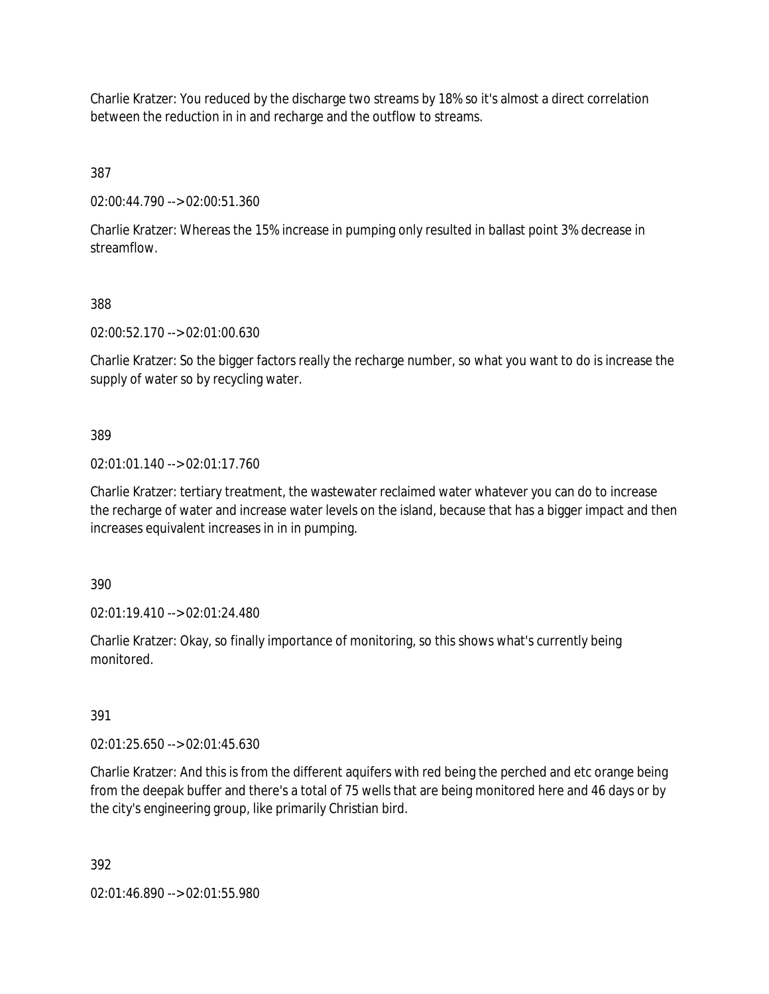Charlie Kratzer: You reduced by the discharge two streams by 18% so it's almost a direct correlation between the reduction in in and recharge and the outflow to streams.

387

02:00:44.790 --> 02:00:51.360

Charlie Kratzer: Whereas the 15% increase in pumping only resulted in ballast point 3% decrease in streamflow.

## 388

02:00:52.170 --> 02:01:00.630

Charlie Kratzer: So the bigger factors really the recharge number, so what you want to do is increase the supply of water so by recycling water.

## 389

02:01:01.140 --> 02:01:17.760

Charlie Kratzer: tertiary treatment, the wastewater reclaimed water whatever you can do to increase the recharge of water and increase water levels on the island, because that has a bigger impact and then increases equivalent increases in in in pumping.

390

02:01:19.410 --> 02:01:24.480

Charlie Kratzer: Okay, so finally importance of monitoring, so this shows what's currently being monitored.

# 391

02:01:25.650 --> 02:01:45.630

Charlie Kratzer: And this is from the different aquifers with red being the perched and etc orange being from the deepak buffer and there's a total of 75 wells that are being monitored here and 46 days or by the city's engineering group, like primarily Christian bird.

392

02:01:46.890 --> 02:01:55.980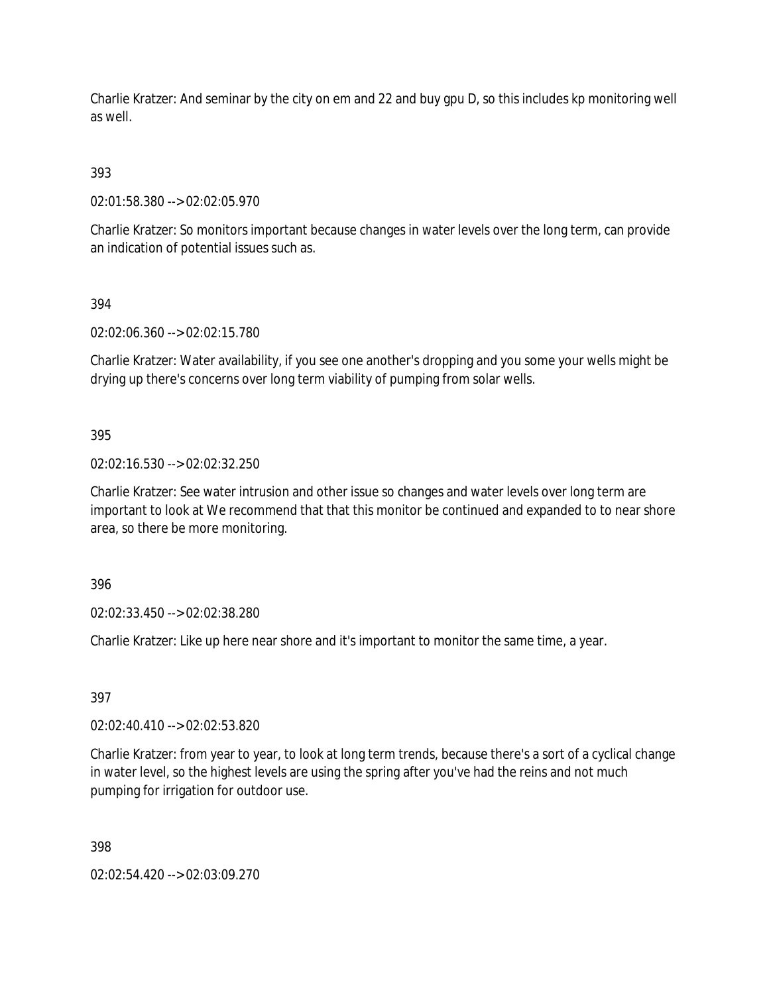Charlie Kratzer: And seminar by the city on em and 22 and buy gpu D, so this includes kp monitoring well as well.

## 393

02:01:58.380 --> 02:02:05.970

Charlie Kratzer: So monitors important because changes in water levels over the long term, can provide an indication of potential issues such as.

## 394

02:02:06.360 --> 02:02:15.780

Charlie Kratzer: Water availability, if you see one another's dropping and you some your wells might be drying up there's concerns over long term viability of pumping from solar wells.

## 395

02:02:16.530 --> 02:02:32.250

Charlie Kratzer: See water intrusion and other issue so changes and water levels over long term are important to look at We recommend that that this monitor be continued and expanded to to near shore area, so there be more monitoring.

### 396

02:02:33.450 --> 02:02:38.280

Charlie Kratzer: Like up here near shore and it's important to monitor the same time, a year.

# 397

02:02:40.410 --> 02:02:53.820

Charlie Kratzer: from year to year, to look at long term trends, because there's a sort of a cyclical change in water level, so the highest levels are using the spring after you've had the reins and not much pumping for irrigation for outdoor use.

### 398

02:02:54.420 --> 02:03:09.270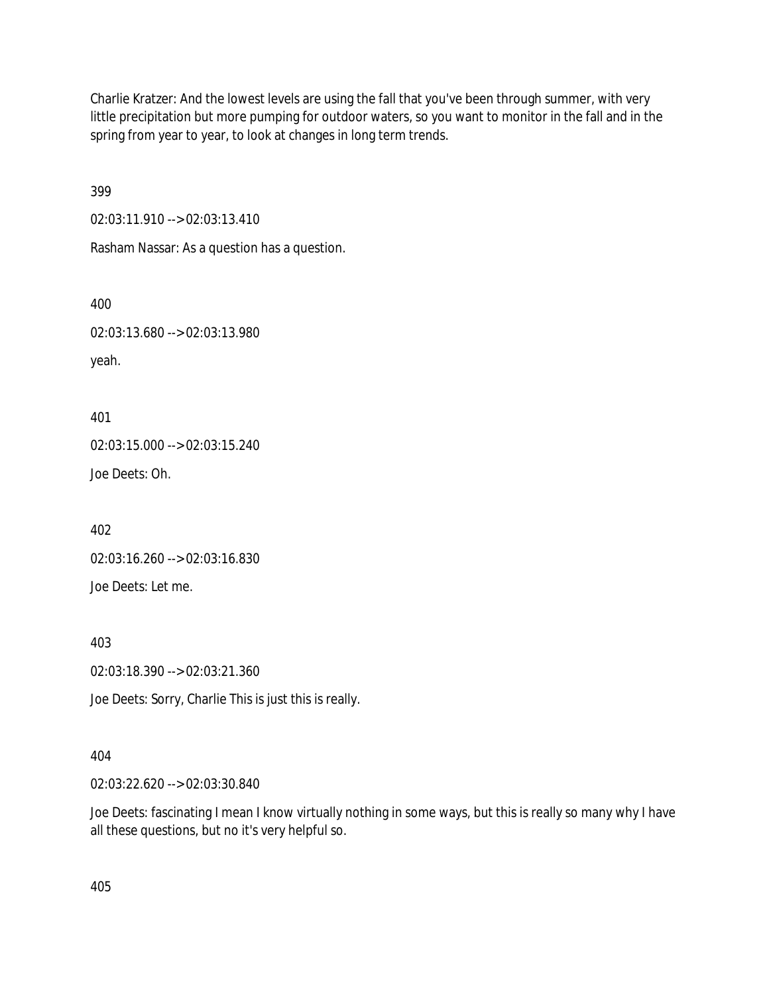Charlie Kratzer: And the lowest levels are using the fall that you've been through summer, with very little precipitation but more pumping for outdoor waters, so you want to monitor in the fall and in the spring from year to year, to look at changes in long term trends.

399

02:03:11.910 --> 02:03:13.410

Rasham Nassar: As a question has a question.

400

02:03:13.680 --> 02:03:13.980

yeah.

401 02:03:15.000 --> 02:03:15.240 Joe Deets: Oh.

402

02:03:16.260 --> 02:03:16.830

Joe Deets: Let me.

403

02:03:18.390 --> 02:03:21.360

Joe Deets: Sorry, Charlie This is just this is really.

### 404

02:03:22.620 --> 02:03:30.840

Joe Deets: fascinating I mean I know virtually nothing in some ways, but this is really so many why I have all these questions, but no it's very helpful so.

405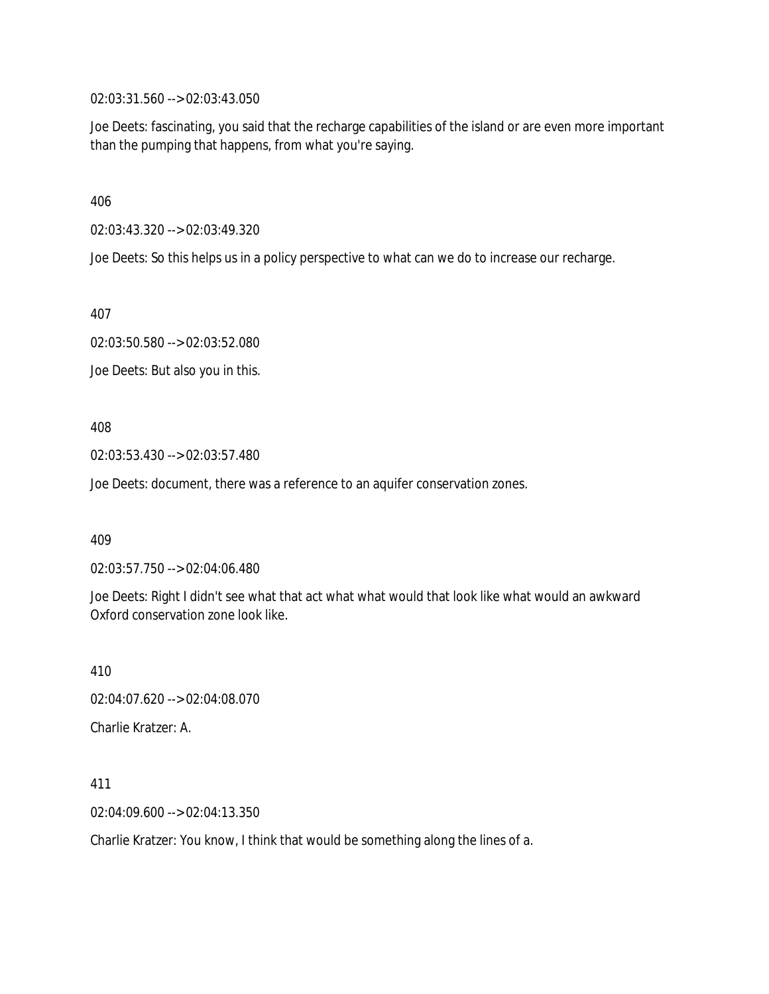02:03:31.560 --> 02:03:43.050

Joe Deets: fascinating, you said that the recharge capabilities of the island or are even more important than the pumping that happens, from what you're saying.

406

02:03:43.320 --> 02:03:49.320

Joe Deets: So this helps us in a policy perspective to what can we do to increase our recharge.

407

02:03:50.580 --> 02:03:52.080

Joe Deets: But also you in this.

408

02:03:53.430 --> 02:03:57.480

Joe Deets: document, there was a reference to an aquifer conservation zones.

409

02:03:57.750 --> 02:04:06.480

Joe Deets: Right I didn't see what that act what what would that look like what would an awkward Oxford conservation zone look like.

410

02:04:07.620 --> 02:04:08.070

Charlie Kratzer: A.

411

02:04:09.600 --> 02:04:13.350

Charlie Kratzer: You know, I think that would be something along the lines of a.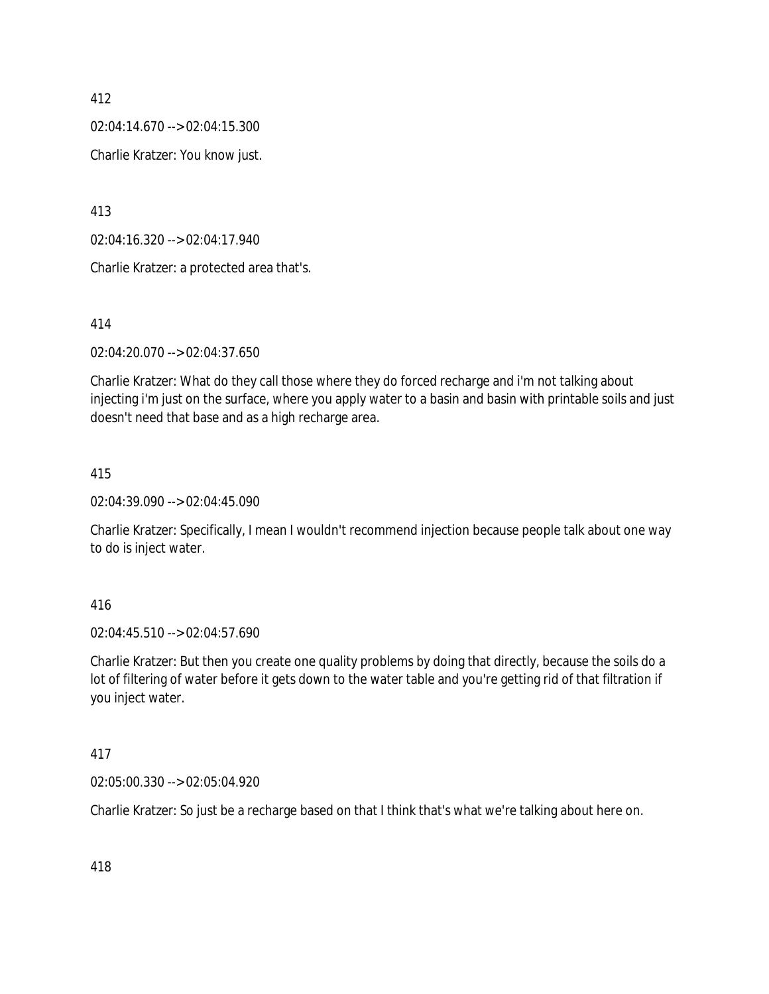02:04:14.670 --> 02:04:15.300

Charlie Kratzer: You know just.

413

02:04:16.320 --> 02:04:17.940

Charlie Kratzer: a protected area that's.

414

02:04:20.070 --> 02:04:37.650

Charlie Kratzer: What do they call those where they do forced recharge and i'm not talking about injecting i'm just on the surface, where you apply water to a basin and basin with printable soils and just doesn't need that base and as a high recharge area.

#### 415

02:04:39.090 --> 02:04:45.090

Charlie Kratzer: Specifically, I mean I wouldn't recommend injection because people talk about one way to do is inject water.

### 416

02:04:45.510 --> 02:04:57.690

Charlie Kratzer: But then you create one quality problems by doing that directly, because the soils do a lot of filtering of water before it gets down to the water table and you're getting rid of that filtration if you inject water.

#### 417

02:05:00.330 --> 02:05:04.920

Charlie Kratzer: So just be a recharge based on that I think that's what we're talking about here on.

418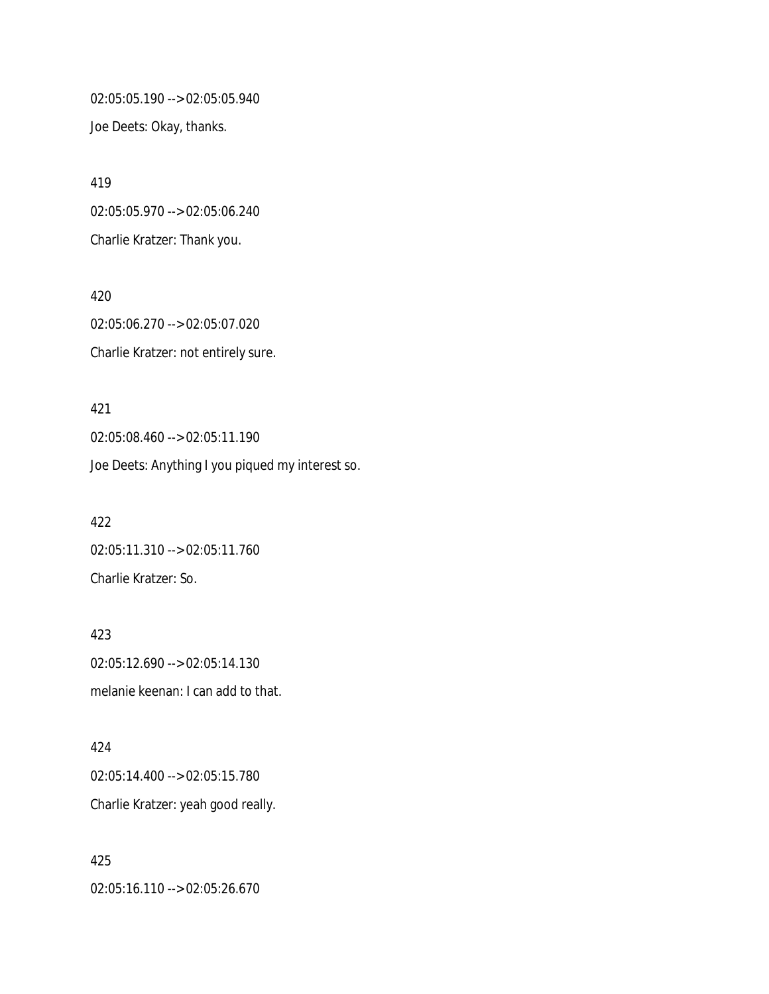02:05:05.190 --> 02:05:05.940 Joe Deets: Okay, thanks.

419 02:05:05.970 --> 02:05:06.240 Charlie Kratzer: Thank you.

420 02:05:06.270 --> 02:05:07.020 Charlie Kratzer: not entirely sure.

421 02:05:08.460 --> 02:05:11.190 Joe Deets: Anything I you piqued my interest so.

422 02:05:11.310 --> 02:05:11.760 Charlie Kratzer: So.

423 02:05:12.690 --> 02:05:14.130 melanie keenan: I can add to that.

424 02:05:14.400 --> 02:05:15.780 Charlie Kratzer: yeah good really.

425 02:05:16.110 --> 02:05:26.670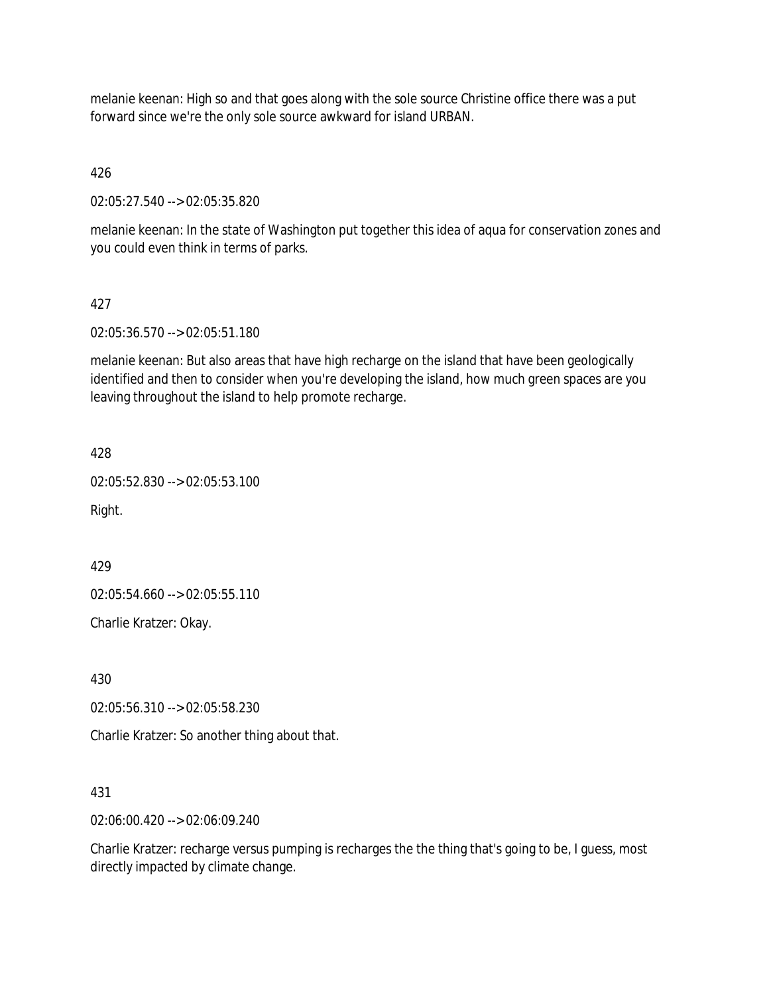melanie keenan: High so and that goes along with the sole source Christine office there was a put forward since we're the only sole source awkward for island URBAN.

## 426

02:05:27.540 --> 02:05:35.820

melanie keenan: In the state of Washington put together this idea of aqua for conservation zones and you could even think in terms of parks.

### 427

02:05:36.570 --> 02:05:51.180

melanie keenan: But also areas that have high recharge on the island that have been geologically identified and then to consider when you're developing the island, how much green spaces are you leaving throughout the island to help promote recharge.

428

02:05:52.830 --> 02:05:53.100

Right.

429

02:05:54.660 --> 02:05:55.110

Charlie Kratzer: Okay.

430

02:05:56.310 --> 02:05:58.230

Charlie Kratzer: So another thing about that.

431

02:06:00.420 --> 02:06:09.240

Charlie Kratzer: recharge versus pumping is recharges the the thing that's going to be, I guess, most directly impacted by climate change.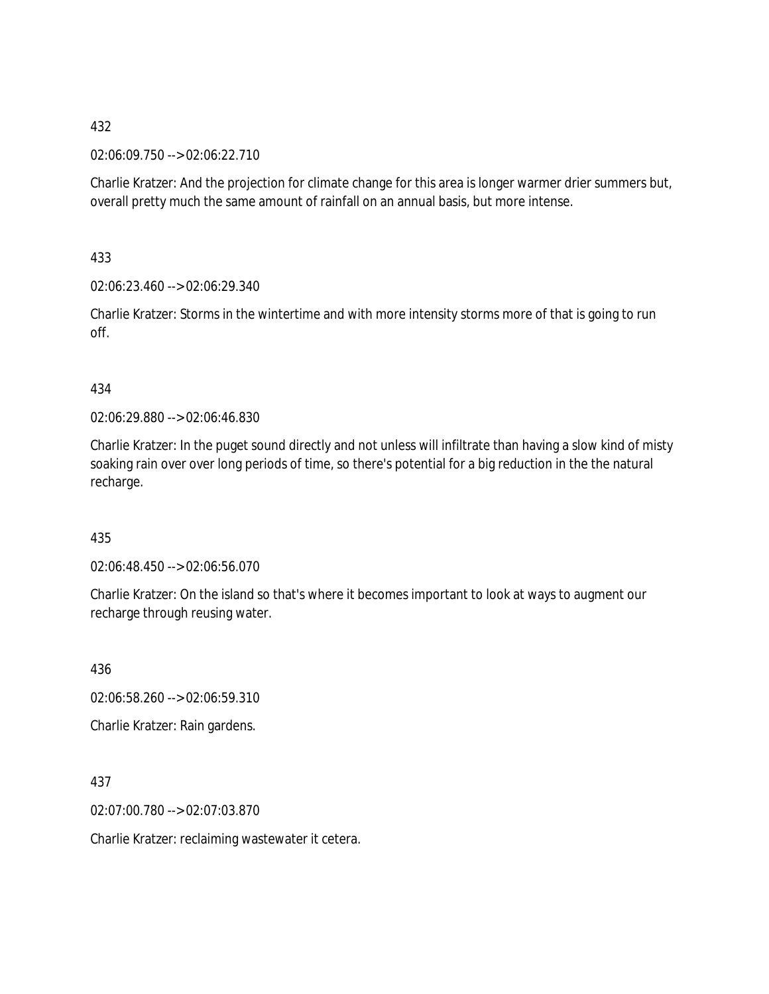02:06:09.750 --> 02:06:22.710

Charlie Kratzer: And the projection for climate change for this area is longer warmer drier summers but, overall pretty much the same amount of rainfall on an annual basis, but more intense.

433

02:06:23.460 --> 02:06:29.340

Charlie Kratzer: Storms in the wintertime and with more intensity storms more of that is going to run off.

434

02:06:29.880 --> 02:06:46.830

Charlie Kratzer: In the puget sound directly and not unless will infiltrate than having a slow kind of misty soaking rain over over long periods of time, so there's potential for a big reduction in the the natural recharge.

435

02:06:48.450 --> 02:06:56.070

Charlie Kratzer: On the island so that's where it becomes important to look at ways to augment our recharge through reusing water.

436 02:06:58.260 --> 02:06:59.310

Charlie Kratzer: Rain gardens.

437

02:07:00.780 --> 02:07:03.870

Charlie Kratzer: reclaiming wastewater it cetera.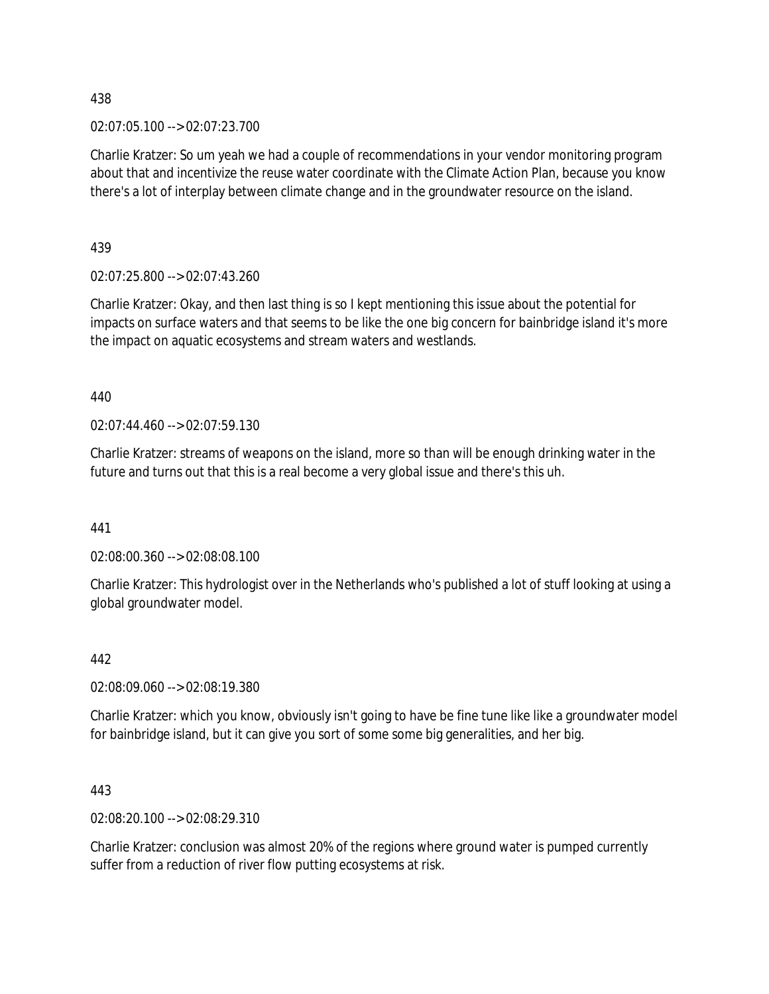02:07:05.100 --> 02:07:23.700

Charlie Kratzer: So um yeah we had a couple of recommendations in your vendor monitoring program about that and incentivize the reuse water coordinate with the Climate Action Plan, because you know there's a lot of interplay between climate change and in the groundwater resource on the island.

439

02:07:25.800 --> 02:07:43.260

Charlie Kratzer: Okay, and then last thing is so I kept mentioning this issue about the potential for impacts on surface waters and that seems to be like the one big concern for bainbridge island it's more the impact on aquatic ecosystems and stream waters and westlands.

440

02:07:44.460 --> 02:07:59.130

Charlie Kratzer: streams of weapons on the island, more so than will be enough drinking water in the future and turns out that this is a real become a very global issue and there's this uh.

441

02:08:00.360 --> 02:08:08.100

Charlie Kratzer: This hydrologist over in the Netherlands who's published a lot of stuff looking at using a global groundwater model.

### 442

02:08:09.060 --> 02:08:19.380

Charlie Kratzer: which you know, obviously isn't going to have be fine tune like like a groundwater model for bainbridge island, but it can give you sort of some some big generalities, and her big.

443

02:08:20.100 --> 02:08:29.310

Charlie Kratzer: conclusion was almost 20% of the regions where ground water is pumped currently suffer from a reduction of river flow putting ecosystems at risk.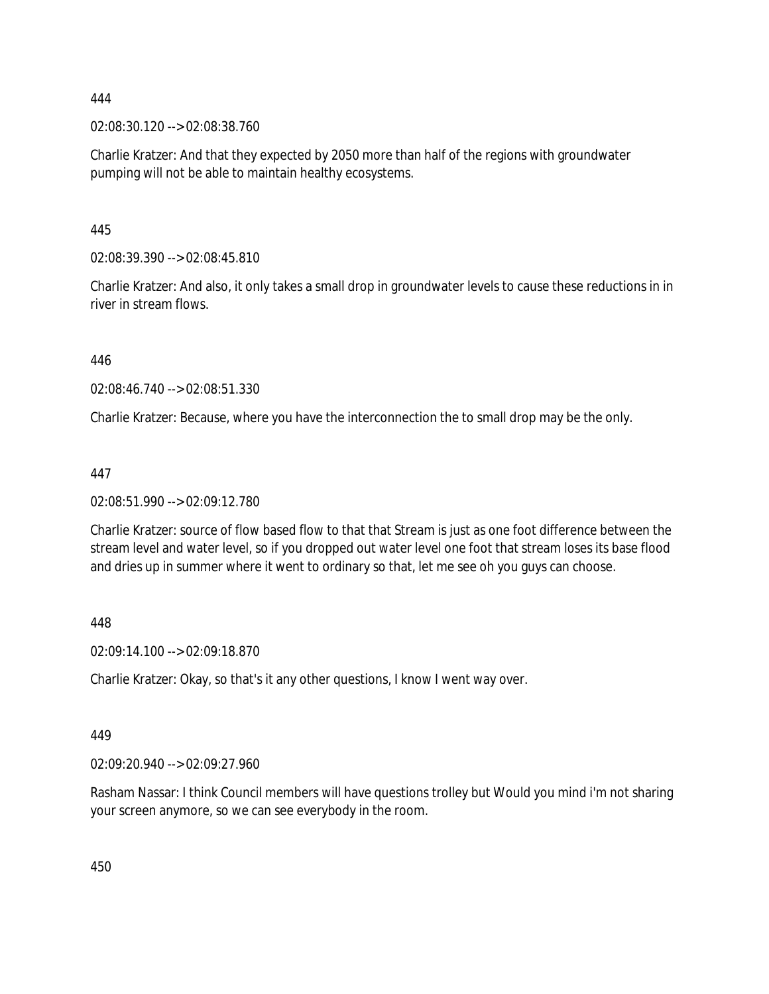02:08:30.120 --> 02:08:38.760

Charlie Kratzer: And that they expected by 2050 more than half of the regions with groundwater pumping will not be able to maintain healthy ecosystems.

445

02:08:39.390 --> 02:08:45.810

Charlie Kratzer: And also, it only takes a small drop in groundwater levels to cause these reductions in in river in stream flows.

446

02:08:46.740 --> 02:08:51.330

Charlie Kratzer: Because, where you have the interconnection the to small drop may be the only.

447

02:08:51.990 --> 02:09:12.780

Charlie Kratzer: source of flow based flow to that that Stream is just as one foot difference between the stream level and water level, so if you dropped out water level one foot that stream loses its base flood and dries up in summer where it went to ordinary so that, let me see oh you guys can choose.

448

02:09:14.100 --> 02:09:18.870

Charlie Kratzer: Okay, so that's it any other questions, I know I went way over.

449

02:09:20.940 --> 02:09:27.960

Rasham Nassar: I think Council members will have questions trolley but Would you mind i'm not sharing your screen anymore, so we can see everybody in the room.

450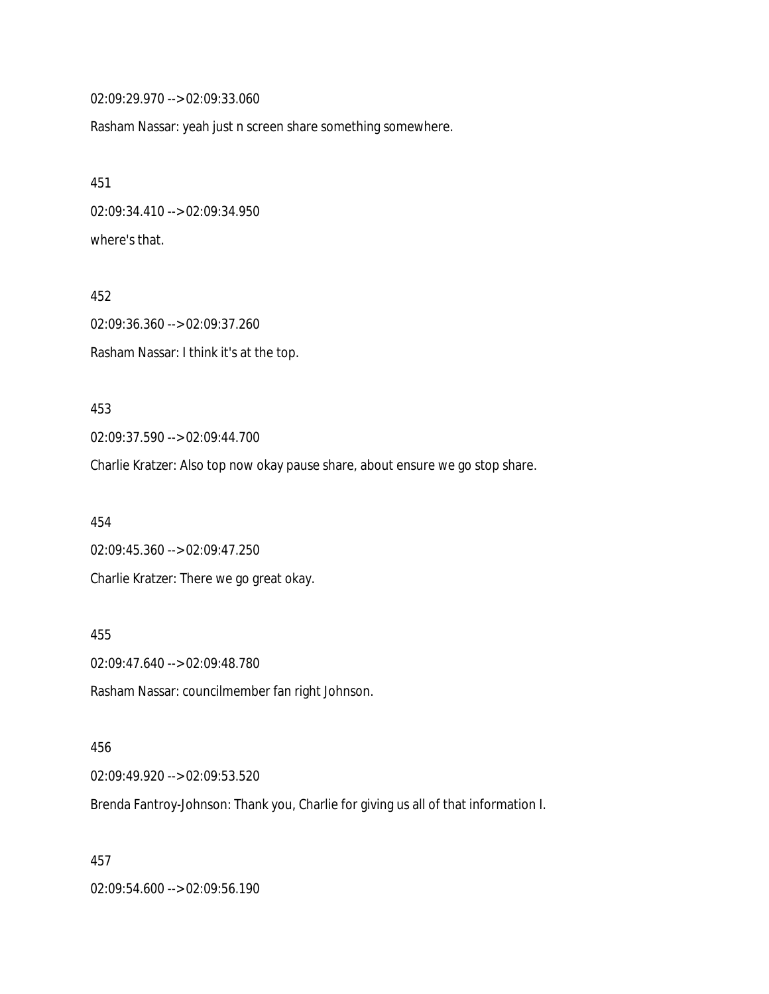02:09:29.970 --> 02:09:33.060

Rasham Nassar: yeah just n screen share something somewhere.

451 02:09:34.410 --> 02:09:34.950 where's that.

452 02:09:36.360 --> 02:09:37.260 Rasham Nassar: I think it's at the top.

453 02:09:37.590 --> 02:09:44.700

Charlie Kratzer: Also top now okay pause share, about ensure we go stop share.

454 02:09:45.360 --> 02:09:47.250 Charlie Kratzer: There we go great okay.

02:09:47.640 --> 02:09:48.780

Rasham Nassar: councilmember fan right Johnson.

456 02:09:49.920 --> 02:09:53.520

Brenda Fantroy-Johnson: Thank you, Charlie for giving us all of that information I.

457

455

02:09:54.600 --> 02:09:56.190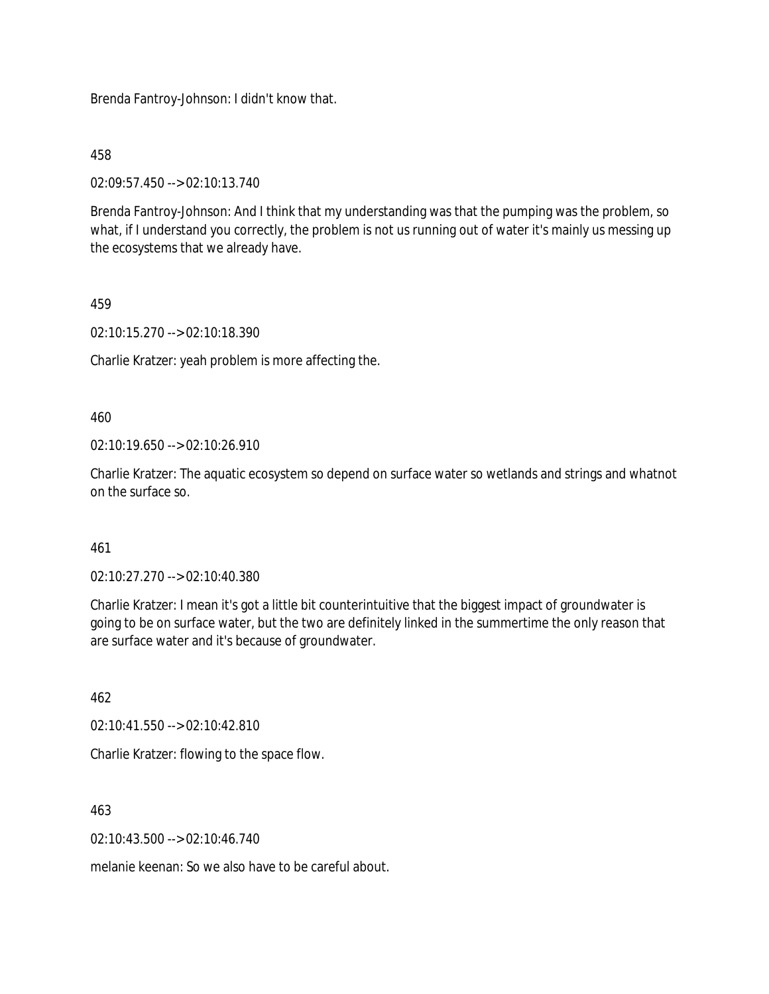Brenda Fantroy-Johnson: I didn't know that.

458

02:09:57.450 --> 02:10:13.740

Brenda Fantroy-Johnson: And I think that my understanding was that the pumping was the problem, so what, if I understand you correctly, the problem is not us running out of water it's mainly us messing up the ecosystems that we already have.

## 459

02:10:15.270 --> 02:10:18.390

Charlie Kratzer: yeah problem is more affecting the.

460

02:10:19.650 --> 02:10:26.910

Charlie Kratzer: The aquatic ecosystem so depend on surface water so wetlands and strings and whatnot on the surface so.

### 461

02:10:27.270 --> 02:10:40.380

Charlie Kratzer: I mean it's got a little bit counterintuitive that the biggest impact of groundwater is going to be on surface water, but the two are definitely linked in the summertime the only reason that are surface water and it's because of groundwater.

462

02:10:41.550 --> 02:10:42.810

Charlie Kratzer: flowing to the space flow.

463

 $02:10:43.500 \rightarrow 02:10:46.740$ 

melanie keenan: So we also have to be careful about.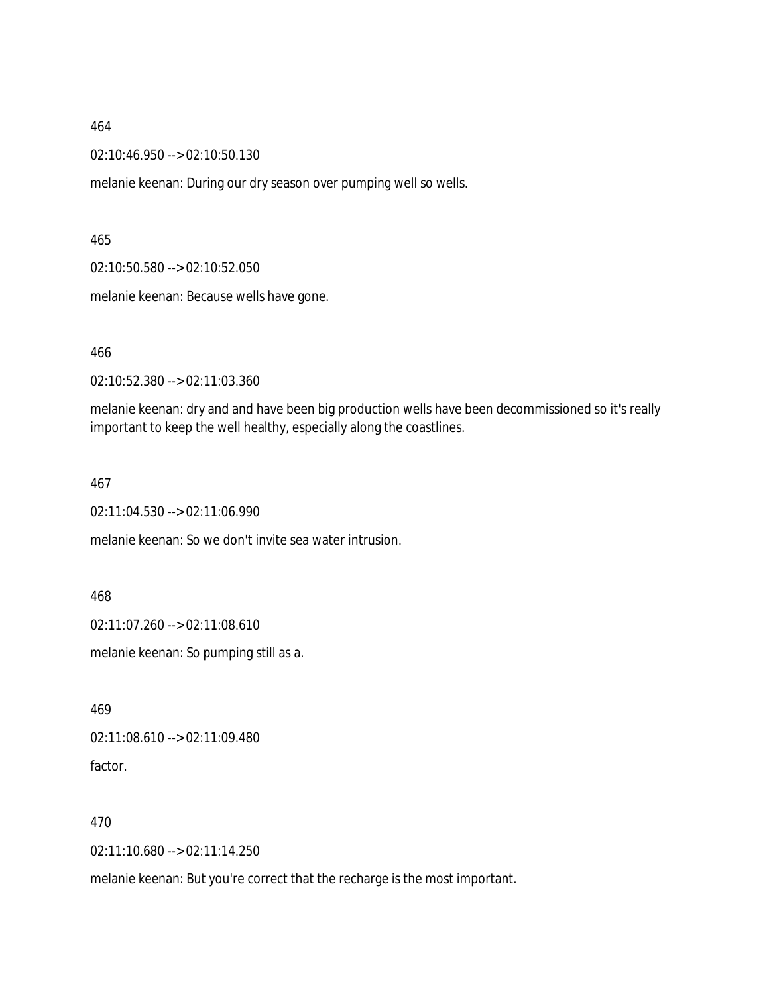02:10:46.950 --> 02:10:50.130

melanie keenan: During our dry season over pumping well so wells.

#### 465

02:10:50.580 --> 02:10:52.050

melanie keenan: Because wells have gone.

#### 466

02:10:52.380 --> 02:11:03.360

melanie keenan: dry and and have been big production wells have been decommissioned so it's really important to keep the well healthy, especially along the coastlines.

#### 467

02:11:04.530 --> 02:11:06.990

melanie keenan: So we don't invite sea water intrusion.

#### 468

02:11:07.260 --> 02:11:08.610

melanie keenan: So pumping still as a.

469

02:11:08.610 --> 02:11:09.480 factor.

#### 470

02:11:10.680 --> 02:11:14.250

melanie keenan: But you're correct that the recharge is the most important.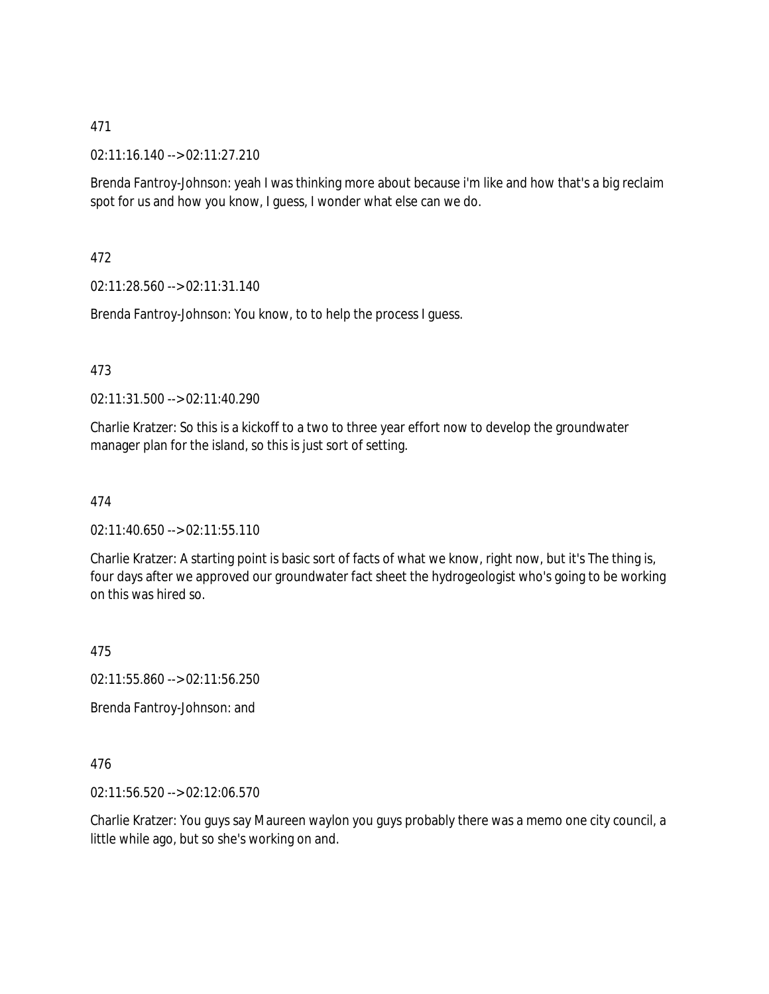02:11:16.140 --> 02:11:27.210

Brenda Fantroy-Johnson: yeah I was thinking more about because i'm like and how that's a big reclaim spot for us and how you know, I guess, I wonder what else can we do.

472

02:11:28.560 --> 02:11:31.140

Brenda Fantroy-Johnson: You know, to to help the process I guess.

473

02:11:31.500 --> 02:11:40.290

Charlie Kratzer: So this is a kickoff to a two to three year effort now to develop the groundwater manager plan for the island, so this is just sort of setting.

474

02:11:40.650 --> 02:11:55.110

Charlie Kratzer: A starting point is basic sort of facts of what we know, right now, but it's The thing is, four days after we approved our groundwater fact sheet the hydrogeologist who's going to be working on this was hired so.

475

02:11:55.860 --> 02:11:56.250

Brenda Fantroy-Johnson: and

476

02:11:56.520 --> 02:12:06.570

Charlie Kratzer: You guys say Maureen waylon you guys probably there was a memo one city council, a little while ago, but so she's working on and.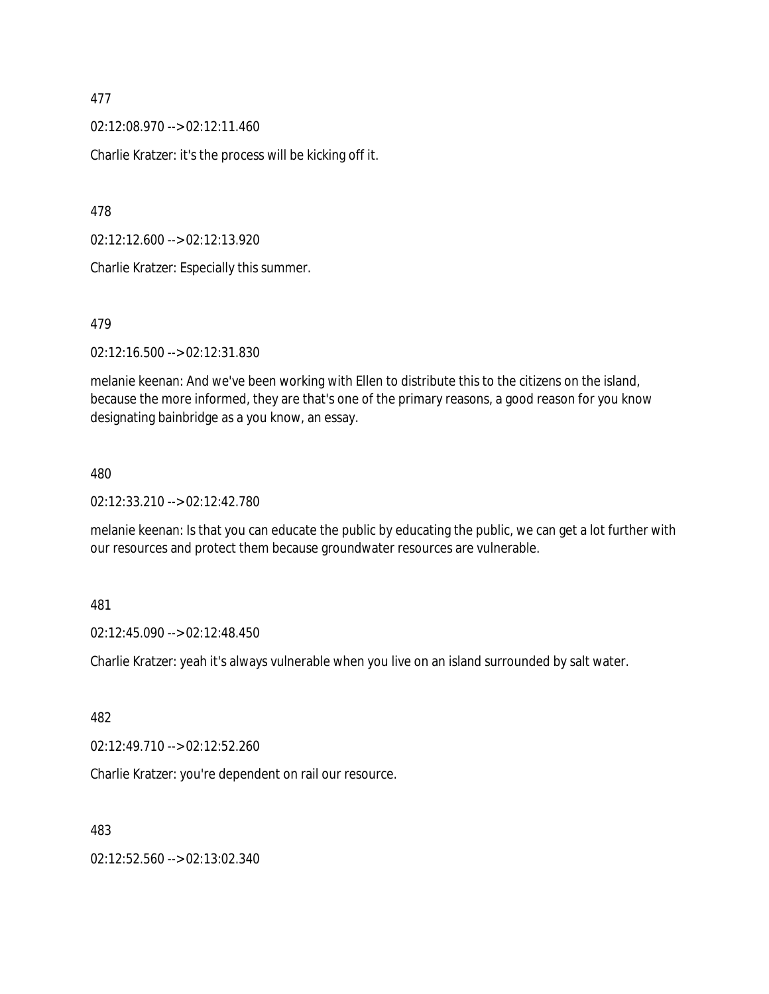02:12:08.970 --> 02:12:11.460

Charlie Kratzer: it's the process will be kicking off it.

478

02:12:12.600 --> 02:12:13.920

Charlie Kratzer: Especially this summer.

#### 479

02:12:16.500 --> 02:12:31.830

melanie keenan: And we've been working with Ellen to distribute this to the citizens on the island, because the more informed, they are that's one of the primary reasons, a good reason for you know designating bainbridge as a you know, an essay.

#### 480

02:12:33.210 --> 02:12:42.780

melanie keenan: Is that you can educate the public by educating the public, we can get a lot further with our resources and protect them because groundwater resources are vulnerable.

#### 481

02:12:45.090 --> 02:12:48.450

Charlie Kratzer: yeah it's always vulnerable when you live on an island surrounded by salt water.

### 482

02:12:49.710 --> 02:12:52.260

Charlie Kratzer: you're dependent on rail our resource.

#### 483

02:12:52.560 --> 02:13:02.340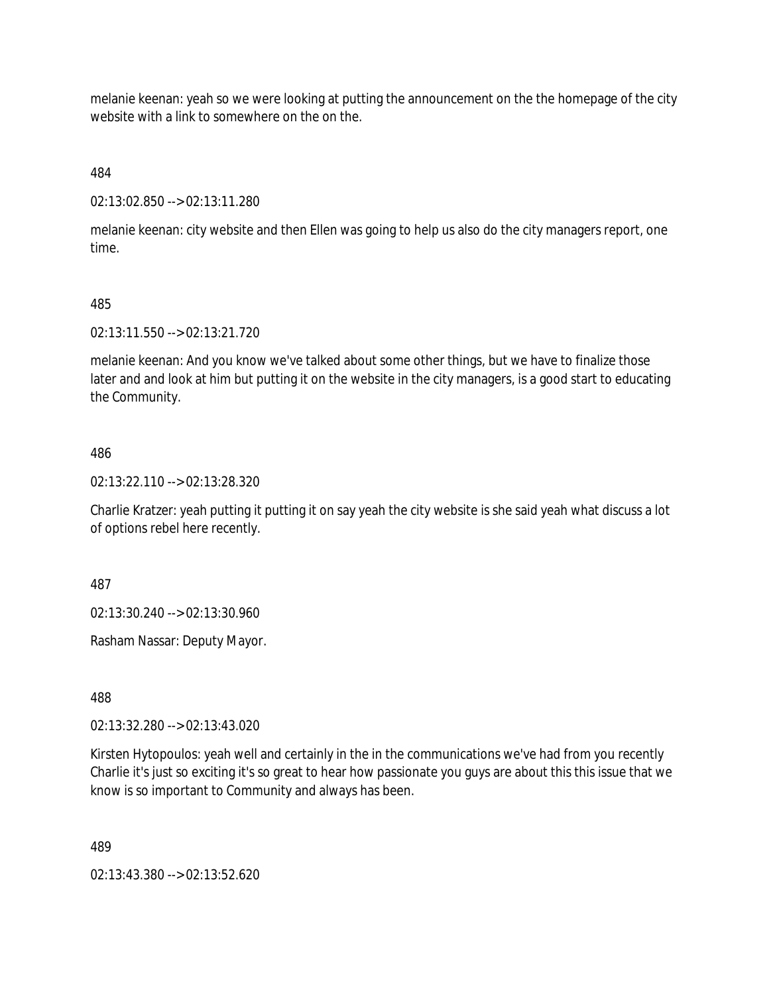melanie keenan: yeah so we were looking at putting the announcement on the the homepage of the city website with a link to somewhere on the on the.

484

02:13:02.850 --> 02:13:11.280

melanie keenan: city website and then Ellen was going to help us also do the city managers report, one time.

#### 485

02:13:11.550 --> 02:13:21.720

melanie keenan: And you know we've talked about some other things, but we have to finalize those later and and look at him but putting it on the website in the city managers, is a good start to educating the Community.

#### 486

02:13:22.110 --> 02:13:28.320

Charlie Kratzer: yeah putting it putting it on say yeah the city website is she said yeah what discuss a lot of options rebel here recently.

487

02:13:30.240 --> 02:13:30.960

Rasham Nassar: Deputy Mayor.

488

02:13:32.280 --> 02:13:43.020

Kirsten Hytopoulos: yeah well and certainly in the in the communications we've had from you recently Charlie it's just so exciting it's so great to hear how passionate you guys are about this this issue that we know is so important to Community and always has been.

489

02:13:43.380 --> 02:13:52.620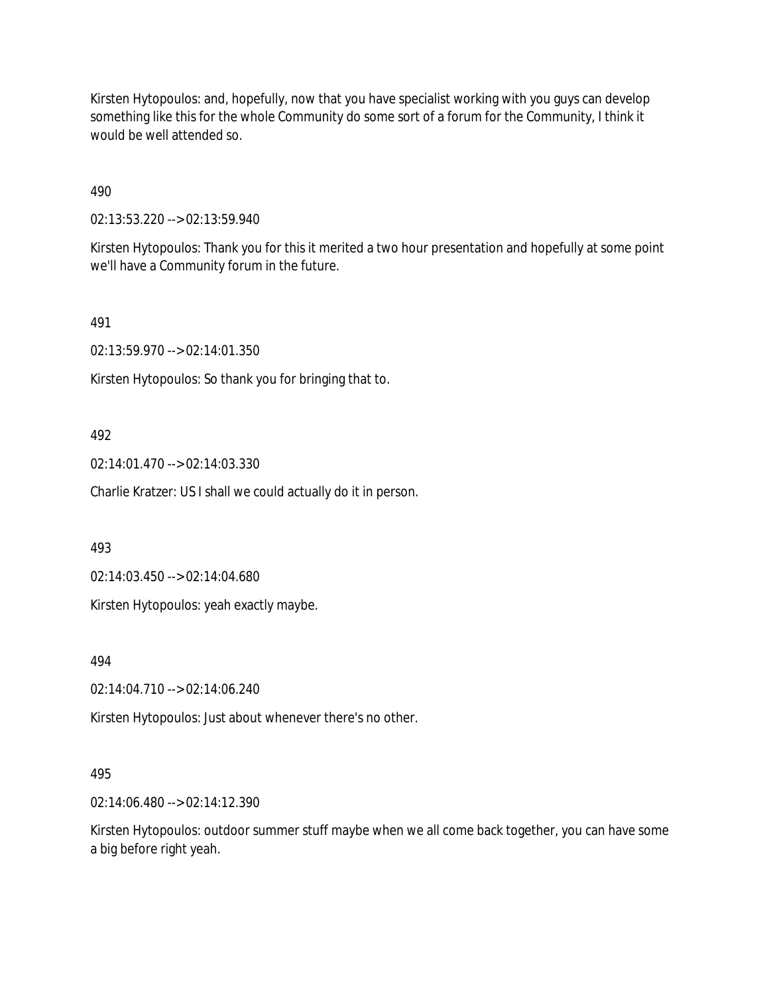Kirsten Hytopoulos: and, hopefully, now that you have specialist working with you guys can develop something like this for the whole Community do some sort of a forum for the Community, I think it would be well attended so.

490

02:13:53.220 --> 02:13:59.940

Kirsten Hytopoulos: Thank you for this it merited a two hour presentation and hopefully at some point we'll have a Community forum in the future.

491

02:13:59.970 --> 02:14:01.350

Kirsten Hytopoulos: So thank you for bringing that to.

### 492

02:14:01.470 --> 02:14:03.330

Charlie Kratzer: US I shall we could actually do it in person.

493

02:14:03.450 --> 02:14:04.680

Kirsten Hytopoulos: yeah exactly maybe.

494

02:14:04.710 --> 02:14:06.240

Kirsten Hytopoulos: Just about whenever there's no other.

### 495

02:14:06.480 --> 02:14:12.390

Kirsten Hytopoulos: outdoor summer stuff maybe when we all come back together, you can have some a big before right yeah.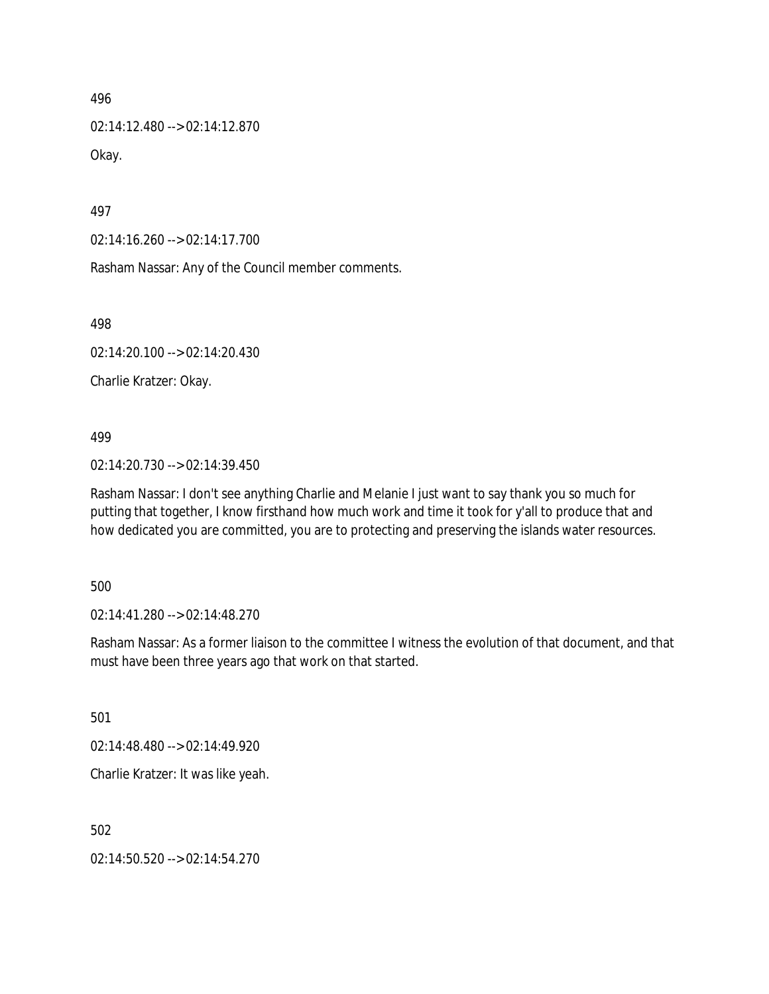02:14:12.480 --> 02:14:12.870 Okay.

497

02:14:16.260 --> 02:14:17.700

Rasham Nassar: Any of the Council member comments.

498

02:14:20.100 --> 02:14:20.430

Charlie Kratzer: Okay.

499

02:14:20.730 --> 02:14:39.450

Rasham Nassar: I don't see anything Charlie and Melanie I just want to say thank you so much for putting that together, I know firsthand how much work and time it took for y'all to produce that and how dedicated you are committed, you are to protecting and preserving the islands water resources.

500

02:14:41.280 --> 02:14:48.270

Rasham Nassar: As a former liaison to the committee I witness the evolution of that document, and that must have been three years ago that work on that started.

501

02:14:48.480 --> 02:14:49.920

Charlie Kratzer: It was like yeah.

502

02:14:50.520 --> 02:14:54.270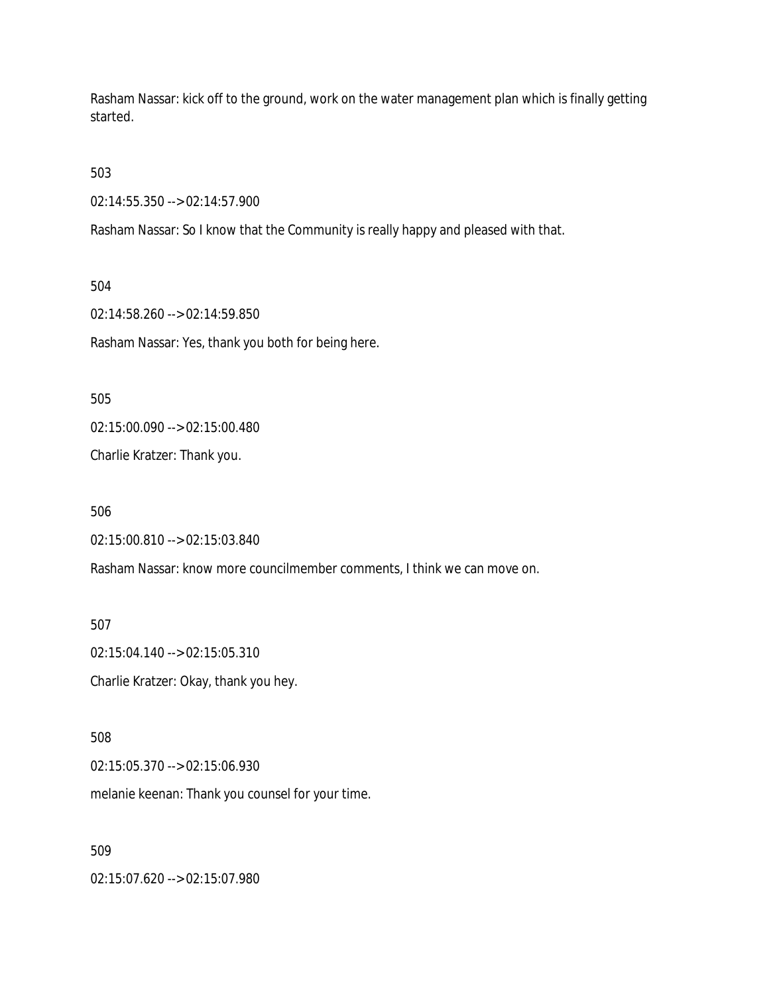Rasham Nassar: kick off to the ground, work on the water management plan which is finally getting started.

503

02:14:55.350 --> 02:14:57.900

Rasham Nassar: So I know that the Community is really happy and pleased with that.

504

02:14:58.260 --> 02:14:59.850

Rasham Nassar: Yes, thank you both for being here.

505

02:15:00.090 --> 02:15:00.480

Charlie Kratzer: Thank you.

506

02:15:00.810 --> 02:15:03.840

Rasham Nassar: know more councilmember comments, I think we can move on.

507

02:15:04.140 --> 02:15:05.310 Charlie Kratzer: Okay, thank you hey.

508

02:15:05.370 --> 02:15:06.930

melanie keenan: Thank you counsel for your time.

509

02:15:07.620 --> 02:15:07.980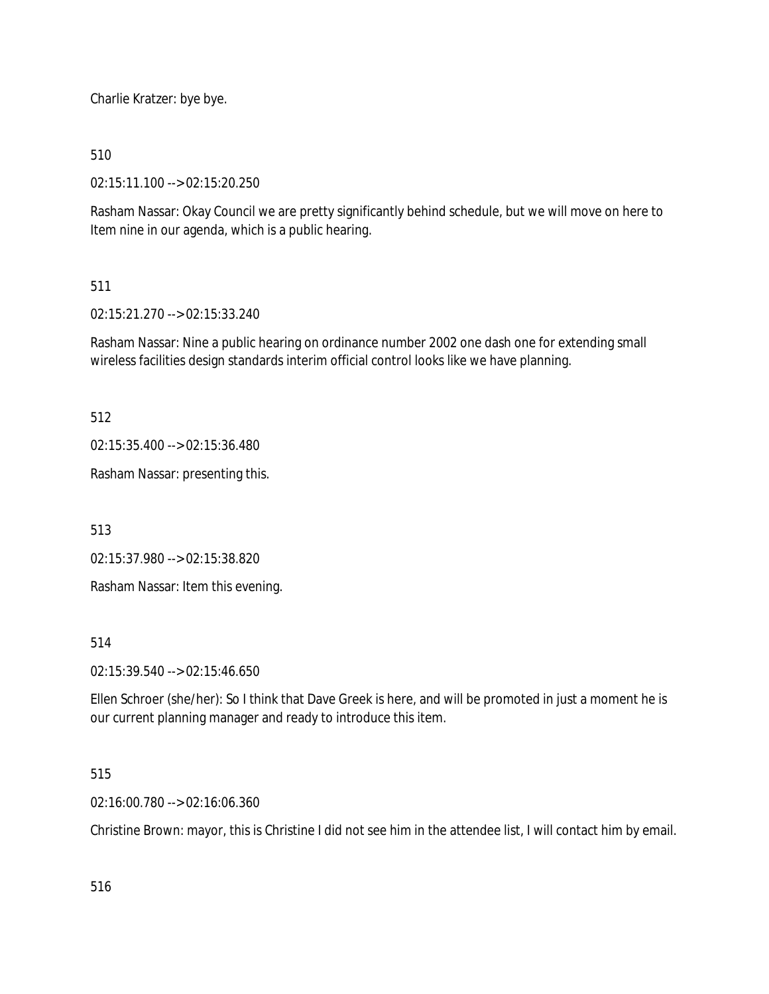Charlie Kratzer: bye bye.

510

02:15:11.100 --> 02:15:20.250

Rasham Nassar: Okay Council we are pretty significantly behind schedule, but we will move on here to Item nine in our agenda, which is a public hearing.

### 511

02:15:21.270 --> 02:15:33.240

Rasham Nassar: Nine a public hearing on ordinance number 2002 one dash one for extending small wireless facilities design standards interim official control looks like we have planning.

512

02:15:35.400 --> 02:15:36.480

Rasham Nassar: presenting this.

513

02:15:37.980 --> 02:15:38.820

Rasham Nassar: Item this evening.

514

02:15:39.540 --> 02:15:46.650

Ellen Schroer (she/her): So I think that Dave Greek is here, and will be promoted in just a moment he is our current planning manager and ready to introduce this item.

### 515

02:16:00.780 --> 02:16:06.360

Christine Brown: mayor, this is Christine I did not see him in the attendee list, I will contact him by email.

516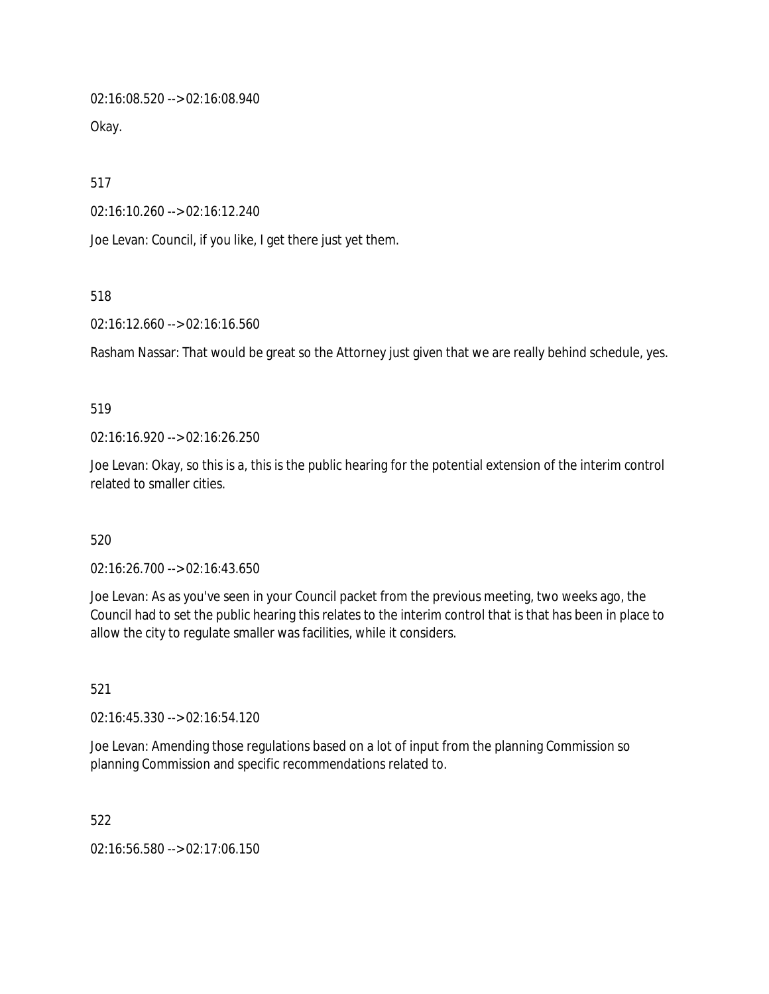02:16:08.520 --> 02:16:08.940

Okay.

517

02:16:10.260 --> 02:16:12.240

Joe Levan: Council, if you like, I get there just yet them.

518

02:16:12.660 --> 02:16:16.560

Rasham Nassar: That would be great so the Attorney just given that we are really behind schedule, yes.

#### 519

02:16:16.920 --> 02:16:26.250

Joe Levan: Okay, so this is a, this is the public hearing for the potential extension of the interim control related to smaller cities.

### 520

02:16:26.700 --> 02:16:43.650

Joe Levan: As as you've seen in your Council packet from the previous meeting, two weeks ago, the Council had to set the public hearing this relates to the interim control that is that has been in place to allow the city to regulate smaller was facilities, while it considers.

521

02:16:45.330 --> 02:16:54.120

Joe Levan: Amending those regulations based on a lot of input from the planning Commission so planning Commission and specific recommendations related to.

522

02:16:56.580 --> 02:17:06.150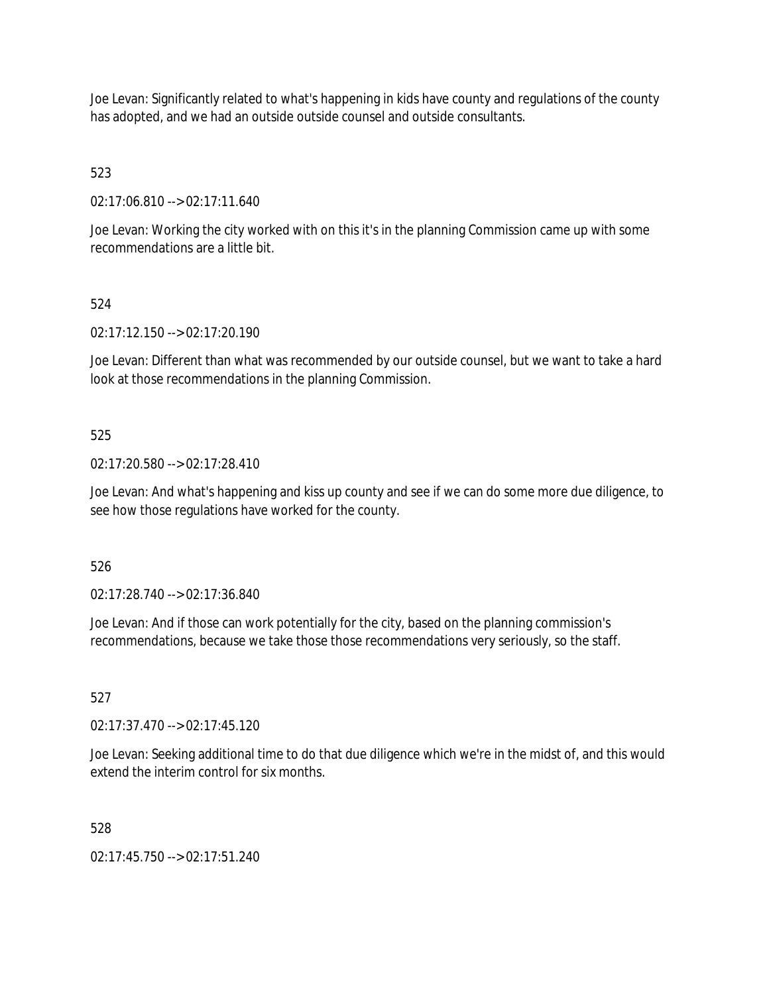Joe Levan: Significantly related to what's happening in kids have county and regulations of the county has adopted, and we had an outside outside counsel and outside consultants.

# 523

02:17:06.810 --> 02:17:11.640

Joe Levan: Working the city worked with on this it's in the planning Commission came up with some recommendations are a little bit.

# 524

02:17:12.150 --> 02:17:20.190

Joe Levan: Different than what was recommended by our outside counsel, but we want to take a hard look at those recommendations in the planning Commission.

## 525

02:17:20.580 --> 02:17:28.410

Joe Levan: And what's happening and kiss up county and see if we can do some more due diligence, to see how those regulations have worked for the county.

## 526

02:17:28.740 --> 02:17:36.840

Joe Levan: And if those can work potentially for the city, based on the planning commission's recommendations, because we take those those recommendations very seriously, so the staff.

## 527

02:17:37.470 --> 02:17:45.120

Joe Levan: Seeking additional time to do that due diligence which we're in the midst of, and this would extend the interim control for six months.

## 528

02:17:45.750 --> 02:17:51.240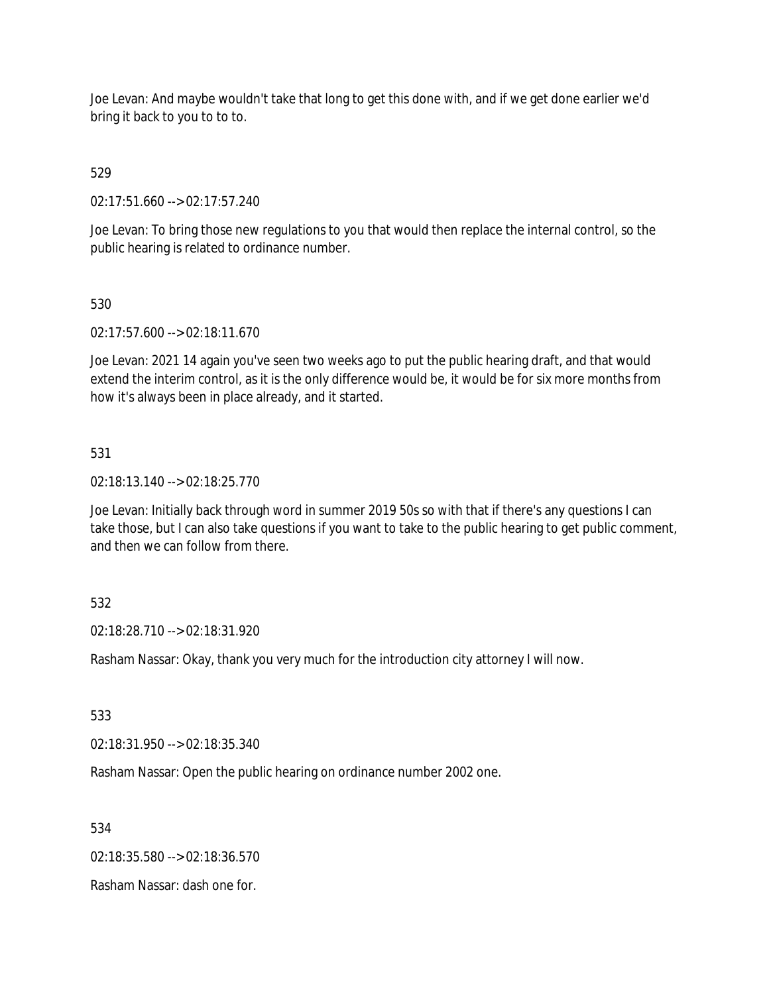Joe Levan: And maybe wouldn't take that long to get this done with, and if we get done earlier we'd bring it back to you to to to.

# 529

02:17:51.660 --> 02:17:57.240

Joe Levan: To bring those new regulations to you that would then replace the internal control, so the public hearing is related to ordinance number.

## 530

02:17:57.600 --> 02:18:11.670

Joe Levan: 2021 14 again you've seen two weeks ago to put the public hearing draft, and that would extend the interim control, as it is the only difference would be, it would be for six more months from how it's always been in place already, and it started.

## 531

02:18:13.140 --> 02:18:25.770

Joe Levan: Initially back through word in summer 2019 50s so with that if there's any questions I can take those, but I can also take questions if you want to take to the public hearing to get public comment, and then we can follow from there.

## 532

02:18:28.710 --> 02:18:31.920

Rasham Nassar: Okay, thank you very much for the introduction city attorney I will now.

## 533

02:18:31.950 --> 02:18:35.340

Rasham Nassar: Open the public hearing on ordinance number 2002 one.

534

02:18:35.580 --> 02:18:36.570

Rasham Nassar: dash one for.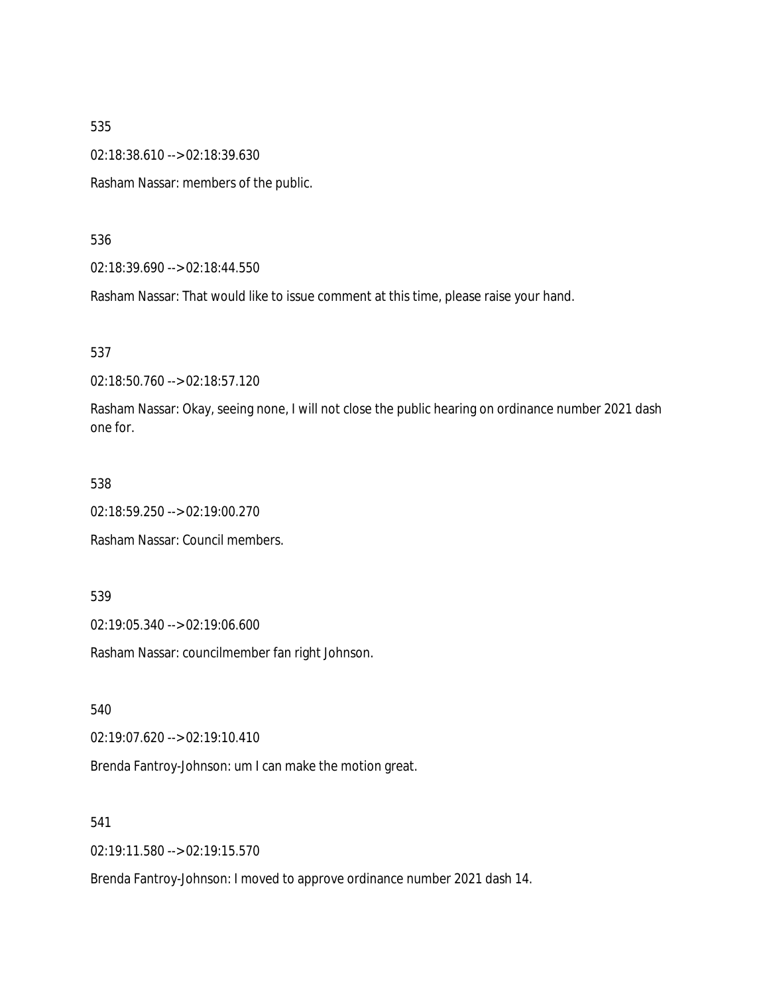02:18:38.610 --> 02:18:39.630

Rasham Nassar: members of the public.

536

02:18:39.690 --> 02:18:44.550

Rasham Nassar: That would like to issue comment at this time, please raise your hand.

537

02:18:50.760 --> 02:18:57.120

Rasham Nassar: Okay, seeing none, I will not close the public hearing on ordinance number 2021 dash one for.

538

02:18:59.250 --> 02:19:00.270

Rasham Nassar: Council members.

539

02:19:05.340 --> 02:19:06.600

Rasham Nassar: councilmember fan right Johnson.

540

02:19:07.620 --> 02:19:10.410

Brenda Fantroy-Johnson: um I can make the motion great.

541

02:19:11.580 --> 02:19:15.570

Brenda Fantroy-Johnson: I moved to approve ordinance number 2021 dash 14.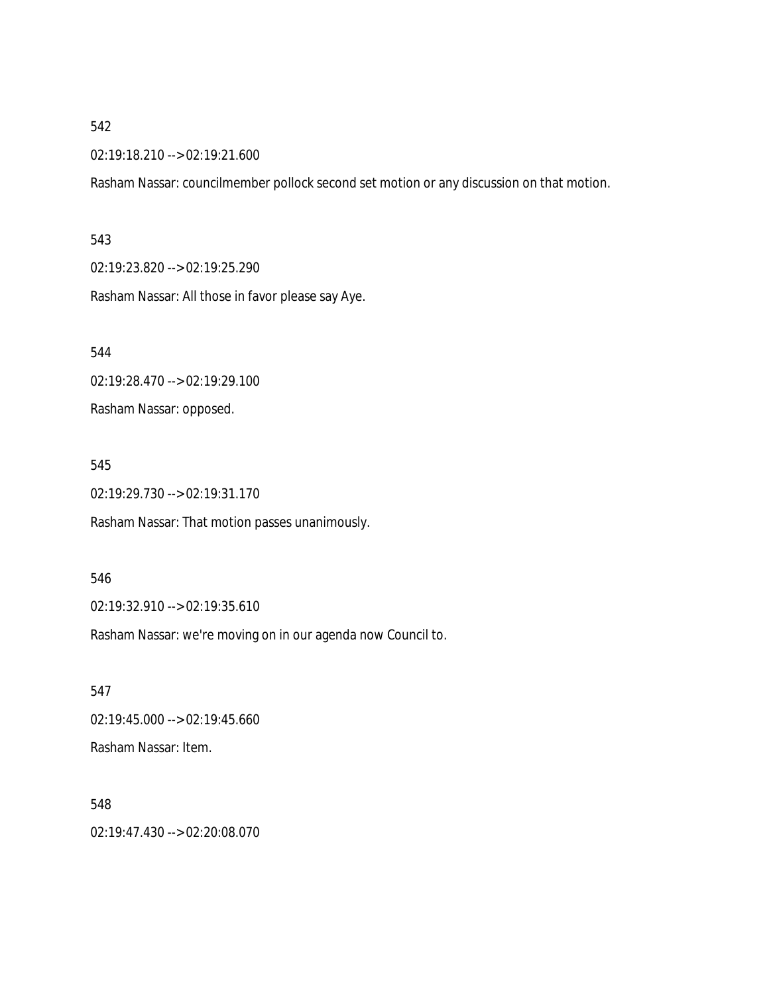02:19:18.210 --> 02:19:21.600

Rasham Nassar: councilmember pollock second set motion or any discussion on that motion.

#### 543

02:19:23.820 --> 02:19:25.290

Rasham Nassar: All those in favor please say Aye.

544

02:19:28.470 --> 02:19:29.100

Rasham Nassar: opposed.

#### 545

02:19:29.730 --> 02:19:31.170

Rasham Nassar: That motion passes unanimously.

546

02:19:32.910 --> 02:19:35.610

Rasham Nassar: we're moving on in our agenda now Council to.

547 02:19:45.000 --> 02:19:45.660 Rasham Nassar: Item.

548 02:19:47.430 --> 02:20:08.070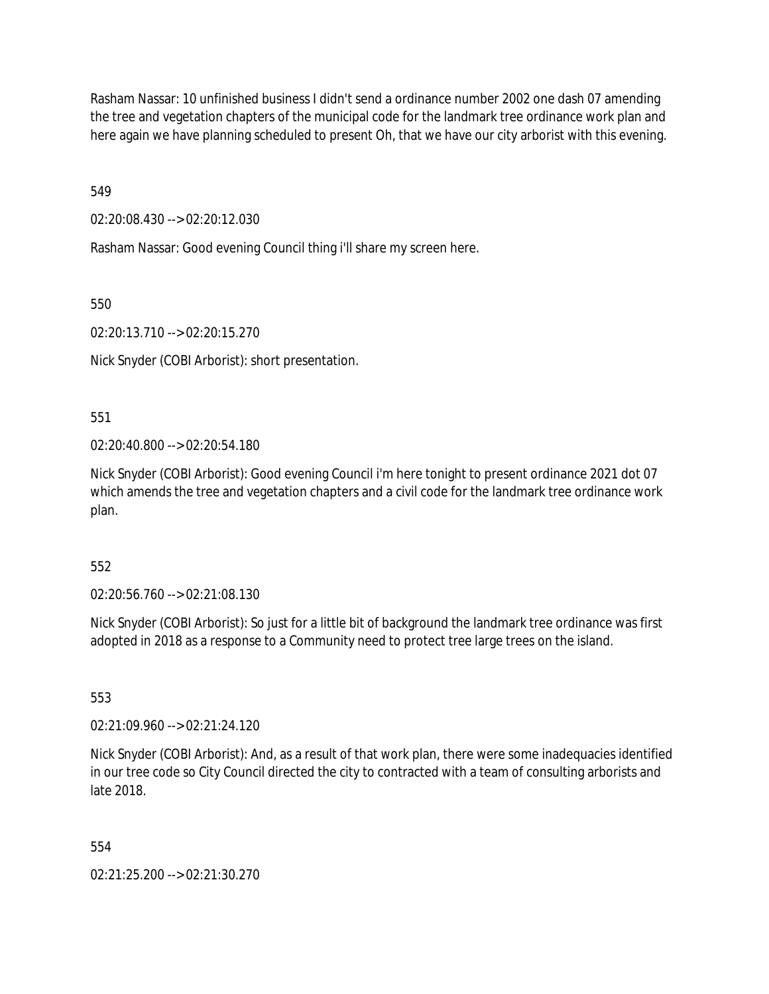Rasham Nassar: 10 unfinished business I didn't send a ordinance number 2002 one dash 07 amending the tree and vegetation chapters of the municipal code for the landmark tree ordinance work plan and here again we have planning scheduled to present Oh, that we have our city arborist with this evening.

549

02:20:08.430 --> 02:20:12.030

Rasham Nassar: Good evening Council thing i'll share my screen here.

550

02:20:13.710 --> 02:20:15.270

Nick Snyder (COBI Arborist): short presentation.

551

02:20:40.800 --> 02:20:54.180

Nick Snyder (COBI Arborist): Good evening Council i'm here tonight to present ordinance 2021 dot 07 which amends the tree and vegetation chapters and a civil code for the landmark tree ordinance work plan.

552

02:20:56.760 --> 02:21:08.130

Nick Snyder (COBI Arborist): So just for a little bit of background the landmark tree ordinance was first adopted in 2018 as a response to a Community need to protect tree large trees on the island.

553

02:21:09.960 --> 02:21:24.120

Nick Snyder (COBI Arborist): And, as a result of that work plan, there were some inadequacies identified in our tree code so City Council directed the city to contracted with a team of consulting arborists and late 2018.

554

02:21:25.200 --> 02:21:30.270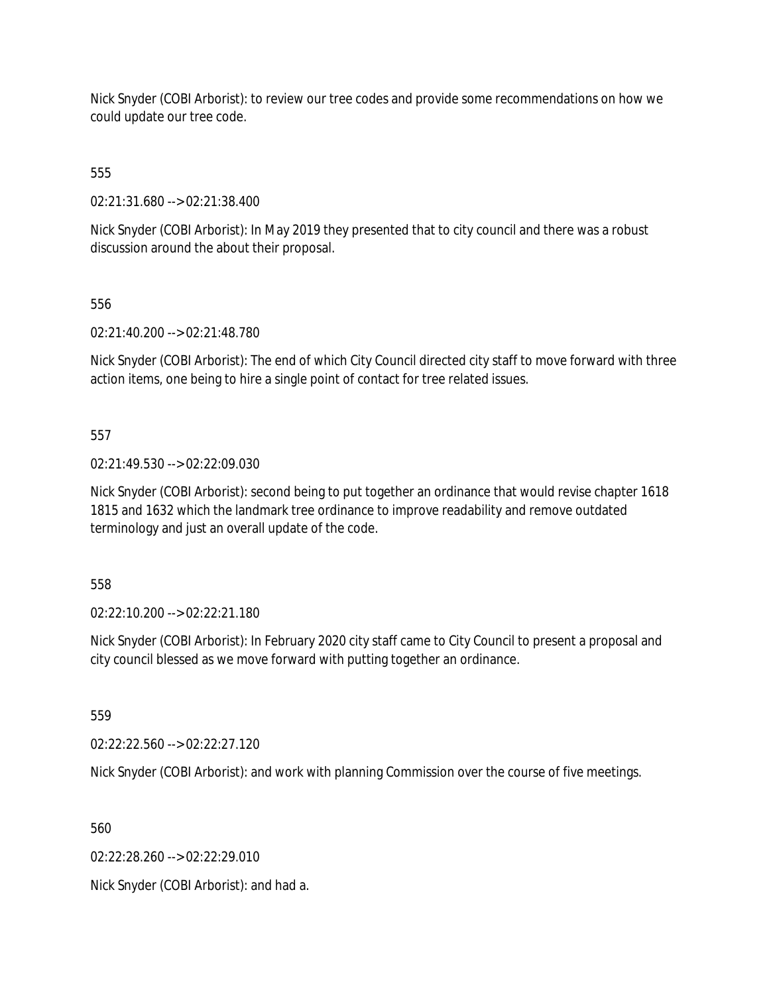Nick Snyder (COBI Arborist): to review our tree codes and provide some recommendations on how we could update our tree code.

555

02:21:31.680 --> 02:21:38.400

Nick Snyder (COBI Arborist): In May 2019 they presented that to city council and there was a robust discussion around the about their proposal.

556

02:21:40.200 --> 02:21:48.780

Nick Snyder (COBI Arborist): The end of which City Council directed city staff to move forward with three action items, one being to hire a single point of contact for tree related issues.

557

02:21:49.530 --> 02:22:09.030

Nick Snyder (COBI Arborist): second being to put together an ordinance that would revise chapter 1618 1815 and 1632 which the landmark tree ordinance to improve readability and remove outdated terminology and just an overall update of the code.

558

02:22:10.200 --> 02:22:21.180

Nick Snyder (COBI Arborist): In February 2020 city staff came to City Council to present a proposal and city council blessed as we move forward with putting together an ordinance.

559

02:22:22.560 --> 02:22:27.120

Nick Snyder (COBI Arborist): and work with planning Commission over the course of five meetings.

560

02:22:28.260 --> 02:22:29.010

Nick Snyder (COBI Arborist): and had a.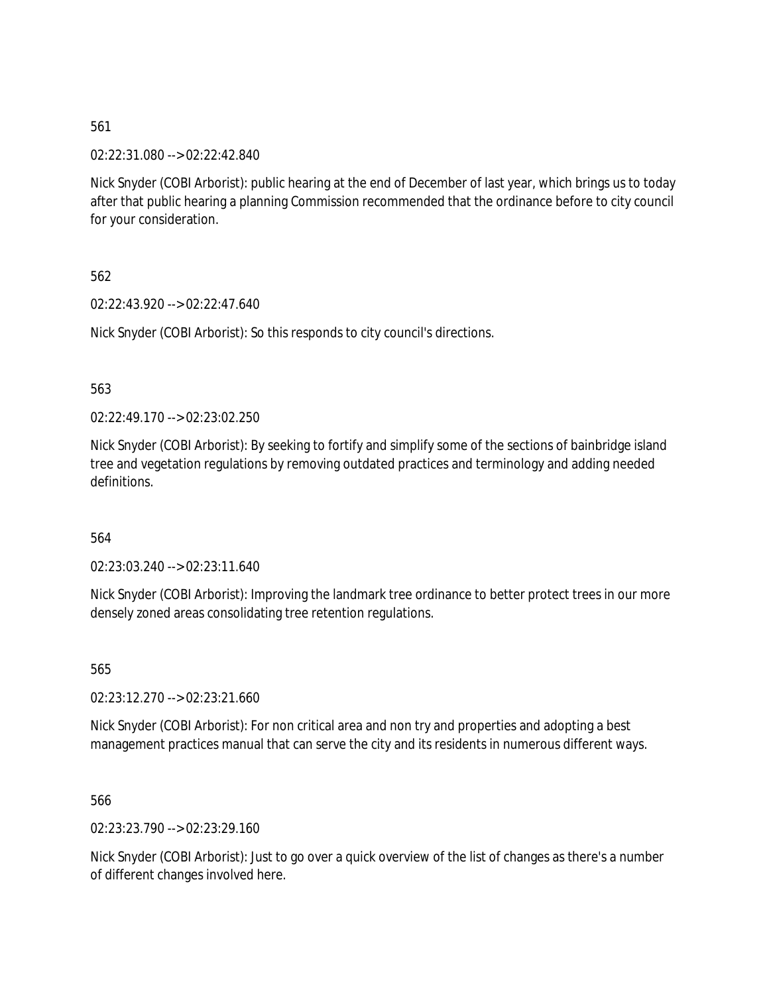02:22:31.080 --> 02:22:42.840

Nick Snyder (COBI Arborist): public hearing at the end of December of last year, which brings us to today after that public hearing a planning Commission recommended that the ordinance before to city council for your consideration.

562

02:22:43.920 --> 02:22:47.640

Nick Snyder (COBI Arborist): So this responds to city council's directions.

563

02:22:49.170 --> 02:23:02.250

Nick Snyder (COBI Arborist): By seeking to fortify and simplify some of the sections of bainbridge island tree and vegetation regulations by removing outdated practices and terminology and adding needed definitions.

564

02:23:03.240 --> 02:23:11.640

Nick Snyder (COBI Arborist): Improving the landmark tree ordinance to better protect trees in our more densely zoned areas consolidating tree retention regulations.

565

02:23:12.270 --> 02:23:21.660

Nick Snyder (COBI Arborist): For non critical area and non try and properties and adopting a best management practices manual that can serve the city and its residents in numerous different ways.

566

02:23:23.790 --> 02:23:29.160

Nick Snyder (COBI Arborist): Just to go over a quick overview of the list of changes as there's a number of different changes involved here.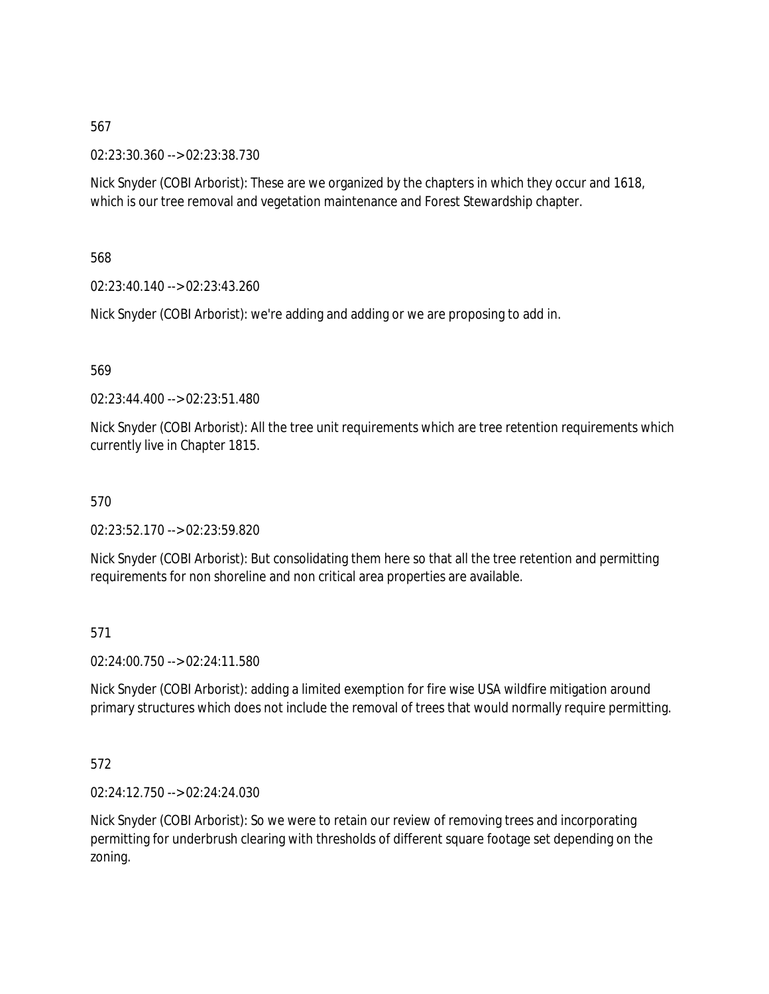02:23:30.360 --> 02:23:38.730

Nick Snyder (COBI Arborist): These are we organized by the chapters in which they occur and 1618, which is our tree removal and vegetation maintenance and Forest Stewardship chapter.

### 568

02:23:40.140 --> 02:23:43.260

Nick Snyder (COBI Arborist): we're adding and adding or we are proposing to add in.

### 569

02:23:44.400 --> 02:23:51.480

Nick Snyder (COBI Arborist): All the tree unit requirements which are tree retention requirements which currently live in Chapter 1815.

### 570

02:23:52.170 --> 02:23:59.820

Nick Snyder (COBI Arborist): But consolidating them here so that all the tree retention and permitting requirements for non shoreline and non critical area properties are available.

### 571

02:24:00.750 --> 02:24:11.580

Nick Snyder (COBI Arborist): adding a limited exemption for fire wise USA wildfire mitigation around primary structures which does not include the removal of trees that would normally require permitting.

### 572

02:24:12.750 --> 02:24:24.030

Nick Snyder (COBI Arborist): So we were to retain our review of removing trees and incorporating permitting for underbrush clearing with thresholds of different square footage set depending on the zoning.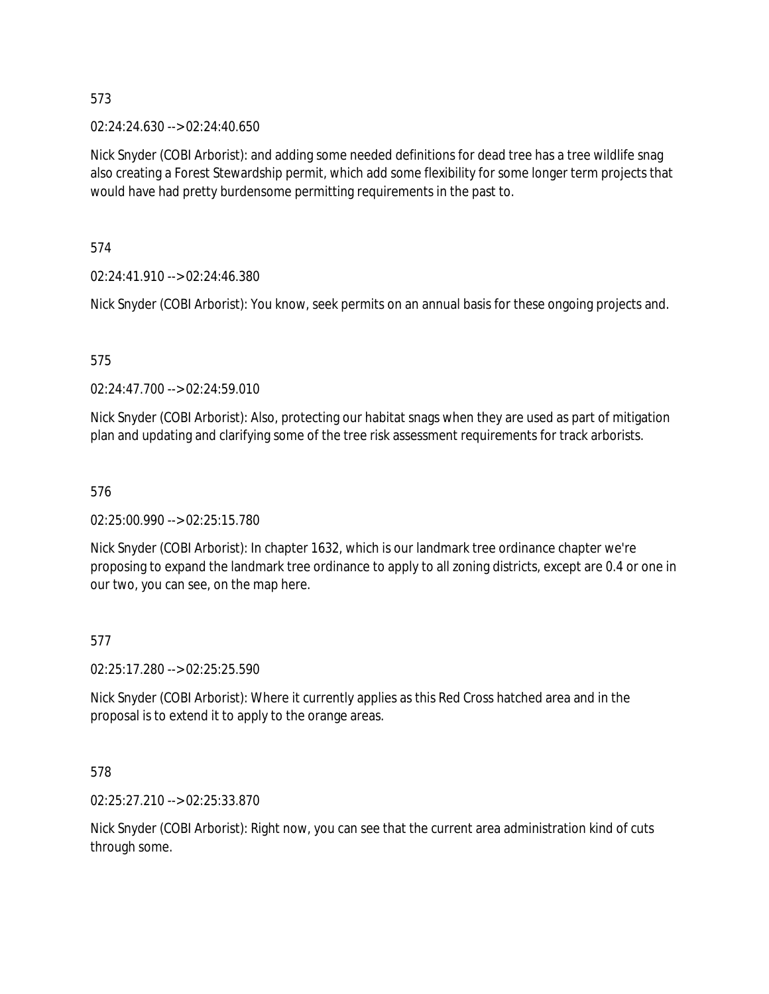02:24:24.630 --> 02:24:40.650

Nick Snyder (COBI Arborist): and adding some needed definitions for dead tree has a tree wildlife snag also creating a Forest Stewardship permit, which add some flexibility for some longer term projects that would have had pretty burdensome permitting requirements in the past to.

574

02:24:41.910 --> 02:24:46.380

Nick Snyder (COBI Arborist): You know, seek permits on an annual basis for these ongoing projects and.

### 575

02:24:47.700 --> 02:24:59.010

Nick Snyder (COBI Arborist): Also, protecting our habitat snags when they are used as part of mitigation plan and updating and clarifying some of the tree risk assessment requirements for track arborists.

### 576

02:25:00.990 --> 02:25:15.780

Nick Snyder (COBI Arborist): In chapter 1632, which is our landmark tree ordinance chapter we're proposing to expand the landmark tree ordinance to apply to all zoning districts, except are 0.4 or one in our two, you can see, on the map here.

### 577

02:25:17.280 --> 02:25:25.590

Nick Snyder (COBI Arborist): Where it currently applies as this Red Cross hatched area and in the proposal is to extend it to apply to the orange areas.

### 578

02:25:27.210 --> 02:25:33.870

Nick Snyder (COBI Arborist): Right now, you can see that the current area administration kind of cuts through some.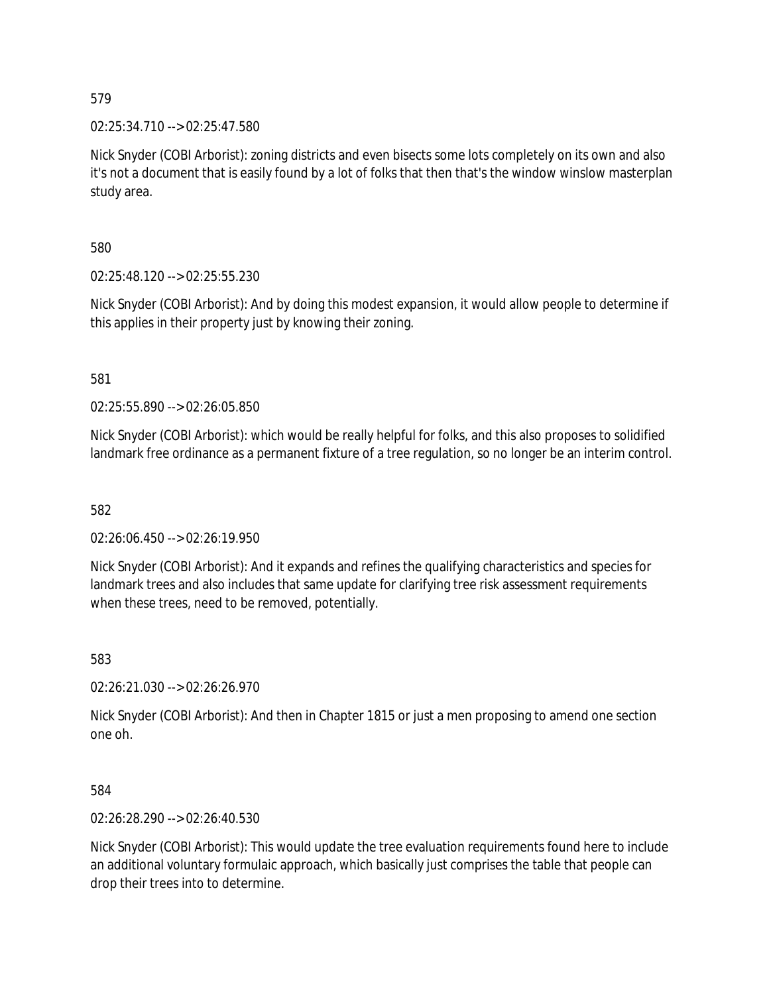02:25:34.710 --> 02:25:47.580

Nick Snyder (COBI Arborist): zoning districts and even bisects some lots completely on its own and also it's not a document that is easily found by a lot of folks that then that's the window winslow masterplan study area.

580

02:25:48.120 --> 02:25:55.230

Nick Snyder (COBI Arborist): And by doing this modest expansion, it would allow people to determine if this applies in their property just by knowing their zoning.

581

02:25:55.890 --> 02:26:05.850

Nick Snyder (COBI Arborist): which would be really helpful for folks, and this also proposes to solidified landmark free ordinance as a permanent fixture of a tree regulation, so no longer be an interim control.

582

02:26:06.450 --> 02:26:19.950

Nick Snyder (COBI Arborist): And it expands and refines the qualifying characteristics and species for landmark trees and also includes that same update for clarifying tree risk assessment requirements when these trees, need to be removed, potentially.

583

02:26:21.030 --> 02:26:26.970

Nick Snyder (COBI Arborist): And then in Chapter 1815 or just a men proposing to amend one section one oh.

584

02:26:28.290 --> 02:26:40.530

Nick Snyder (COBI Arborist): This would update the tree evaluation requirements found here to include an additional voluntary formulaic approach, which basically just comprises the table that people can drop their trees into to determine.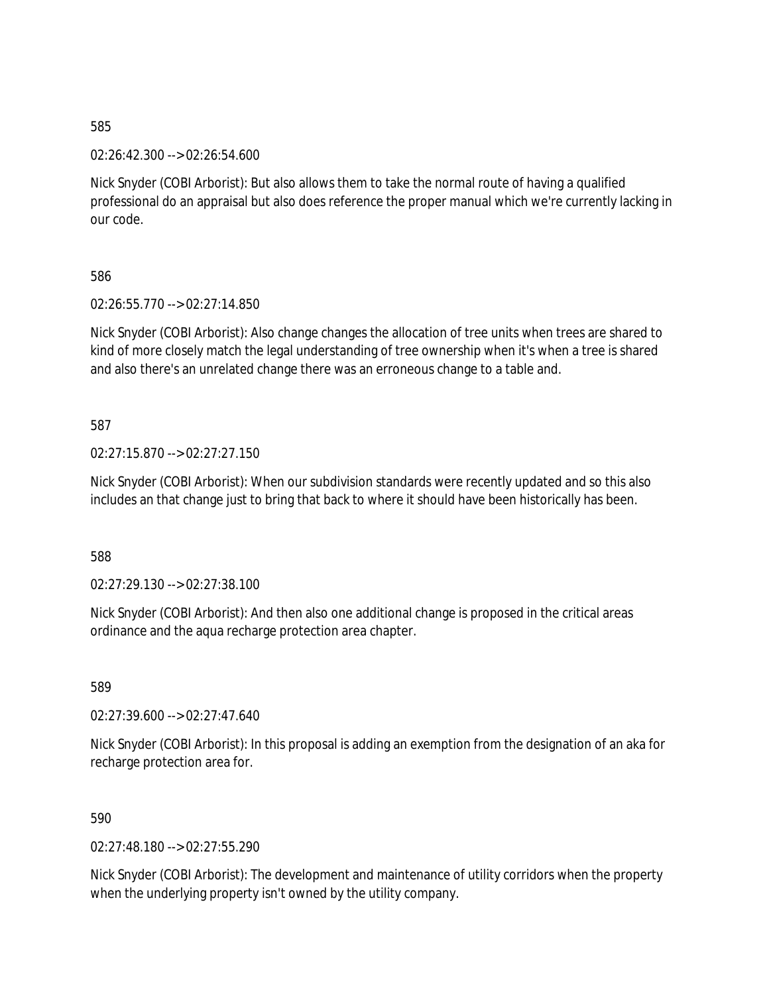02:26:42.300 --> 02:26:54.600

Nick Snyder (COBI Arborist): But also allows them to take the normal route of having a qualified professional do an appraisal but also does reference the proper manual which we're currently lacking in our code.

586

02:26:55.770 --> 02:27:14.850

Nick Snyder (COBI Arborist): Also change changes the allocation of tree units when trees are shared to kind of more closely match the legal understanding of tree ownership when it's when a tree is shared and also there's an unrelated change there was an erroneous change to a table and.

587

02:27:15.870 --> 02:27:27.150

Nick Snyder (COBI Arborist): When our subdivision standards were recently updated and so this also includes an that change just to bring that back to where it should have been historically has been.

588

02:27:29.130 --> 02:27:38.100

Nick Snyder (COBI Arborist): And then also one additional change is proposed in the critical areas ordinance and the aqua recharge protection area chapter.

589

02:27:39.600 --> 02:27:47.640

Nick Snyder (COBI Arborist): In this proposal is adding an exemption from the designation of an aka for recharge protection area for.

590

02:27:48.180 --> 02:27:55.290

Nick Snyder (COBI Arborist): The development and maintenance of utility corridors when the property when the underlying property isn't owned by the utility company.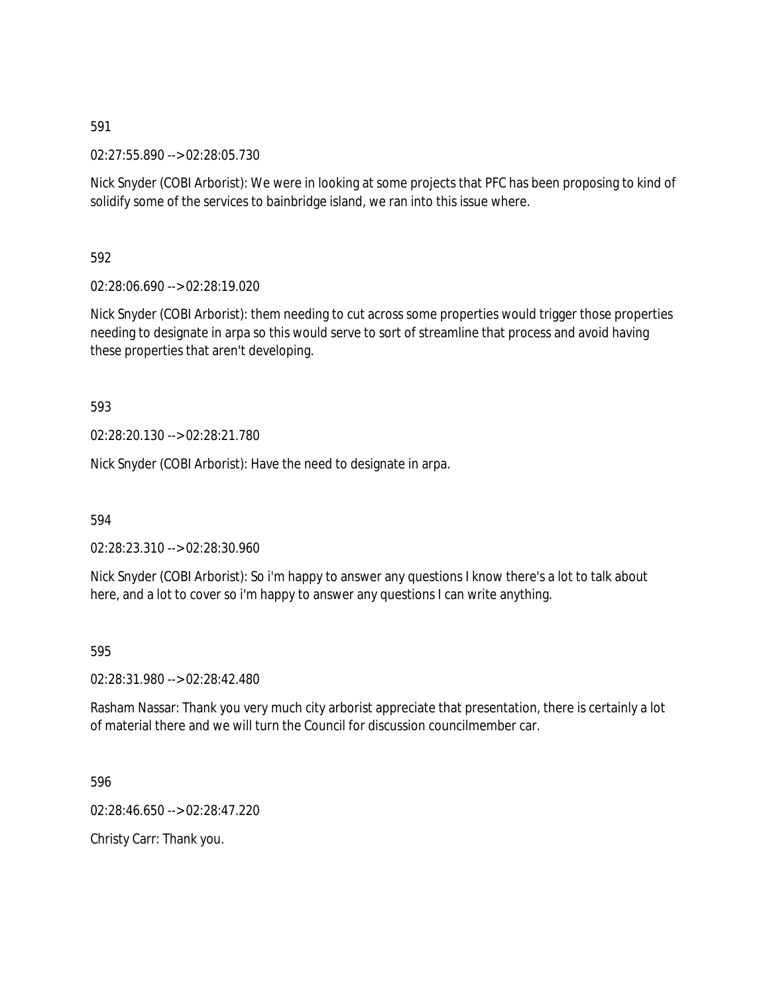02:27:55.890 --> 02:28:05.730

Nick Snyder (COBI Arborist): We were in looking at some projects that PFC has been proposing to kind of solidify some of the services to bainbridge island, we ran into this issue where.

592

02:28:06.690 --> 02:28:19.020

Nick Snyder (COBI Arborist): them needing to cut across some properties would trigger those properties needing to designate in arpa so this would serve to sort of streamline that process and avoid having these properties that aren't developing.

593

02:28:20.130 --> 02:28:21.780

Nick Snyder (COBI Arborist): Have the need to designate in arpa.

594

02:28:23.310 --> 02:28:30.960

Nick Snyder (COBI Arborist): So i'm happy to answer any questions I know there's a lot to talk about here, and a lot to cover so i'm happy to answer any questions I can write anything.

595

02:28:31.980 --> 02:28:42.480

Rasham Nassar: Thank you very much city arborist appreciate that presentation, there is certainly a lot of material there and we will turn the Council for discussion councilmember car.

596

02:28:46.650 --> 02:28:47.220

Christy Carr: Thank you.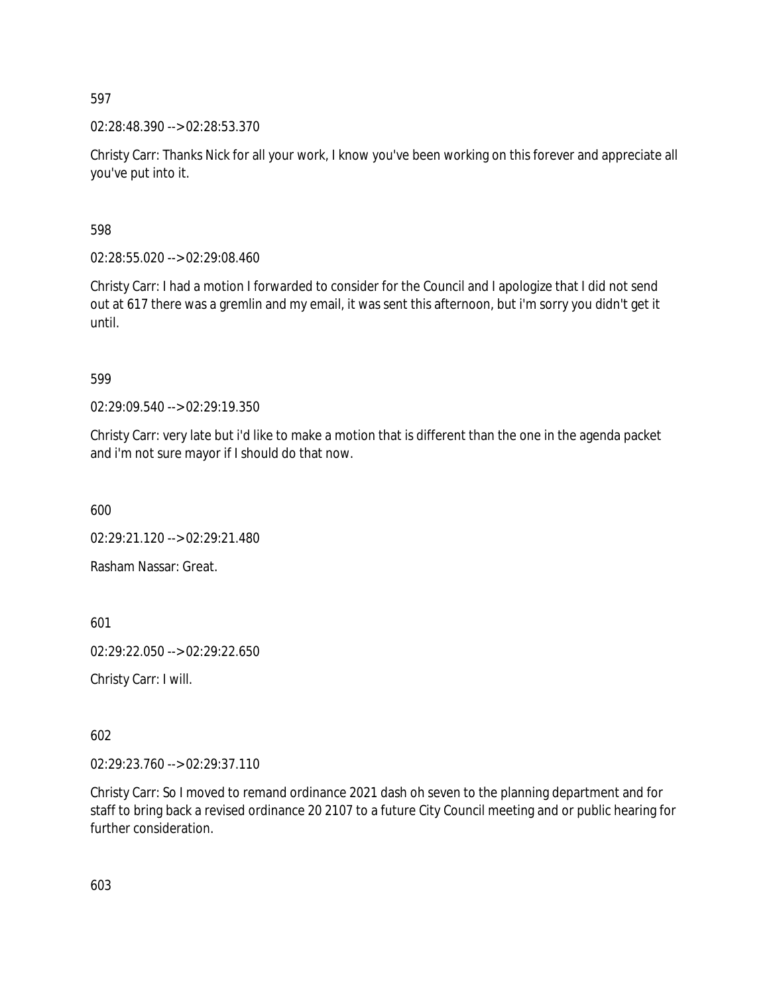02:28:48.390 --> 02:28:53.370

Christy Carr: Thanks Nick for all your work, I know you've been working on this forever and appreciate all you've put into it.

598

02:28:55.020 --> 02:29:08.460

Christy Carr: I had a motion I forwarded to consider for the Council and I apologize that I did not send out at 617 there was a gremlin and my email, it was sent this afternoon, but i'm sorry you didn't get it until.

599

02:29:09.540 --> 02:29:19.350

Christy Carr: very late but i'd like to make a motion that is different than the one in the agenda packet and i'm not sure mayor if I should do that now.

600

02:29:21.120 --> 02:29:21.480

Rasham Nassar: Great.

601

02:29:22.050 --> 02:29:22.650

Christy Carr: I will.

602

02:29:23.760 --> 02:29:37.110

Christy Carr: So I moved to remand ordinance 2021 dash oh seven to the planning department and for staff to bring back a revised ordinance 20 2107 to a future City Council meeting and or public hearing for further consideration.

603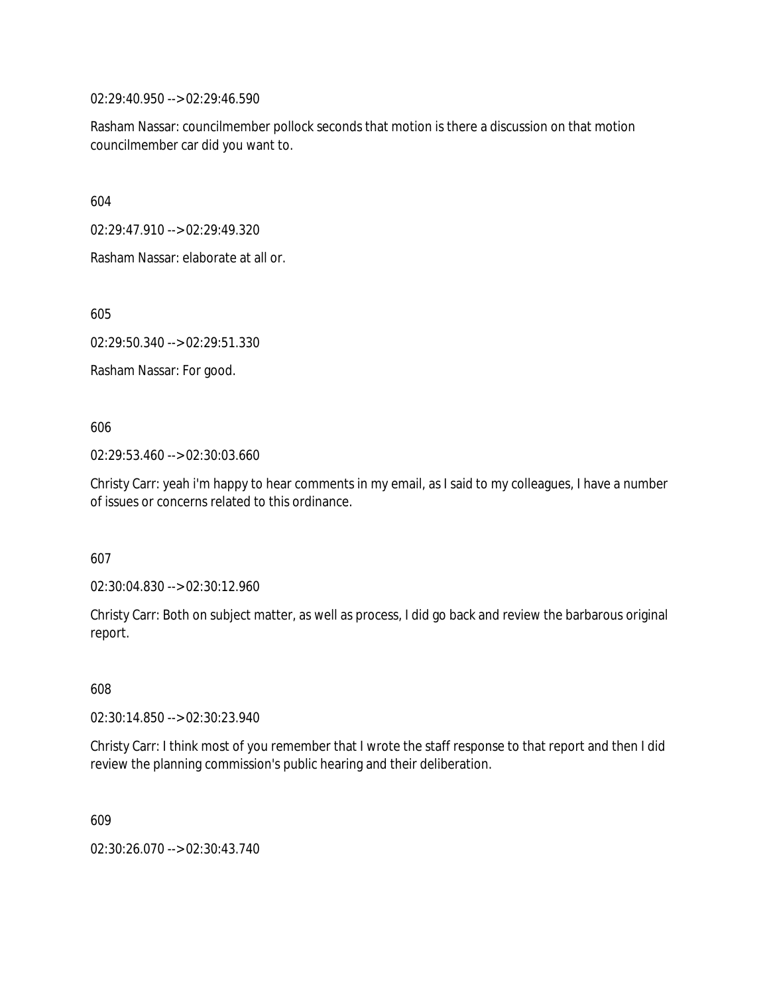02:29:40.950 --> 02:29:46.590

Rasham Nassar: councilmember pollock seconds that motion is there a discussion on that motion councilmember car did you want to.

604

02:29:47.910 --> 02:29:49.320

Rasham Nassar: elaborate at all or.

605

02:29:50.340 --> 02:29:51.330

Rasham Nassar: For good.

606

02:29:53.460 --> 02:30:03.660

Christy Carr: yeah i'm happy to hear comments in my email, as I said to my colleagues, I have a number of issues or concerns related to this ordinance.

607

02:30:04.830 --> 02:30:12.960

Christy Carr: Both on subject matter, as well as process, I did go back and review the barbarous original report.

608

02:30:14.850 --> 02:30:23.940

Christy Carr: I think most of you remember that I wrote the staff response to that report and then I did review the planning commission's public hearing and their deliberation.

609

02:30:26.070 --> 02:30:43.740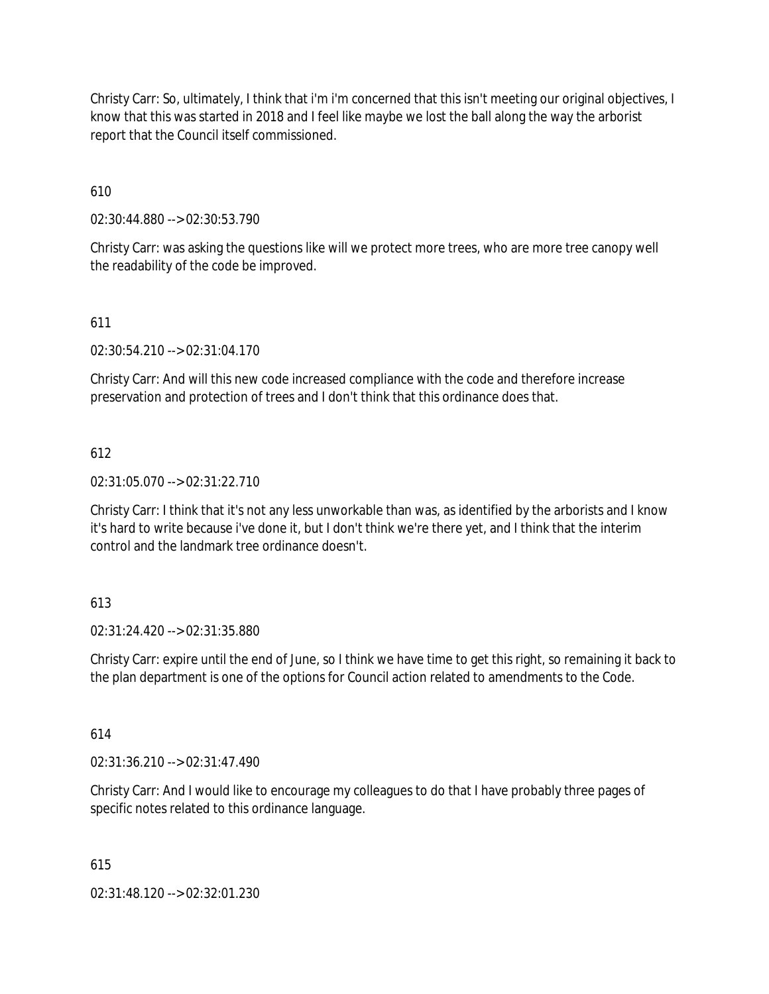Christy Carr: So, ultimately, I think that i'm i'm concerned that this isn't meeting our original objectives, I know that this was started in 2018 and I feel like maybe we lost the ball along the way the arborist report that the Council itself commissioned.

610

02:30:44.880 --> 02:30:53.790

Christy Carr: was asking the questions like will we protect more trees, who are more tree canopy well the readability of the code be improved.

### 611

02:30:54.210 --> 02:31:04.170

Christy Carr: And will this new code increased compliance with the code and therefore increase preservation and protection of trees and I don't think that this ordinance does that.

### 612

02:31:05.070 --> 02:31:22.710

Christy Carr: I think that it's not any less unworkable than was, as identified by the arborists and I know it's hard to write because i've done it, but I don't think we're there yet, and I think that the interim control and the landmark tree ordinance doesn't.

### 613

02:31:24.420 --> 02:31:35.880

Christy Carr: expire until the end of June, so I think we have time to get this right, so remaining it back to the plan department is one of the options for Council action related to amendments to the Code.

### 614

02:31:36.210 --> 02:31:47.490

Christy Carr: And I would like to encourage my colleagues to do that I have probably three pages of specific notes related to this ordinance language.

### 615

02:31:48.120 --> 02:32:01.230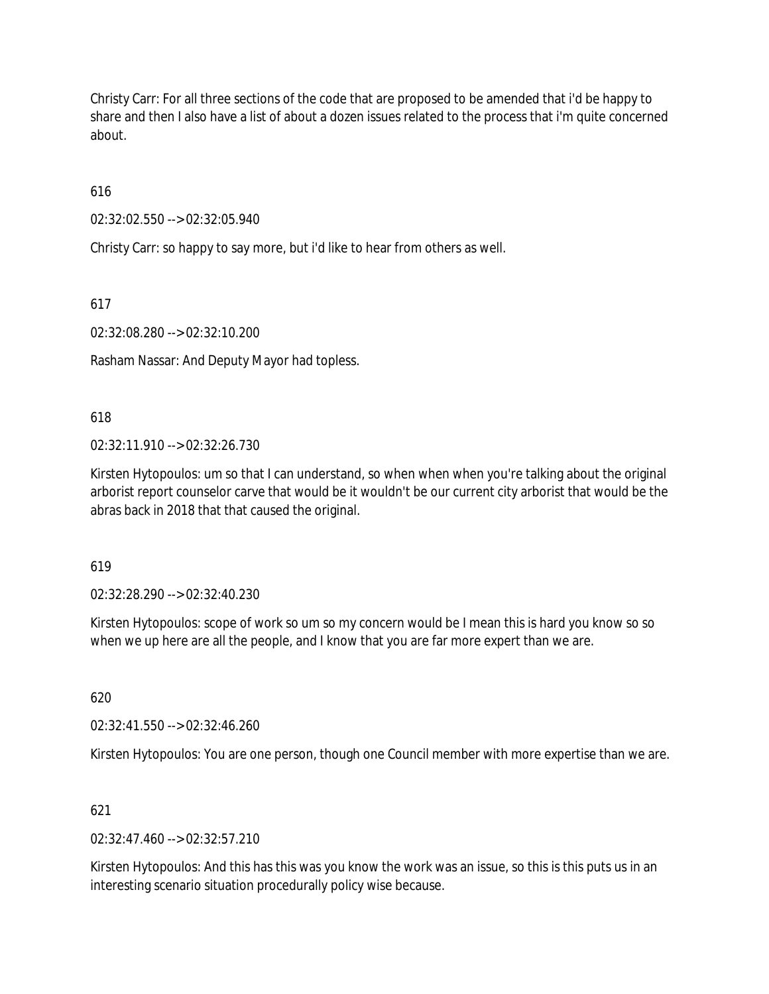Christy Carr: For all three sections of the code that are proposed to be amended that i'd be happy to share and then I also have a list of about a dozen issues related to the process that i'm quite concerned about.

616

02:32:02.550 --> 02:32:05.940

Christy Carr: so happy to say more, but i'd like to hear from others as well.

617

02:32:08.280 --> 02:32:10.200

Rasham Nassar: And Deputy Mayor had topless.

618

 $02:32:11.910 \rightarrow 02:32:26.730$ 

Kirsten Hytopoulos: um so that I can understand, so when when when you're talking about the original arborist report counselor carve that would be it wouldn't be our current city arborist that would be the abras back in 2018 that that caused the original.

619

02:32:28.290 --> 02:32:40.230

Kirsten Hytopoulos: scope of work so um so my concern would be I mean this is hard you know so so when we up here are all the people, and I know that you are far more expert than we are.

620

02:32:41.550 --> 02:32:46.260

Kirsten Hytopoulos: You are one person, though one Council member with more expertise than we are.

621

 $02:32:47.460 \rightarrow 02:32:57.210$ 

Kirsten Hytopoulos: And this has this was you know the work was an issue, so this is this puts us in an interesting scenario situation procedurally policy wise because.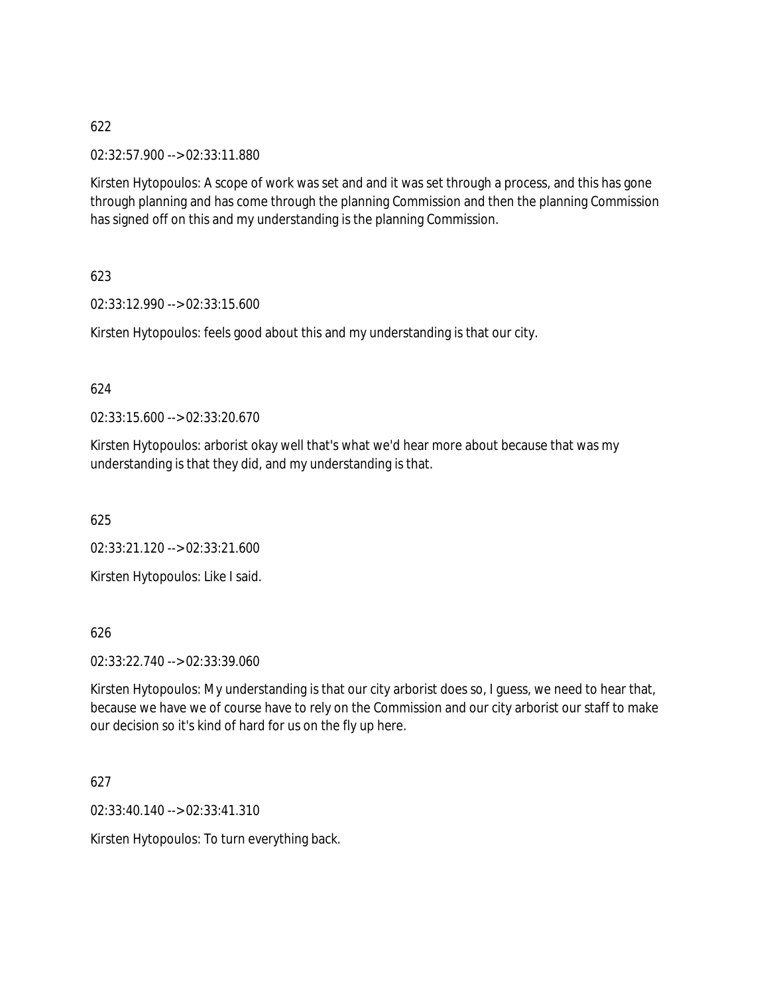02:32:57.900 --> 02:33:11.880

Kirsten Hytopoulos: A scope of work was set and and it was set through a process, and this has gone through planning and has come through the planning Commission and then the planning Commission has signed off on this and my understanding is the planning Commission.

623

02:33:12.990 --> 02:33:15.600

Kirsten Hytopoulos: feels good about this and my understanding is that our city.

624

02:33:15.600 --> 02:33:20.670

Kirsten Hytopoulos: arborist okay well that's what we'd hear more about because that was my understanding is that they did, and my understanding is that.

625

02:33:21.120 --> 02:33:21.600

Kirsten Hytopoulos: Like I said.

626

02:33:22.740 --> 02:33:39.060

Kirsten Hytopoulos: My understanding is that our city arborist does so, I guess, we need to hear that, because we have we of course have to rely on the Commission and our city arborist our staff to make our decision so it's kind of hard for us on the fly up here.

627

02:33:40.140 --> 02:33:41.310

Kirsten Hytopoulos: To turn everything back.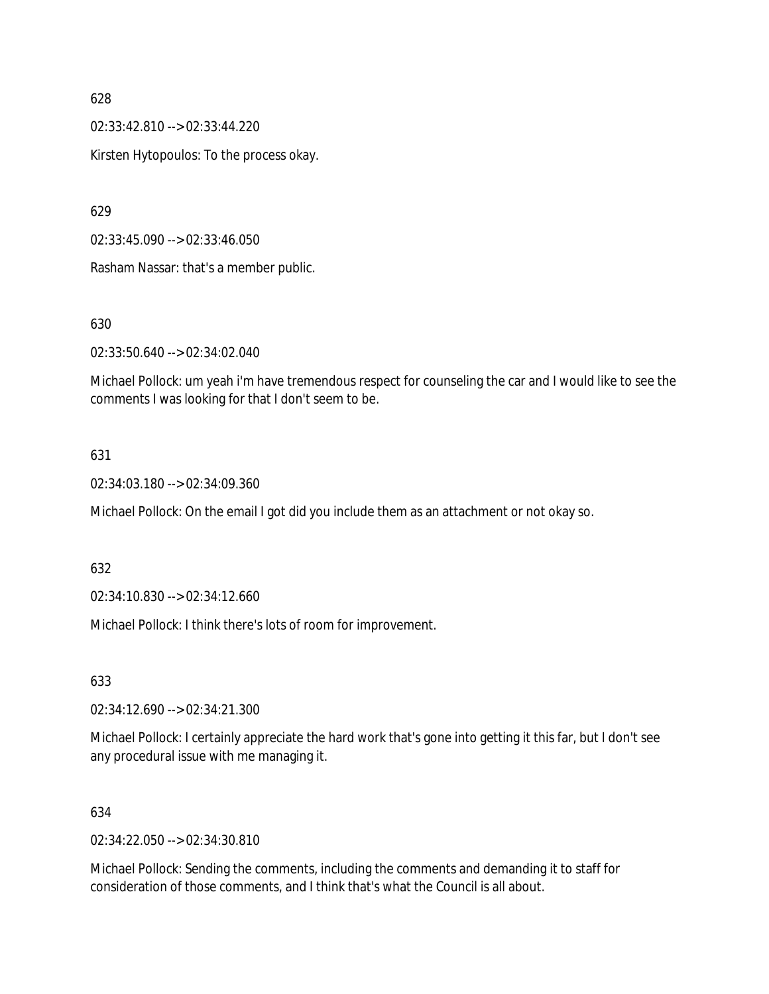02:33:42.810 --> 02:33:44.220

Kirsten Hytopoulos: To the process okay.

629

02:33:45.090 --> 02:33:46.050

Rasham Nassar: that's a member public.

### 630

02:33:50.640 --> 02:34:02.040

Michael Pollock: um yeah i'm have tremendous respect for counseling the car and I would like to see the comments I was looking for that I don't seem to be.

### 631

02:34:03.180 --> 02:34:09.360

Michael Pollock: On the email I got did you include them as an attachment or not okay so.

### 632

02:34:10.830 --> 02:34:12.660

Michael Pollock: I think there's lots of room for improvement.

633

02:34:12.690 --> 02:34:21.300

Michael Pollock: I certainly appreciate the hard work that's gone into getting it this far, but I don't see any procedural issue with me managing it.

### 634

02:34:22.050 --> 02:34:30.810

Michael Pollock: Sending the comments, including the comments and demanding it to staff for consideration of those comments, and I think that's what the Council is all about.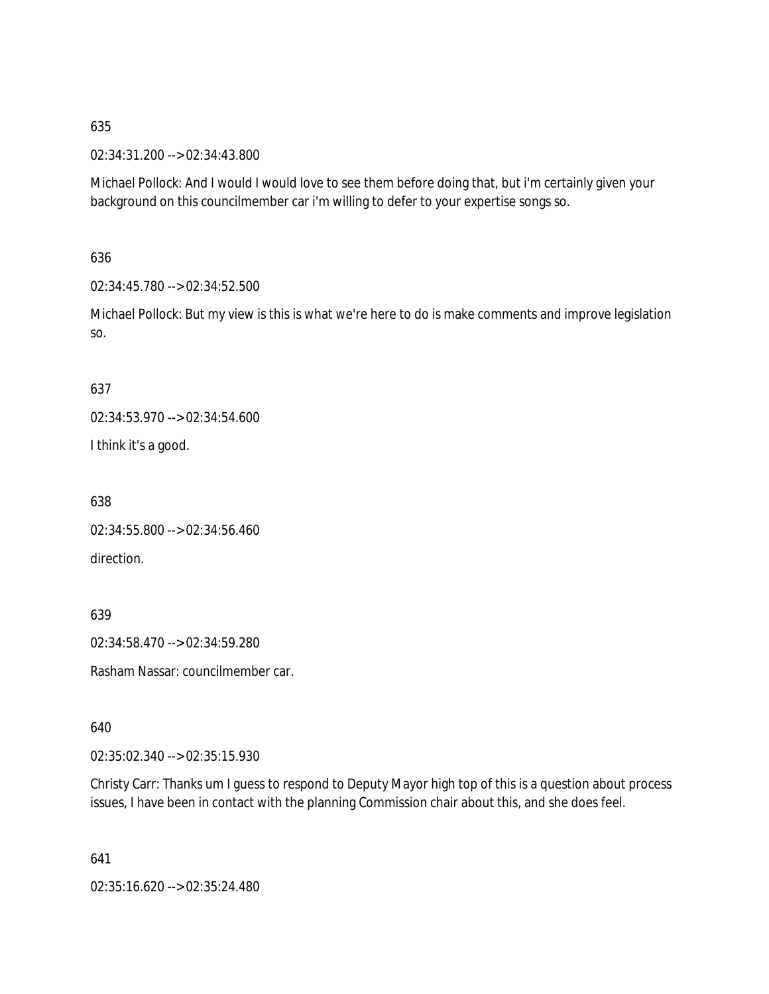02:34:31.200 --> 02:34:43.800

Michael Pollock: And I would I would love to see them before doing that, but i'm certainly given your background on this councilmember car i'm willing to defer to your expertise songs so.

636

02:34:45.780 --> 02:34:52.500

Michael Pollock: But my view is this is what we're here to do is make comments and improve legislation so.

### 637

02:34:53.970 --> 02:34:54.600

I think it's a good.

638

02:34:55.800 --> 02:34:56.460 direction.

639

02:34:58.470 --> 02:34:59.280

Rasham Nassar: councilmember car.

640

02:35:02.340 --> 02:35:15.930

Christy Carr: Thanks um I guess to respond to Deputy Mayor high top of this is a question about process issues, I have been in contact with the planning Commission chair about this, and she does feel.

641

02:35:16.620 --> 02:35:24.480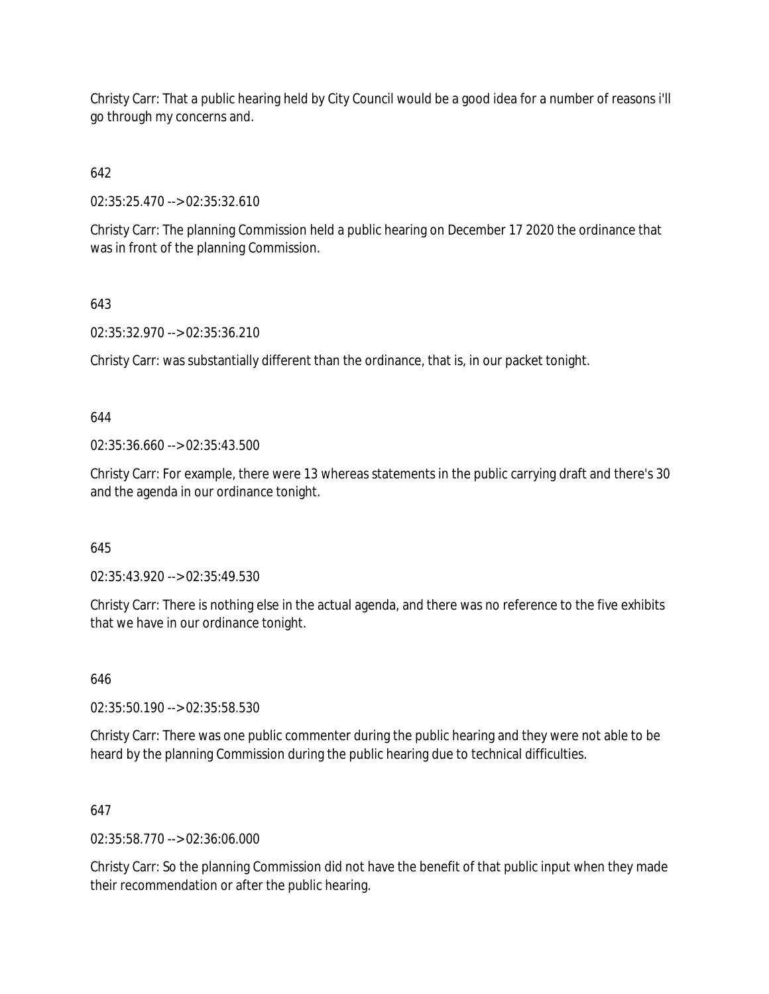Christy Carr: That a public hearing held by City Council would be a good idea for a number of reasons i'll go through my concerns and.

# 642

02:35:25.470 --> 02:35:32.610

Christy Carr: The planning Commission held a public hearing on December 17 2020 the ordinance that was in front of the planning Commission.

# 643

02:35:32.970 --> 02:35:36.210

Christy Carr: was substantially different than the ordinance, that is, in our packet tonight.

644

02:35:36.660 --> 02:35:43.500

Christy Carr: For example, there were 13 whereas statements in the public carrying draft and there's 30 and the agenda in our ordinance tonight.

## 645

02:35:43.920 --> 02:35:49.530

Christy Carr: There is nothing else in the actual agenda, and there was no reference to the five exhibits that we have in our ordinance tonight.

## 646

02:35:50.190 --> 02:35:58.530

Christy Carr: There was one public commenter during the public hearing and they were not able to be heard by the planning Commission during the public hearing due to technical difficulties.

## 647

02:35:58.770 --> 02:36:06.000

Christy Carr: So the planning Commission did not have the benefit of that public input when they made their recommendation or after the public hearing.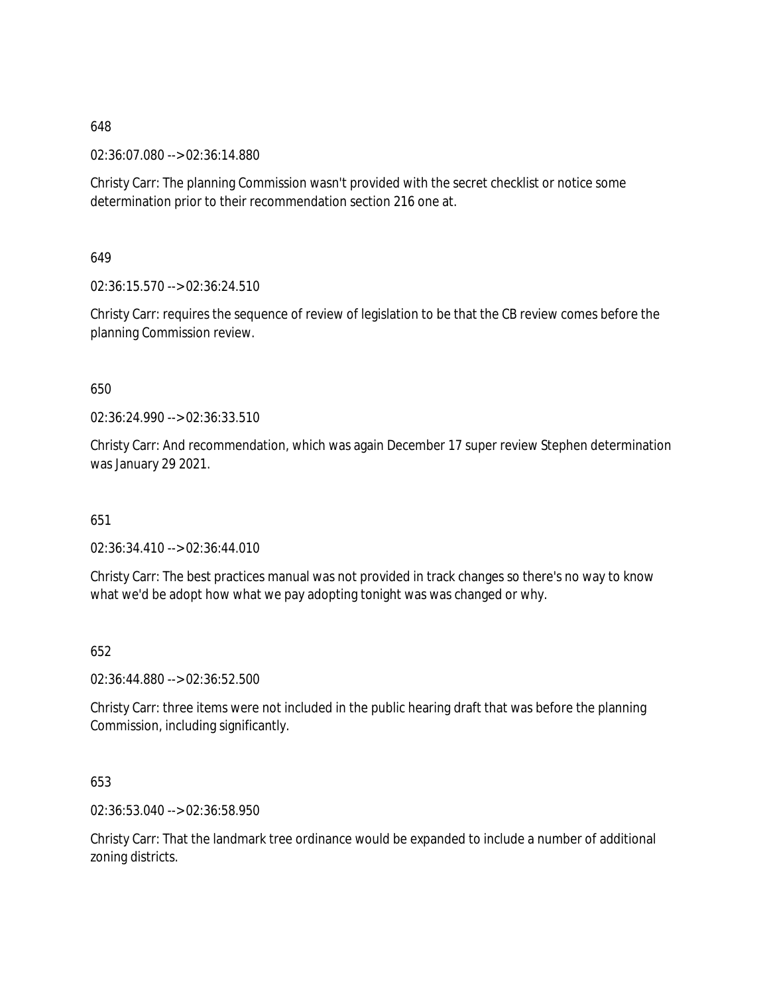02:36:07.080 --> 02:36:14.880

Christy Carr: The planning Commission wasn't provided with the secret checklist or notice some determination prior to their recommendation section 216 one at.

649

02:36:15.570 --> 02:36:24.510

Christy Carr: requires the sequence of review of legislation to be that the CB review comes before the planning Commission review.

650

02:36:24.990 --> 02:36:33.510

Christy Carr: And recommendation, which was again December 17 super review Stephen determination was January 29 2021.

651

02:36:34.410 --> 02:36:44.010

Christy Carr: The best practices manual was not provided in track changes so there's no way to know what we'd be adopt how what we pay adopting tonight was was changed or why.

652

02:36:44.880 --> 02:36:52.500

Christy Carr: three items were not included in the public hearing draft that was before the planning Commission, including significantly.

653

02:36:53.040 --> 02:36:58.950

Christy Carr: That the landmark tree ordinance would be expanded to include a number of additional zoning districts.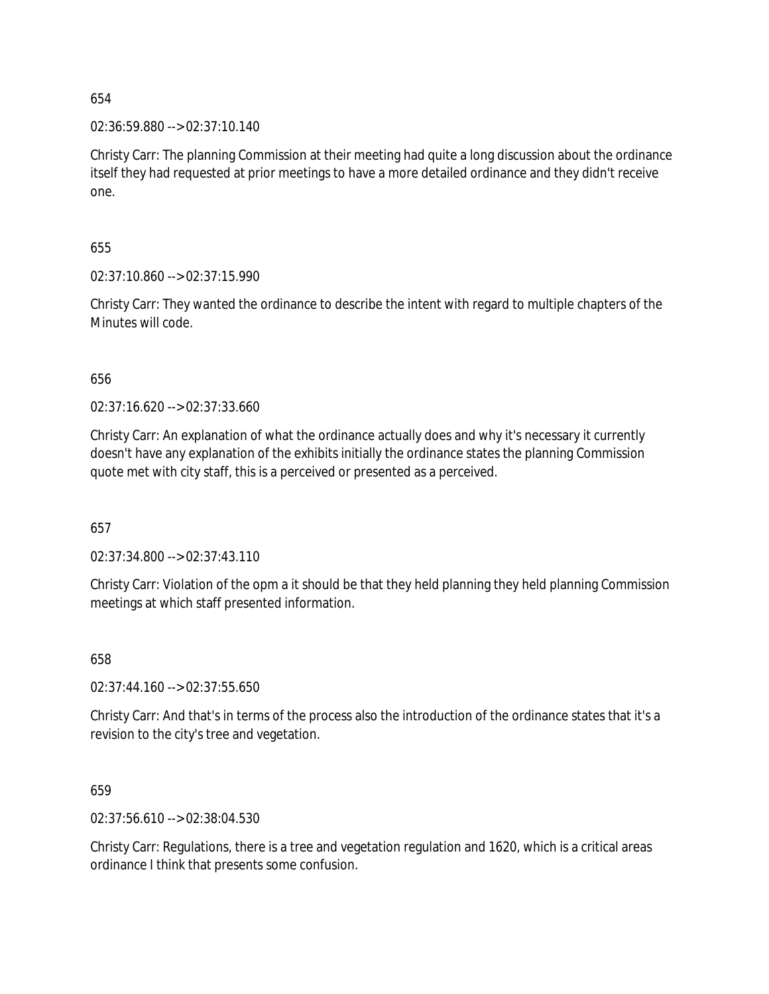02:36:59.880 --> 02:37:10.140

Christy Carr: The planning Commission at their meeting had quite a long discussion about the ordinance itself they had requested at prior meetings to have a more detailed ordinance and they didn't receive one.

655

02:37:10.860 --> 02:37:15.990

Christy Carr: They wanted the ordinance to describe the intent with regard to multiple chapters of the Minutes will code.

656

02:37:16.620 --> 02:37:33.660

Christy Carr: An explanation of what the ordinance actually does and why it's necessary it currently doesn't have any explanation of the exhibits initially the ordinance states the planning Commission quote met with city staff, this is a perceived or presented as a perceived.

657

02:37:34.800 --> 02:37:43.110

Christy Carr: Violation of the opm a it should be that they held planning they held planning Commission meetings at which staff presented information.

658

02:37:44.160 --> 02:37:55.650

Christy Carr: And that's in terms of the process also the introduction of the ordinance states that it's a revision to the city's tree and vegetation.

659

02:37:56.610 --> 02:38:04.530

Christy Carr: Regulations, there is a tree and vegetation regulation and 1620, which is a critical areas ordinance I think that presents some confusion.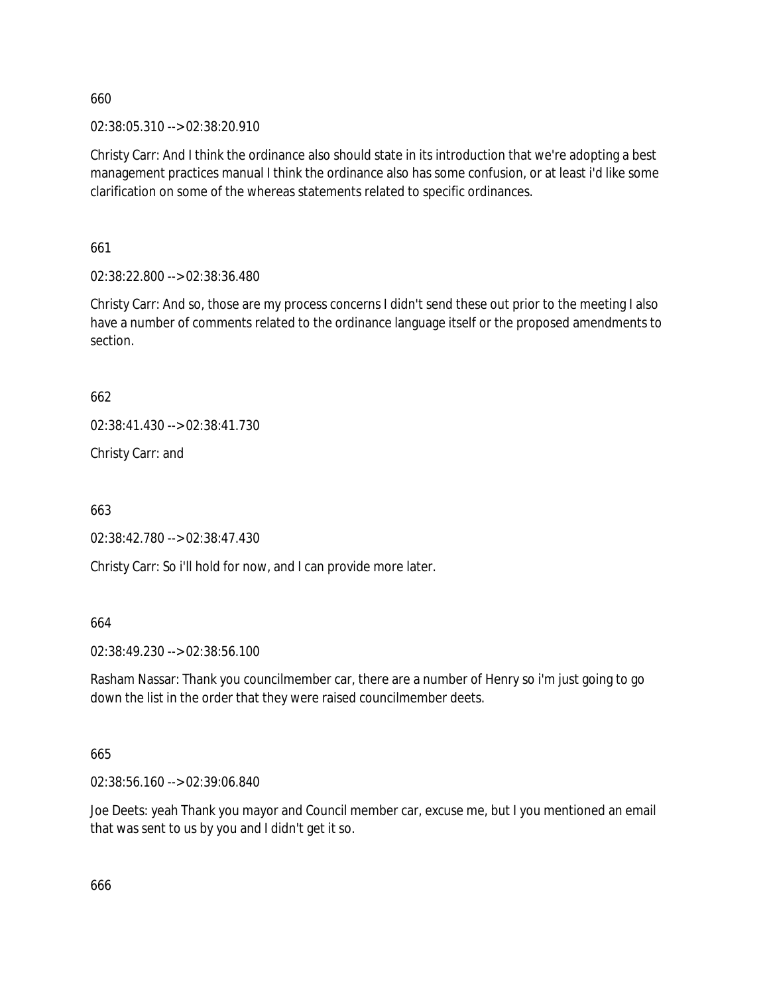02:38:05.310 --> 02:38:20.910

Christy Carr: And I think the ordinance also should state in its introduction that we're adopting a best management practices manual I think the ordinance also has some confusion, or at least i'd like some clarification on some of the whereas statements related to specific ordinances.

661

02:38:22.800 --> 02:38:36.480

Christy Carr: And so, those are my process concerns I didn't send these out prior to the meeting I also have a number of comments related to the ordinance language itself or the proposed amendments to section.

662

02:38:41.430 --> 02:38:41.730

Christy Carr: and

663

02:38:42.780 --> 02:38:47.430

Christy Carr: So i'll hold for now, and I can provide more later.

664

02:38:49.230 --> 02:38:56.100

Rasham Nassar: Thank you councilmember car, there are a number of Henry so i'm just going to go down the list in the order that they were raised councilmember deets.

665

02:38:56.160 --> 02:39:06.840

Joe Deets: yeah Thank you mayor and Council member car, excuse me, but I you mentioned an email that was sent to us by you and I didn't get it so.

666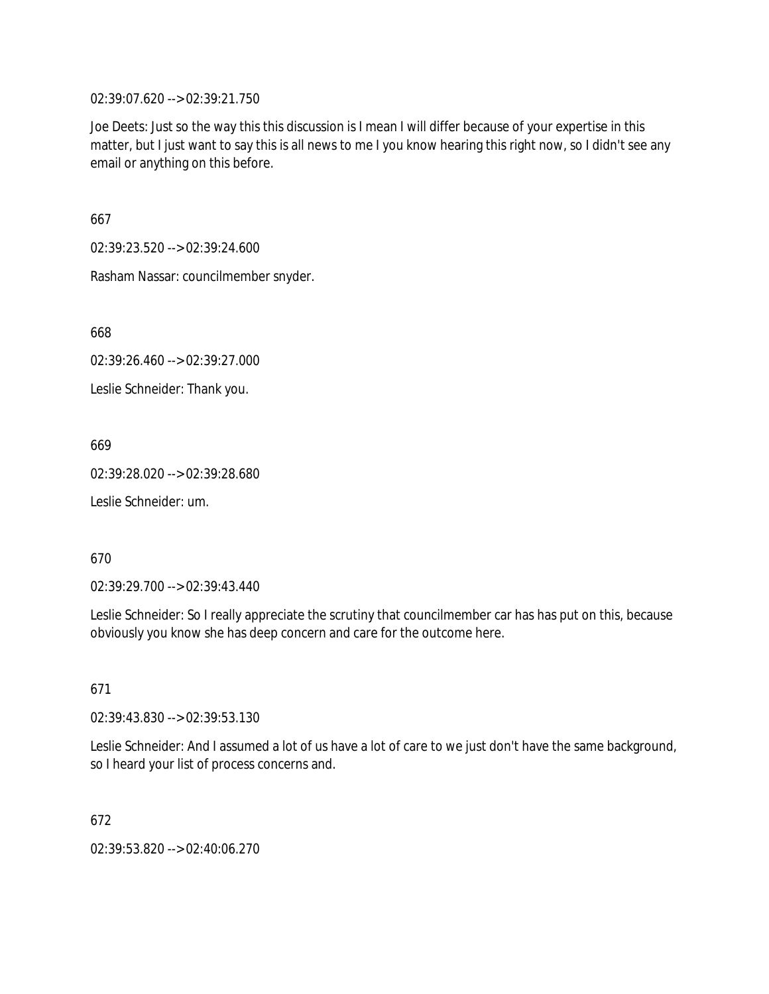02:39:07.620 --> 02:39:21.750

Joe Deets: Just so the way this this discussion is I mean I will differ because of your expertise in this matter, but I just want to say this is all news to me I you know hearing this right now, so I didn't see any email or anything on this before.

667

02:39:23.520 --> 02:39:24.600

Rasham Nassar: councilmember snyder.

668

02:39:26.460 --> 02:39:27.000

Leslie Schneider: Thank you.

669

02:39:28.020 --> 02:39:28.680

Leslie Schneider: um.

670

02:39:29.700 --> 02:39:43.440

Leslie Schneider: So I really appreciate the scrutiny that councilmember car has has put on this, because obviously you know she has deep concern and care for the outcome here.

671

02:39:43.830 --> 02:39:53.130

Leslie Schneider: And I assumed a lot of us have a lot of care to we just don't have the same background, so I heard your list of process concerns and.

672

02:39:53.820 --> 02:40:06.270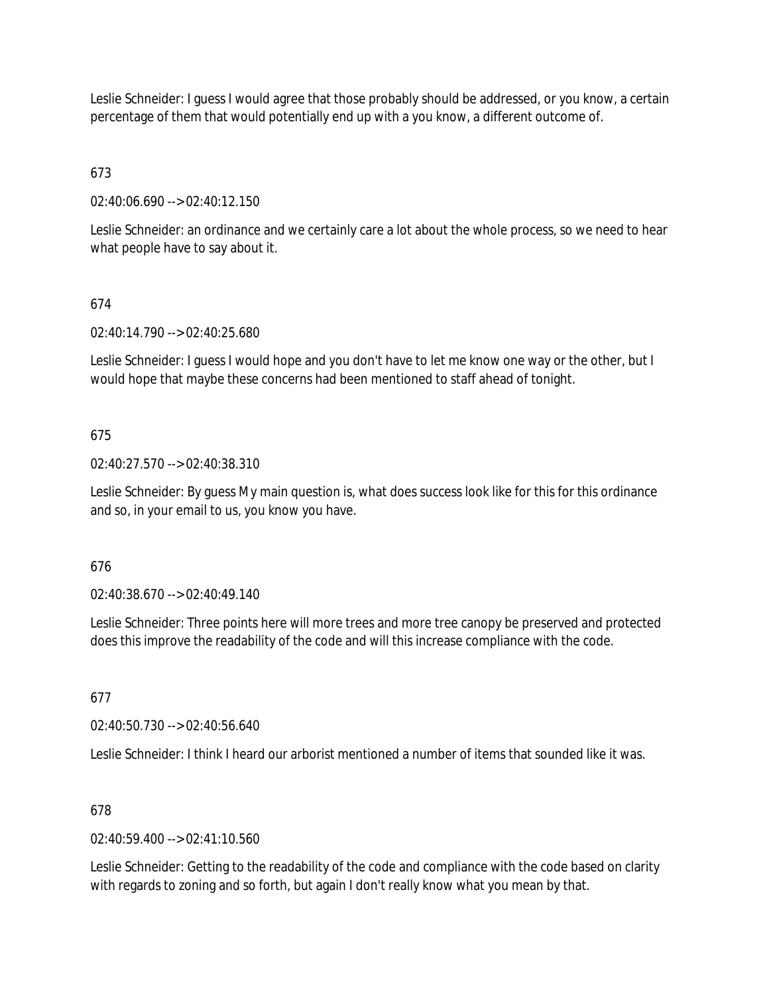Leslie Schneider: I guess I would agree that those probably should be addressed, or you know, a certain percentage of them that would potentially end up with a you know, a different outcome of.

# 673

02:40:06.690 --> 02:40:12.150

Leslie Schneider: an ordinance and we certainly care a lot about the whole process, so we need to hear what people have to say about it.

## 674

02:40:14.790 --> 02:40:25.680

Leslie Schneider: I guess I would hope and you don't have to let me know one way or the other, but I would hope that maybe these concerns had been mentioned to staff ahead of tonight.

### 675

02:40:27.570 --> 02:40:38.310

Leslie Schneider: By guess My main question is, what does success look like for this for this ordinance and so, in your email to us, you know you have.

### 676

02:40:38.670 --> 02:40:49.140

Leslie Schneider: Three points here will more trees and more tree canopy be preserved and protected does this improve the readability of the code and will this increase compliance with the code.

### 677

02:40:50.730 --> 02:40:56.640

Leslie Schneider: I think I heard our arborist mentioned a number of items that sounded like it was.

### 678

 $02.40.59.400 -59.02.41.10.560$ 

Leslie Schneider: Getting to the readability of the code and compliance with the code based on clarity with regards to zoning and so forth, but again I don't really know what you mean by that.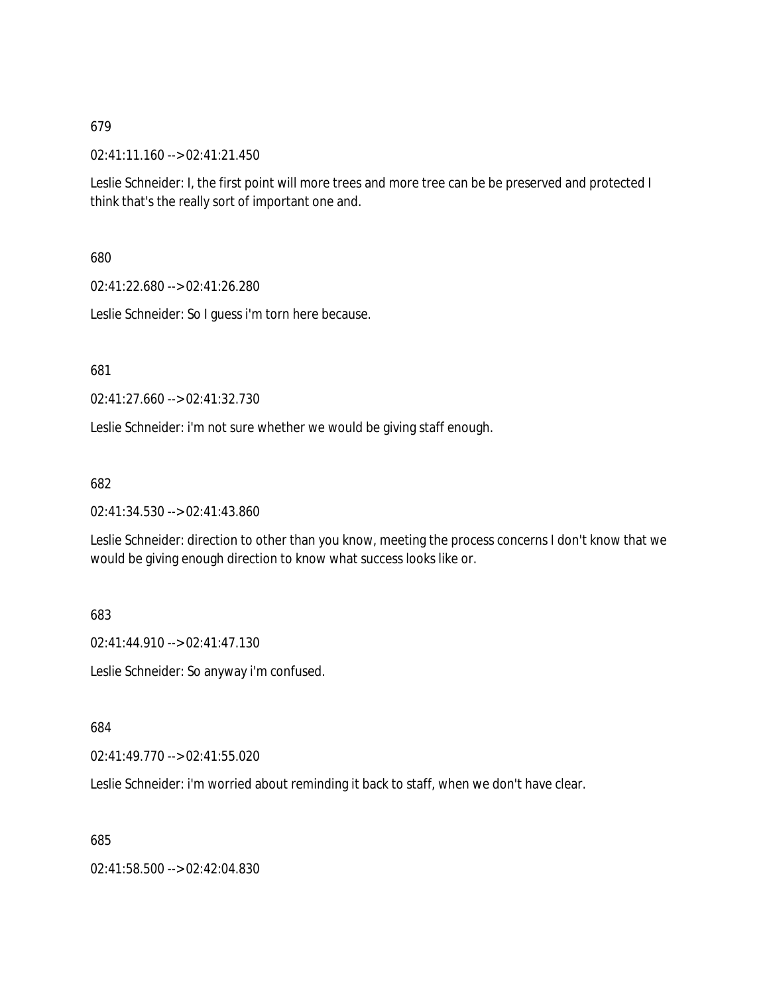02:41:11.160 --> 02:41:21.450

Leslie Schneider: I, the first point will more trees and more tree can be be preserved and protected I think that's the really sort of important one and.

680

02:41:22.680 --> 02:41:26.280

Leslie Schneider: So I guess i'm torn here because.

681

02:41:27.660 --> 02:41:32.730

Leslie Schneider: i'm not sure whether we would be giving staff enough.

682

02:41:34.530 --> 02:41:43.860

Leslie Schneider: direction to other than you know, meeting the process concerns I don't know that we would be giving enough direction to know what success looks like or.

683

02:41:44.910 --> 02:41:47.130

Leslie Schneider: So anyway i'm confused.

684

02:41:49.770 --> 02:41:55.020

Leslie Schneider: i'm worried about reminding it back to staff, when we don't have clear.

685

02:41:58.500 --> 02:42:04.830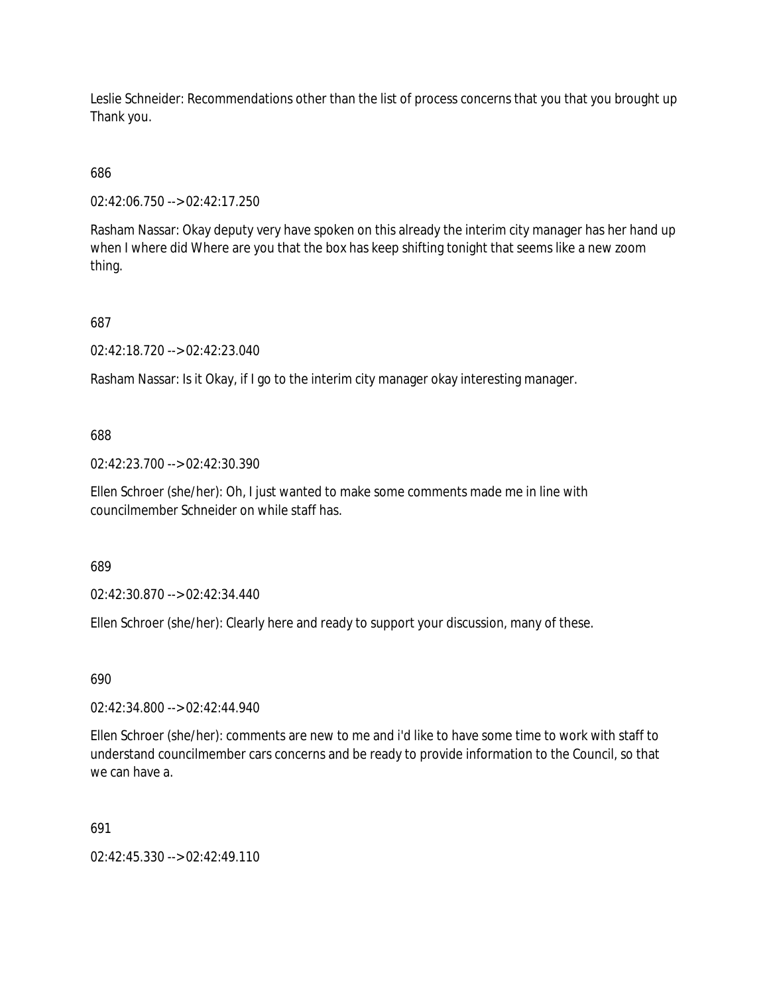Leslie Schneider: Recommendations other than the list of process concerns that you that you brought up Thank you.

686

02:42:06.750 --> 02:42:17.250

Rasham Nassar: Okay deputy very have spoken on this already the interim city manager has her hand up when I where did Where are you that the box has keep shifting tonight that seems like a new zoom thing.

687

02:42:18.720 --> 02:42:23.040

Rasham Nassar: Is it Okay, if I go to the interim city manager okay interesting manager.

688

02:42:23.700 --> 02:42:30.390

Ellen Schroer (she/her): Oh, I just wanted to make some comments made me in line with councilmember Schneider on while staff has.

689

02:42:30.870 --> 02:42:34.440

Ellen Schroer (she/her): Clearly here and ready to support your discussion, many of these.

690

02:42:34.800 --> 02:42:44.940

Ellen Schroer (she/her): comments are new to me and i'd like to have some time to work with staff to understand councilmember cars concerns and be ready to provide information to the Council, so that we can have a.

691

02:42:45.330 --> 02:42:49.110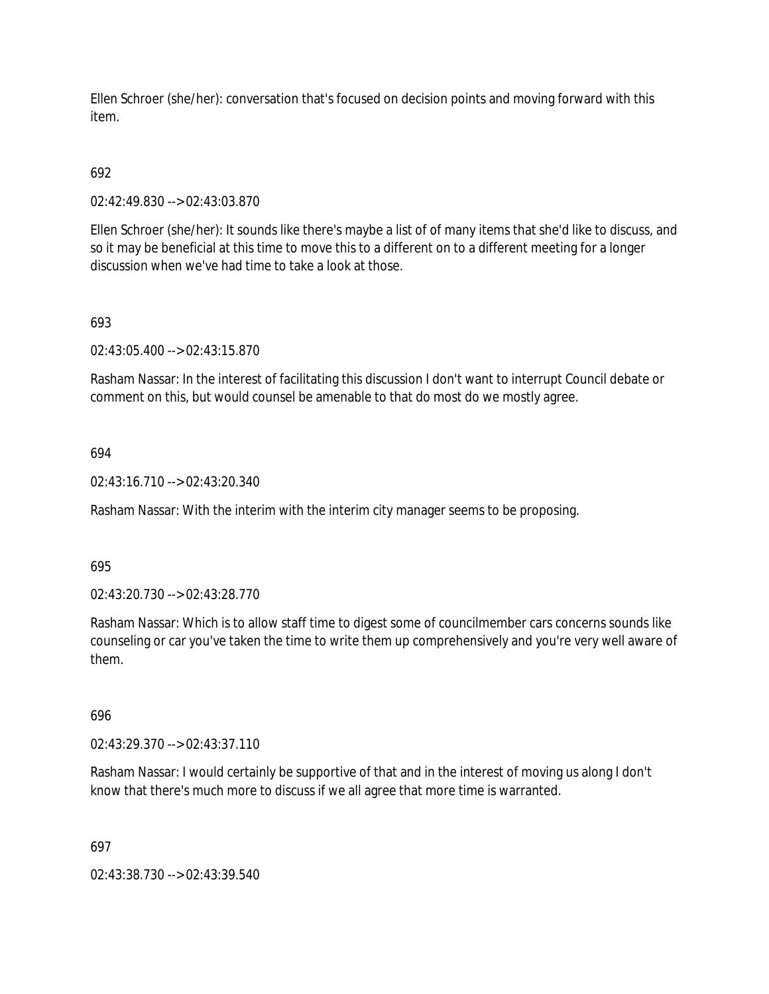Ellen Schroer (she/her): conversation that's focused on decision points and moving forward with this item.

# 692

02:42:49.830 --> 02:43:03.870

Ellen Schroer (she/her): It sounds like there's maybe a list of of many items that she'd like to discuss, and so it may be beneficial at this time to move this to a different on to a different meeting for a longer discussion when we've had time to take a look at those.

# 693

02:43:05.400 --> 02:43:15.870

Rasham Nassar: In the interest of facilitating this discussion I don't want to interrupt Council debate or comment on this, but would counsel be amenable to that do most do we mostly agree.

## 694

02:43:16.710 --> 02:43:20.340

Rasham Nassar: With the interim with the interim city manager seems to be proposing.

## 695

02:43:20.730 --> 02:43:28.770

Rasham Nassar: Which is to allow staff time to digest some of councilmember cars concerns sounds like counseling or car you've taken the time to write them up comprehensively and you're very well aware of them.

## 696

02:43:29.370 --> 02:43:37.110

Rasham Nassar: I would certainly be supportive of that and in the interest of moving us along I don't know that there's much more to discuss if we all agree that more time is warranted.

## 697

02:43:38.730 --> 02:43:39.540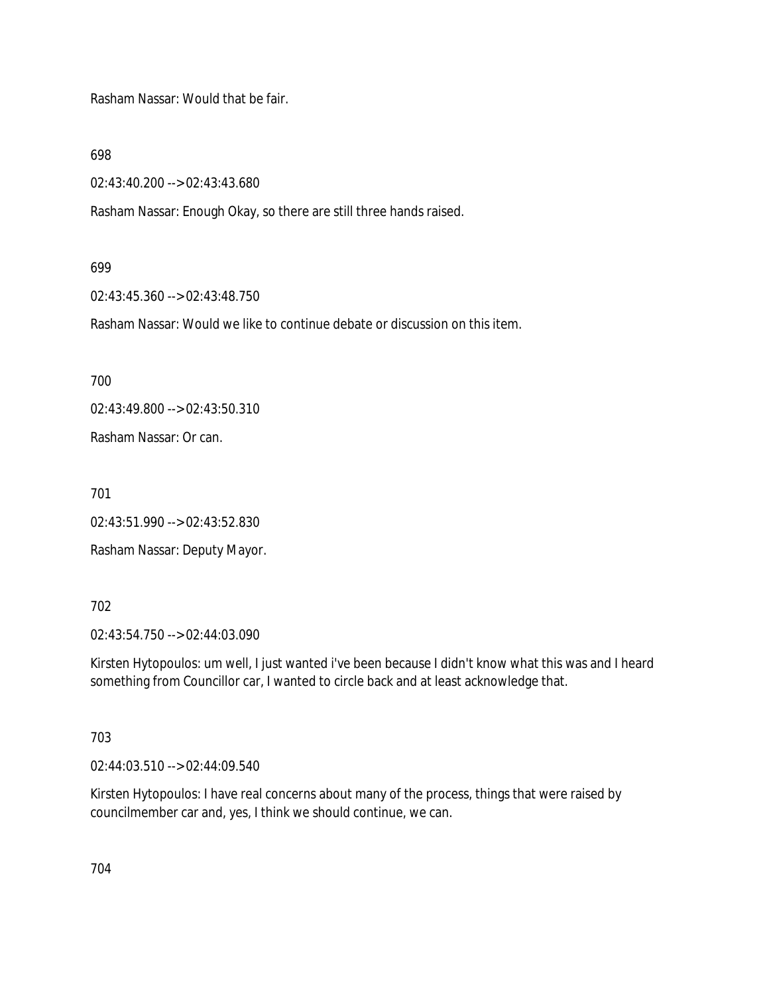Rasham Nassar: Would that be fair.

698

02:43:40.200 --> 02:43:43.680

Rasham Nassar: Enough Okay, so there are still three hands raised.

#### 699

02:43:45.360 --> 02:43:48.750

Rasham Nassar: Would we like to continue debate or discussion on this item.

700

02:43:49.800 --> 02:43:50.310

Rasham Nassar: Or can.

701

02:43:51.990 --> 02:43:52.830

Rasham Nassar: Deputy Mayor.

## 702

02:43:54.750 --> 02:44:03.090

Kirsten Hytopoulos: um well, I just wanted i've been because I didn't know what this was and I heard something from Councillor car, I wanted to circle back and at least acknowledge that.

## 703

02:44:03.510 --> 02:44:09.540

Kirsten Hytopoulos: I have real concerns about many of the process, things that were raised by councilmember car and, yes, I think we should continue, we can.

704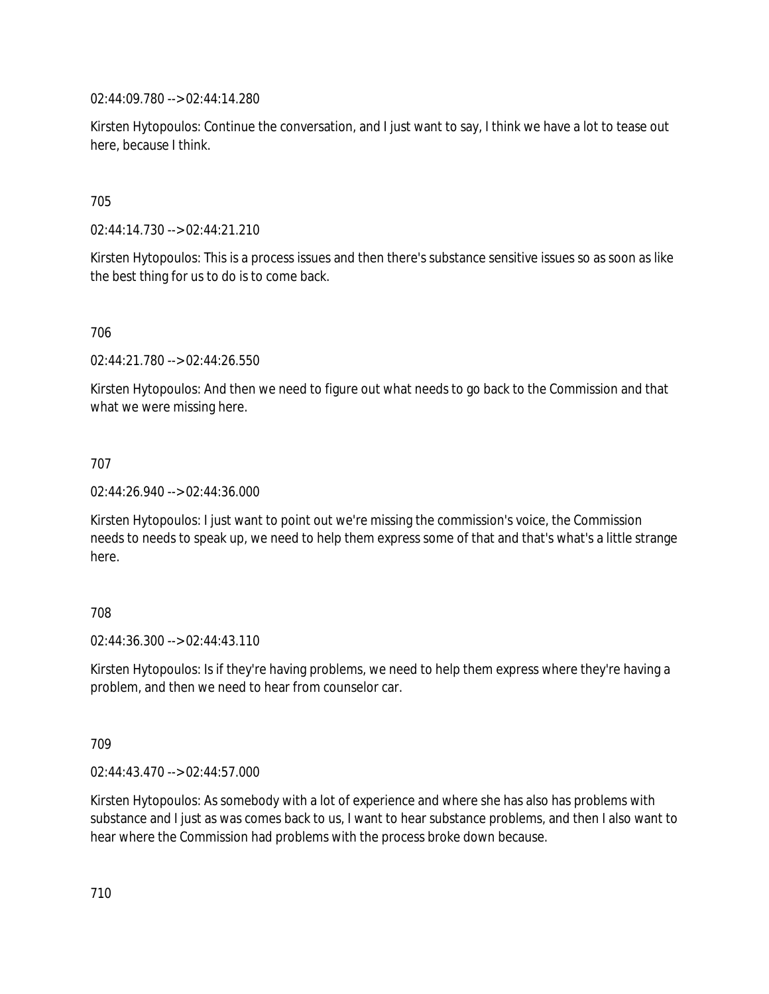02:44:09.780 --> 02:44:14.280

Kirsten Hytopoulos: Continue the conversation, and I just want to say, I think we have a lot to tease out here, because I think.

705

02:44:14.730 --> 02:44:21.210

Kirsten Hytopoulos: This is a process issues and then there's substance sensitive issues so as soon as like the best thing for us to do is to come back.

706

02:44:21.780 --> 02:44:26.550

Kirsten Hytopoulos: And then we need to figure out what needs to go back to the Commission and that what we were missing here.

707

02:44:26.940 --> 02:44:36.000

Kirsten Hytopoulos: I just want to point out we're missing the commission's voice, the Commission needs to needs to speak up, we need to help them express some of that and that's what's a little strange here.

## 708

 $02.44.36.300 -5.02.44.43.110$ 

Kirsten Hytopoulos: Is if they're having problems, we need to help them express where they're having a problem, and then we need to hear from counselor car.

709

02:44:43.470 --> 02:44:57.000

Kirsten Hytopoulos: As somebody with a lot of experience and where she has also has problems with substance and I just as was comes back to us, I want to hear substance problems, and then I also want to hear where the Commission had problems with the process broke down because.

710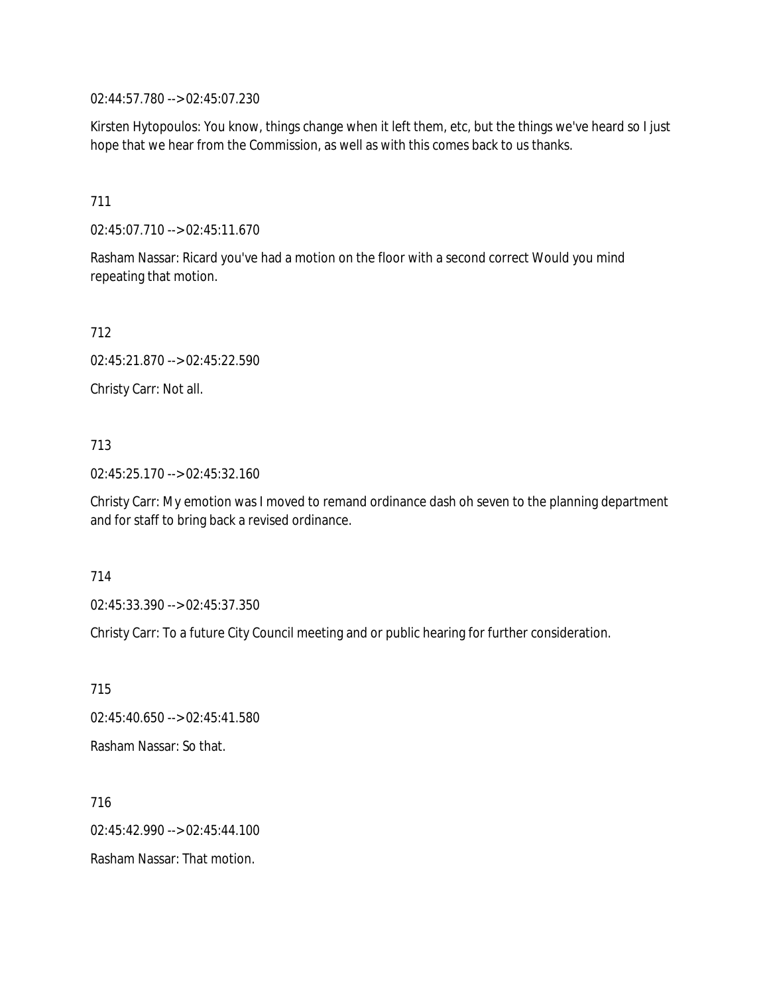02:44:57.780 --> 02:45:07.230

Kirsten Hytopoulos: You know, things change when it left them, etc, but the things we've heard so I just hope that we hear from the Commission, as well as with this comes back to us thanks.

## 711

02:45:07.710 --> 02:45:11.670

Rasham Nassar: Ricard you've had a motion on the floor with a second correct Would you mind repeating that motion.

712

02:45:21.870 --> 02:45:22.590

Christy Carr: Not all.

## 713

02:45:25.170 --> 02:45:32.160

Christy Carr: My emotion was I moved to remand ordinance dash oh seven to the planning department and for staff to bring back a revised ordinance.

#### 714

02:45:33.390 --> 02:45:37.350

Christy Carr: To a future City Council meeting and or public hearing for further consideration.

715 02:45:40.650 --> 02:45:41.580 Rasham Nassar: So that.

716 02:45:42.990 --> 02:45:44.100 Rasham Nassar: That motion.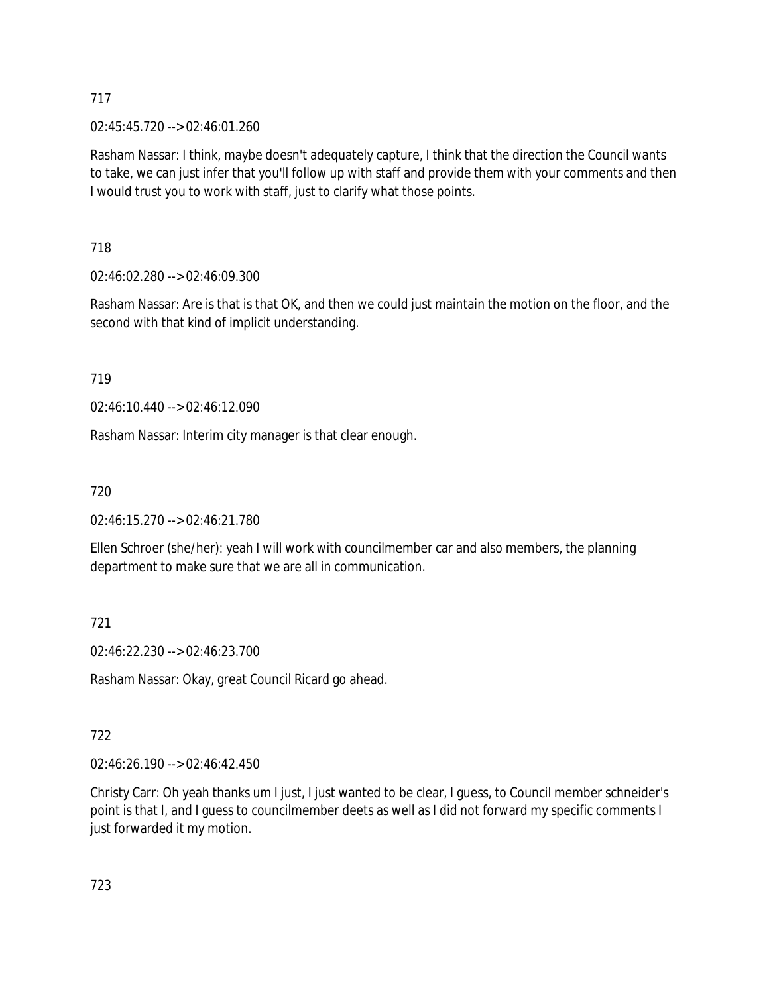02:45:45.720 --> 02:46:01.260

Rasham Nassar: I think, maybe doesn't adequately capture, I think that the direction the Council wants to take, we can just infer that you'll follow up with staff and provide them with your comments and then I would trust you to work with staff, just to clarify what those points.

718

02:46:02.280 --> 02:46:09.300

Rasham Nassar: Are is that is that OK, and then we could just maintain the motion on the floor, and the second with that kind of implicit understanding.

719

02:46:10.440 --> 02:46:12.090

Rasham Nassar: Interim city manager is that clear enough.

720

02:46:15.270 --> 02:46:21.780

Ellen Schroer (she/her): yeah I will work with councilmember car and also members, the planning department to make sure that we are all in communication.

721

02:46:22.230 --> 02:46:23.700

Rasham Nassar: Okay, great Council Ricard go ahead.

722

02:46:26.190 --> 02:46:42.450

Christy Carr: Oh yeah thanks um I just, I just wanted to be clear, I guess, to Council member schneider's point is that I, and I guess to councilmember deets as well as I did not forward my specific comments I just forwarded it my motion.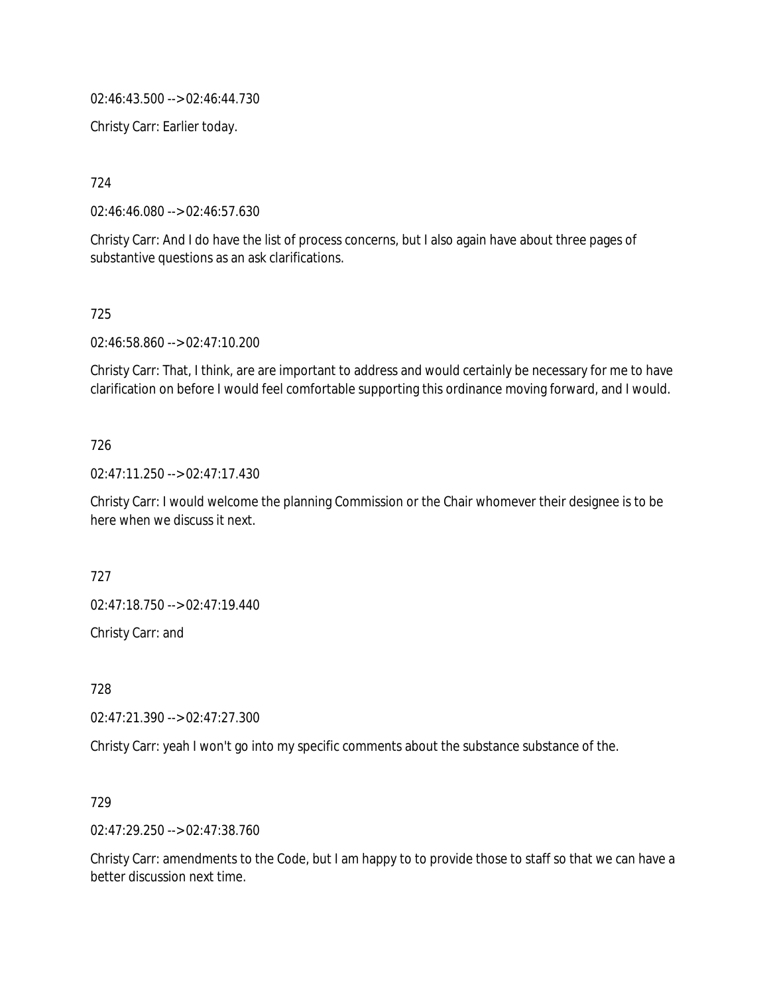02:46:43.500 --> 02:46:44.730

Christy Carr: Earlier today.

724

02:46:46.080 --> 02:46:57.630

Christy Carr: And I do have the list of process concerns, but I also again have about three pages of substantive questions as an ask clarifications.

#### 725

02:46:58.860 --> 02:47:10.200

Christy Carr: That, I think, are are important to address and would certainly be necessary for me to have clarification on before I would feel comfortable supporting this ordinance moving forward, and I would.

## 726

02:47:11.250 --> 02:47:17.430

Christy Carr: I would welcome the planning Commission or the Chair whomever their designee is to be here when we discuss it next.

727

02:47:18.750 --> 02:47:19.440

Christy Carr: and

728

02:47:21.390 --> 02:47:27.300

Christy Carr: yeah I won't go into my specific comments about the substance substance of the.

729

02:47:29.250 --> 02:47:38.760

Christy Carr: amendments to the Code, but I am happy to to provide those to staff so that we can have a better discussion next time.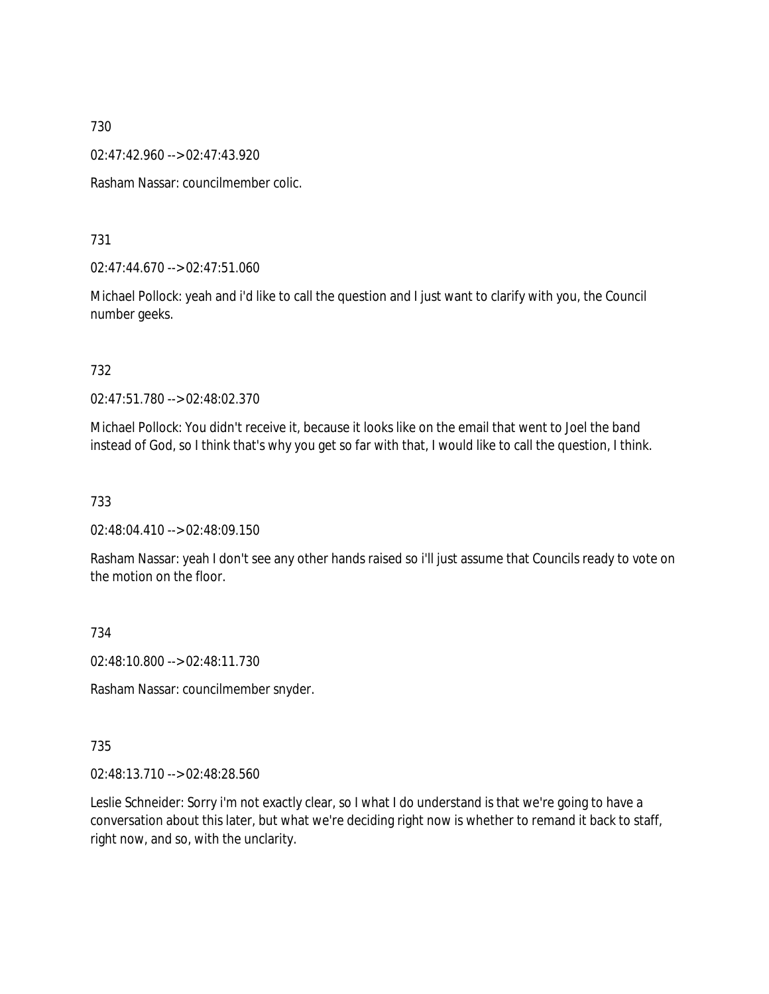02:47:42.960 --> 02:47:43.920

Rasham Nassar: councilmember colic.

731

02:47:44.670 --> 02:47:51.060

Michael Pollock: yeah and i'd like to call the question and I just want to clarify with you, the Council number geeks.

732

02:47:51.780 --> 02:48:02.370

Michael Pollock: You didn't receive it, because it looks like on the email that went to Joel the band instead of God, so I think that's why you get so far with that, I would like to call the question, I think.

733

02:48:04.410 --> 02:48:09.150

Rasham Nassar: yeah I don't see any other hands raised so i'll just assume that Councils ready to vote on the motion on the floor.

734

02:48:10.800 --> 02:48:11.730

Rasham Nassar: councilmember snyder.

735

02:48:13.710 --> 02:48:28.560

Leslie Schneider: Sorry i'm not exactly clear, so I what I do understand is that we're going to have a conversation about this later, but what we're deciding right now is whether to remand it back to staff, right now, and so, with the unclarity.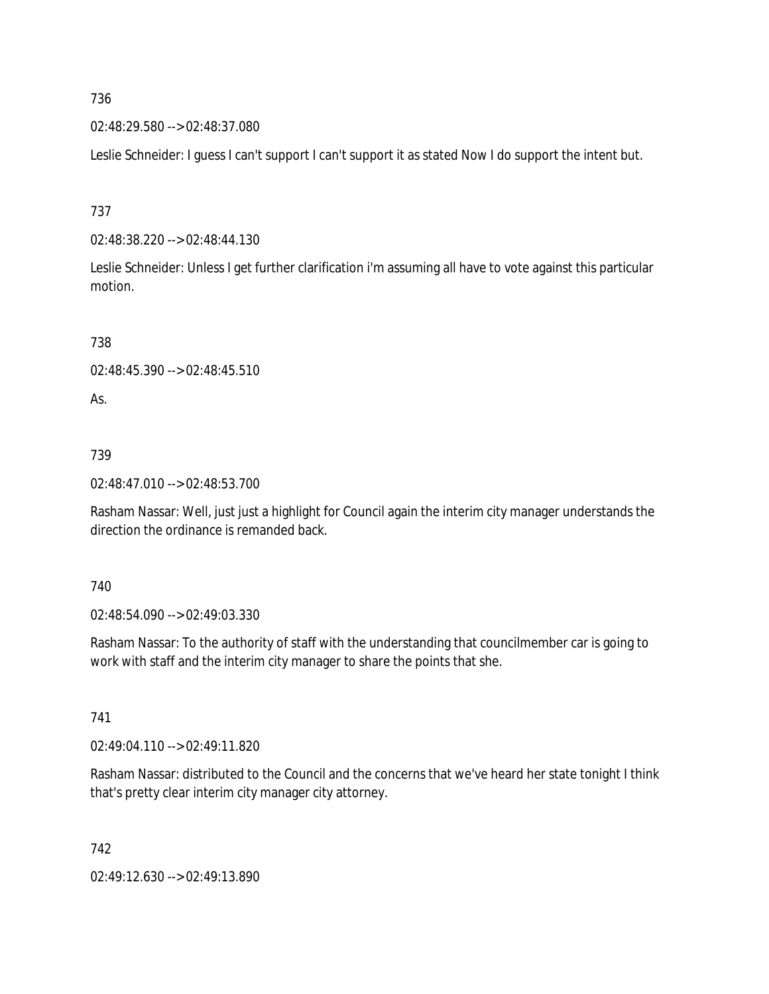02:48:29.580 --> 02:48:37.080

Leslie Schneider: I guess I can't support I can't support it as stated Now I do support the intent but.

737

02:48:38.220 --> 02:48:44.130

Leslie Schneider: Unless I get further clarification i'm assuming all have to vote against this particular motion.

738

```
02:48:45.390 --> 02:48:45.510
```
As.

739

02:48:47.010 --> 02:48:53.700

Rasham Nassar: Well, just just a highlight for Council again the interim city manager understands the direction the ordinance is remanded back.

740

02:48:54.090 --> 02:49:03.330

Rasham Nassar: To the authority of staff with the understanding that councilmember car is going to work with staff and the interim city manager to share the points that she.

741

02:49:04.110 --> 02:49:11.820

Rasham Nassar: distributed to the Council and the concerns that we've heard her state tonight I think that's pretty clear interim city manager city attorney.

742

02:49:12.630 --> 02:49:13.890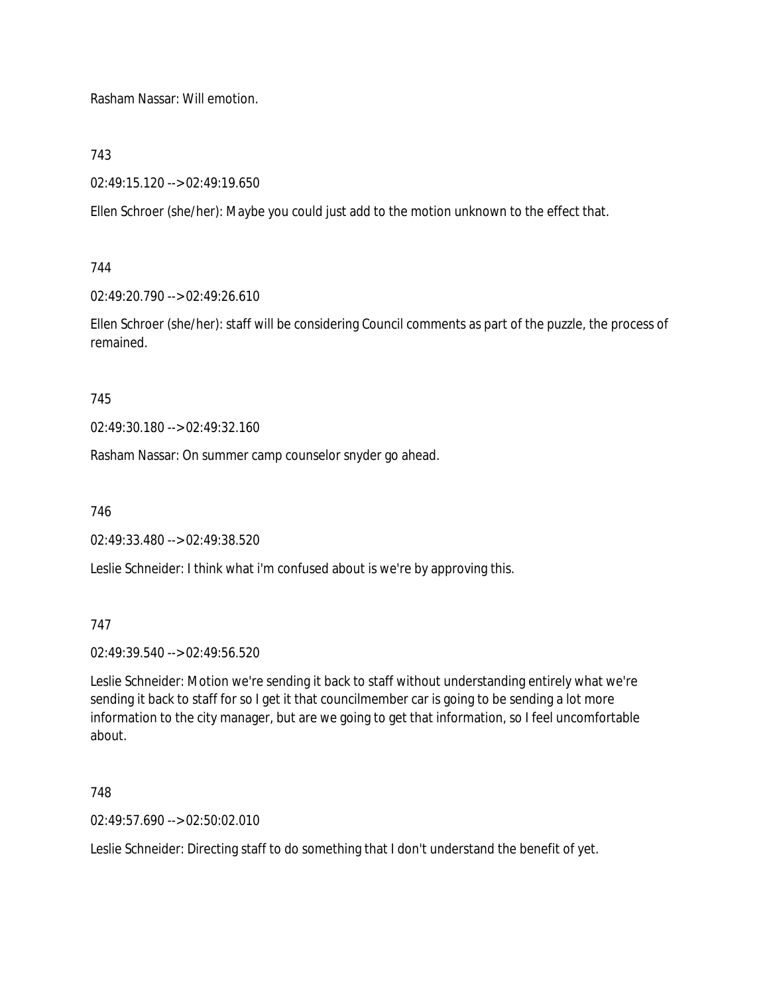Rasham Nassar: Will emotion.

743

02:49:15.120 --> 02:49:19.650

Ellen Schroer (she/her): Maybe you could just add to the motion unknown to the effect that.

744

02:49:20.790 --> 02:49:26.610

Ellen Schroer (she/her): staff will be considering Council comments as part of the puzzle, the process of remained.

745

02:49:30.180 --> 02:49:32.160

Rasham Nassar: On summer camp counselor snyder go ahead.

746

02:49:33.480 --> 02:49:38.520

Leslie Schneider: I think what i'm confused about is we're by approving this.

747

02:49:39.540 --> 02:49:56.520

Leslie Schneider: Motion we're sending it back to staff without understanding entirely what we're sending it back to staff for so I get it that councilmember car is going to be sending a lot more information to the city manager, but are we going to get that information, so I feel uncomfortable about.

748

02:49:57.690 --> 02:50:02.010

Leslie Schneider: Directing staff to do something that I don't understand the benefit of yet.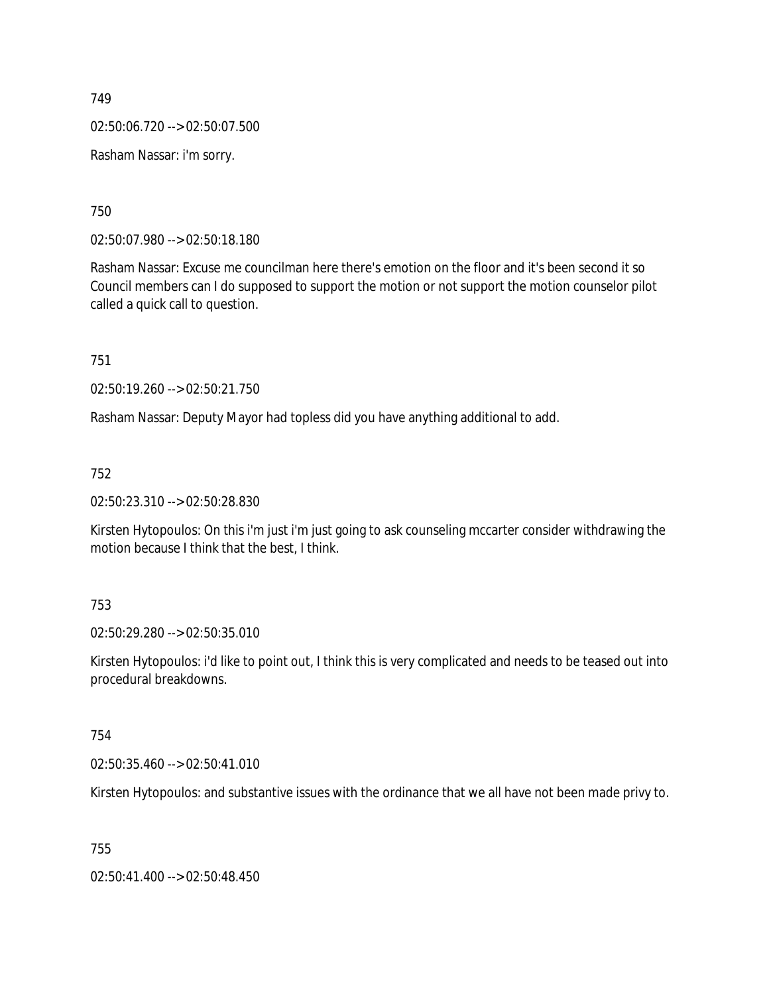02:50:06.720 --> 02:50:07.500

Rasham Nassar: i'm sorry.

750

02:50:07.980 --> 02:50:18.180

Rasham Nassar: Excuse me councilman here there's emotion on the floor and it's been second it so Council members can I do supposed to support the motion or not support the motion counselor pilot called a quick call to question.

751

02:50:19.260 --> 02:50:21.750

Rasham Nassar: Deputy Mayor had topless did you have anything additional to add.

752

02:50:23.310 --> 02:50:28.830

Kirsten Hytopoulos: On this i'm just i'm just going to ask counseling mccarter consider withdrawing the motion because I think that the best, I think.

753

02:50:29.280 --> 02:50:35.010

Kirsten Hytopoulos: i'd like to point out, I think this is very complicated and needs to be teased out into procedural breakdowns.

754

02:50:35.460 --> 02:50:41.010

Kirsten Hytopoulos: and substantive issues with the ordinance that we all have not been made privy to.

755

02:50:41.400 --> 02:50:48.450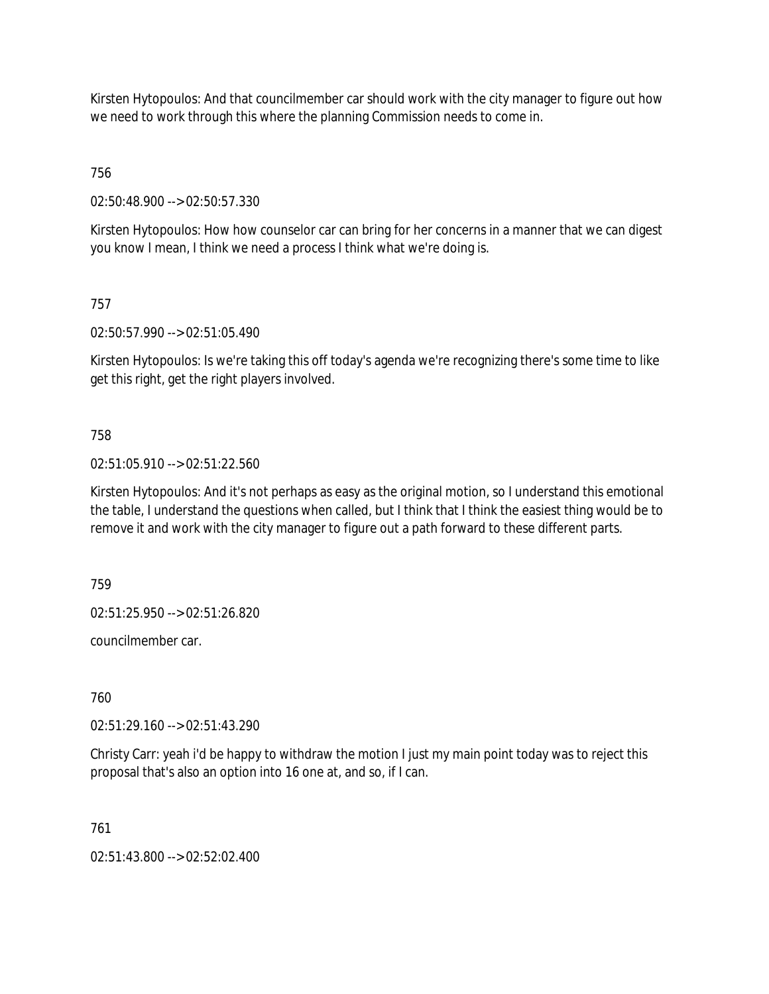Kirsten Hytopoulos: And that councilmember car should work with the city manager to figure out how we need to work through this where the planning Commission needs to come in.

756

02:50:48.900 --> 02:50:57.330

Kirsten Hytopoulos: How how counselor car can bring for her concerns in a manner that we can digest you know I mean, I think we need a process I think what we're doing is.

# 757

02:50:57.990 --> 02:51:05.490

Kirsten Hytopoulos: Is we're taking this off today's agenda we're recognizing there's some time to like get this right, get the right players involved.

# 758

02:51:05.910 --> 02:51:22.560

Kirsten Hytopoulos: And it's not perhaps as easy as the original motion, so I understand this emotional the table, I understand the questions when called, but I think that I think the easiest thing would be to remove it and work with the city manager to figure out a path forward to these different parts.

759

02:51:25.950 --> 02:51:26.820

councilmember car.

760

02:51:29.160 --> 02:51:43.290

Christy Carr: yeah i'd be happy to withdraw the motion I just my main point today was to reject this proposal that's also an option into 16 one at, and so, if I can.

761

02:51:43.800 --> 02:52:02.400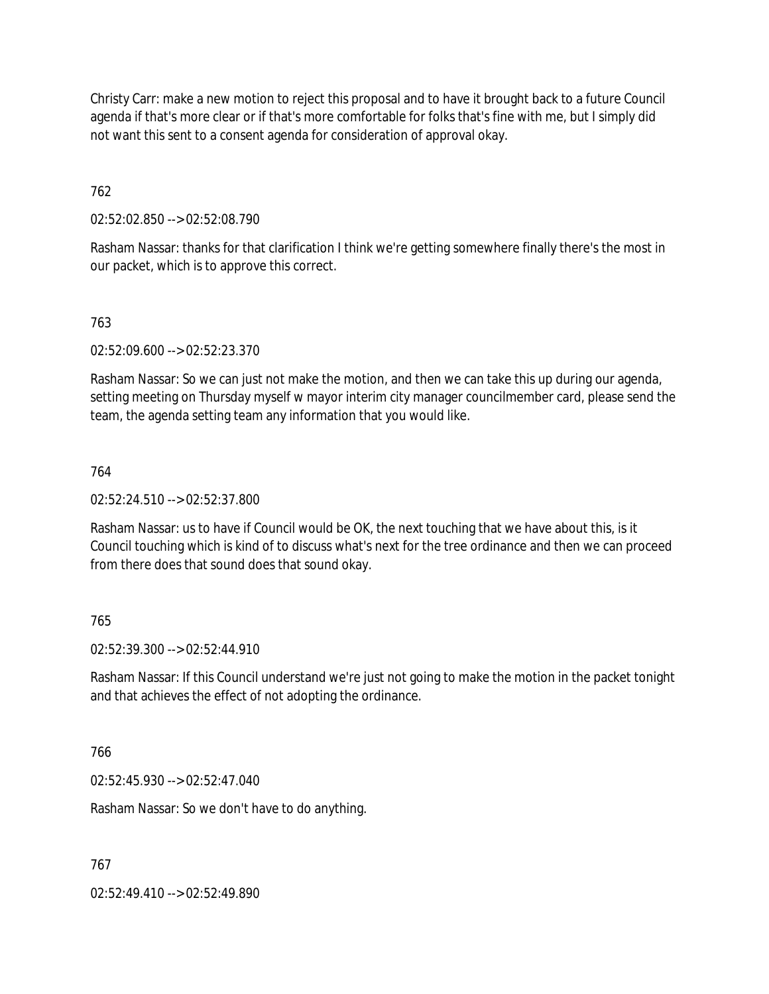Christy Carr: make a new motion to reject this proposal and to have it brought back to a future Council agenda if that's more clear or if that's more comfortable for folks that's fine with me, but I simply did not want this sent to a consent agenda for consideration of approval okay.

762

02:52:02.850 --> 02:52:08.790

Rasham Nassar: thanks for that clarification I think we're getting somewhere finally there's the most in our packet, which is to approve this correct.

## 763

02:52:09.600 --> 02:52:23.370

Rasham Nassar: So we can just not make the motion, and then we can take this up during our agenda, setting meeting on Thursday myself w mayor interim city manager councilmember card, please send the team, the agenda setting team any information that you would like.

## 764

02:52:24.510 --> 02:52:37.800

Rasham Nassar: us to have if Council would be OK, the next touching that we have about this, is it Council touching which is kind of to discuss what's next for the tree ordinance and then we can proceed from there does that sound does that sound okay.

## 765

02:52:39.300 --> 02:52:44.910

Rasham Nassar: If this Council understand we're just not going to make the motion in the packet tonight and that achieves the effect of not adopting the ordinance.

## 766

02:52:45.930 --> 02:52:47.040

Rasham Nassar: So we don't have to do anything.

767

02:52:49.410 --> 02:52:49.890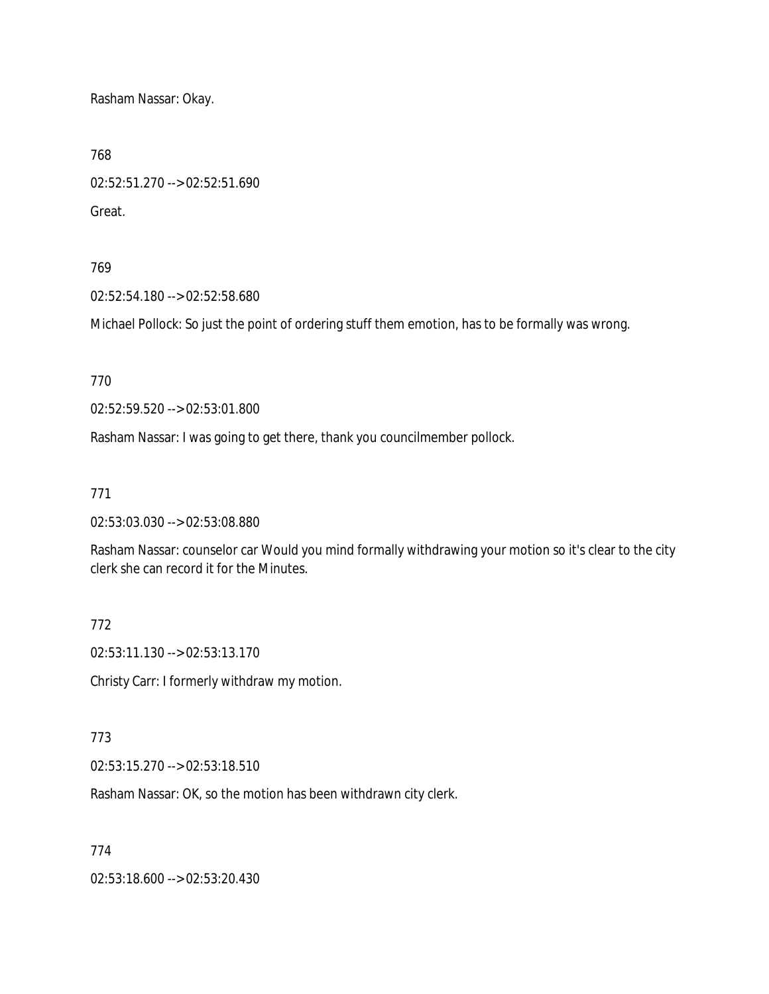Rasham Nassar: Okay.

768

02:52:51.270 --> 02:52:51.690 Great.

### 769

02:52:54.180 --> 02:52:58.680

Michael Pollock: So just the point of ordering stuff them emotion, has to be formally was wrong.

770

02:52:59.520 --> 02:53:01.800

Rasham Nassar: I was going to get there, thank you councilmember pollock.

#### 771

02:53:03.030 --> 02:53:08.880

Rasham Nassar: counselor car Would you mind formally withdrawing your motion so it's clear to the city clerk she can record it for the Minutes.

## 772

02:53:11.130 --> 02:53:13.170

Christy Carr: I formerly withdraw my motion.

#### 773

02:53:15.270 --> 02:53:18.510

Rasham Nassar: OK, so the motion has been withdrawn city clerk.

## 774

02:53:18.600 --> 02:53:20.430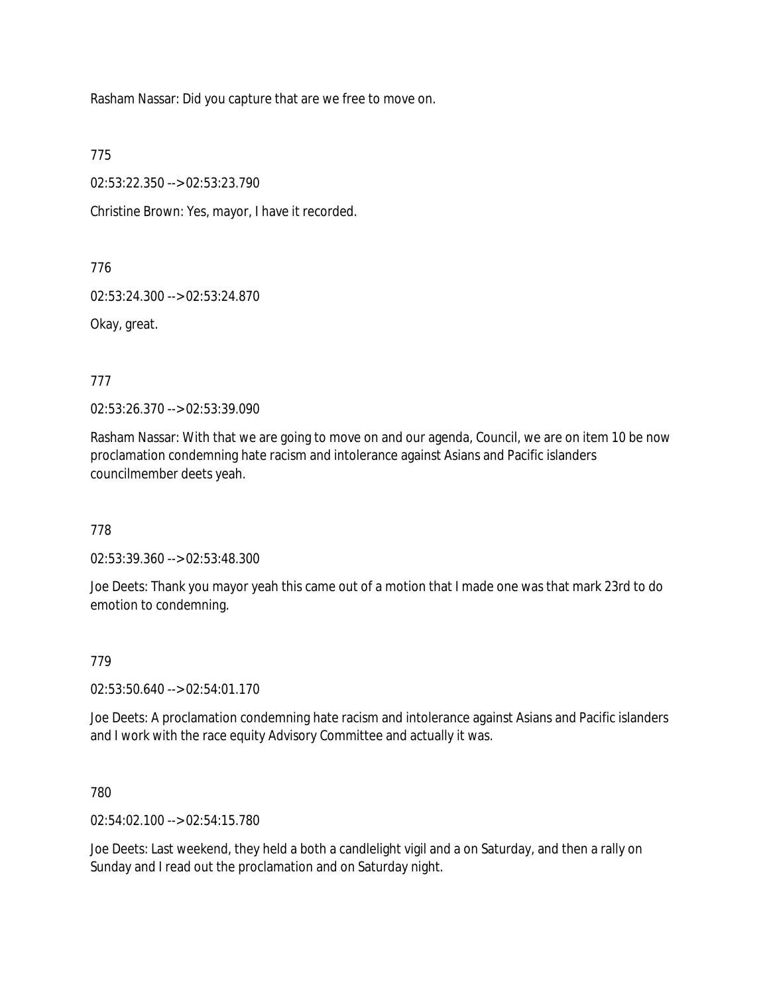Rasham Nassar: Did you capture that are we free to move on.

775

02:53:22.350 --> 02:53:23.790

Christine Brown: Yes, mayor, I have it recorded.

776

02:53:24.300 --> 02:53:24.870

Okay, great.

777

02:53:26.370 --> 02:53:39.090

Rasham Nassar: With that we are going to move on and our agenda, Council, we are on item 10 be now proclamation condemning hate racism and intolerance against Asians and Pacific islanders councilmember deets yeah.

778

02:53:39.360 --> 02:53:48.300

Joe Deets: Thank you mayor yeah this came out of a motion that I made one was that mark 23rd to do emotion to condemning.

779

02:53:50.640 --> 02:54:01.170

Joe Deets: A proclamation condemning hate racism and intolerance against Asians and Pacific islanders and I work with the race equity Advisory Committee and actually it was.

780

02:54:02.100 --> 02:54:15.780

Joe Deets: Last weekend, they held a both a candlelight vigil and a on Saturday, and then a rally on Sunday and I read out the proclamation and on Saturday night.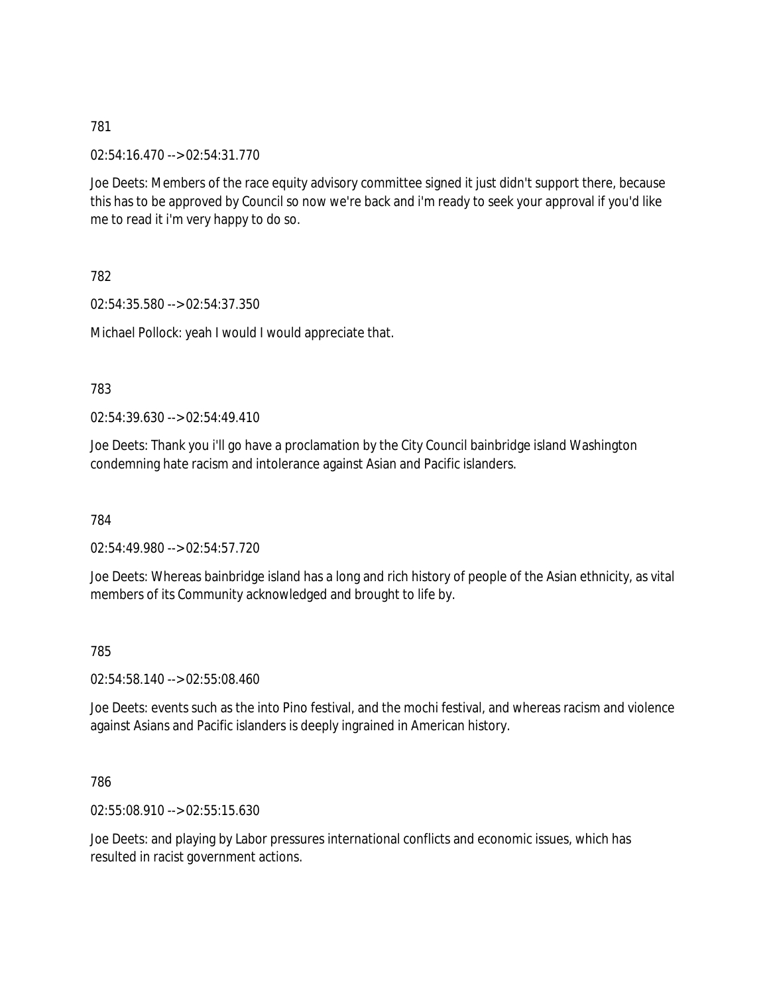02:54:16.470 --> 02:54:31.770

Joe Deets: Members of the race equity advisory committee signed it just didn't support there, because this has to be approved by Council so now we're back and i'm ready to seek your approval if you'd like me to read it i'm very happy to do so.

782

02:54:35.580 --> 02:54:37.350

Michael Pollock: yeah I would I would appreciate that.

783

02:54:39.630 --> 02:54:49.410

Joe Deets: Thank you i'll go have a proclamation by the City Council bainbridge island Washington condemning hate racism and intolerance against Asian and Pacific islanders.

784

02:54:49.980 --> 02:54:57.720

Joe Deets: Whereas bainbridge island has a long and rich history of people of the Asian ethnicity, as vital members of its Community acknowledged and brought to life by.

785

02:54:58.140 --> 02:55:08.460

Joe Deets: events such as the into Pino festival, and the mochi festival, and whereas racism and violence against Asians and Pacific islanders is deeply ingrained in American history.

786

02:55:08.910 --> 02:55:15.630

Joe Deets: and playing by Labor pressures international conflicts and economic issues, which has resulted in racist government actions.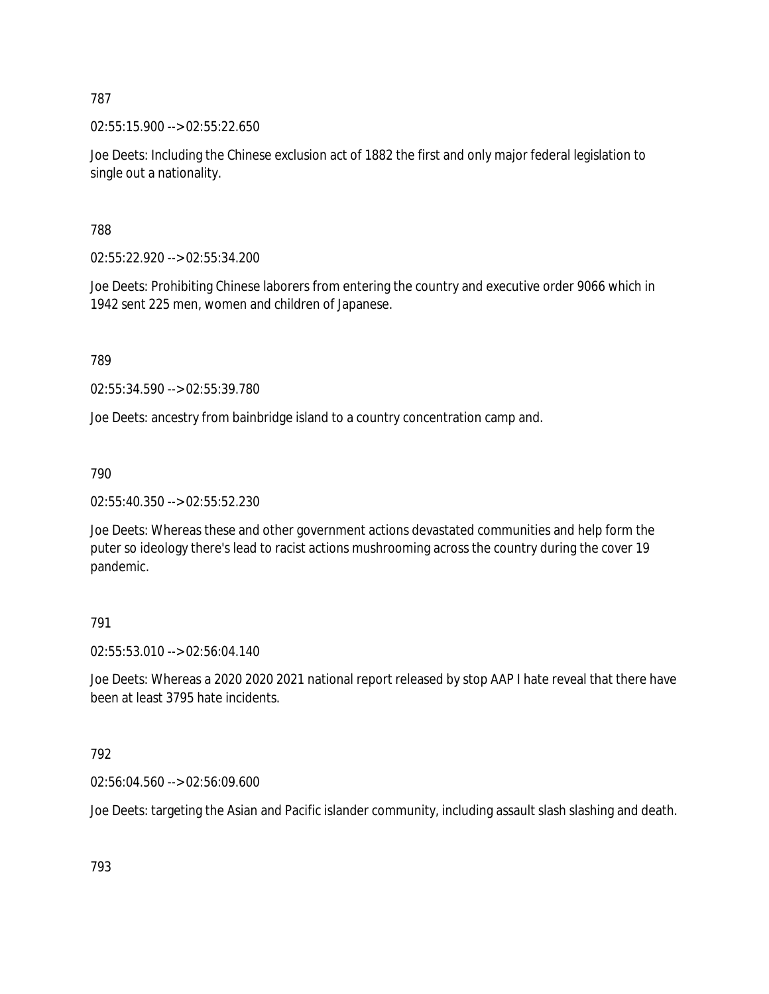02:55:15.900 --> 02:55:22.650

Joe Deets: Including the Chinese exclusion act of 1882 the first and only major federal legislation to single out a nationality.

788

02:55:22.920 --> 02:55:34.200

Joe Deets: Prohibiting Chinese laborers from entering the country and executive order 9066 which in 1942 sent 225 men, women and children of Japanese.

789

02:55:34.590 --> 02:55:39.780

Joe Deets: ancestry from bainbridge island to a country concentration camp and.

790

02:55:40.350 --> 02:55:52.230

Joe Deets: Whereas these and other government actions devastated communities and help form the puter so ideology there's lead to racist actions mushrooming across the country during the cover 19 pandemic.

791

02:55:53.010 --> 02:56:04.140

Joe Deets: Whereas a 2020 2020 2021 national report released by stop AAP I hate reveal that there have been at least 3795 hate incidents.

792

02:56:04.560 --> 02:56:09.600

Joe Deets: targeting the Asian and Pacific islander community, including assault slash slashing and death.

793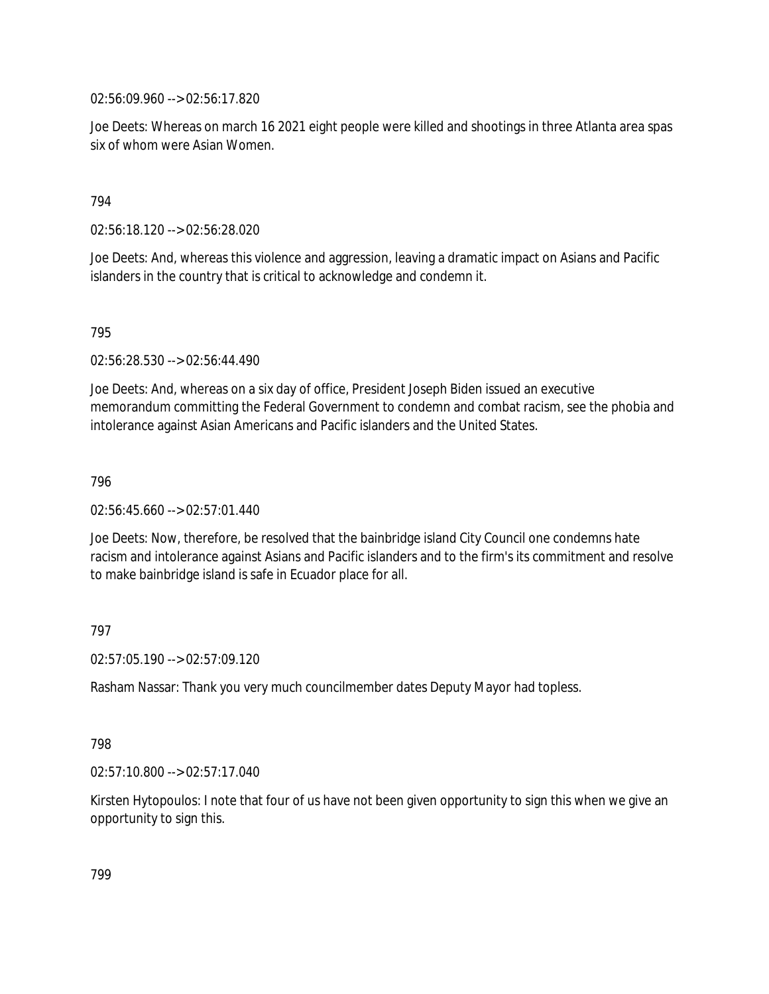02:56:09.960 --> 02:56:17.820

Joe Deets: Whereas on march 16 2021 eight people were killed and shootings in three Atlanta area spas six of whom were Asian Women.

## 794

02:56:18.120 --> 02:56:28.020

Joe Deets: And, whereas this violence and aggression, leaving a dramatic impact on Asians and Pacific islanders in the country that is critical to acknowledge and condemn it.

795

02:56:28.530 --> 02:56:44.490

Joe Deets: And, whereas on a six day of office, President Joseph Biden issued an executive memorandum committing the Federal Government to condemn and combat racism, see the phobia and intolerance against Asian Americans and Pacific islanders and the United States.

796

02:56:45.660 --> 02:57:01.440

Joe Deets: Now, therefore, be resolved that the bainbridge island City Council one condemns hate racism and intolerance against Asians and Pacific islanders and to the firm's its commitment and resolve to make bainbridge island is safe in Ecuador place for all.

## 797

02:57:05.190 --> 02:57:09.120

Rasham Nassar: Thank you very much councilmember dates Deputy Mayor had topless.

## 798

02:57:10.800 --> 02:57:17.040

Kirsten Hytopoulos: I note that four of us have not been given opportunity to sign this when we give an opportunity to sign this.

799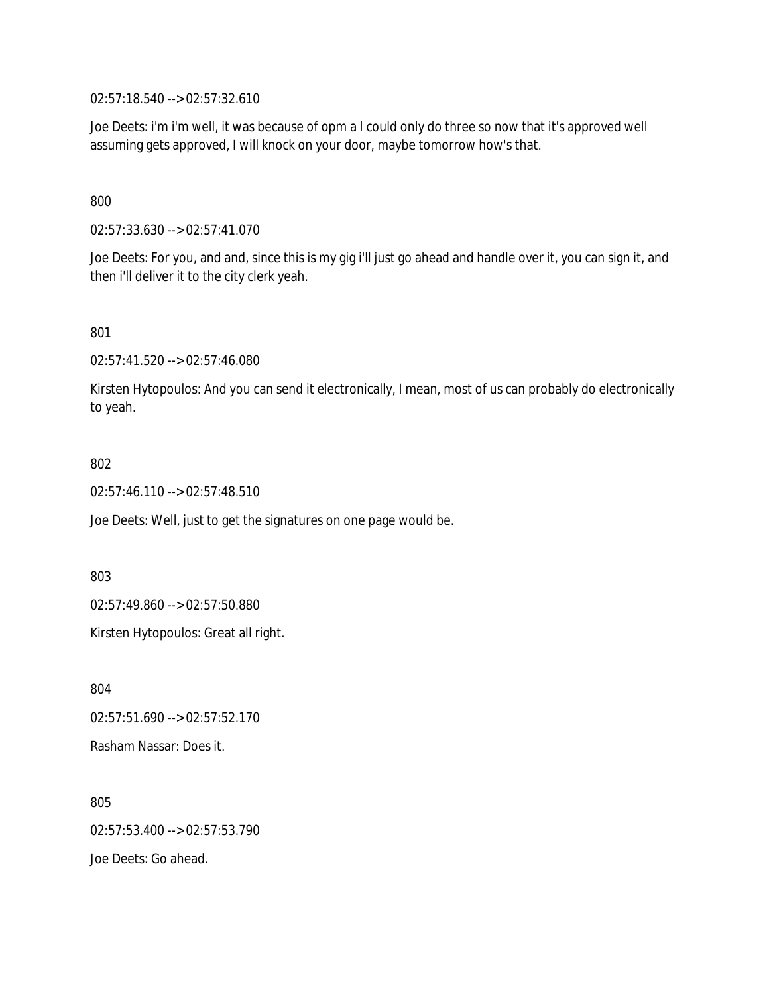02:57:18.540 --> 02:57:32.610

Joe Deets: i'm i'm well, it was because of opm a I could only do three so now that it's approved well assuming gets approved, I will knock on your door, maybe tomorrow how's that.

800

02:57:33.630 --> 02:57:41.070

Joe Deets: For you, and and, since this is my gig i'll just go ahead and handle over it, you can sign it, and then i'll deliver it to the city clerk yeah.

801

02:57:41.520 --> 02:57:46.080

Kirsten Hytopoulos: And you can send it electronically, I mean, most of us can probably do electronically to yeah.

802

02:57:46.110 --> 02:57:48.510

Joe Deets: Well, just to get the signatures on one page would be.

803

02:57:49.860 --> 02:57:50.880

Kirsten Hytopoulos: Great all right.

804 02:57:51.690 --> 02:57:52.170 Rasham Nassar: Does it.

805 02:57:53.400 --> 02:57:53.790 Joe Deets: Go ahead.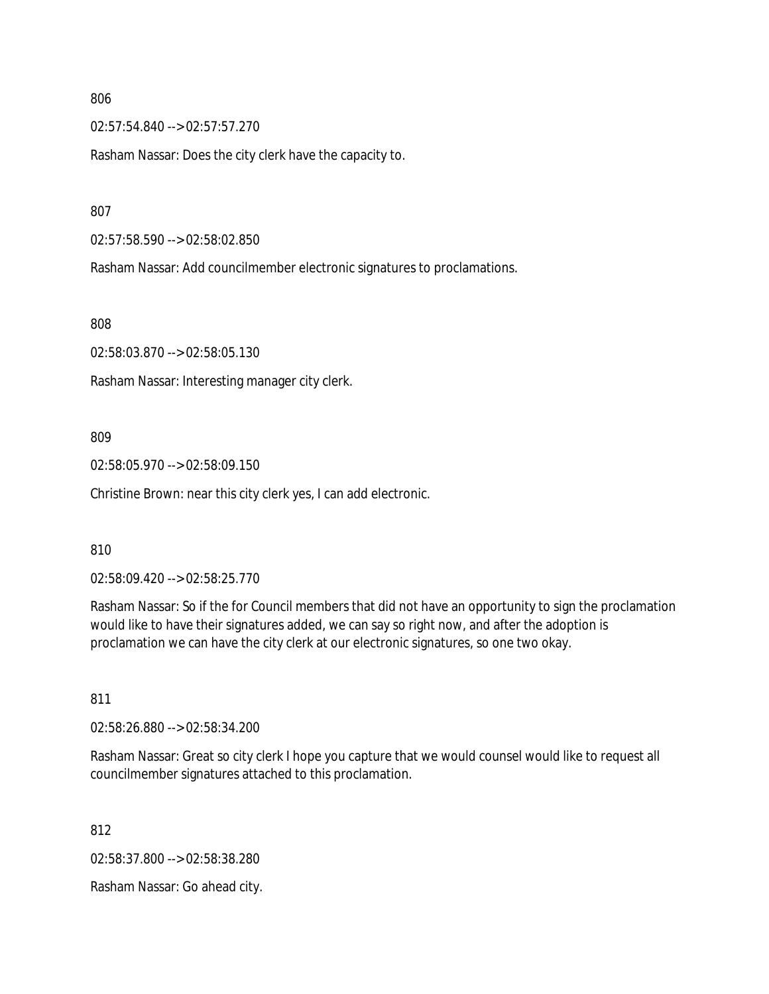02:57:54.840 --> 02:57:57.270

Rasham Nassar: Does the city clerk have the capacity to.

807

02:57:58.590 --> 02:58:02.850

Rasham Nassar: Add councilmember electronic signatures to proclamations.

808

02:58:03.870 --> 02:58:05.130

Rasham Nassar: Interesting manager city clerk.

809

02:58:05.970 --> 02:58:09.150

Christine Brown: near this city clerk yes, I can add electronic.

810

02:58:09.420 --> 02:58:25.770

Rasham Nassar: So if the for Council members that did not have an opportunity to sign the proclamation would like to have their signatures added, we can say so right now, and after the adoption is proclamation we can have the city clerk at our electronic signatures, so one two okay.

811

02:58:26.880 --> 02:58:34.200

Rasham Nassar: Great so city clerk I hope you capture that we would counsel would like to request all councilmember signatures attached to this proclamation.

812

02:58:37.800 --> 02:58:38.280

Rasham Nassar: Go ahead city.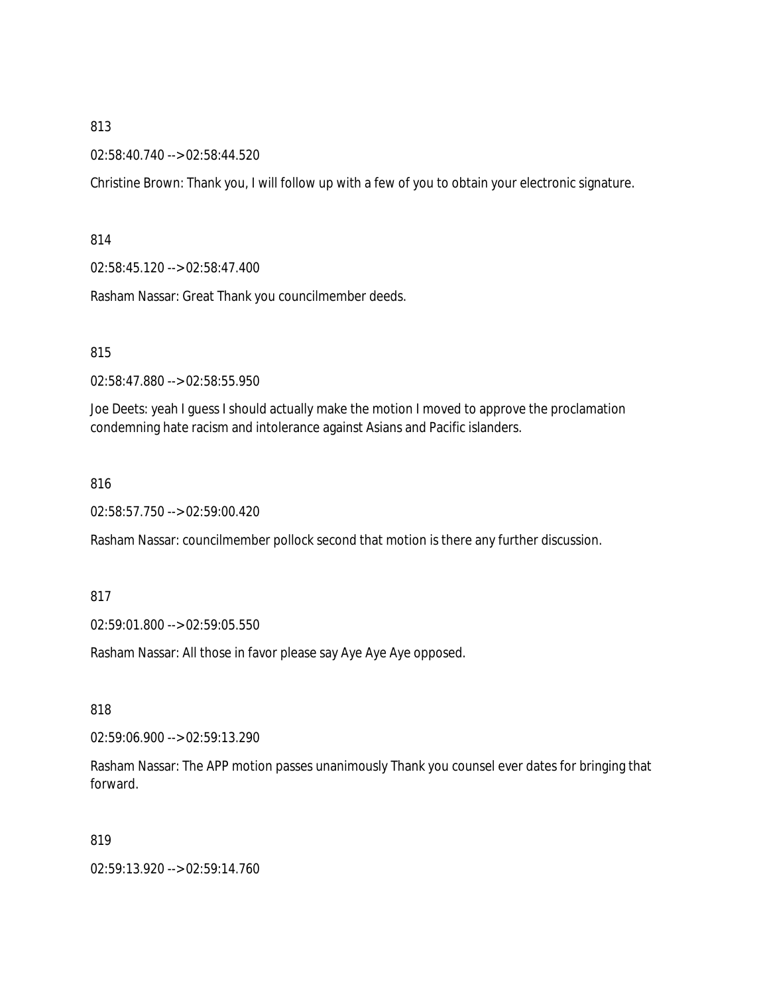#### 02:58:40.740 --> 02:58:44.520

Christine Brown: Thank you, I will follow up with a few of you to obtain your electronic signature.

814

02:58:45.120 --> 02:58:47.400

Rasham Nassar: Great Thank you councilmember deeds.

815

02:58:47.880 --> 02:58:55.950

Joe Deets: yeah I guess I should actually make the motion I moved to approve the proclamation condemning hate racism and intolerance against Asians and Pacific islanders.

816

02:58:57.750 --> 02:59:00.420

Rasham Nassar: councilmember pollock second that motion is there any further discussion.

817

02:59:01.800 --> 02:59:05.550

Rasham Nassar: All those in favor please say Aye Aye Aye opposed.

818

02:59:06.900 --> 02:59:13.290

Rasham Nassar: The APP motion passes unanimously Thank you counsel ever dates for bringing that forward.

819

02:59:13.920 --> 02:59:14.760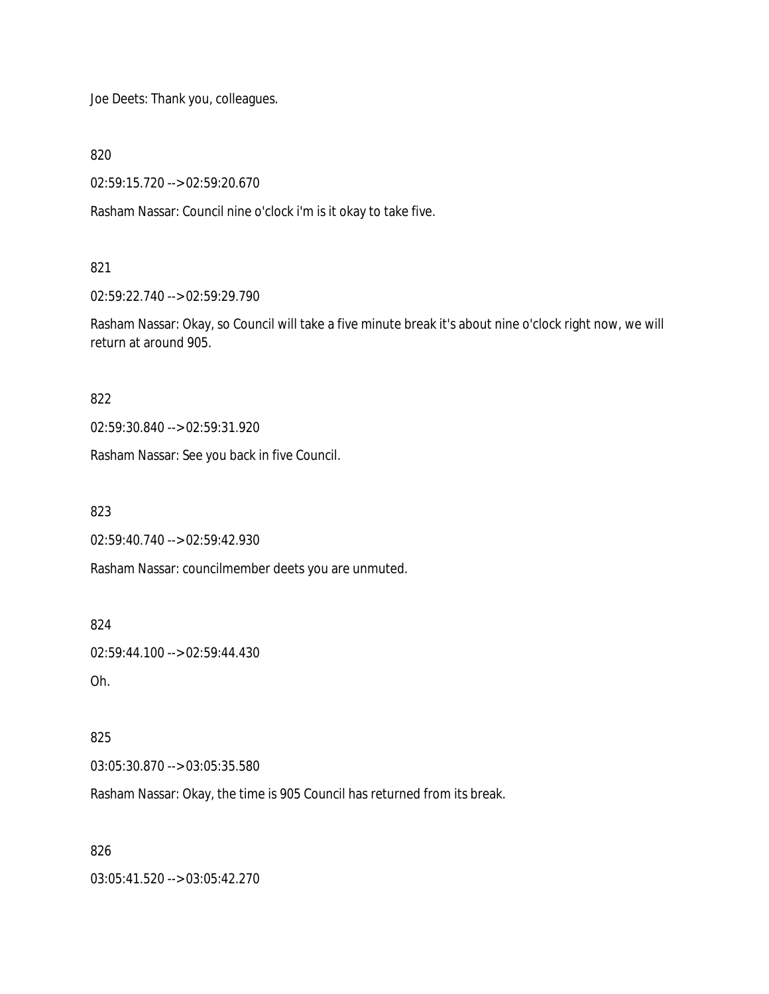Joe Deets: Thank you, colleagues.

820

02:59:15.720 --> 02:59:20.670

Rasham Nassar: Council nine o'clock i'm is it okay to take five.

## 821

02:59:22.740 --> 02:59:29.790

Rasham Nassar: Okay, so Council will take a five minute break it's about nine o'clock right now, we will return at around 905.

#### 822

02:59:30.840 --> 02:59:31.920

Rasham Nassar: See you back in five Council.

823

02:59:40.740 --> 02:59:42.930

Rasham Nassar: councilmember deets you are unmuted.

824

02:59:44.100 --> 02:59:44.430

Oh.

## 825

03:05:30.870 --> 03:05:35.580

Rasham Nassar: Okay, the time is 905 Council has returned from its break.

## 826

03:05:41.520 --> 03:05:42.270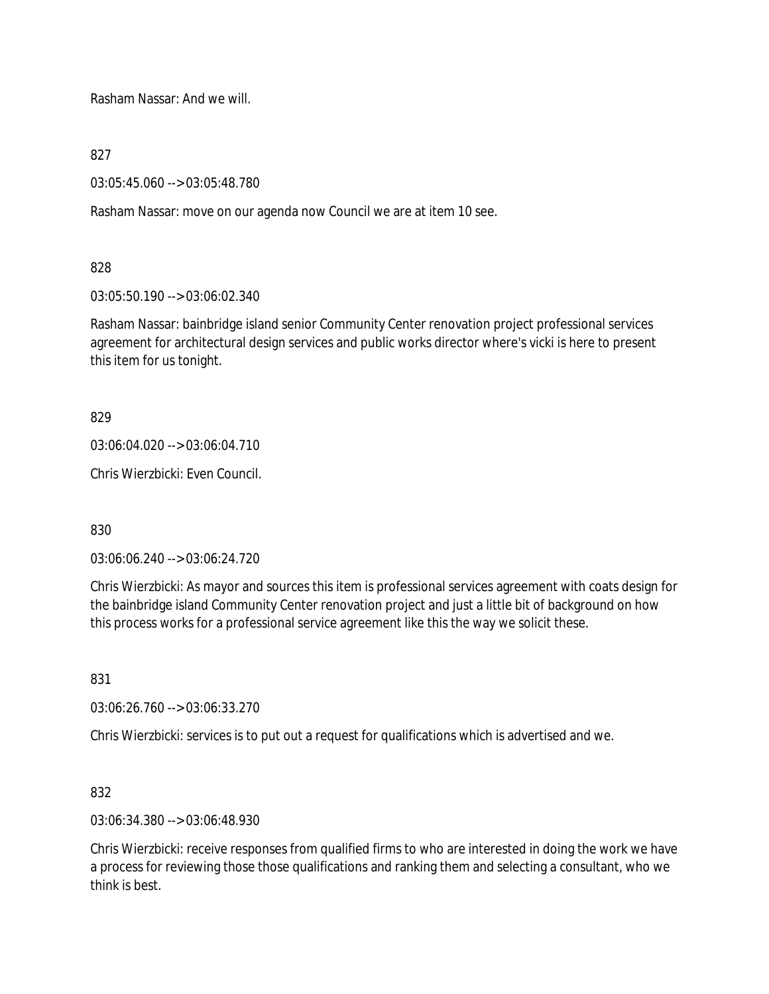Rasham Nassar: And we will.

827

03:05:45.060 --> 03:05:48.780

Rasham Nassar: move on our agenda now Council we are at item 10 see.

828

03:05:50.190 --> 03:06:02.340

Rasham Nassar: bainbridge island senior Community Center renovation project professional services agreement for architectural design services and public works director where's vicki is here to present this item for us tonight.

829

03:06:04.020 --> 03:06:04.710

Chris Wierzbicki: Even Council.

830

03:06:06.240 --> 03:06:24.720

Chris Wierzbicki: As mayor and sources this item is professional services agreement with coats design for the bainbridge island Community Center renovation project and just a little bit of background on how this process works for a professional service agreement like this the way we solicit these.

831

03:06:26.760 --> 03:06:33.270

Chris Wierzbicki: services is to put out a request for qualifications which is advertised and we.

832

03:06:34.380 --> 03:06:48.930

Chris Wierzbicki: receive responses from qualified firms to who are interested in doing the work we have a process for reviewing those those qualifications and ranking them and selecting a consultant, who we think is best.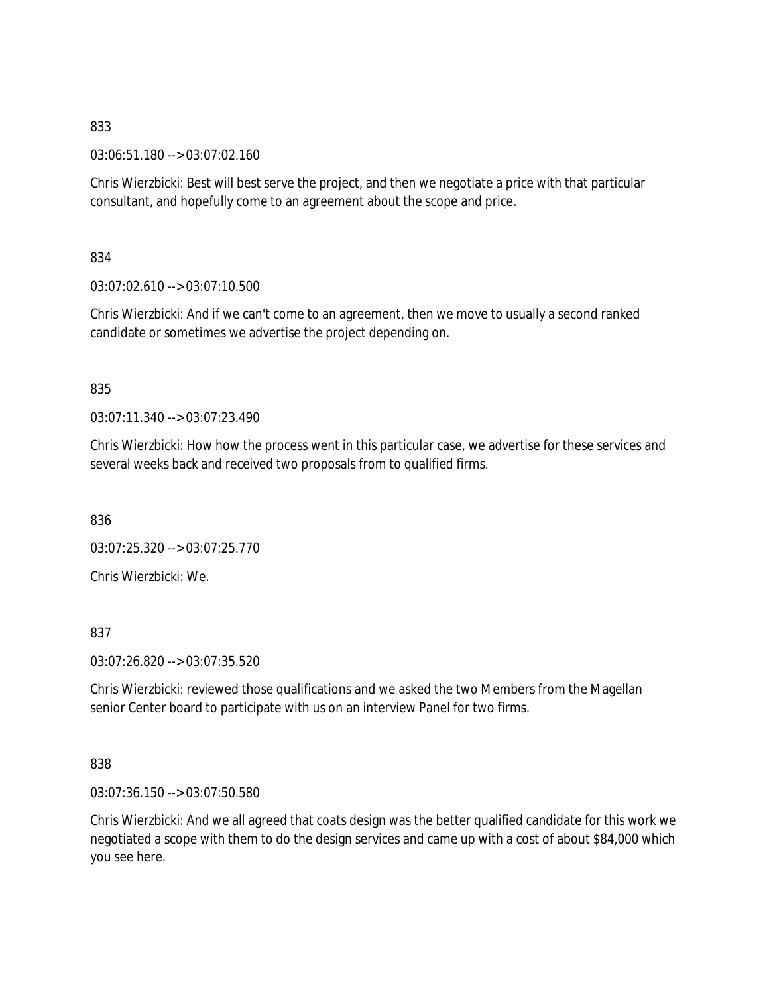03:06:51.180 --> 03:07:02.160

Chris Wierzbicki: Best will best serve the project, and then we negotiate a price with that particular consultant, and hopefully come to an agreement about the scope and price.

834

 $03:07:02.610 \rightarrow 03:07:10.500$ 

Chris Wierzbicki: And if we can't come to an agreement, then we move to usually a second ranked candidate or sometimes we advertise the project depending on.

## 835

03:07:11.340 --> 03:07:23.490

Chris Wierzbicki: How how the process went in this particular case, we advertise for these services and several weeks back and received two proposals from to qualified firms.

836

03:07:25.320 --> 03:07:25.770

Chris Wierzbicki: We.

837

03:07:26.820 --> 03:07:35.520

Chris Wierzbicki: reviewed those qualifications and we asked the two Members from the Magellan senior Center board to participate with us on an interview Panel for two firms.

838

03:07:36.150 --> 03:07:50.580

Chris Wierzbicki: And we all agreed that coats design was the better qualified candidate for this work we negotiated a scope with them to do the design services and came up with a cost of about \$84,000 which you see here.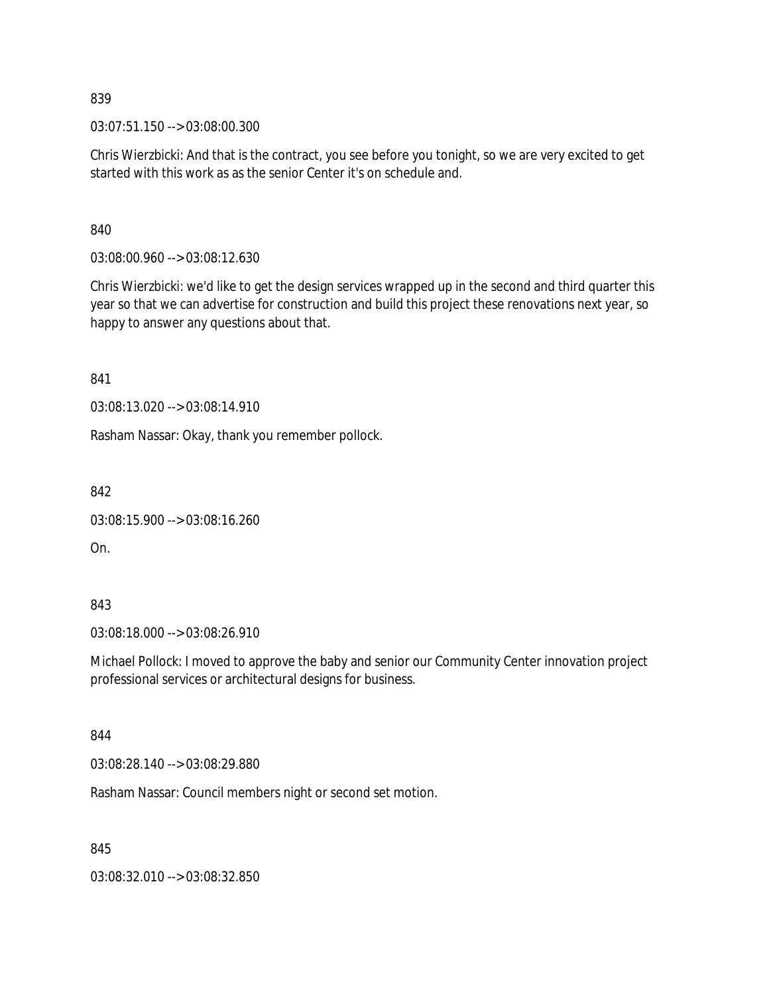03:07:51.150 --> 03:08:00.300

Chris Wierzbicki: And that is the contract, you see before you tonight, so we are very excited to get started with this work as as the senior Center it's on schedule and.

840

03:08:00.960 --> 03:08:12.630

Chris Wierzbicki: we'd like to get the design services wrapped up in the second and third quarter this year so that we can advertise for construction and build this project these renovations next year, so happy to answer any questions about that.

841

03:08:13.020 --> 03:08:14.910

Rasham Nassar: Okay, thank you remember pollock.

842

03:08:15.900 --> 03:08:16.260

On.

843

03:08:18.000 --> 03:08:26.910

Michael Pollock: I moved to approve the baby and senior our Community Center innovation project professional services or architectural designs for business.

844

03:08:28.140 --> 03:08:29.880

Rasham Nassar: Council members night or second set motion.

845

03:08:32.010 --> 03:08:32.850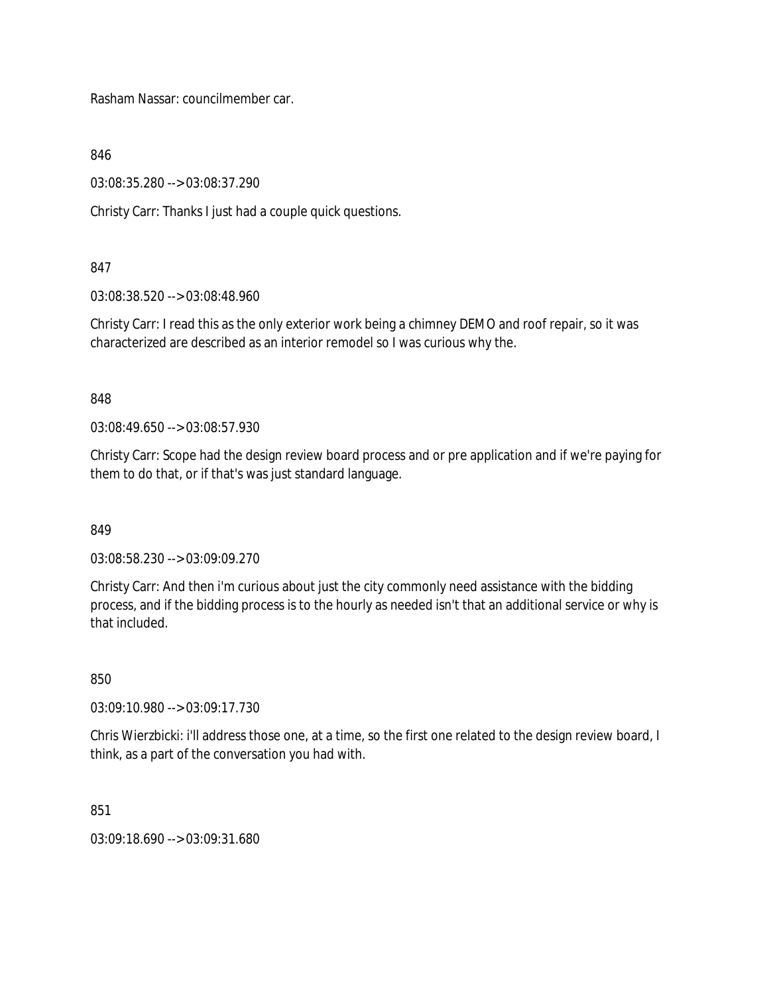Rasham Nassar: councilmember car.

846

03:08:35.280 --> 03:08:37.290

Christy Carr: Thanks I just had a couple quick questions.

## 847

03:08:38.520 --> 03:08:48.960

Christy Carr: I read this as the only exterior work being a chimney DEMO and roof repair, so it was characterized are described as an interior remodel so I was curious why the.

## 848

03:08:49.650 --> 03:08:57.930

Christy Carr: Scope had the design review board process and or pre application and if we're paying for them to do that, or if that's was just standard language.

849

03:08:58.230 --> 03:09:09.270

Christy Carr: And then i'm curious about just the city commonly need assistance with the bidding process, and if the bidding process is to the hourly as needed isn't that an additional service or why is that included.

850

03:09:10.980 --> 03:09:17.730

Chris Wierzbicki: i'll address those one, at a time, so the first one related to the design review board, I think, as a part of the conversation you had with.

851

03:09:18.690 --> 03:09:31.680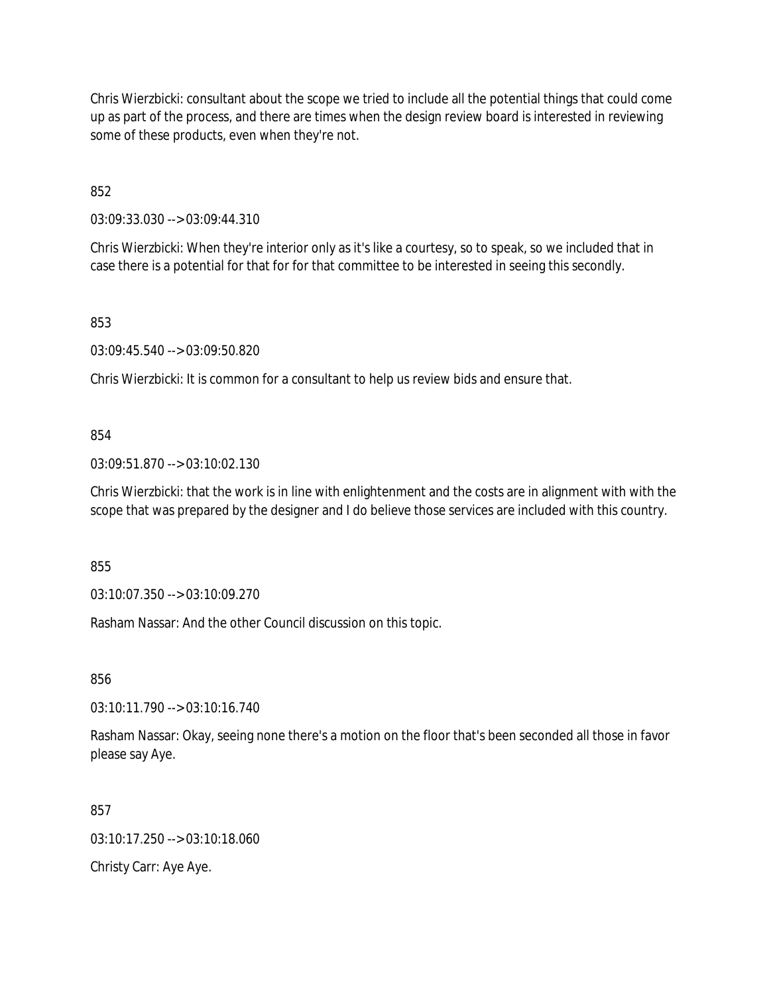Chris Wierzbicki: consultant about the scope we tried to include all the potential things that could come up as part of the process, and there are times when the design review board is interested in reviewing some of these products, even when they're not.

852

03:09:33.030 --> 03:09:44.310

Chris Wierzbicki: When they're interior only as it's like a courtesy, so to speak, so we included that in case there is a potential for that for for that committee to be interested in seeing this secondly.

853

03:09:45.540 --> 03:09:50.820

Chris Wierzbicki: It is common for a consultant to help us review bids and ensure that.

#### 854

03:09:51.870 --> 03:10:02.130

Chris Wierzbicki: that the work is in line with enlightenment and the costs are in alignment with with the scope that was prepared by the designer and I do believe those services are included with this country.

855

03:10:07.350 --> 03:10:09.270

Rasham Nassar: And the other Council discussion on this topic.

856

03:10:11.790 --> 03:10:16.740

Rasham Nassar: Okay, seeing none there's a motion on the floor that's been seconded all those in favor please say Aye.

857

03:10:17.250 --> 03:10:18.060

Christy Carr: Aye Aye.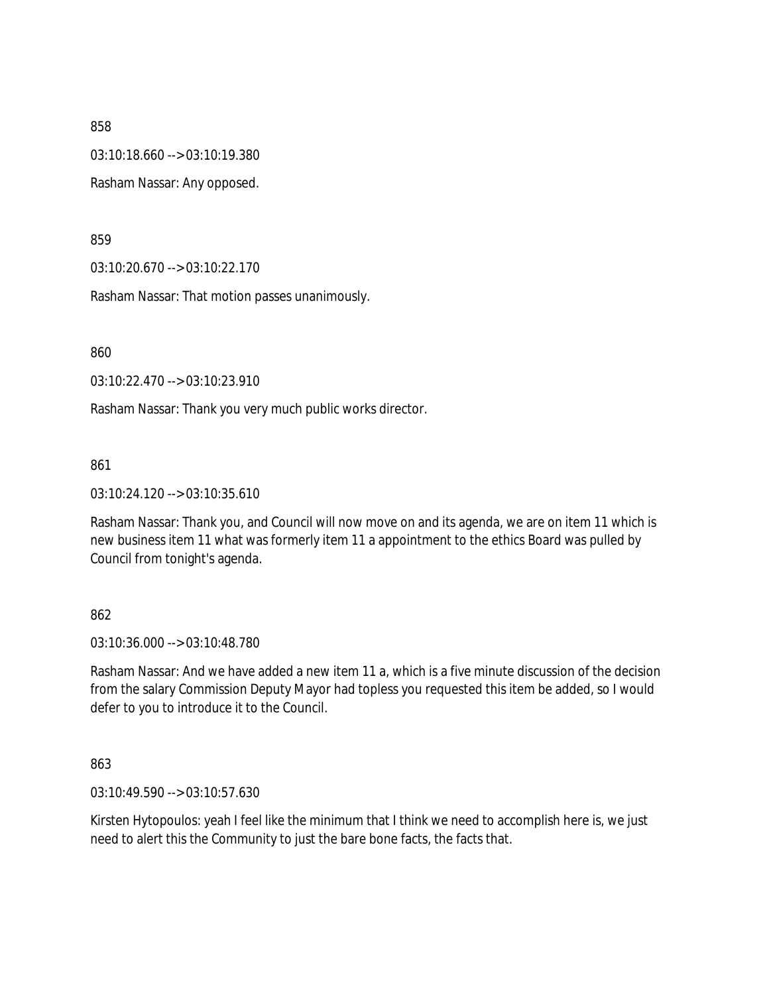03:10:18.660 --> 03:10:19.380

Rasham Nassar: Any opposed.

859

03:10:20.670 --> 03:10:22.170

Rasham Nassar: That motion passes unanimously.

860

03:10:22.470 --> 03:10:23.910

Rasham Nassar: Thank you very much public works director.

861

03:10:24.120 --> 03:10:35.610

Rasham Nassar: Thank you, and Council will now move on and its agenda, we are on item 11 which is new business item 11 what was formerly item 11 a appointment to the ethics Board was pulled by Council from tonight's agenda.

862

03:10:36.000 --> 03:10:48.780

Rasham Nassar: And we have added a new item 11 a, which is a five minute discussion of the decision from the salary Commission Deputy Mayor had topless you requested this item be added, so I would defer to you to introduce it to the Council.

863

03:10:49.590 --> 03:10:57.630

Kirsten Hytopoulos: yeah I feel like the minimum that I think we need to accomplish here is, we just need to alert this the Community to just the bare bone facts, the facts that.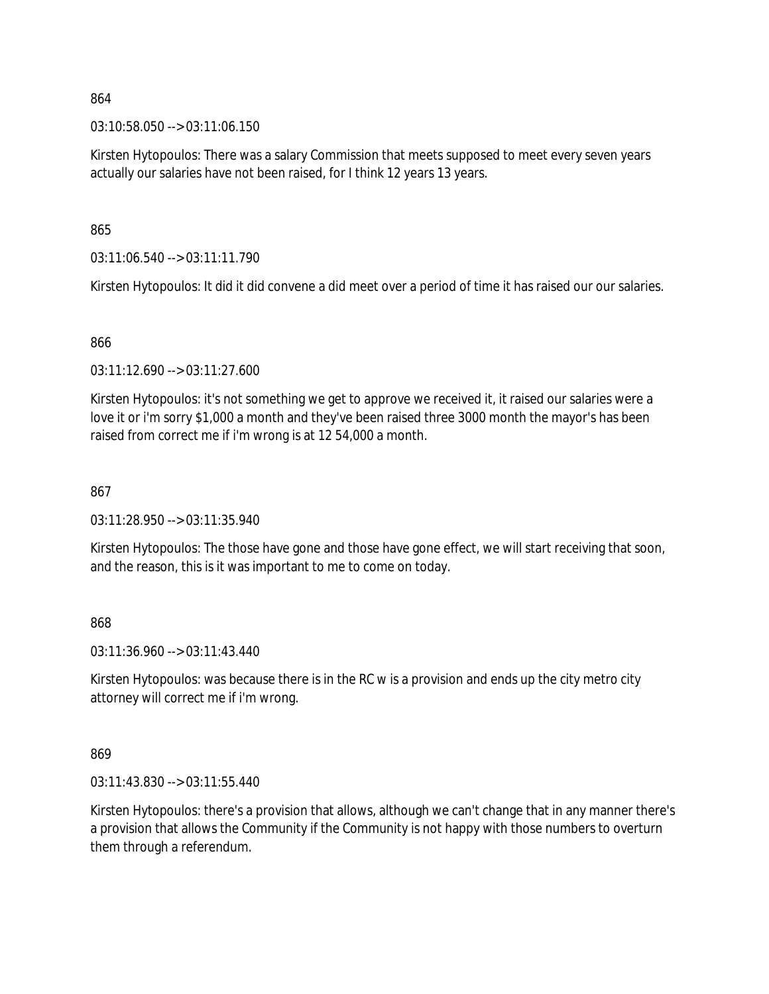03:10:58.050 --> 03:11:06.150

Kirsten Hytopoulos: There was a salary Commission that meets supposed to meet every seven years actually our salaries have not been raised, for I think 12 years 13 years.

865

03:11:06.540 --> 03:11:11.790

Kirsten Hytopoulos: It did it did convene a did meet over a period of time it has raised our our salaries.

866

03:11:12.690 --> 03:11:27.600

Kirsten Hytopoulos: it's not something we get to approve we received it, it raised our salaries were a love it or i'm sorry \$1,000 a month and they've been raised three 3000 month the mayor's has been raised from correct me if i'm wrong is at 12 54,000 a month.

### 867

03:11:28.950 --> 03:11:35.940

Kirsten Hytopoulos: The those have gone and those have gone effect, we will start receiving that soon, and the reason, this is it was important to me to come on today.

868

03:11:36.960 --> 03:11:43.440

Kirsten Hytopoulos: was because there is in the RC w is a provision and ends up the city metro city attorney will correct me if i'm wrong.

869

03:11:43.830 --> 03:11:55.440

Kirsten Hytopoulos: there's a provision that allows, although we can't change that in any manner there's a provision that allows the Community if the Community is not happy with those numbers to overturn them through a referendum.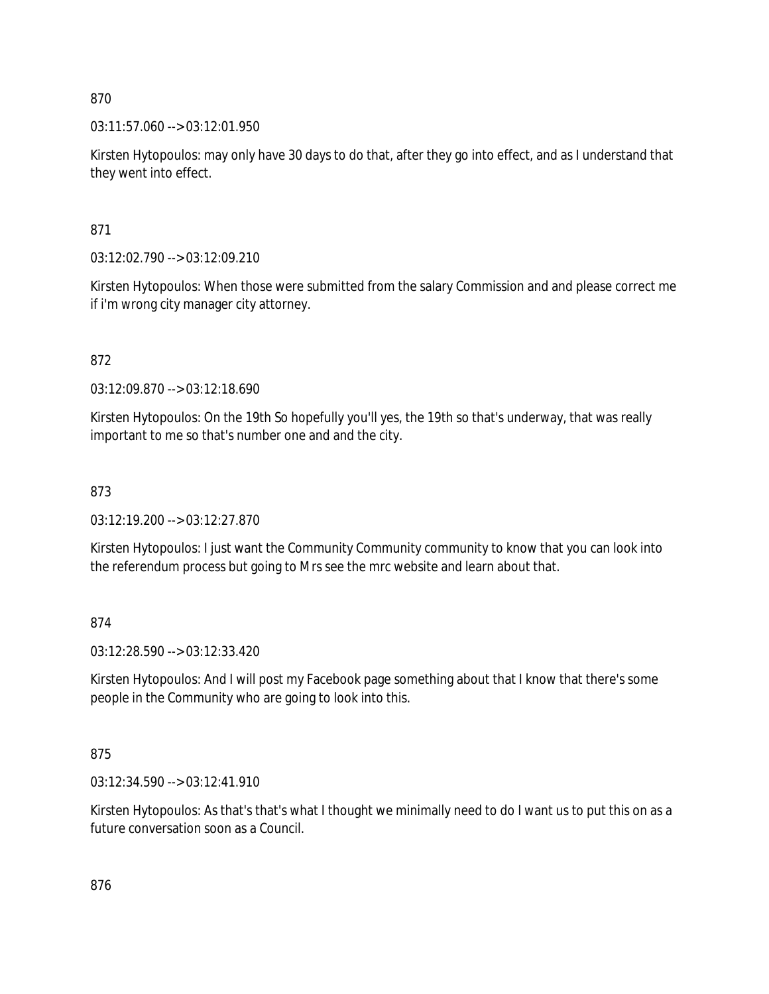$03:11:57.060 \rightarrow 03:12:01.950$ 

Kirsten Hytopoulos: may only have 30 days to do that, after they go into effect, and as I understand that they went into effect.

871

03:12:02.790 --> 03:12:09.210

Kirsten Hytopoulos: When those were submitted from the salary Commission and and please correct me if i'm wrong city manager city attorney.

872

03:12:09.870 --> 03:12:18.690

Kirsten Hytopoulos: On the 19th So hopefully you'll yes, the 19th so that's underway, that was really important to me so that's number one and and the city.

873

03:12:19.200 --> 03:12:27.870

Kirsten Hytopoulos: I just want the Community Community community to know that you can look into the referendum process but going to Mrs see the mrc website and learn about that.

874

03:12:28.590 --> 03:12:33.420

Kirsten Hytopoulos: And I will post my Facebook page something about that I know that there's some people in the Community who are going to look into this.

875

03:12:34.590 --> 03:12:41.910

Kirsten Hytopoulos: As that's that's what I thought we minimally need to do I want us to put this on as a future conversation soon as a Council.

876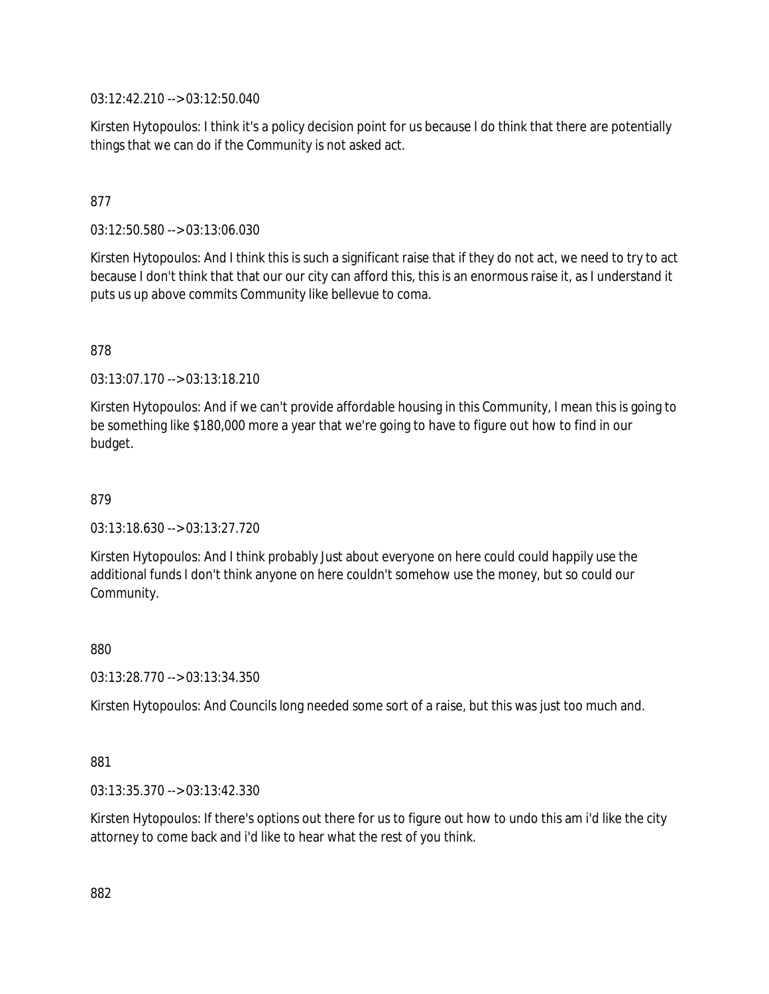03:12:42.210 --> 03:12:50.040

Kirsten Hytopoulos: I think it's a policy decision point for us because I do think that there are potentially things that we can do if the Community is not asked act.

# 877

03:12:50.580 --> 03:13:06.030

Kirsten Hytopoulos: And I think this is such a significant raise that if they do not act, we need to try to act because I don't think that that our our city can afford this, this is an enormous raise it, as I understand it puts us up above commits Community like bellevue to coma.

878

03:13:07.170 --> 03:13:18.210

Kirsten Hytopoulos: And if we can't provide affordable housing in this Community, I mean this is going to be something like \$180,000 more a year that we're going to have to figure out how to find in our budget.

879

03:13:18.630 --> 03:13:27.720

Kirsten Hytopoulos: And I think probably Just about everyone on here could could happily use the additional funds I don't think anyone on here couldn't somehow use the money, but so could our Community.

880

03:13:28.770 --> 03:13:34.350

Kirsten Hytopoulos: And Councils long needed some sort of a raise, but this was just too much and.

881

03:13:35.370 --> 03:13:42.330

Kirsten Hytopoulos: If there's options out there for us to figure out how to undo this am i'd like the city attorney to come back and i'd like to hear what the rest of you think.

882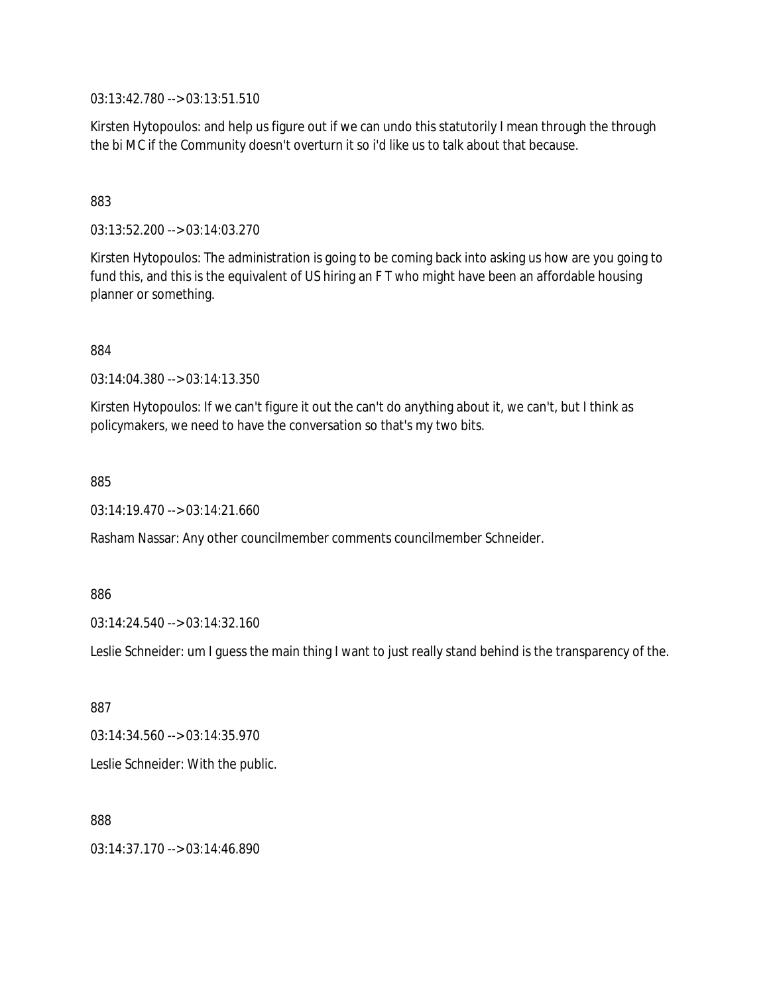03:13:42.780 --> 03:13:51.510

Kirsten Hytopoulos: and help us figure out if we can undo this statutorily I mean through the through the bi MC if the Community doesn't overturn it so i'd like us to talk about that because.

### 883

03:13:52.200 --> 03:14:03.270

Kirsten Hytopoulos: The administration is going to be coming back into asking us how are you going to fund this, and this is the equivalent of US hiring an F T who might have been an affordable housing planner or something.

884

03:14:04.380 --> 03:14:13.350

Kirsten Hytopoulos: If we can't figure it out the can't do anything about it, we can't, but I think as policymakers, we need to have the conversation so that's my two bits.

885

03:14:19.470 --> 03:14:21.660

Rasham Nassar: Any other councilmember comments councilmember Schneider.

886

03:14:24.540 --> 03:14:32.160

Leslie Schneider: um I guess the main thing I want to just really stand behind is the transparency of the.

887

 $03:14:34.560 \rightarrow 03:14:35.970$ 

Leslie Schneider: With the public.

888

03:14:37.170 --> 03:14:46.890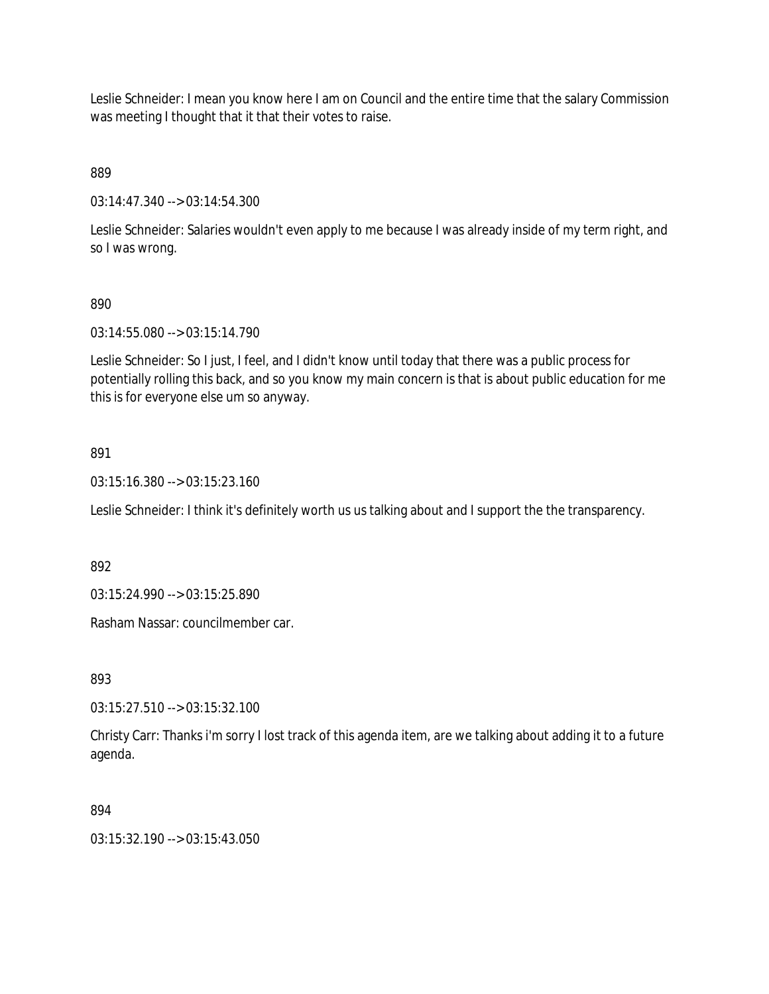Leslie Schneider: I mean you know here I am on Council and the entire time that the salary Commission was meeting I thought that it that their votes to raise.

889

03:14:47.340 --> 03:14:54.300

Leslie Schneider: Salaries wouldn't even apply to me because I was already inside of my term right, and so I was wrong.

## 890

03:14:55.080 --> 03:15:14.790

Leslie Schneider: So I just, I feel, and I didn't know until today that there was a public process for potentially rolling this back, and so you know my main concern is that is about public education for me this is for everyone else um so anyway.

## 891

03:15:16.380 --> 03:15:23.160

Leslie Schneider: I think it's definitely worth us us talking about and I support the the transparency.

892

03:15:24.990 --> 03:15:25.890

Rasham Nassar: councilmember car.

893

03:15:27.510 --> 03:15:32.100

Christy Carr: Thanks i'm sorry I lost track of this agenda item, are we talking about adding it to a future agenda.

## 894

03:15:32.190 --> 03:15:43.050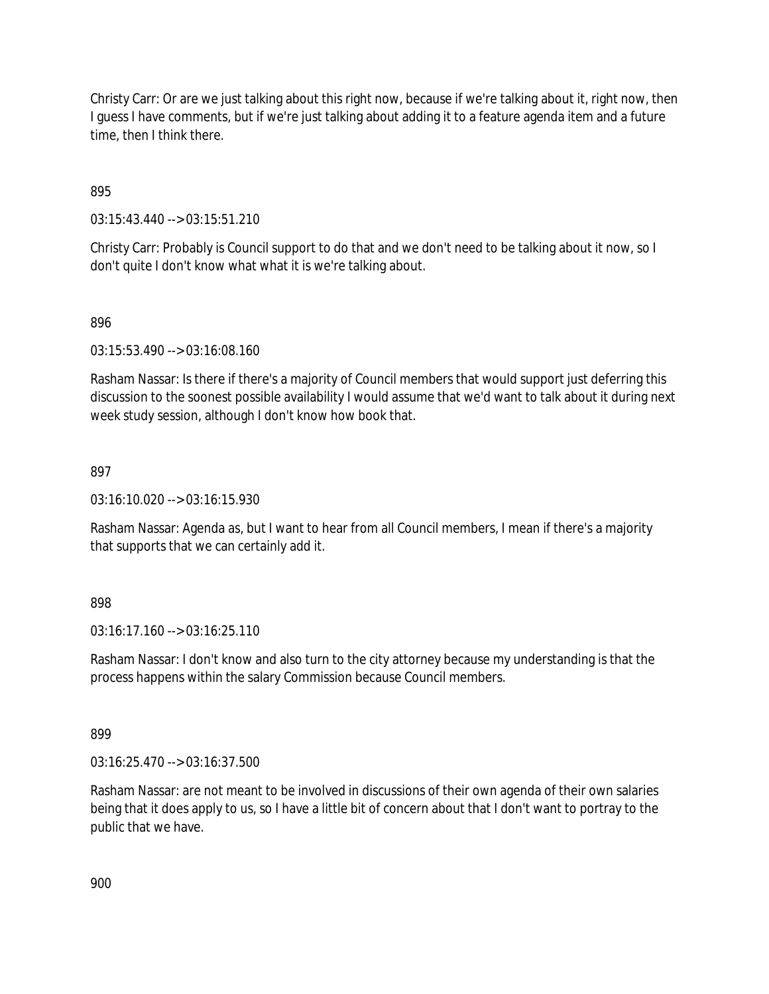Christy Carr: Or are we just talking about this right now, because if we're talking about it, right now, then I guess I have comments, but if we're just talking about adding it to a feature agenda item and a future time, then I think there.

895

03:15:43.440 --> 03:15:51.210

Christy Carr: Probably is Council support to do that and we don't need to be talking about it now, so I don't quite I don't know what what it is we're talking about.

## 896

03:15:53.490 --> 03:16:08.160

Rasham Nassar: Is there if there's a majority of Council members that would support just deferring this discussion to the soonest possible availability I would assume that we'd want to talk about it during next week study session, although I don't know how book that.

## 897

03:16:10.020 --> 03:16:15.930

Rasham Nassar: Agenda as, but I want to hear from all Council members, I mean if there's a majority that supports that we can certainly add it.

## 898

03:16:17.160 --> 03:16:25.110

Rasham Nassar: I don't know and also turn to the city attorney because my understanding is that the process happens within the salary Commission because Council members.

899

03:16:25.470 --> 03:16:37.500

Rasham Nassar: are not meant to be involved in discussions of their own agenda of their own salaries being that it does apply to us, so I have a little bit of concern about that I don't want to portray to the public that we have.

900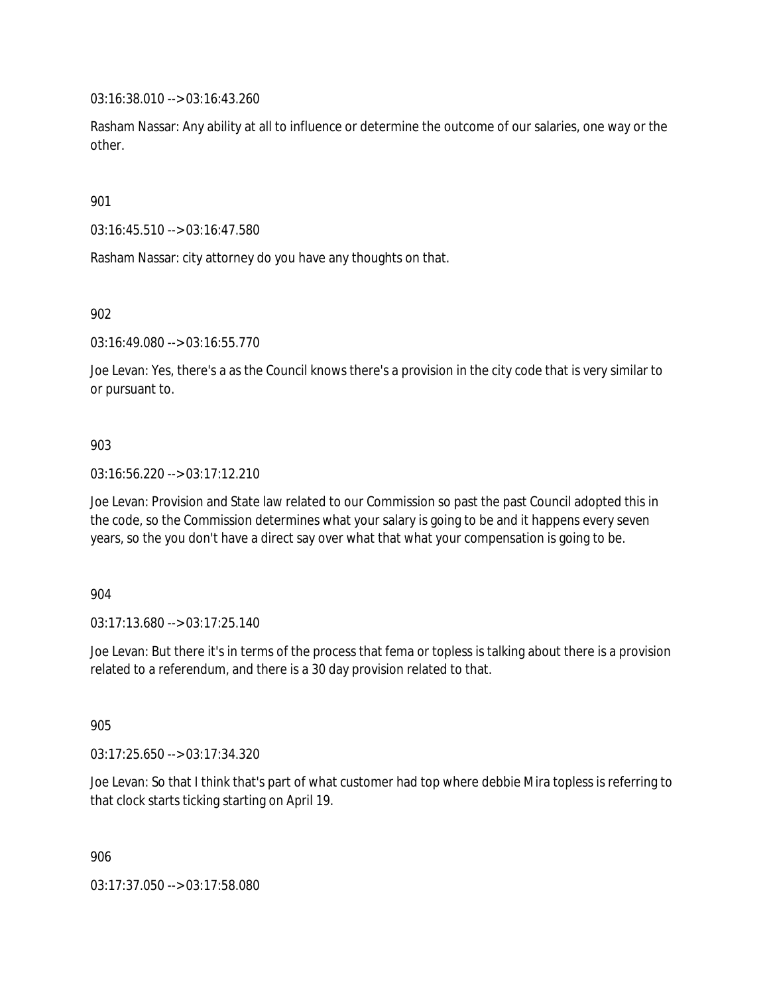03:16:38.010 --> 03:16:43.260

Rasham Nassar: Any ability at all to influence or determine the outcome of our salaries, one way or the other.

901

03:16:45.510 --> 03:16:47.580

Rasham Nassar: city attorney do you have any thoughts on that.

902

03:16:49.080 --> 03:16:55.770

Joe Levan: Yes, there's a as the Council knows there's a provision in the city code that is very similar to or pursuant to.

## 903

03:16:56.220 --> 03:17:12.210

Joe Levan: Provision and State law related to our Commission so past the past Council adopted this in the code, so the Commission determines what your salary is going to be and it happens every seven years, so the you don't have a direct say over what that what your compensation is going to be.

904

03:17:13.680 --> 03:17:25.140

Joe Levan: But there it's in terms of the process that fema or topless is talking about there is a provision related to a referendum, and there is a 30 day provision related to that.

905

03:17:25.650 --> 03:17:34.320

Joe Levan: So that I think that's part of what customer had top where debbie Mira topless is referring to that clock starts ticking starting on April 19.

906

03:17:37.050 --> 03:17:58.080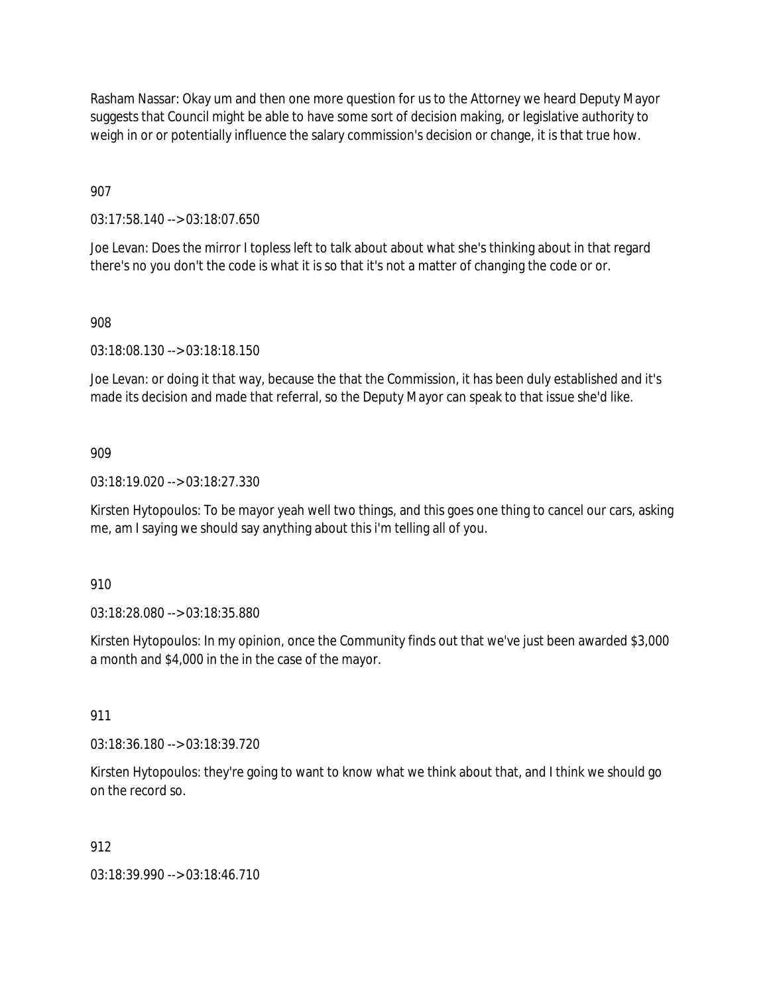Rasham Nassar: Okay um and then one more question for us to the Attorney we heard Deputy Mayor suggests that Council might be able to have some sort of decision making, or legislative authority to weigh in or or potentially influence the salary commission's decision or change, it is that true how.

907

03:17:58.140 --> 03:18:07.650

Joe Levan: Does the mirror I topless left to talk about about what she's thinking about in that regard there's no you don't the code is what it is so that it's not a matter of changing the code or or.

## 908

03:18:08.130 --> 03:18:18.150

Joe Levan: or doing it that way, because the that the Commission, it has been duly established and it's made its decision and made that referral, so the Deputy Mayor can speak to that issue she'd like.

## 909

03:18:19.020 --> 03:18:27.330

Kirsten Hytopoulos: To be mayor yeah well two things, and this goes one thing to cancel our cars, asking me, am I saying we should say anything about this i'm telling all of you.

910

03:18:28.080 --> 03:18:35.880

Kirsten Hytopoulos: In my opinion, once the Community finds out that we've just been awarded \$3,000 a month and \$4,000 in the in the case of the mayor.

911

03:18:36.180 --> 03:18:39.720

Kirsten Hytopoulos: they're going to want to know what we think about that, and I think we should go on the record so.

## 912

03:18:39.990 --> 03:18:46.710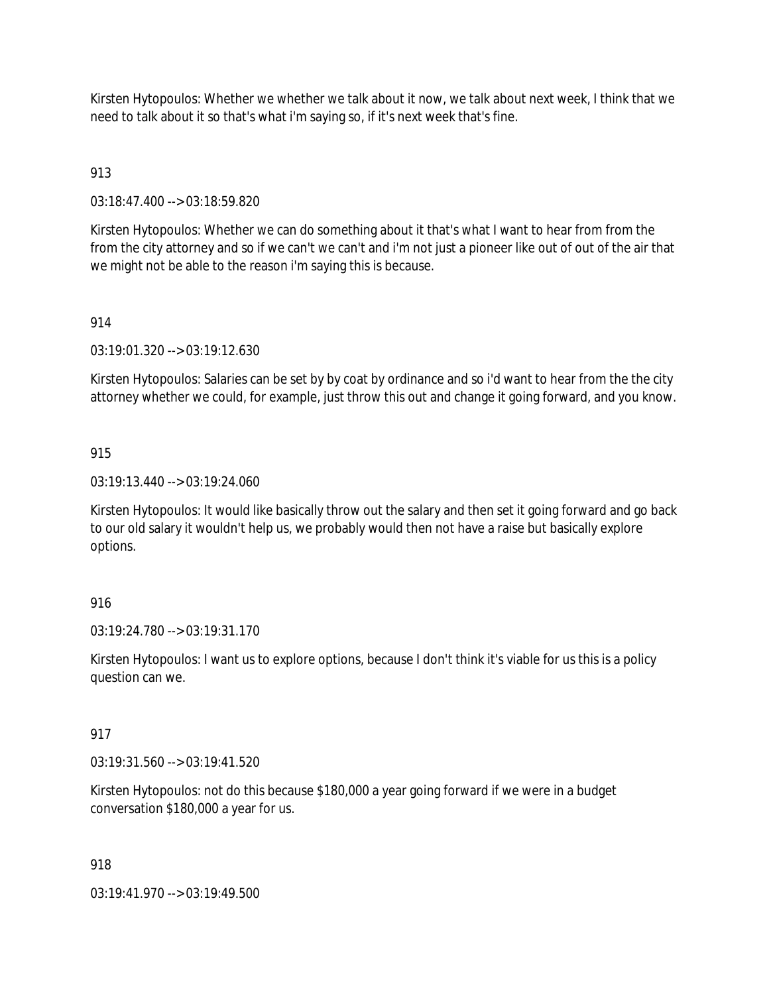Kirsten Hytopoulos: Whether we whether we talk about it now, we talk about next week, I think that we need to talk about it so that's what i'm saying so, if it's next week that's fine.

## 913

03:18:47.400 --> 03:18:59.820

Kirsten Hytopoulos: Whether we can do something about it that's what I want to hear from from the from the city attorney and so if we can't we can't and i'm not just a pioneer like out of out of the air that we might not be able to the reason i'm saying this is because.

#### 914

03:19:01.320 --> 03:19:12.630

Kirsten Hytopoulos: Salaries can be set by by coat by ordinance and so i'd want to hear from the the city attorney whether we could, for example, just throw this out and change it going forward, and you know.

#### 915

03:19:13.440 --> 03:19:24.060

Kirsten Hytopoulos: It would like basically throw out the salary and then set it going forward and go back to our old salary it wouldn't help us, we probably would then not have a raise but basically explore options.

## 916

03:19:24.780 --> 03:19:31.170

Kirsten Hytopoulos: I want us to explore options, because I don't think it's viable for us this is a policy question can we.

#### 917

03:19:31.560 --> 03:19:41.520

Kirsten Hytopoulos: not do this because \$180,000 a year going forward if we were in a budget conversation \$180,000 a year for us.

#### 918

03:19:41.970 --> 03:19:49.500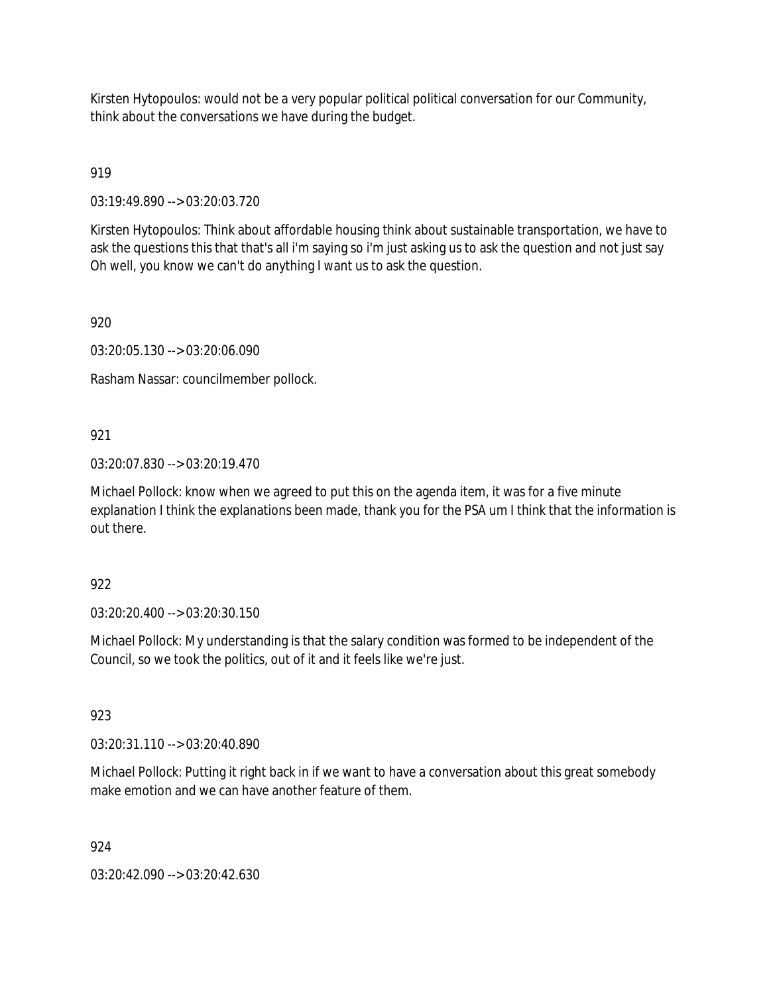Kirsten Hytopoulos: would not be a very popular political political conversation for our Community, think about the conversations we have during the budget.

919

03:19:49.890 --> 03:20:03.720

Kirsten Hytopoulos: Think about affordable housing think about sustainable transportation, we have to ask the questions this that that's all i'm saying so i'm just asking us to ask the question and not just say Oh well, you know we can't do anything I want us to ask the question.

920

03:20:05.130 --> 03:20:06.090

Rasham Nassar: councilmember pollock.

## 921

03:20:07.830 --> 03:20:19.470

Michael Pollock: know when we agreed to put this on the agenda item, it was for a five minute explanation I think the explanations been made, thank you for the PSA um I think that the information is out there.

### 922

03:20:20.400 --> 03:20:30.150

Michael Pollock: My understanding is that the salary condition was formed to be independent of the Council, so we took the politics, out of it and it feels like we're just.

### 923

03:20:31.110 --> 03:20:40.890

Michael Pollock: Putting it right back in if we want to have a conversation about this great somebody make emotion and we can have another feature of them.

### 924

03:20:42.090 --> 03:20:42.630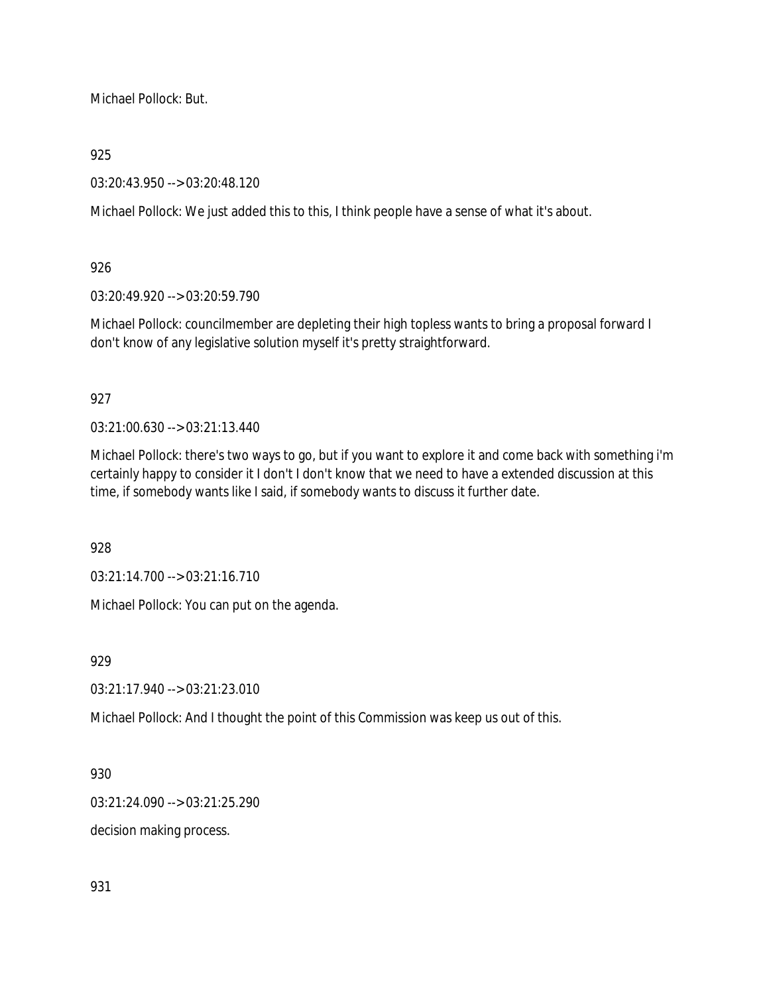Michael Pollock: But.

925

03:20:43.950 --> 03:20:48.120

Michael Pollock: We just added this to this, I think people have a sense of what it's about.

926

03:20:49.920 --> 03:20:59.790

Michael Pollock: councilmember are depleting their high topless wants to bring a proposal forward I don't know of any legislative solution myself it's pretty straightforward.

927

03:21:00.630 --> 03:21:13.440

Michael Pollock: there's two ways to go, but if you want to explore it and come back with something i'm certainly happy to consider it I don't I don't know that we need to have a extended discussion at this time, if somebody wants like I said, if somebody wants to discuss it further date.

928

03:21:14.700 --> 03:21:16.710

Michael Pollock: You can put on the agenda.

929

03:21:17.940 --> 03:21:23.010

Michael Pollock: And I thought the point of this Commission was keep us out of this.

930

03:21:24.090 --> 03:21:25.290

decision making process.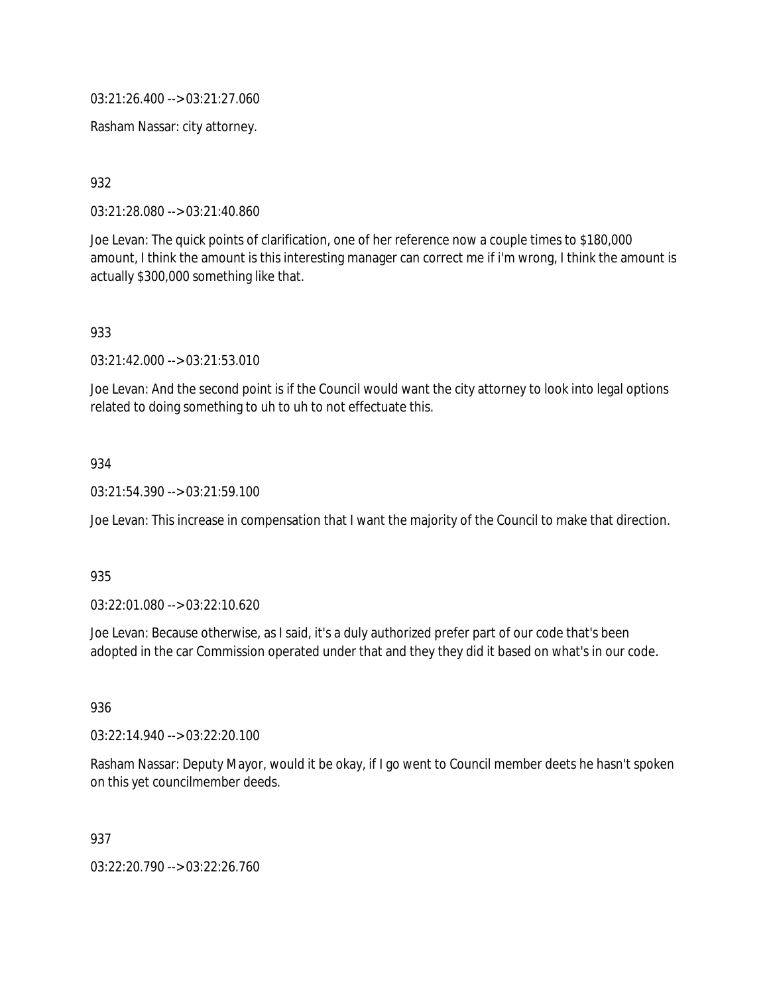03:21:26.400 --> 03:21:27.060

Rasham Nassar: city attorney.

932

03:21:28.080 --> 03:21:40.860

Joe Levan: The quick points of clarification, one of her reference now a couple times to \$180,000 amount, I think the amount is this interesting manager can correct me if i'm wrong, I think the amount is actually \$300,000 something like that.

933

03:21:42.000 --> 03:21:53.010

Joe Levan: And the second point is if the Council would want the city attorney to look into legal options related to doing something to uh to uh to not effectuate this.

### 934

03:21:54.390 --> 03:21:59.100

Joe Levan: This increase in compensation that I want the majority of the Council to make that direction.

935

03:22:01.080 --> 03:22:10.620

Joe Levan: Because otherwise, as I said, it's a duly authorized prefer part of our code that's been adopted in the car Commission operated under that and they they did it based on what's in our code.

936

03:22:14.940 --> 03:22:20.100

Rasham Nassar: Deputy Mayor, would it be okay, if I go went to Council member deets he hasn't spoken on this yet councilmember deeds.

937

03:22:20.790 --> 03:22:26.760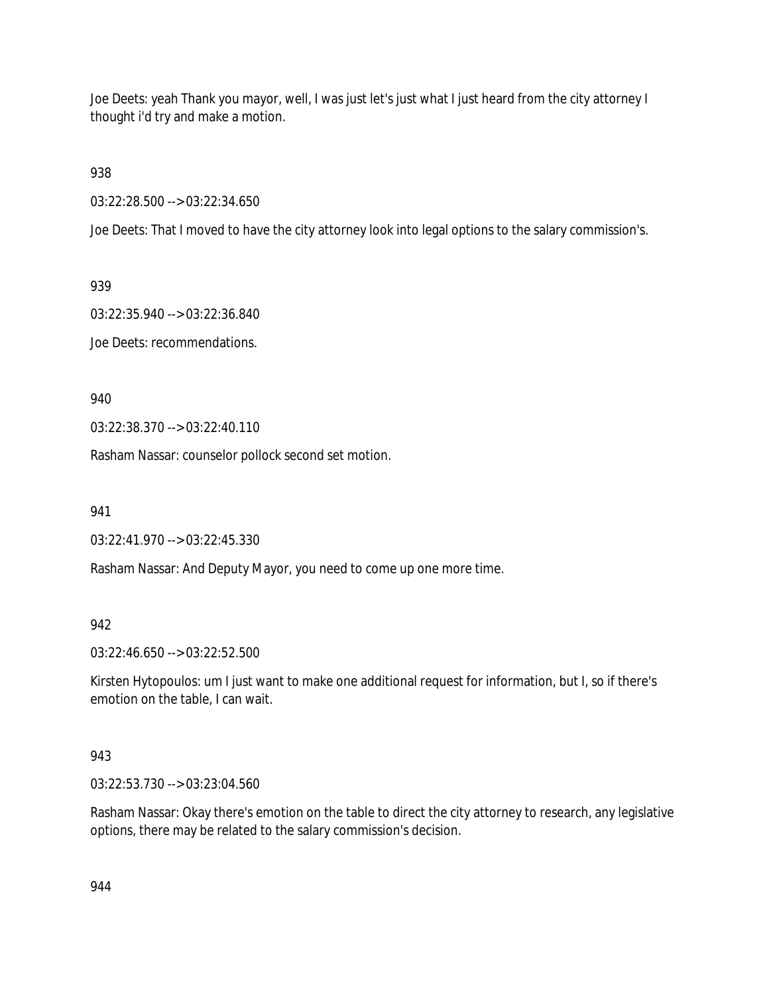Joe Deets: yeah Thank you mayor, well, I was just let's just what I just heard from the city attorney I thought i'd try and make a motion.

938

03:22:28.500 --> 03:22:34.650

Joe Deets: That I moved to have the city attorney look into legal options to the salary commission's.

939

03:22:35.940 --> 03:22:36.840

Joe Deets: recommendations.

940

03:22:38.370 --> 03:22:40.110

Rasham Nassar: counselor pollock second set motion.

941

03:22:41.970 --> 03:22:45.330

Rasham Nassar: And Deputy Mayor, you need to come up one more time.

942

03:22:46.650 --> 03:22:52.500

Kirsten Hytopoulos: um I just want to make one additional request for information, but I, so if there's emotion on the table, I can wait.

### 943

03:22:53.730 --> 03:23:04.560

Rasham Nassar: Okay there's emotion on the table to direct the city attorney to research, any legislative options, there may be related to the salary commission's decision.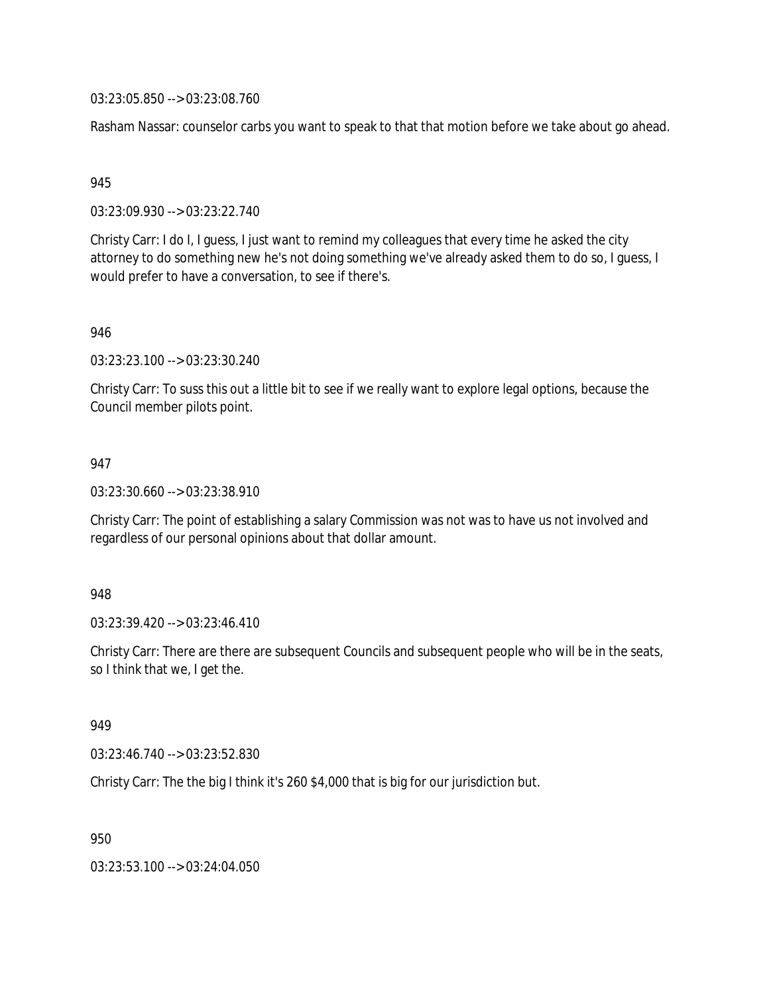03:23:05.850 --> 03:23:08.760

Rasham Nassar: counselor carbs you want to speak to that that motion before we take about go ahead.

945

03:23:09.930 --> 03:23:22.740

Christy Carr: I do I, I guess, I just want to remind my colleagues that every time he asked the city attorney to do something new he's not doing something we've already asked them to do so, I guess, I would prefer to have a conversation, to see if there's.

946

03:23:23.100 --> 03:23:30.240

Christy Carr: To suss this out a little bit to see if we really want to explore legal options, because the Council member pilots point.

947

03:23:30.660 --> 03:23:38.910

Christy Carr: The point of establishing a salary Commission was not was to have us not involved and regardless of our personal opinions about that dollar amount.

948

03:23:39.420 --> 03:23:46.410

Christy Carr: There are there are subsequent Councils and subsequent people who will be in the seats, so I think that we, I get the.

949

03:23:46.740 --> 03:23:52.830

Christy Carr: The the big I think it's 260 \$4,000 that is big for our jurisdiction but.

950

03:23:53.100 --> 03:24:04.050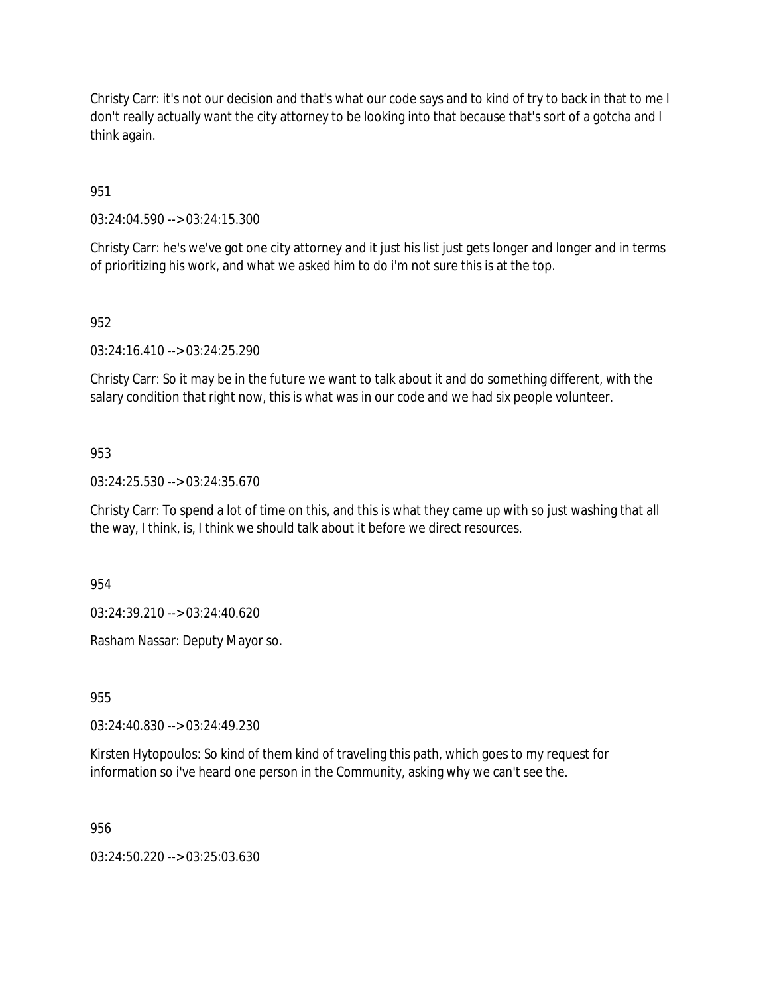Christy Carr: it's not our decision and that's what our code says and to kind of try to back in that to me I don't really actually want the city attorney to be looking into that because that's sort of a gotcha and I think again.

951

03:24:04.590 --> 03:24:15.300

Christy Carr: he's we've got one city attorney and it just his list just gets longer and longer and in terms of prioritizing his work, and what we asked him to do i'm not sure this is at the top.

### 952

03:24:16.410 --> 03:24:25.290

Christy Carr: So it may be in the future we want to talk about it and do something different, with the salary condition that right now, this is what was in our code and we had six people volunteer.

#### 953

03:24:25.530 --> 03:24:35.670

Christy Carr: To spend a lot of time on this, and this is what they came up with so just washing that all the way, I think, is, I think we should talk about it before we direct resources.

954

03:24:39.210 --> 03:24:40.620

Rasham Nassar: Deputy Mayor so.

955

03:24:40.830 --> 03:24:49.230

Kirsten Hytopoulos: So kind of them kind of traveling this path, which goes to my request for information so i've heard one person in the Community, asking why we can't see the.

956

03:24:50.220 --> 03:25:03.630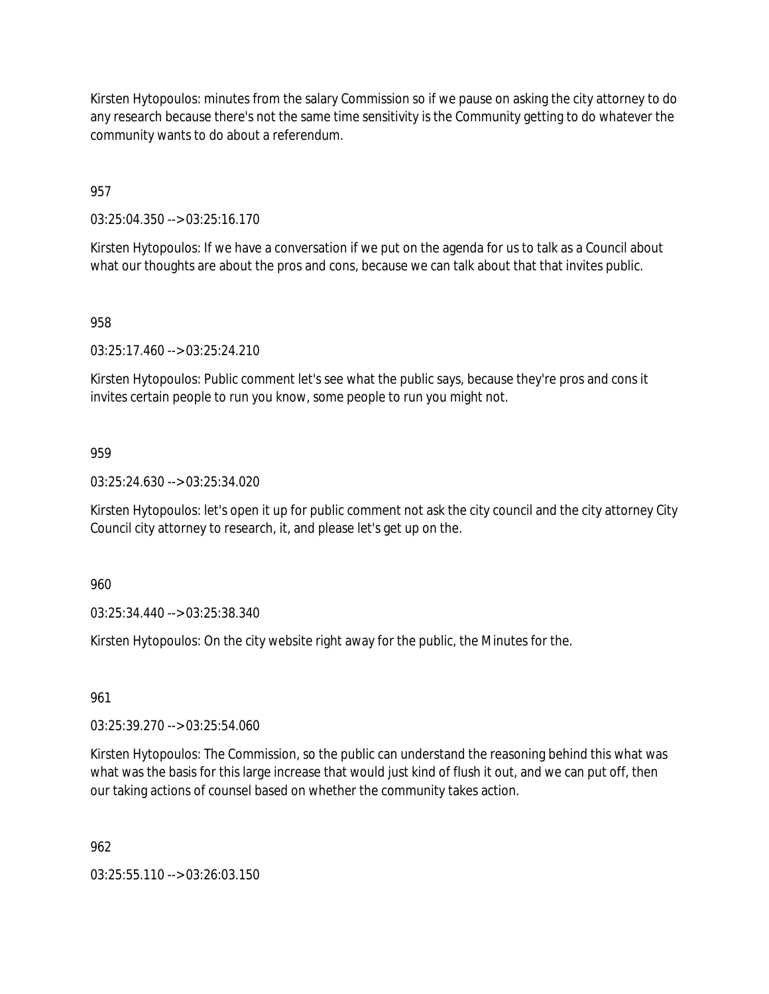Kirsten Hytopoulos: minutes from the salary Commission so if we pause on asking the city attorney to do any research because there's not the same time sensitivity is the Community getting to do whatever the community wants to do about a referendum.

957

03:25:04.350 --> 03:25:16.170

Kirsten Hytopoulos: If we have a conversation if we put on the agenda for us to talk as a Council about what our thoughts are about the pros and cons, because we can talk about that that invites public.

958

03:25:17.460 --> 03:25:24.210

Kirsten Hytopoulos: Public comment let's see what the public says, because they're pros and cons it invites certain people to run you know, some people to run you might not.

959

03:25:24.630 --> 03:25:34.020

Kirsten Hytopoulos: let's open it up for public comment not ask the city council and the city attorney City Council city attorney to research, it, and please let's get up on the.

960

03:25:34.440 --> 03:25:38.340

Kirsten Hytopoulos: On the city website right away for the public, the Minutes for the.

961

03:25:39.270 --> 03:25:54.060

Kirsten Hytopoulos: The Commission, so the public can understand the reasoning behind this what was what was the basis for this large increase that would just kind of flush it out, and we can put off, then our taking actions of counsel based on whether the community takes action.

962

03:25:55.110 --> 03:26:03.150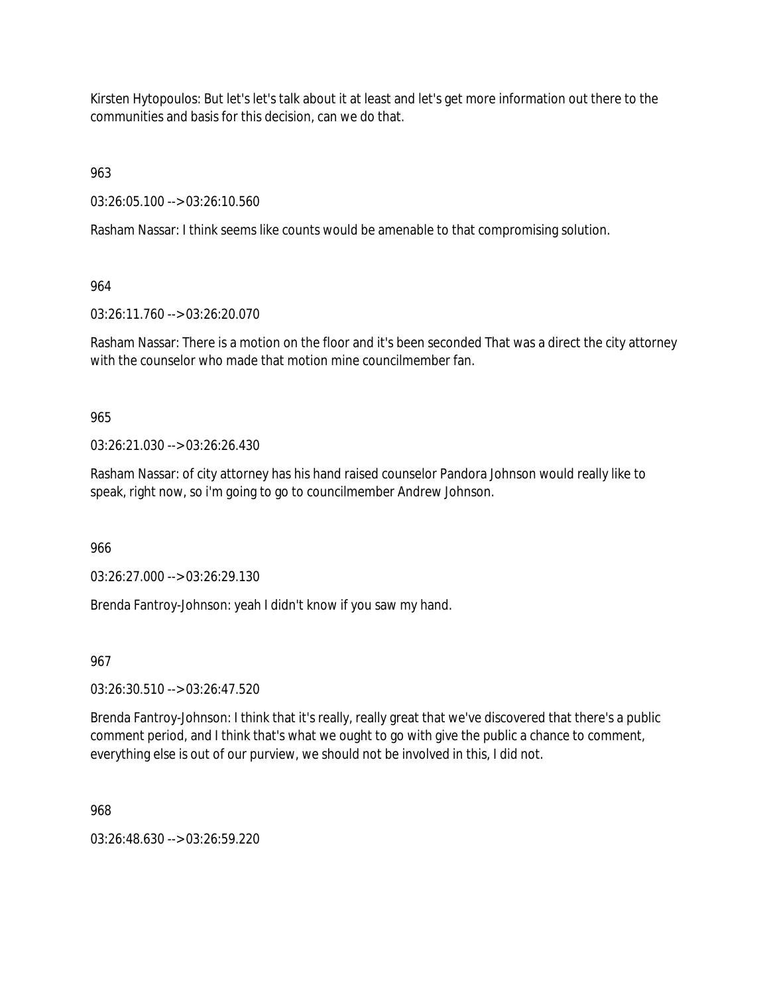Kirsten Hytopoulos: But let's let's talk about it at least and let's get more information out there to the communities and basis for this decision, can we do that.

963

03:26:05.100 --> 03:26:10.560

Rasham Nassar: I think seems like counts would be amenable to that compromising solution.

964

03:26:11.760 --> 03:26:20.070

Rasham Nassar: There is a motion on the floor and it's been seconded That was a direct the city attorney with the counselor who made that motion mine councilmember fan.

965

03:26:21.030 --> 03:26:26.430

Rasham Nassar: of city attorney has his hand raised counselor Pandora Johnson would really like to speak, right now, so i'm going to go to councilmember Andrew Johnson.

966

03:26:27.000 --> 03:26:29.130

Brenda Fantroy-Johnson: yeah I didn't know if you saw my hand.

967

03:26:30.510 --> 03:26:47.520

Brenda Fantroy-Johnson: I think that it's really, really great that we've discovered that there's a public comment period, and I think that's what we ought to go with give the public a chance to comment, everything else is out of our purview, we should not be involved in this, I did not.

968

03:26:48.630 --> 03:26:59.220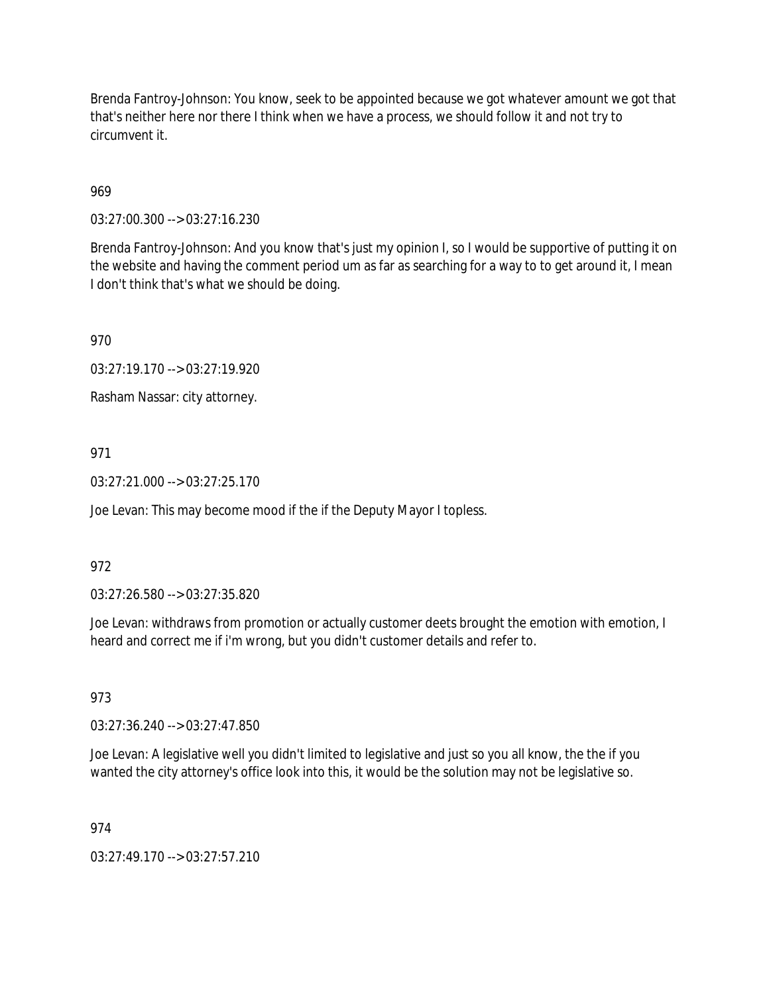Brenda Fantroy-Johnson: You know, seek to be appointed because we got whatever amount we got that that's neither here nor there I think when we have a process, we should follow it and not try to circumvent it.

# 969

03:27:00.300 --> 03:27:16.230

Brenda Fantroy-Johnson: And you know that's just my opinion I, so I would be supportive of putting it on the website and having the comment period um as far as searching for a way to to get around it, I mean I don't think that's what we should be doing.

970

03:27:19.170 --> 03:27:19.920

Rasham Nassar: city attorney.

## 971

 $03:27:21.000 \rightarrow 03:27:25.170$ 

Joe Levan: This may become mood if the if the Deputy Mayor I topless.

### 972

03:27:26.580 --> 03:27:35.820

Joe Levan: withdraws from promotion or actually customer deets brought the emotion with emotion, I heard and correct me if i'm wrong, but you didn't customer details and refer to.

### 973

03:27:36.240 --> 03:27:47.850

Joe Levan: A legislative well you didn't limited to legislative and just so you all know, the the if you wanted the city attorney's office look into this, it would be the solution may not be legislative so.

### 974

03:27:49.170 --> 03:27:57.210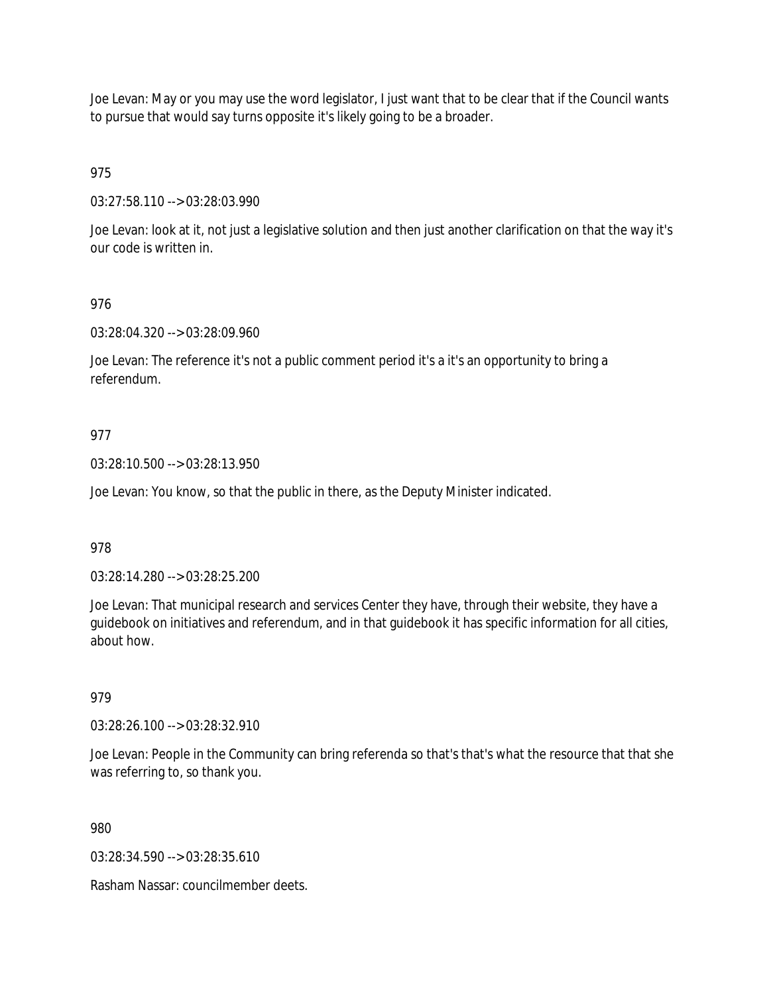Joe Levan: May or you may use the word legislator, I just want that to be clear that if the Council wants to pursue that would say turns opposite it's likely going to be a broader.

975

03:27:58.110 --> 03:28:03.990

Joe Levan: look at it, not just a legislative solution and then just another clarification on that the way it's our code is written in.

## 976

03:28:04.320 --> 03:28:09.960

Joe Levan: The reference it's not a public comment period it's a it's an opportunity to bring a referendum.

## 977

03:28:10.500 --> 03:28:13.950

Joe Levan: You know, so that the public in there, as the Deputy Minister indicated.

### 978

03:28:14.280 --> 03:28:25.200

Joe Levan: That municipal research and services Center they have, through their website, they have a guidebook on initiatives and referendum, and in that guidebook it has specific information for all cities, about how.

### 979

03:28:26.100 --> 03:28:32.910

Joe Levan: People in the Community can bring referenda so that's that's what the resource that that she was referring to, so thank you.

980

03:28:34.590 --> 03:28:35.610

Rasham Nassar: councilmember deets.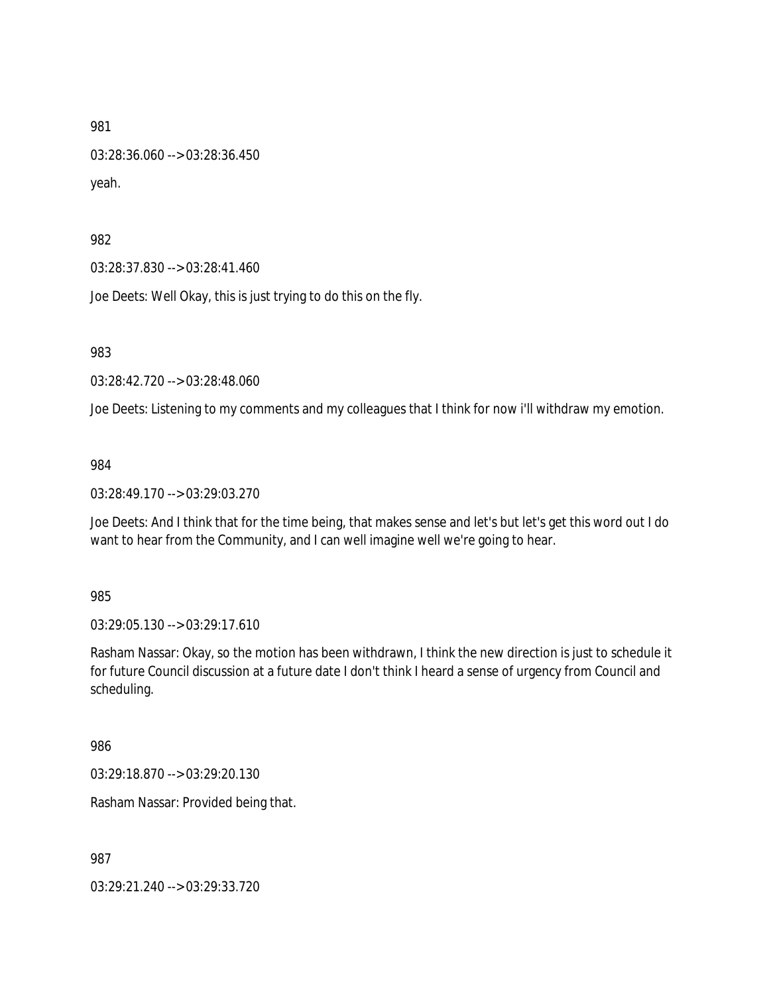03:28:36.060 --> 03:28:36.450 yeah.

982

03:28:37.830 --> 03:28:41.460

Joe Deets: Well Okay, this is just trying to do this on the fly.

983

03:28:42.720 --> 03:28:48.060

Joe Deets: Listening to my comments and my colleagues that I think for now i'll withdraw my emotion.

984

03:28:49.170 --> 03:29:03.270

Joe Deets: And I think that for the time being, that makes sense and let's but let's get this word out I do want to hear from the Community, and I can well imagine well we're going to hear.

985

03:29:05.130 --> 03:29:17.610

Rasham Nassar: Okay, so the motion has been withdrawn, I think the new direction is just to schedule it for future Council discussion at a future date I don't think I heard a sense of urgency from Council and scheduling.

986

03:29:18.870 --> 03:29:20.130

Rasham Nassar: Provided being that.

987

03:29:21.240 --> 03:29:33.720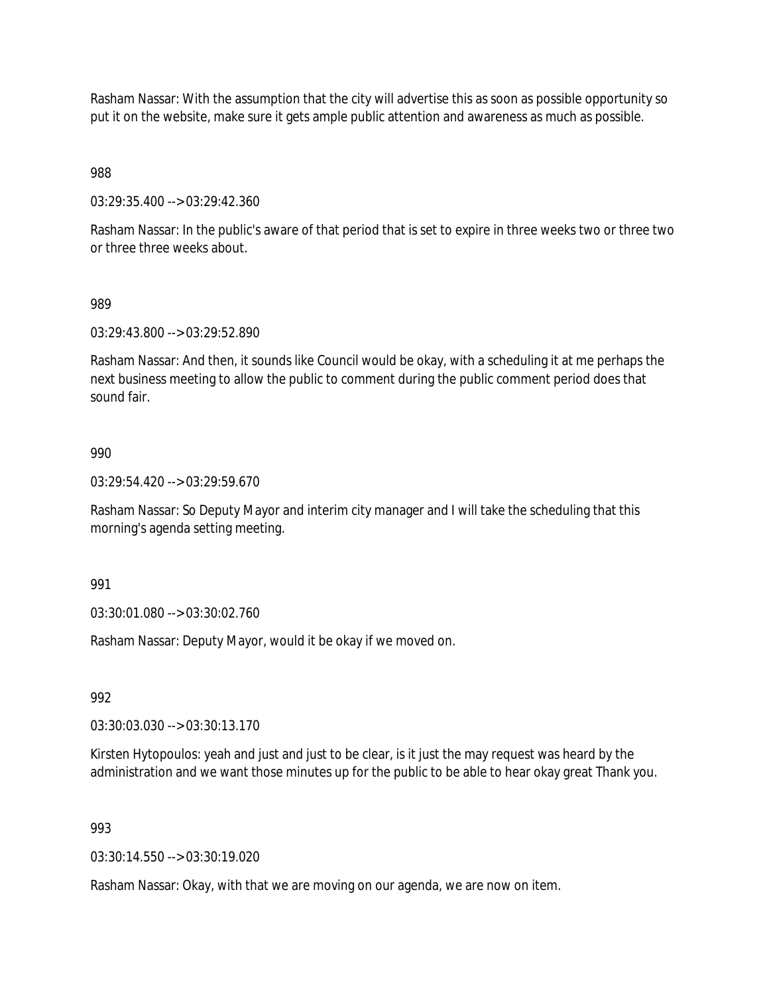Rasham Nassar: With the assumption that the city will advertise this as soon as possible opportunity so put it on the website, make sure it gets ample public attention and awareness as much as possible.

988

03:29:35.400 --> 03:29:42.360

Rasham Nassar: In the public's aware of that period that is set to expire in three weeks two or three two or three three weeks about.

#### 989

03:29:43.800 --> 03:29:52.890

Rasham Nassar: And then, it sounds like Council would be okay, with a scheduling it at me perhaps the next business meeting to allow the public to comment during the public comment period does that sound fair.

#### 990

03:29:54.420 --> 03:29:59.670

Rasham Nassar: So Deputy Mayor and interim city manager and I will take the scheduling that this morning's agenda setting meeting.

991

03:30:01.080 --> 03:30:02.760

Rasham Nassar: Deputy Mayor, would it be okay if we moved on.

992

03:30:03.030 --> 03:30:13.170

Kirsten Hytopoulos: yeah and just and just to be clear, is it just the may request was heard by the administration and we want those minutes up for the public to be able to hear okay great Thank you.

### 993

03:30:14.550 --> 03:30:19.020

Rasham Nassar: Okay, with that we are moving on our agenda, we are now on item.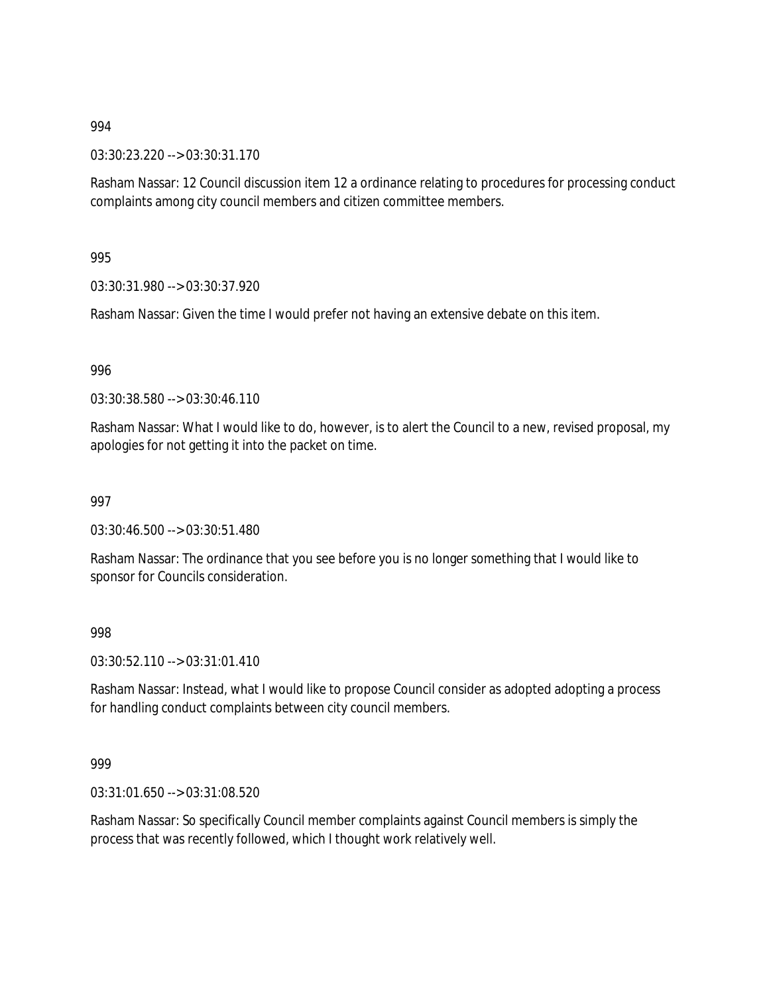03:30:23.220 --> 03:30:31.170

Rasham Nassar: 12 Council discussion item 12 a ordinance relating to procedures for processing conduct complaints among city council members and citizen committee members.

995

03:30:31.980 --> 03:30:37.920

Rasham Nassar: Given the time I would prefer not having an extensive debate on this item.

996

03:30:38.580 --> 03:30:46.110

Rasham Nassar: What I would like to do, however, is to alert the Council to a new, revised proposal, my apologies for not getting it into the packet on time.

997

03:30:46.500 --> 03:30:51.480

Rasham Nassar: The ordinance that you see before you is no longer something that I would like to sponsor for Councils consideration.

998

03:30:52.110 --> 03:31:01.410

Rasham Nassar: Instead, what I would like to propose Council consider as adopted adopting a process for handling conduct complaints between city council members.

999

03:31:01.650 --> 03:31:08.520

Rasham Nassar: So specifically Council member complaints against Council members is simply the process that was recently followed, which I thought work relatively well.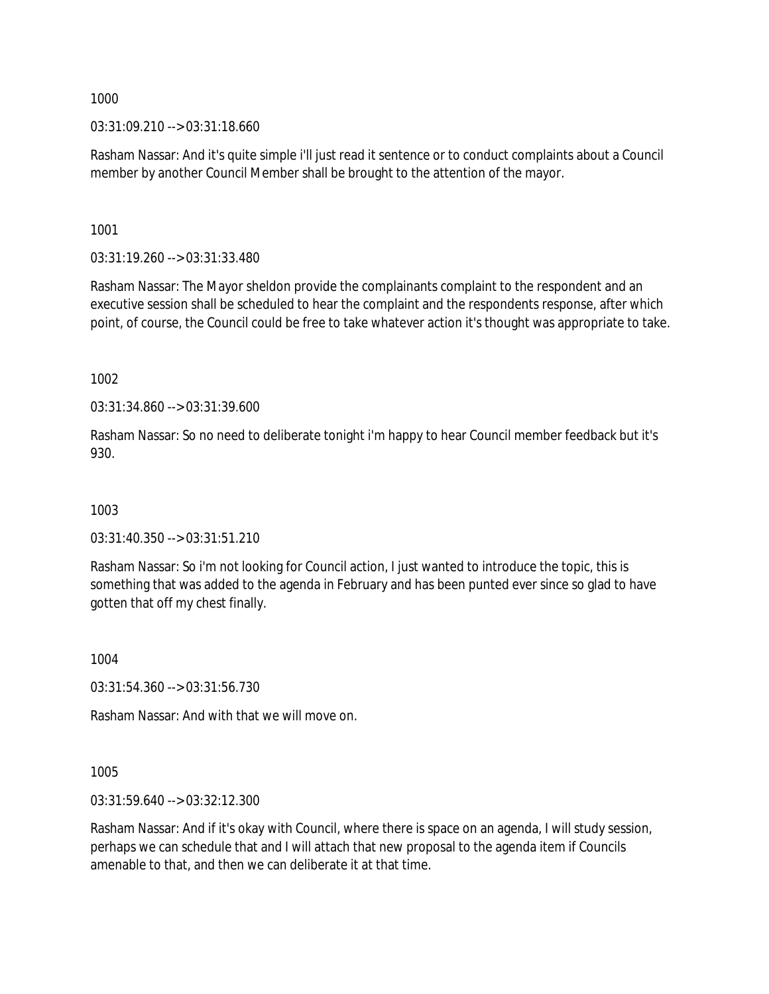03:31:09.210 --> 03:31:18.660

Rasham Nassar: And it's quite simple i'll just read it sentence or to conduct complaints about a Council member by another Council Member shall be brought to the attention of the mayor.

1001

03:31:19.260 --> 03:31:33.480

Rasham Nassar: The Mayor sheldon provide the complainants complaint to the respondent and an executive session shall be scheduled to hear the complaint and the respondents response, after which point, of course, the Council could be free to take whatever action it's thought was appropriate to take.

1002

03:31:34.860 --> 03:31:39.600

Rasham Nassar: So no need to deliberate tonight i'm happy to hear Council member feedback but it's 930.

1003

03:31:40.350 --> 03:31:51.210

Rasham Nassar: So i'm not looking for Council action, I just wanted to introduce the topic, this is something that was added to the agenda in February and has been punted ever since so glad to have gotten that off my chest finally.

1004

03:31:54.360 --> 03:31:56.730

Rasham Nassar: And with that we will move on.

1005

03:31:59.640 --> 03:32:12.300

Rasham Nassar: And if it's okay with Council, where there is space on an agenda, I will study session, perhaps we can schedule that and I will attach that new proposal to the agenda item if Councils amenable to that, and then we can deliberate it at that time.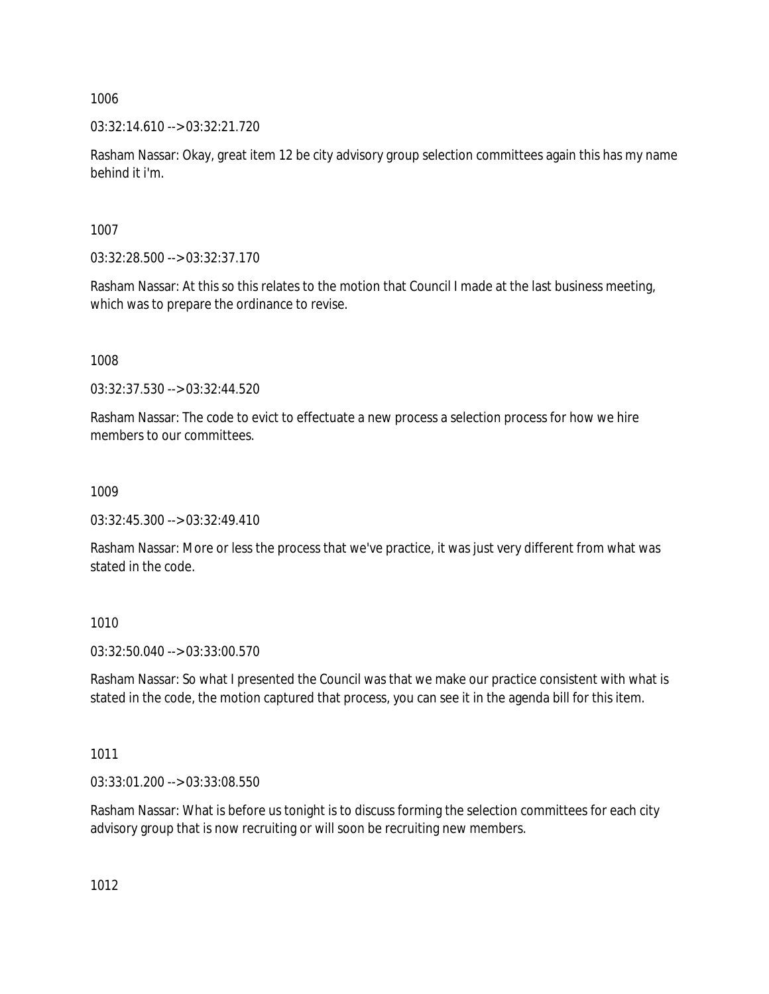03:32:14.610 --> 03:32:21.720

Rasham Nassar: Okay, great item 12 be city advisory group selection committees again this has my name behind it i'm.

1007

03:32:28.500 --> 03:32:37.170

Rasham Nassar: At this so this relates to the motion that Council I made at the last business meeting, which was to prepare the ordinance to revise.

1008

03:32:37.530 --> 03:32:44.520

Rasham Nassar: The code to evict to effectuate a new process a selection process for how we hire members to our committees.

1009

03:32:45.300 --> 03:32:49.410

Rasham Nassar: More or less the process that we've practice, it was just very different from what was stated in the code.

1010

03:32:50.040 --> 03:33:00.570

Rasham Nassar: So what I presented the Council was that we make our practice consistent with what is stated in the code, the motion captured that process, you can see it in the agenda bill for this item.

1011

03:33:01.200 --> 03:33:08.550

Rasham Nassar: What is before us tonight is to discuss forming the selection committees for each city advisory group that is now recruiting or will soon be recruiting new members.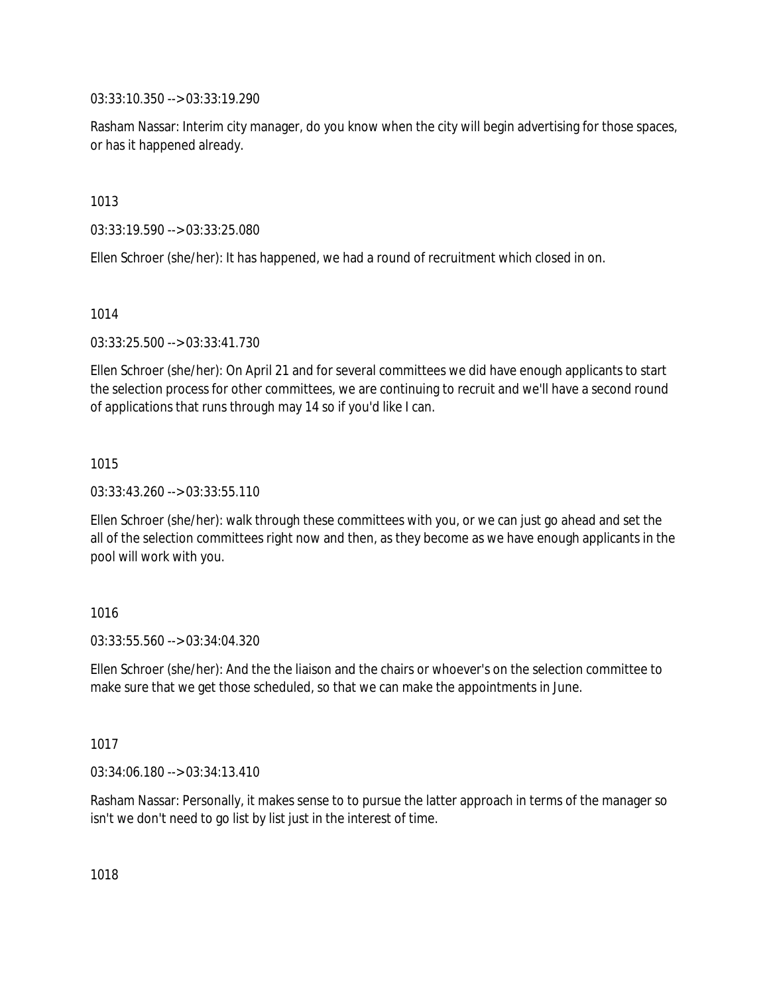03:33:10.350 --> 03:33:19.290

Rasham Nassar: Interim city manager, do you know when the city will begin advertising for those spaces, or has it happened already.

1013

03:33:19.590 --> 03:33:25.080

Ellen Schroer (she/her): It has happened, we had a round of recruitment which closed in on.

1014

03:33:25.500 --> 03:33:41.730

Ellen Schroer (she/her): On April 21 and for several committees we did have enough applicants to start the selection process for other committees, we are continuing to recruit and we'll have a second round of applications that runs through may 14 so if you'd like I can.

1015

 $03:33:43.260 \rightarrow 03:33:55.110$ 

Ellen Schroer (she/her): walk through these committees with you, or we can just go ahead and set the all of the selection committees right now and then, as they become as we have enough applicants in the pool will work with you.

1016

03:33:55.560 --> 03:34:04.320

Ellen Schroer (she/her): And the the liaison and the chairs or whoever's on the selection committee to make sure that we get those scheduled, so that we can make the appointments in June.

1017

03:34:06.180 --> 03:34:13.410

Rasham Nassar: Personally, it makes sense to to pursue the latter approach in terms of the manager so isn't we don't need to go list by list just in the interest of time.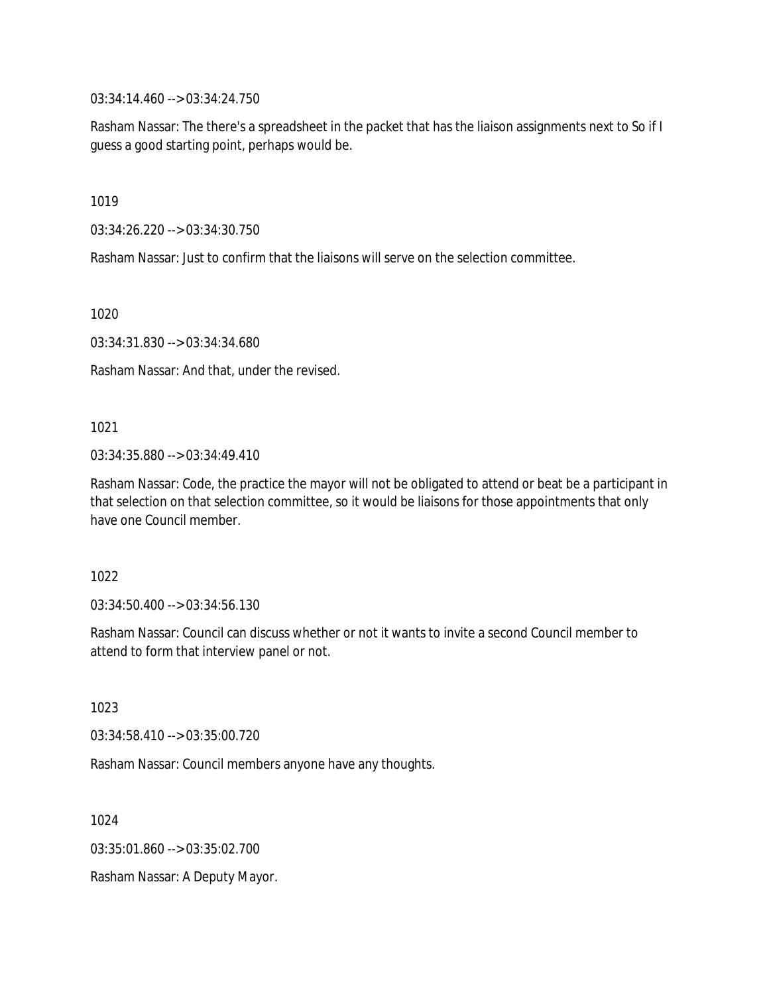03:34:14.460 --> 03:34:24.750

Rasham Nassar: The there's a spreadsheet in the packet that has the liaison assignments next to So if I guess a good starting point, perhaps would be.

1019

03:34:26.220 --> 03:34:30.750

Rasham Nassar: Just to confirm that the liaisons will serve on the selection committee.

1020

03:34:31.830 --> 03:34:34.680

Rasham Nassar: And that, under the revised.

1021

03:34:35.880 --> 03:34:49.410

Rasham Nassar: Code, the practice the mayor will not be obligated to attend or beat be a participant in that selection on that selection committee, so it would be liaisons for those appointments that only have one Council member.

1022

03:34:50.400 --> 03:34:56.130

Rasham Nassar: Council can discuss whether or not it wants to invite a second Council member to attend to form that interview panel or not.

1023

03:34:58.410 --> 03:35:00.720

Rasham Nassar: Council members anyone have any thoughts.

1024

03:35:01.860 --> 03:35:02.700

Rasham Nassar: A Deputy Mayor.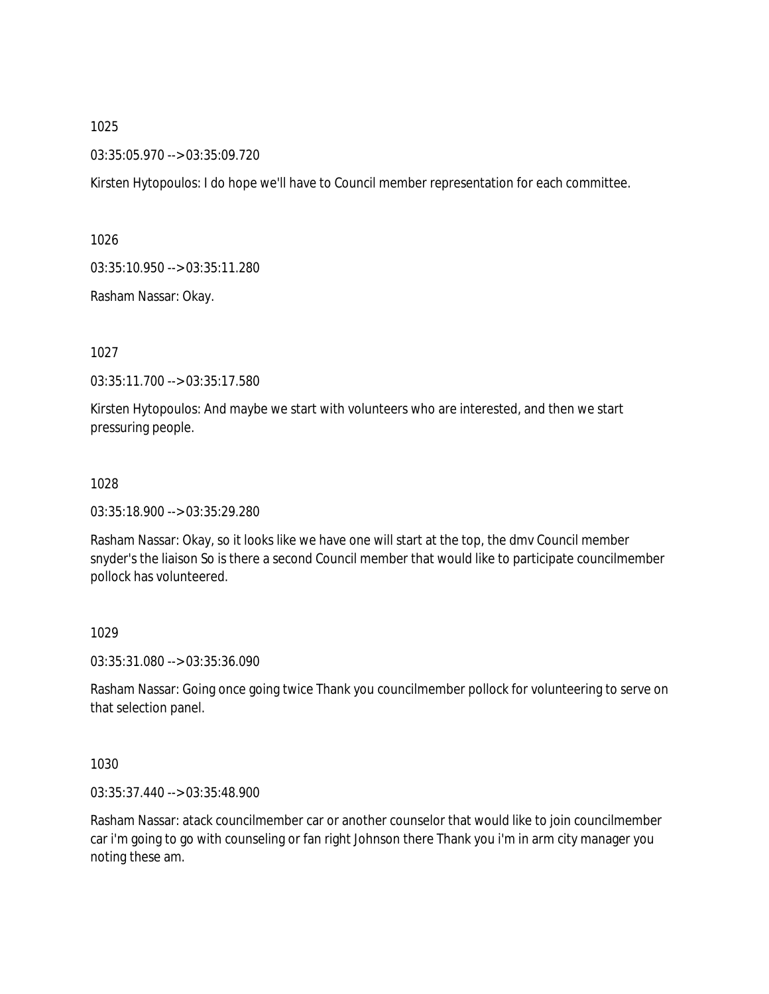03:35:05.970 --> 03:35:09.720

Kirsten Hytopoulos: I do hope we'll have to Council member representation for each committee.

1026

03:35:10.950 --> 03:35:11.280

Rasham Nassar: Okay.

1027

03:35:11.700 --> 03:35:17.580

Kirsten Hytopoulos: And maybe we start with volunteers who are interested, and then we start pressuring people.

#### 1028

03:35:18.900 --> 03:35:29.280

Rasham Nassar: Okay, so it looks like we have one will start at the top, the dmv Council member snyder's the liaison So is there a second Council member that would like to participate councilmember pollock has volunteered.

### 1029

03:35:31.080 --> 03:35:36.090

Rasham Nassar: Going once going twice Thank you councilmember pollock for volunteering to serve on that selection panel.

1030

03:35:37.440 --> 03:35:48.900

Rasham Nassar: atack councilmember car or another counselor that would like to join councilmember car i'm going to go with counseling or fan right Johnson there Thank you i'm in arm city manager you noting these am.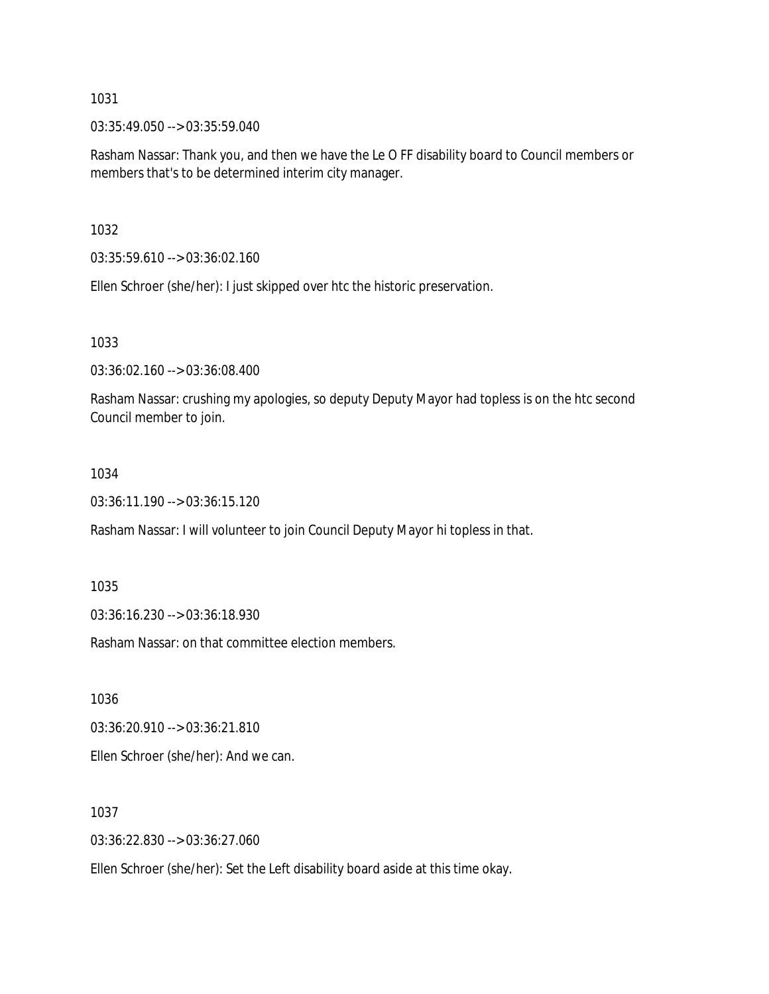03:35:49.050 --> 03:35:59.040

Rasham Nassar: Thank you, and then we have the Le O FF disability board to Council members or members that's to be determined interim city manager.

1032

03:35:59.610 --> 03:36:02.160

Ellen Schroer (she/her): I just skipped over htc the historic preservation.

1033

03:36:02.160 --> 03:36:08.400

Rasham Nassar: crushing my apologies, so deputy Deputy Mayor had topless is on the htc second Council member to join.

### 1034

03:36:11.190 --> 03:36:15.120

Rasham Nassar: I will volunteer to join Council Deputy Mayor hi topless in that.

1035

03:36:16.230 --> 03:36:18.930

Rasham Nassar: on that committee election members.

1036

03:36:20.910 --> 03:36:21.810

Ellen Schroer (she/her): And we can.

1037

03:36:22.830 --> 03:36:27.060

Ellen Schroer (she/her): Set the Left disability board aside at this time okay.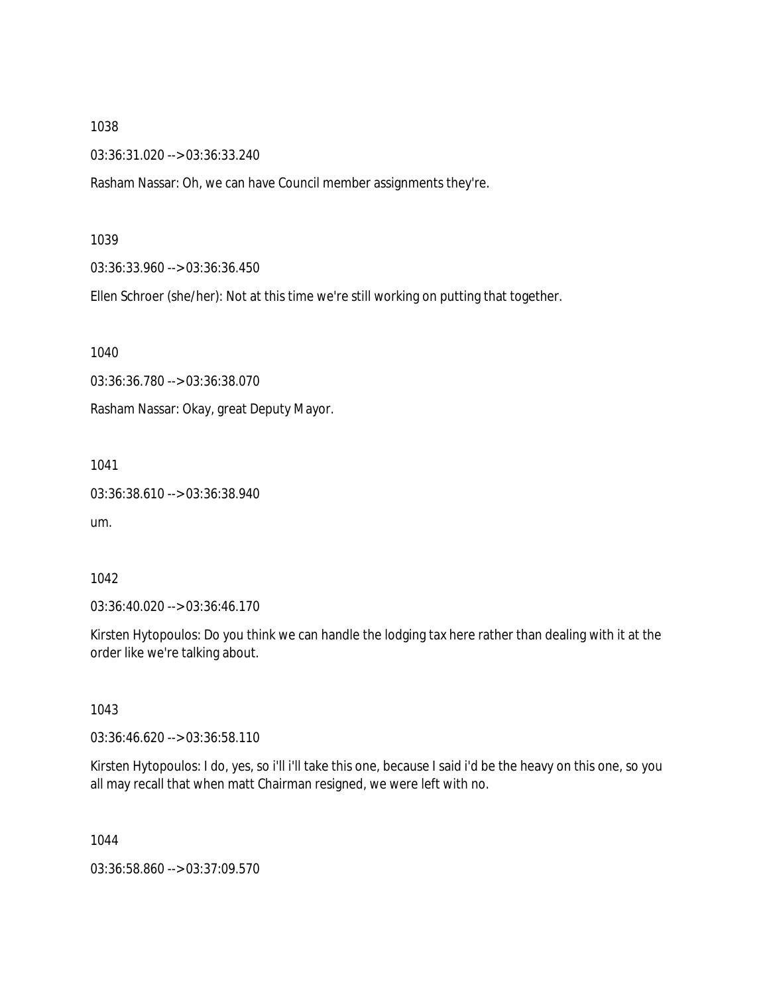03:36:31.020 --> 03:36:33.240

Rasham Nassar: Oh, we can have Council member assignments they're.

#### 1039

03:36:33.960 --> 03:36:36.450

Ellen Schroer (she/her): Not at this time we're still working on putting that together.

1040

03:36:36.780 --> 03:36:38.070

Rasham Nassar: Okay, great Deputy Mayor.

1041

03:36:38.610 --> 03:36:38.940

um.

### 1042

03:36:40.020 --> 03:36:46.170

Kirsten Hytopoulos: Do you think we can handle the lodging tax here rather than dealing with it at the order like we're talking about.

1043

03:36:46.620 --> 03:36:58.110

Kirsten Hytopoulos: I do, yes, so i'll i'll take this one, because I said i'd be the heavy on this one, so you all may recall that when matt Chairman resigned, we were left with no.

1044

03:36:58.860 --> 03:37:09.570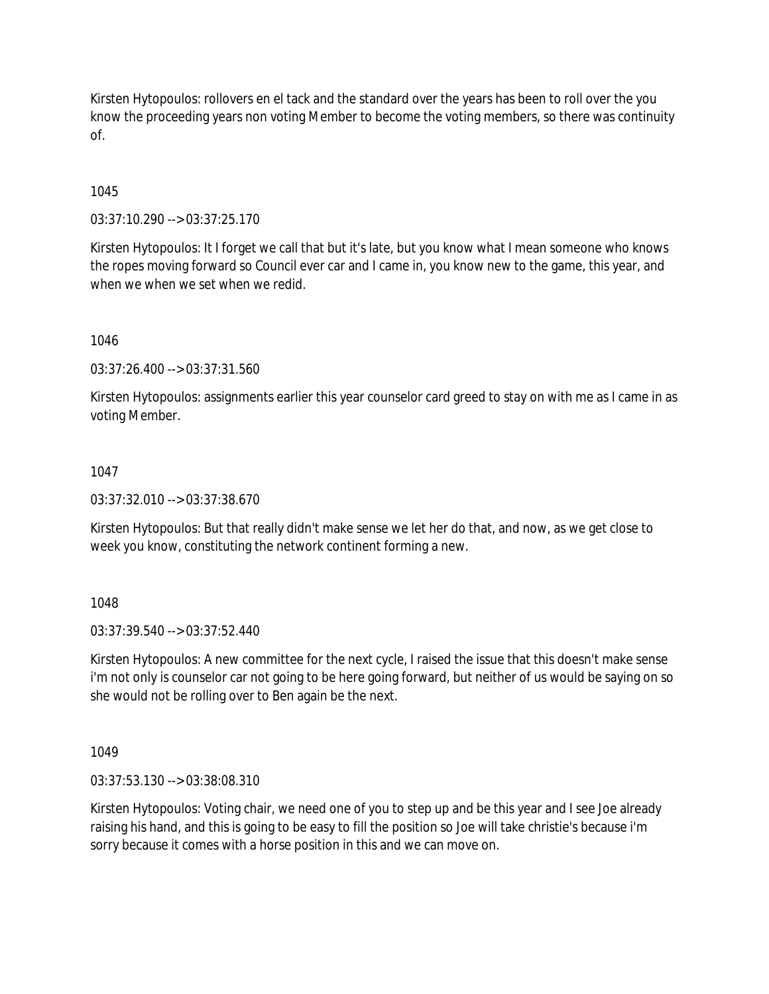Kirsten Hytopoulos: rollovers en el tack and the standard over the years has been to roll over the you know the proceeding years non voting Member to become the voting members, so there was continuity of.

## 1045

03:37:10.290 --> 03:37:25.170

Kirsten Hytopoulos: It I forget we call that but it's late, but you know what I mean someone who knows the ropes moving forward so Council ever car and I came in, you know new to the game, this year, and when we when we set when we redid.

1046

03:37:26.400 --> 03:37:31.560

Kirsten Hytopoulos: assignments earlier this year counselor card greed to stay on with me as I came in as voting Member.

#### 1047

03:37:32.010 --> 03:37:38.670

Kirsten Hytopoulos: But that really didn't make sense we let her do that, and now, as we get close to week you know, constituting the network continent forming a new.

1048

03:37:39.540 --> 03:37:52.440

Kirsten Hytopoulos: A new committee for the next cycle, I raised the issue that this doesn't make sense i'm not only is counselor car not going to be here going forward, but neither of us would be saying on so she would not be rolling over to Ben again be the next.

1049

03:37:53.130 --> 03:38:08.310

Kirsten Hytopoulos: Voting chair, we need one of you to step up and be this year and I see Joe already raising his hand, and this is going to be easy to fill the position so Joe will take christie's because i'm sorry because it comes with a horse position in this and we can move on.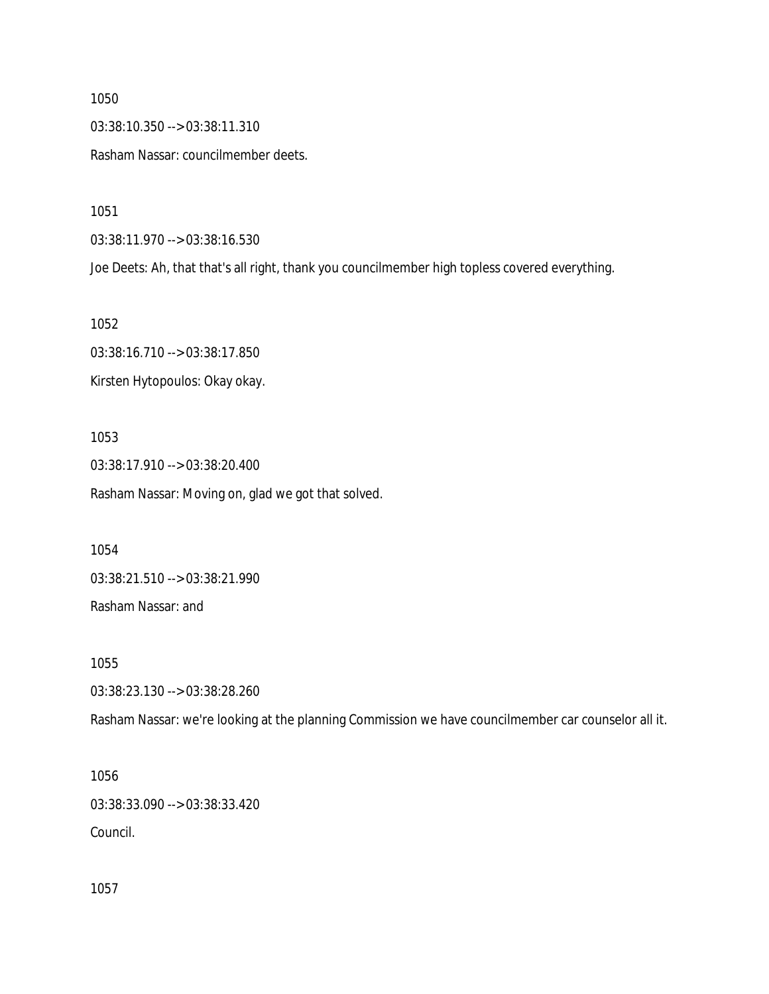03:38:10.350 --> 03:38:11.310

Rasham Nassar: councilmember deets.

1051

03:38:11.970 --> 03:38:16.530

Joe Deets: Ah, that that's all right, thank you councilmember high topless covered everything.

1052

03:38:16.710 --> 03:38:17.850 Kirsten Hytopoulos: Okay okay.

1053

03:38:17.910 --> 03:38:20.400 Rasham Nassar: Moving on, glad we got that solved.

1054

03:38:21.510 --> 03:38:21.990

Rasham Nassar: and

1055

03:38:23.130 --> 03:38:28.260

Rasham Nassar: we're looking at the planning Commission we have councilmember car counselor all it.

1056

03:38:33.090 --> 03:38:33.420

Council.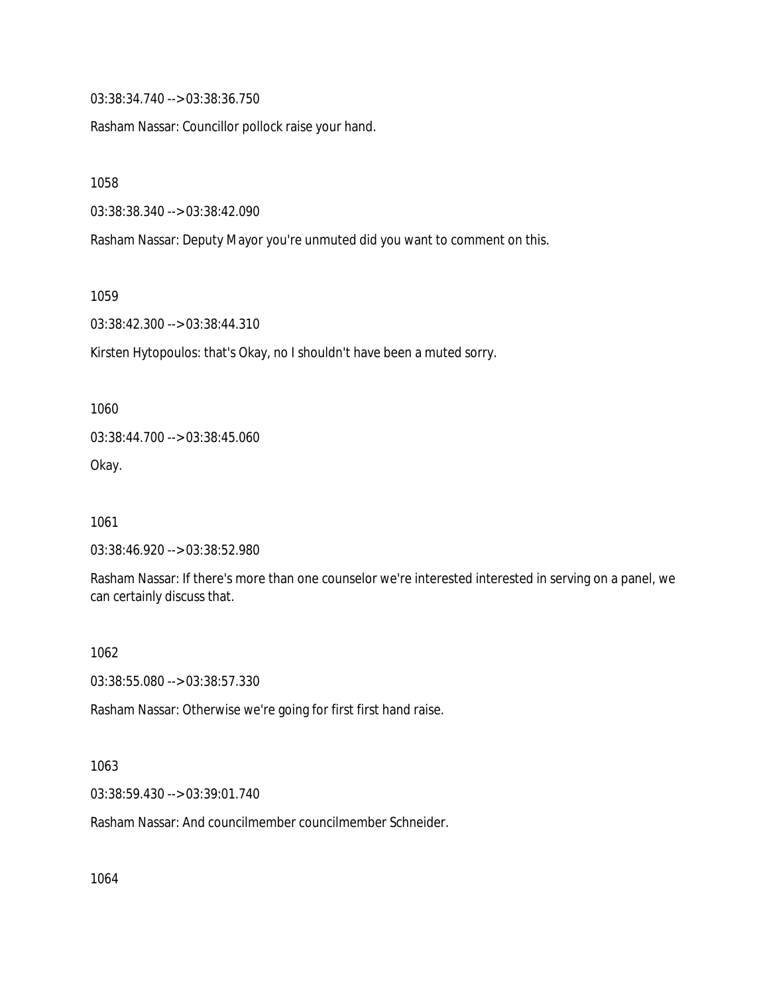03:38:34.740 --> 03:38:36.750

Rasham Nassar: Councillor pollock raise your hand.

1058

03:38:38.340 --> 03:38:42.090

Rasham Nassar: Deputy Mayor you're unmuted did you want to comment on this.

1059

03:38:42.300 --> 03:38:44.310

Kirsten Hytopoulos: that's Okay, no I shouldn't have been a muted sorry.

1060 03:38:44.700 --> 03:38:45.060

Okay.

1061

03:38:46.920 --> 03:38:52.980

Rasham Nassar: If there's more than one counselor we're interested interested in serving on a panel, we can certainly discuss that.

1062

03:38:55.080 --> 03:38:57.330

Rasham Nassar: Otherwise we're going for first first hand raise.

1063

03:38:59.430 --> 03:39:01.740

Rasham Nassar: And councilmember councilmember Schneider.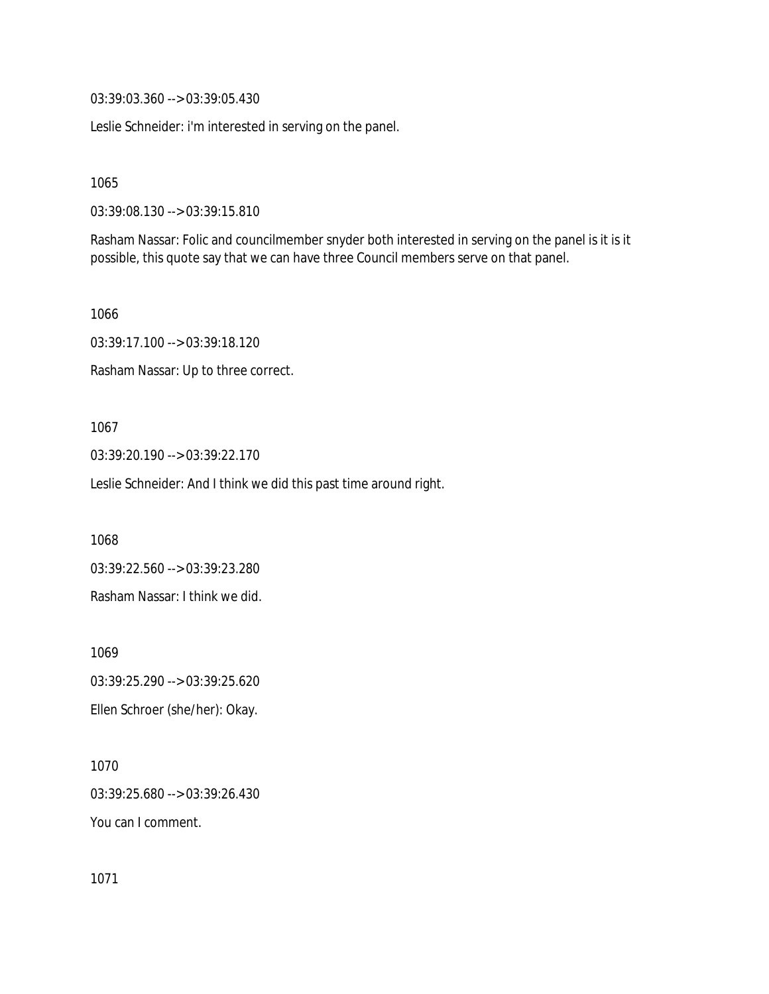03:39:03.360 --> 03:39:05.430

Leslie Schneider: i'm interested in serving on the panel.

1065

03:39:08.130 --> 03:39:15.810

Rasham Nassar: Folic and councilmember snyder both interested in serving on the panel is it is it possible, this quote say that we can have three Council members serve on that panel.

1066

03:39:17.100 --> 03:39:18.120

Rasham Nassar: Up to three correct.

#### 1067

03:39:20.190 --> 03:39:22.170

Leslie Schneider: And I think we did this past time around right.

1068

03:39:22.560 --> 03:39:23.280 Rasham Nassar: I think we did.

1069 03:39:25.290 --> 03:39:25.620 Ellen Schroer (she/her): Okay.

1070 03:39:25.680 --> 03:39:26.430 You can I comment.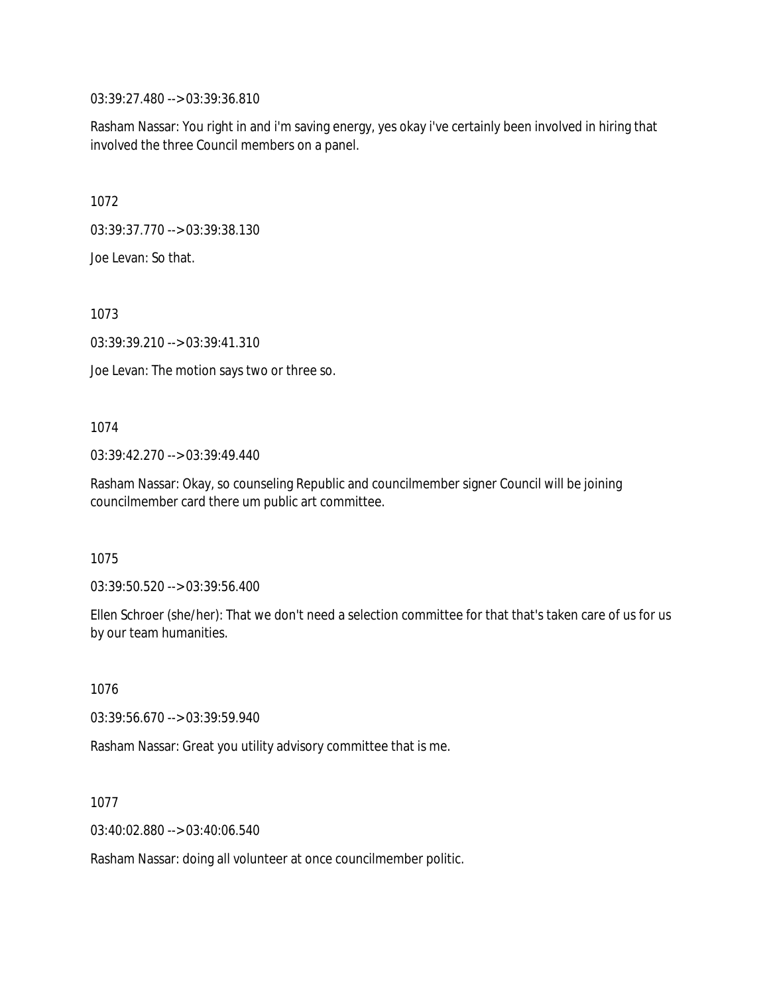03:39:27.480 --> 03:39:36.810

Rasham Nassar: You right in and i'm saving energy, yes okay i've certainly been involved in hiring that involved the three Council members on a panel.

1072

03:39:37.770 --> 03:39:38.130

Joe Levan: So that.

1073

03:39:39.210 --> 03:39:41.310

Joe Levan: The motion says two or three so.

#### 1074

03:39:42.270 --> 03:39:49.440

Rasham Nassar: Okay, so counseling Republic and councilmember signer Council will be joining councilmember card there um public art committee.

1075

03:39:50.520 --> 03:39:56.400

Ellen Schroer (she/her): That we don't need a selection committee for that that's taken care of us for us by our team humanities.

1076

03:39:56.670 --> 03:39:59.940

Rasham Nassar: Great you utility advisory committee that is me.

1077

03:40:02.880 --> 03:40:06.540

Rasham Nassar: doing all volunteer at once councilmember politic.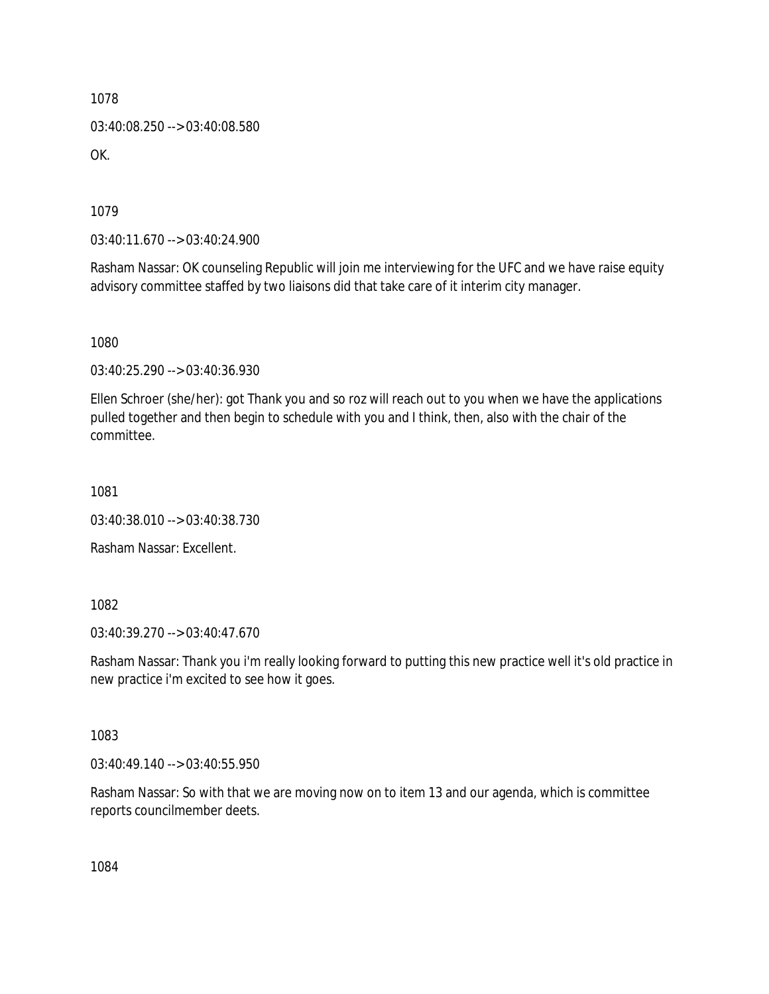03:40:08.250 --> 03:40:08.580 OK.

1079

03:40:11.670 --> 03:40:24.900

Rasham Nassar: OK counseling Republic will join me interviewing for the UFC and we have raise equity advisory committee staffed by two liaisons did that take care of it interim city manager.

1080

03:40:25.290 --> 03:40:36.930

Ellen Schroer (she/her): got Thank you and so roz will reach out to you when we have the applications pulled together and then begin to schedule with you and I think, then, also with the chair of the committee.

1081

03:40:38.010 --> 03:40:38.730

Rasham Nassar: Excellent.

1082

03:40:39.270 --> 03:40:47.670

Rasham Nassar: Thank you i'm really looking forward to putting this new practice well it's old practice in new practice i'm excited to see how it goes.

1083

03:40:49.140 --> 03:40:55.950

Rasham Nassar: So with that we are moving now on to item 13 and our agenda, which is committee reports councilmember deets.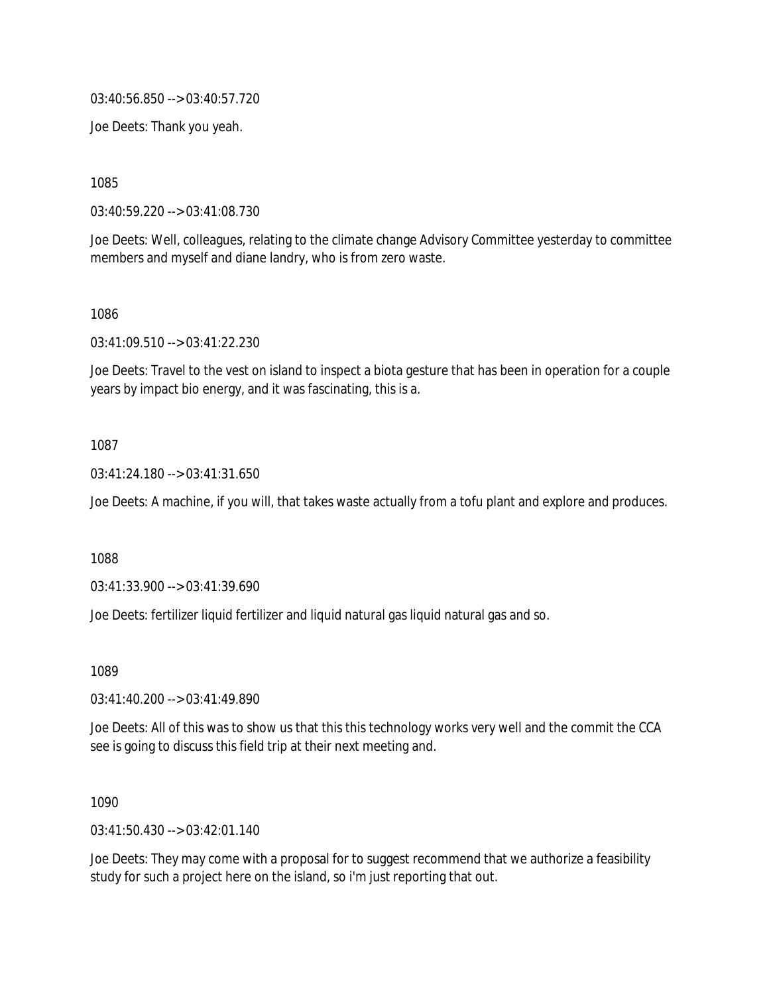03:40:56.850 --> 03:40:57.720

Joe Deets: Thank you yeah.

1085

03:40:59.220 --> 03:41:08.730

Joe Deets: Well, colleagues, relating to the climate change Advisory Committee yesterday to committee members and myself and diane landry, who is from zero waste.

1086

03:41:09.510 --> 03:41:22.230

Joe Deets: Travel to the vest on island to inspect a biota gesture that has been in operation for a couple years by impact bio energy, and it was fascinating, this is a.

1087

03:41:24.180 --> 03:41:31.650

Joe Deets: A machine, if you will, that takes waste actually from a tofu plant and explore and produces.

1088

03:41:33.900 --> 03:41:39.690

Joe Deets: fertilizer liquid fertilizer and liquid natural gas liquid natural gas and so.

1089

03:41:40.200 --> 03:41:49.890

Joe Deets: All of this was to show us that this this technology works very well and the commit the CCA see is going to discuss this field trip at their next meeting and.

1090

03:41:50.430 --> 03:42:01.140

Joe Deets: They may come with a proposal for to suggest recommend that we authorize a feasibility study for such a project here on the island, so i'm just reporting that out.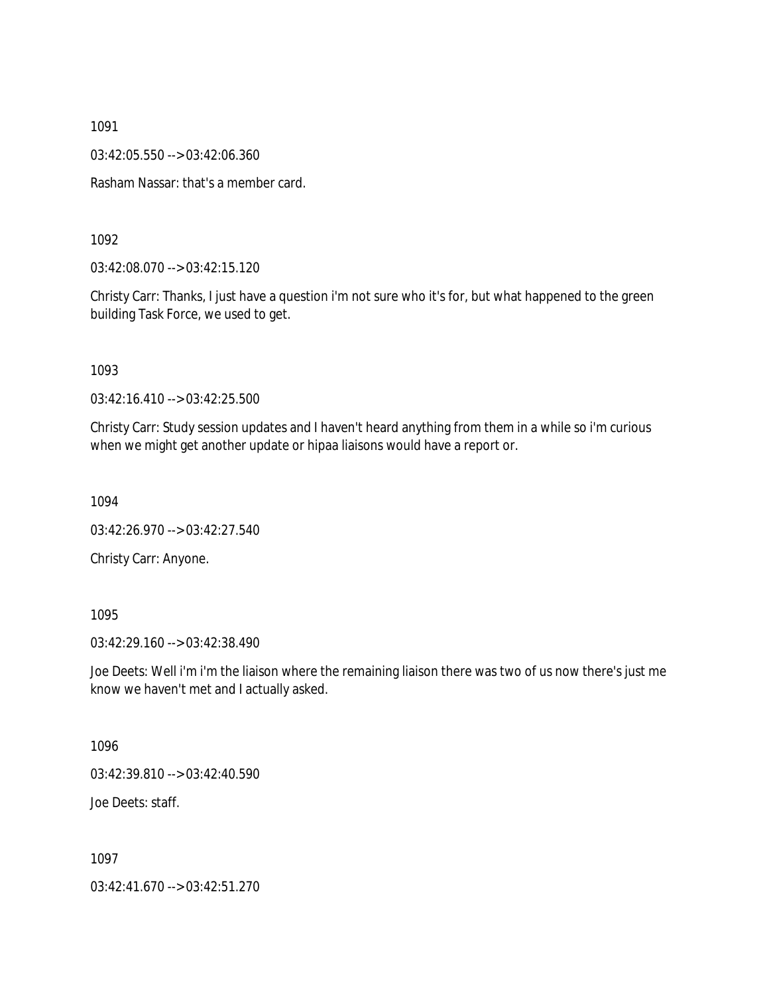03:42:05.550 --> 03:42:06.360

Rasham Nassar: that's a member card.

1092

03:42:08.070 --> 03:42:15.120

Christy Carr: Thanks, I just have a question i'm not sure who it's for, but what happened to the green building Task Force, we used to get.

1093

03:42:16.410 --> 03:42:25.500

Christy Carr: Study session updates and I haven't heard anything from them in a while so i'm curious when we might get another update or hipaa liaisons would have a report or.

1094

03:42:26.970 --> 03:42:27.540

Christy Carr: Anyone.

1095

03:42:29.160 --> 03:42:38.490

Joe Deets: Well i'm i'm the liaison where the remaining liaison there was two of us now there's just me know we haven't met and I actually asked.

1096

03:42:39.810 --> 03:42:40.590

Joe Deets: staff.

1097

03:42:41.670 --> 03:42:51.270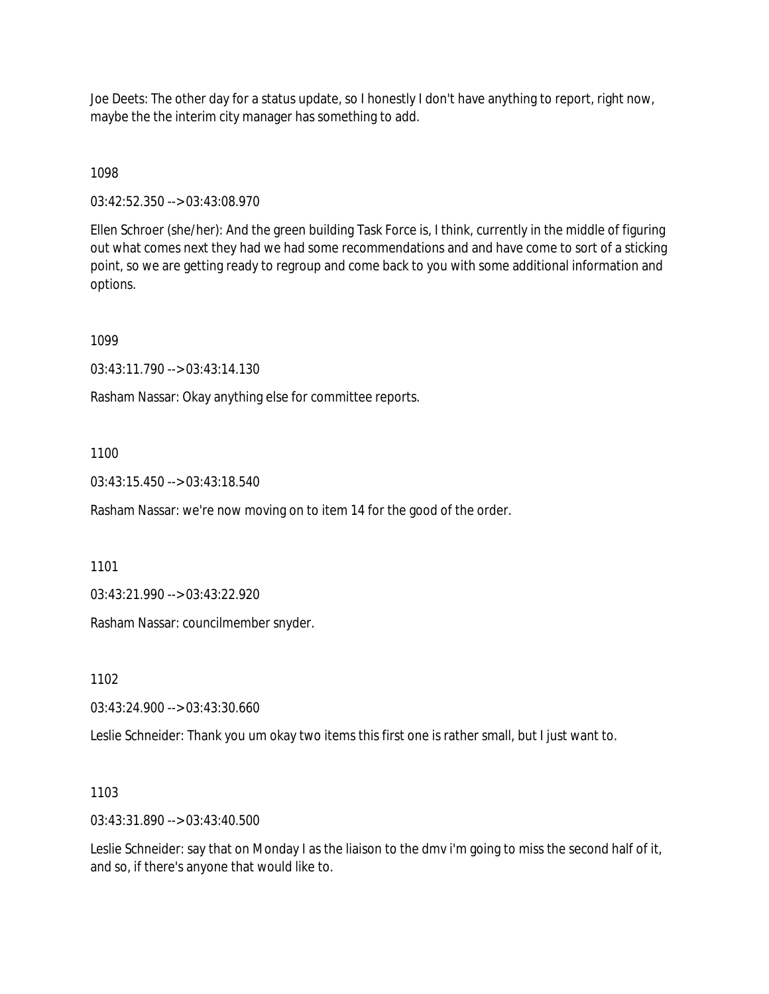Joe Deets: The other day for a status update, so I honestly I don't have anything to report, right now, maybe the the interim city manager has something to add.

1098

03:42:52.350 --> 03:43:08.970

Ellen Schroer (she/her): And the green building Task Force is, I think, currently in the middle of figuring out what comes next they had we had some recommendations and and have come to sort of a sticking point, so we are getting ready to regroup and come back to you with some additional information and options.

1099

03:43:11.790 --> 03:43:14.130

Rasham Nassar: Okay anything else for committee reports.

1100

03:43:15.450 --> 03:43:18.540

Rasham Nassar: we're now moving on to item 14 for the good of the order.

1101

03:43:21.990 --> 03:43:22.920

Rasham Nassar: councilmember snyder.

1102

03:43:24.900 --> 03:43:30.660

Leslie Schneider: Thank you um okay two items this first one is rather small, but I just want to.

1103

03:43:31.890 --> 03:43:40.500

Leslie Schneider: say that on Monday I as the liaison to the dmv i'm going to miss the second half of it, and so, if there's anyone that would like to.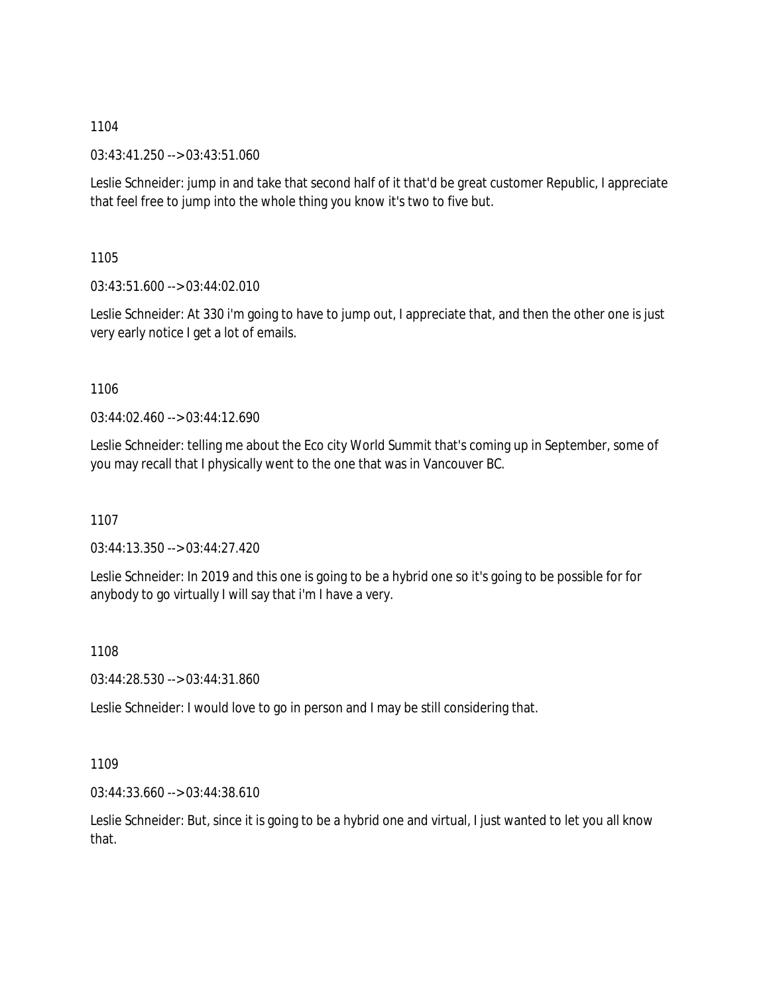03:43:41.250 --> 03:43:51.060

Leslie Schneider: jump in and take that second half of it that'd be great customer Republic, I appreciate that feel free to jump into the whole thing you know it's two to five but.

1105

03:43:51.600 --> 03:44:02.010

Leslie Schneider: At 330 i'm going to have to jump out, I appreciate that, and then the other one is just very early notice I get a lot of emails.

1106

03:44:02.460 --> 03:44:12.690

Leslie Schneider: telling me about the Eco city World Summit that's coming up in September, some of you may recall that I physically went to the one that was in Vancouver BC.

1107

03:44:13.350 --> 03:44:27.420

Leslie Schneider: In 2019 and this one is going to be a hybrid one so it's going to be possible for for anybody to go virtually I will say that i'm I have a very.

1108

03:44:28.530 --> 03:44:31.860

Leslie Schneider: I would love to go in person and I may be still considering that.

1109

03:44:33.660 --> 03:44:38.610

Leslie Schneider: But, since it is going to be a hybrid one and virtual, I just wanted to let you all know that.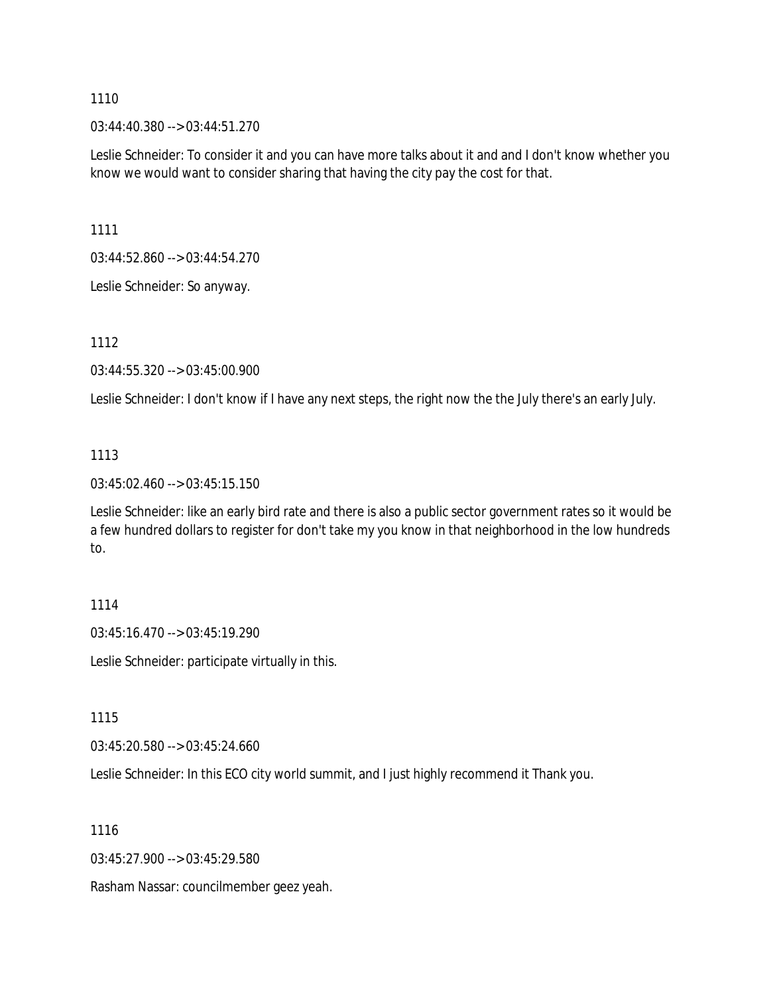03:44:40.380 --> 03:44:51.270

Leslie Schneider: To consider it and you can have more talks about it and and I don't know whether you know we would want to consider sharing that having the city pay the cost for that.

1111

03:44:52.860 --> 03:44:54.270

Leslie Schneider: So anyway.

1112

03:44:55.320 --> 03:45:00.900

Leslie Schneider: I don't know if I have any next steps, the right now the the July there's an early July.

#### 1113

03:45:02.460 --> 03:45:15.150

Leslie Schneider: like an early bird rate and there is also a public sector government rates so it would be a few hundred dollars to register for don't take my you know in that neighborhood in the low hundreds to.

#### 1114

03:45:16.470 --> 03:45:19.290

Leslie Schneider: participate virtually in this.

1115

03:45:20.580 --> 03:45:24.660

Leslie Schneider: In this ECO city world summit, and I just highly recommend it Thank you.

1116

03:45:27.900 --> 03:45:29.580

Rasham Nassar: councilmember geez yeah.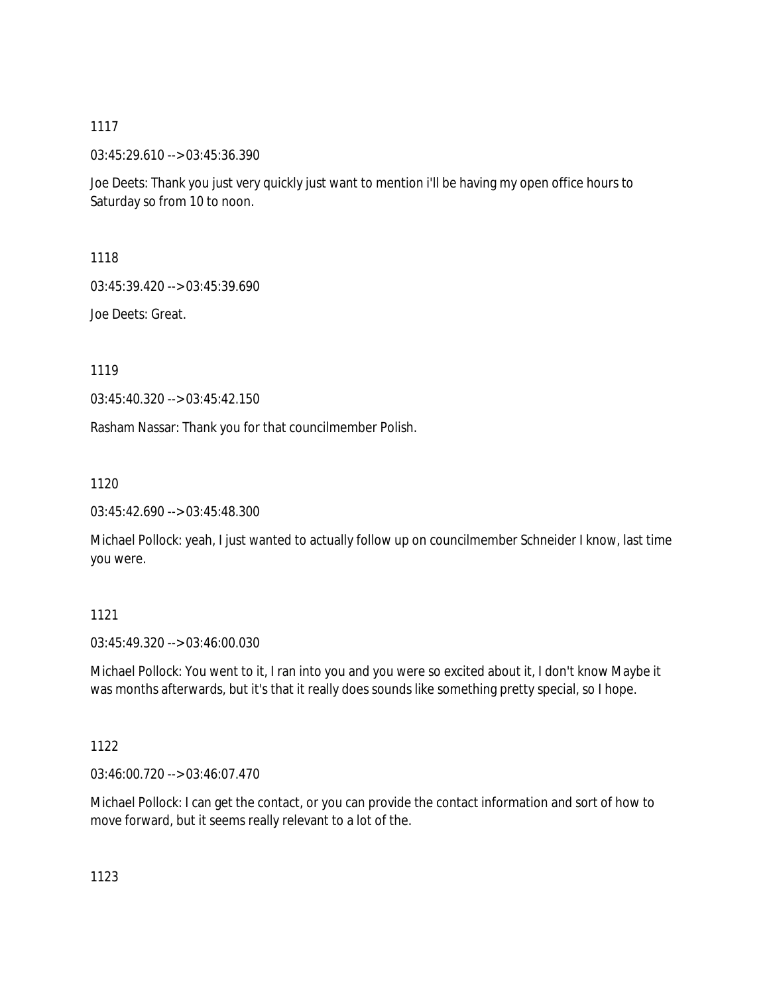03:45:29.610 --> 03:45:36.390

Joe Deets: Thank you just very quickly just want to mention i'll be having my open office hours to Saturday so from 10 to noon.

1118

03:45:39.420 --> 03:45:39.690

Joe Deets: Great.

1119

03:45:40.320 --> 03:45:42.150

Rasham Nassar: Thank you for that councilmember Polish.

1120

03:45:42.690 --> 03:45:48.300

Michael Pollock: yeah, I just wanted to actually follow up on councilmember Schneider I know, last time you were.

# 1121

03:45:49.320 --> 03:46:00.030

Michael Pollock: You went to it, I ran into you and you were so excited about it, I don't know Maybe it was months afterwards, but it's that it really does sounds like something pretty special, so I hope.

### 1122

03:46:00.720 --> 03:46:07.470

Michael Pollock: I can get the contact, or you can provide the contact information and sort of how to move forward, but it seems really relevant to a lot of the.